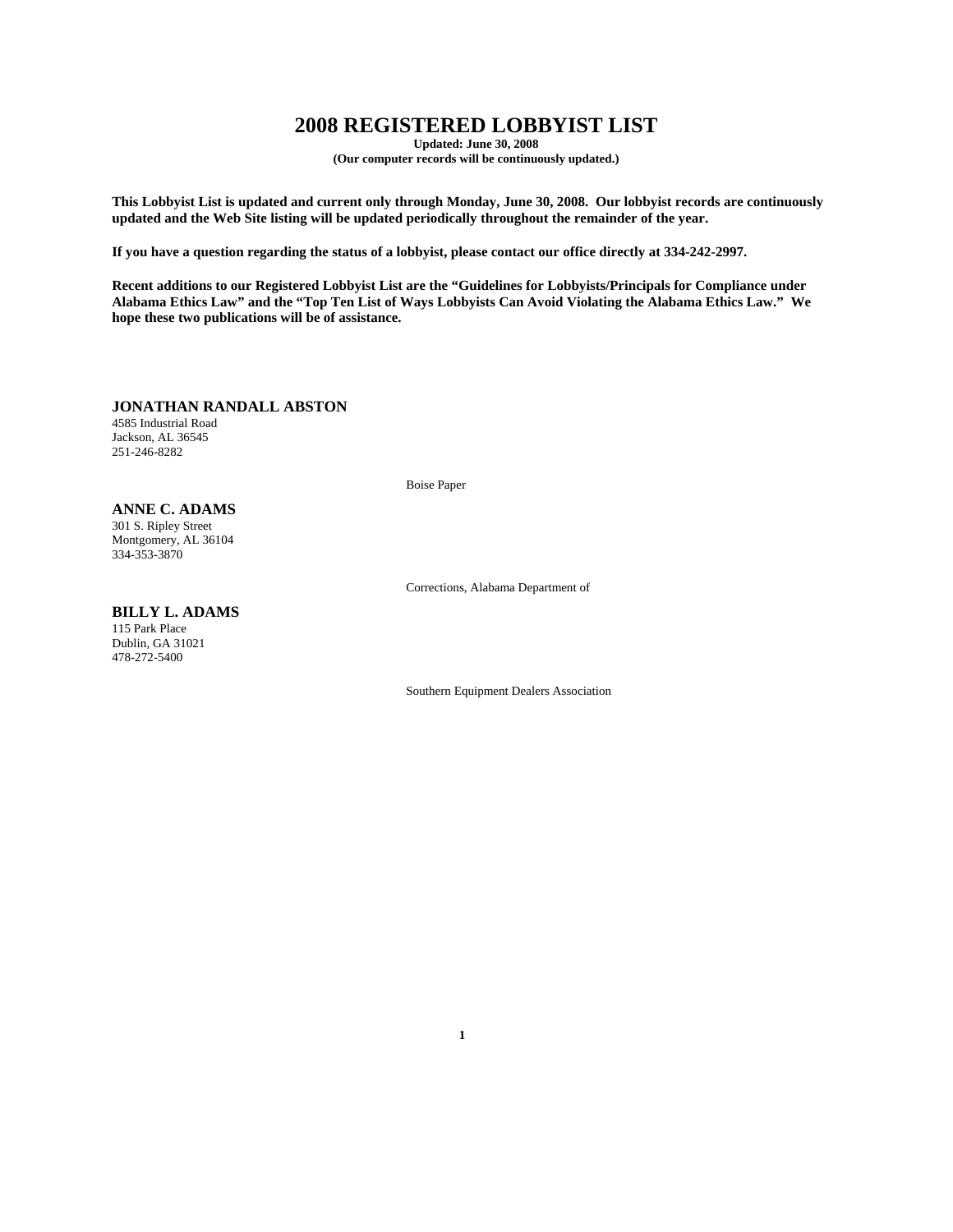# **2008 REGISTERED LOBBYIST LIST**

**Updated: June 30, 2008 (Our computer records will be continuously updated.)**

**This Lobbyist List is updated and current only through Monday, June 30, 2008. Our lobbyist records are continuously updated and the Web Site listing will be updated periodically throughout the remainder of the year.**

**If you have a question regarding the status of a lobbyist, please contact our office directly at 334-242-2997.** 

**Recent additions to our Registered Lobbyist List are the "Guidelines for Lobbyists/Principals for Compliance under Alabama Ethics Law" and the "Top Ten List of Ways Lobbyists Can Avoid Violating the Alabama Ethics Law." We hope these two publications will be of assistance.**

**JONATHAN RANDALL ABSTON**

4585 Industrial Road Jackson, AL 36545 251-246-8282

Boise Paper

#### **ANNE C. ADAMS**

301 S. Ripley Street Montgomery, AL 36104 334-353-3870

Corrections, Alabama Department of

# **BILLY L. ADAMS**

115 Park Place Dublin, GA 31021 478-272-5400

Southern Equipment Dealers Association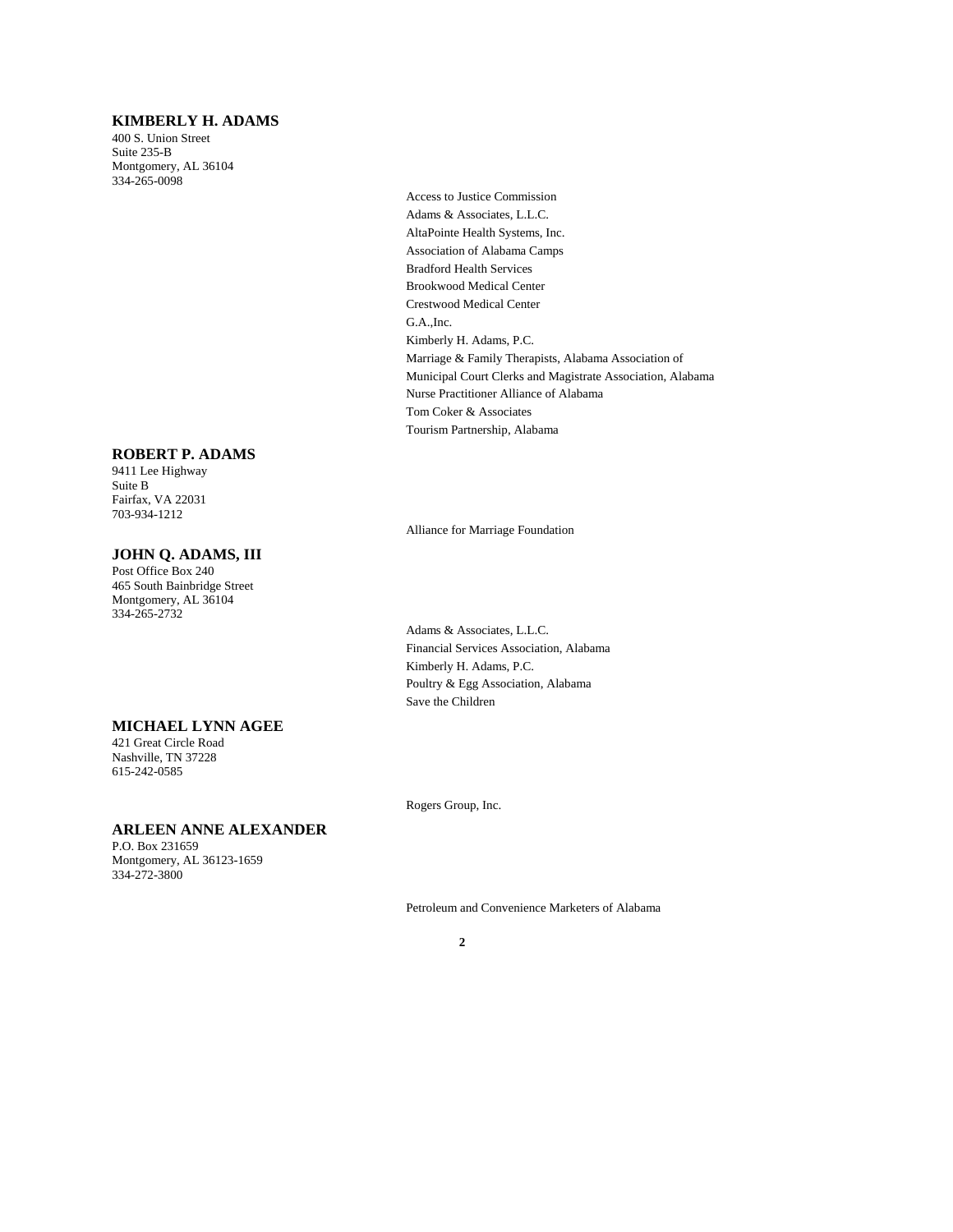### **KIMBERLY H. ADAMS**

400 S. Union Street Suite 235-B Montgomery, AL 36104 334-265-0098

## **ROBERT P. ADAMS**

9411 Lee Highway Suite B Fairfax, VA 22031 703-934-1212

### **JOHN Q. ADAMS, III**

Post Office Box 240 465 South Bainbridge Street Montgomery, AL 36104 334-265-2732

#### **MICHAEL LYNN AGEE**

421 Great Circle Road Nashville, TN 37228 615-242-0585

#### **ARLEEN ANNE ALEXANDER**

P.O. Box 231659 Montgomery, AL 36123-1659 334-272-3800

Access to Justice Commission Adams & Associates, L.L.C. AltaPointe Health Systems, Inc. Association of Alabama Camps Bradford Health Services Brookwood Medical Center Crestwood Medical Center G.A.,Inc. Kimberly H. Adams, P.C. Marriage & Family Therapists, Alabama Association of Municipal Court Clerks and Magistrate Association, Alabama Nurse Practitioner Alliance of Alabama Tom Coker & Associates Tourism Partnership, Alabama

Alliance for Marriage Foundation

Adams & Associates, L.L.C. Financial Services Association, Alabama Kimberly H. Adams, P.C. Poultry & Egg Association, Alabama Save the Children

Rogers Group, Inc.

Petroleum and Convenience Marketers of Alabama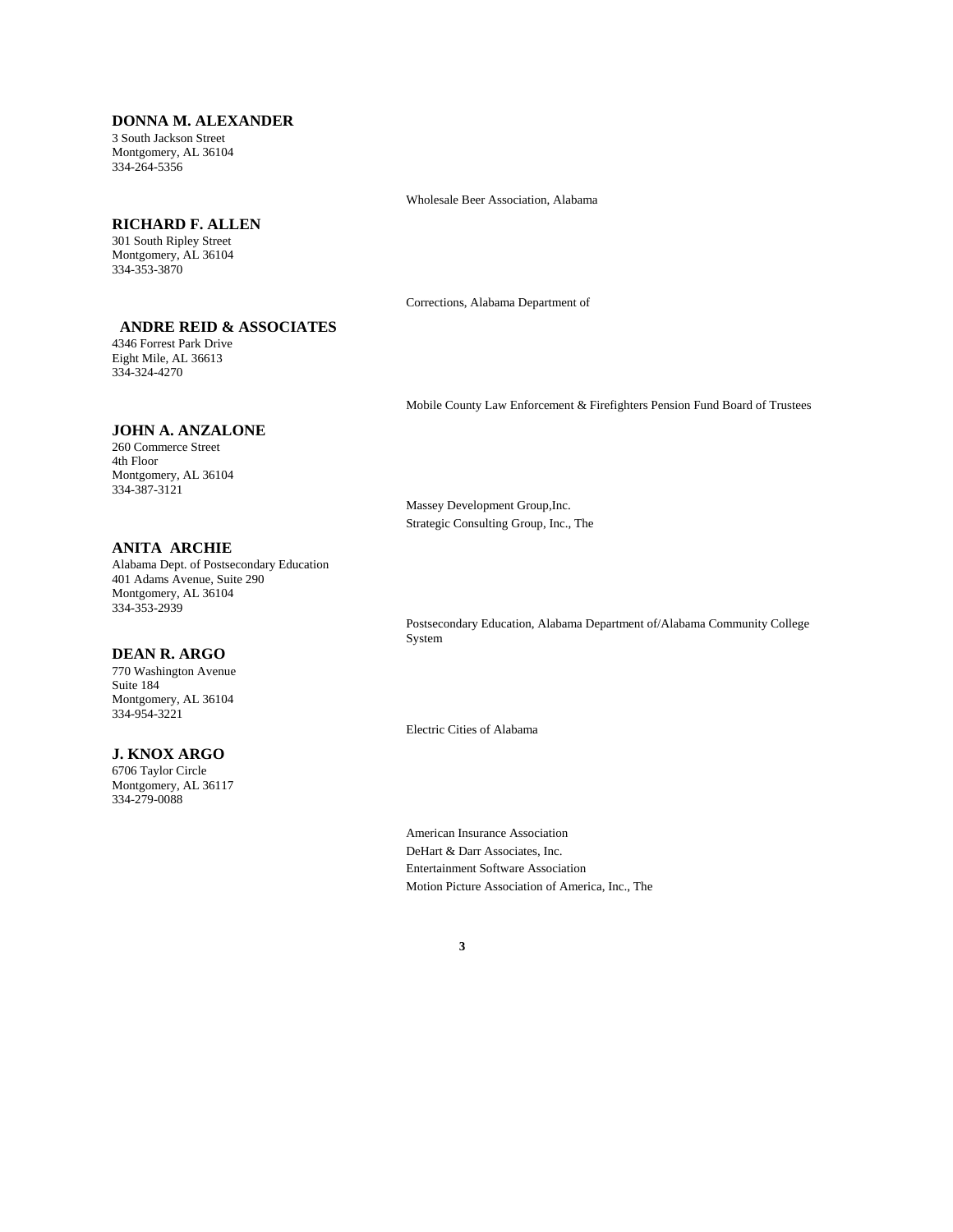### **DONNA M. ALEXANDER**

3 South Jackson Street Montgomery, AL 36104 334-264-5356

#### **RICHARD F. ALLEN**

301 South Ripley Street Montgomery, AL 36104 334-353-3870

#### Corrections, Alabama Department of

Wholesale Beer Association, Alabama

 **ANDRE REID & ASSOCIATES**

4346 Forrest Park Drive Eight Mile, AL 36613 334-324-4270

Mobile County Law Enforcement & Firefighters Pension Fund Board of Trustees

# **JOHN A. ANZALONE**

260 Commerce Street 4th Floor Montgomery, AL 36104 334-387-3121

### **ANITA ARCHIE**

Alabama Dept. of Postsecondary Education 401 Adams Avenue, Suite 290 Montgomery, AL 36104 334-353-2939

### **DEAN R. ARGO**

770 Washington Avenue Suite 184 Montgomery, AL 36104 334-954-3221

#### **J. KNOX ARGO**

6706 Taylor Circle Montgomery, AL 36117 334-279-0088

Massey Development Group,Inc. Strategic Consulting Group, Inc., The

Postsecondary Education, Alabama Department of/Alabama Community College System

Electric Cities of Alabama

American Insurance Association DeHart & Darr Associates, Inc. Entertainment Software Association Motion Picture Association of America, Inc., The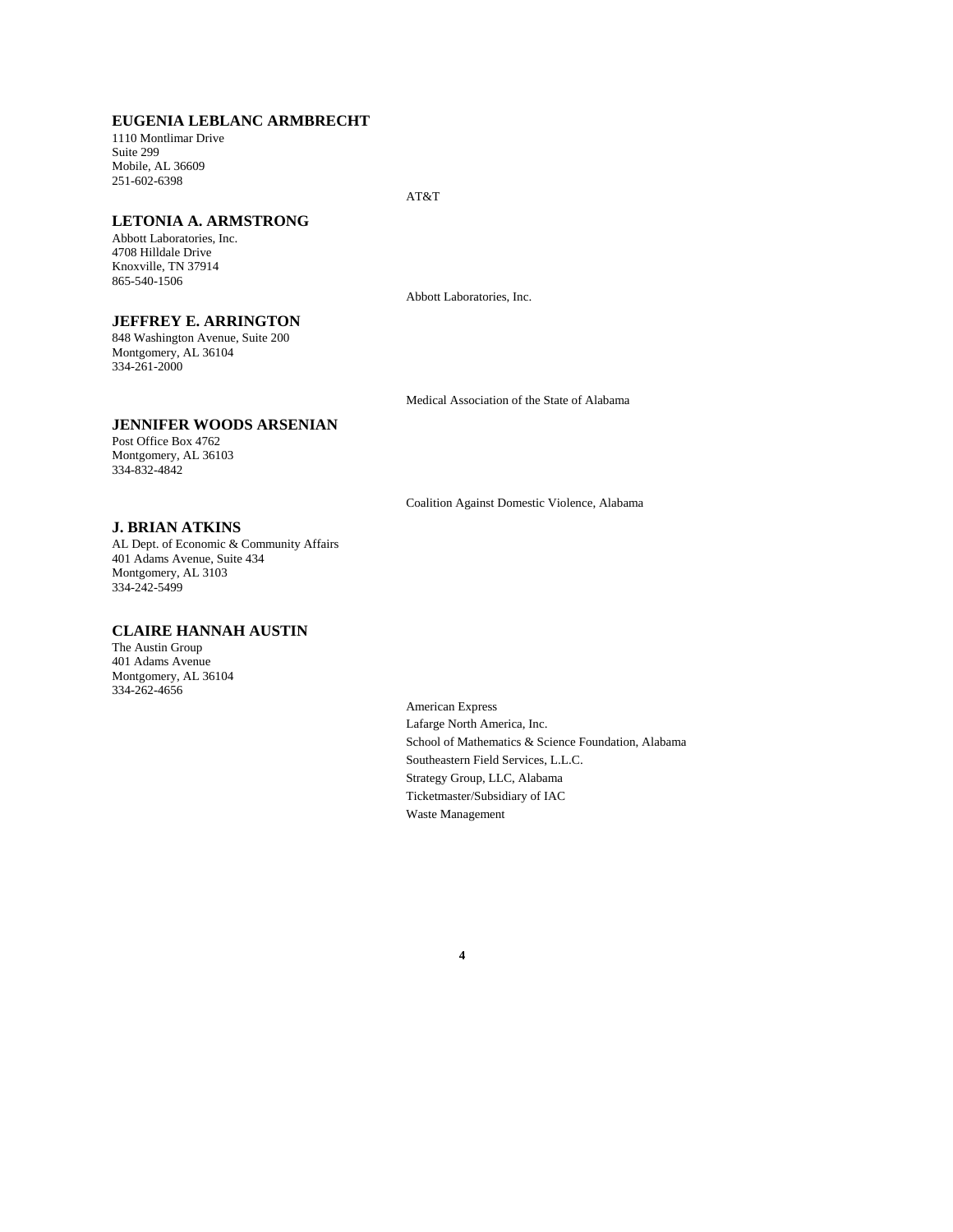# **EUGENIA LEBLANC ARMBRECHT**

1110 Montlimar Drive Suite 299 Mobile, AL 36609 251-602-6398

AT&T

### **LETONIA A. ARMSTRONG**

Abbott Laboratories, Inc. 4708 Hilldale Drive Knoxville, TN 37914 865-540-1506

**JEFFREY E. ARRINGTON**

848 Washington Avenue, Suite 200 Montgomery, AL 36104 334-261-2000

Abbott Laboratories, Inc.

Medical Association of the State of Alabama

# **JENNIFER WOODS ARSENIAN**

Post Office Box 4762 Montgomery, AL 36103 334-832-4842

Coalition Against Domestic Violence, Alabama

#### **J. BRIAN ATKINS**

AL Dept. of Economic & Community Affairs 401 Adams Avenue, Suite 434 Montgomery, AL 3103 334-242-5499

### **CLAIRE HANNAH AUSTIN**

The Austin Group 401 Adams Avenue Montgomery, AL 36104 334-262-4656

> American Express Lafarge North America, Inc. School of Mathematics & Science Foundation, Alabama Southeastern Field Services, L.L.C. Strategy Group, LLC, Alabama Ticketmaster/Subsidiary of IAC Waste Management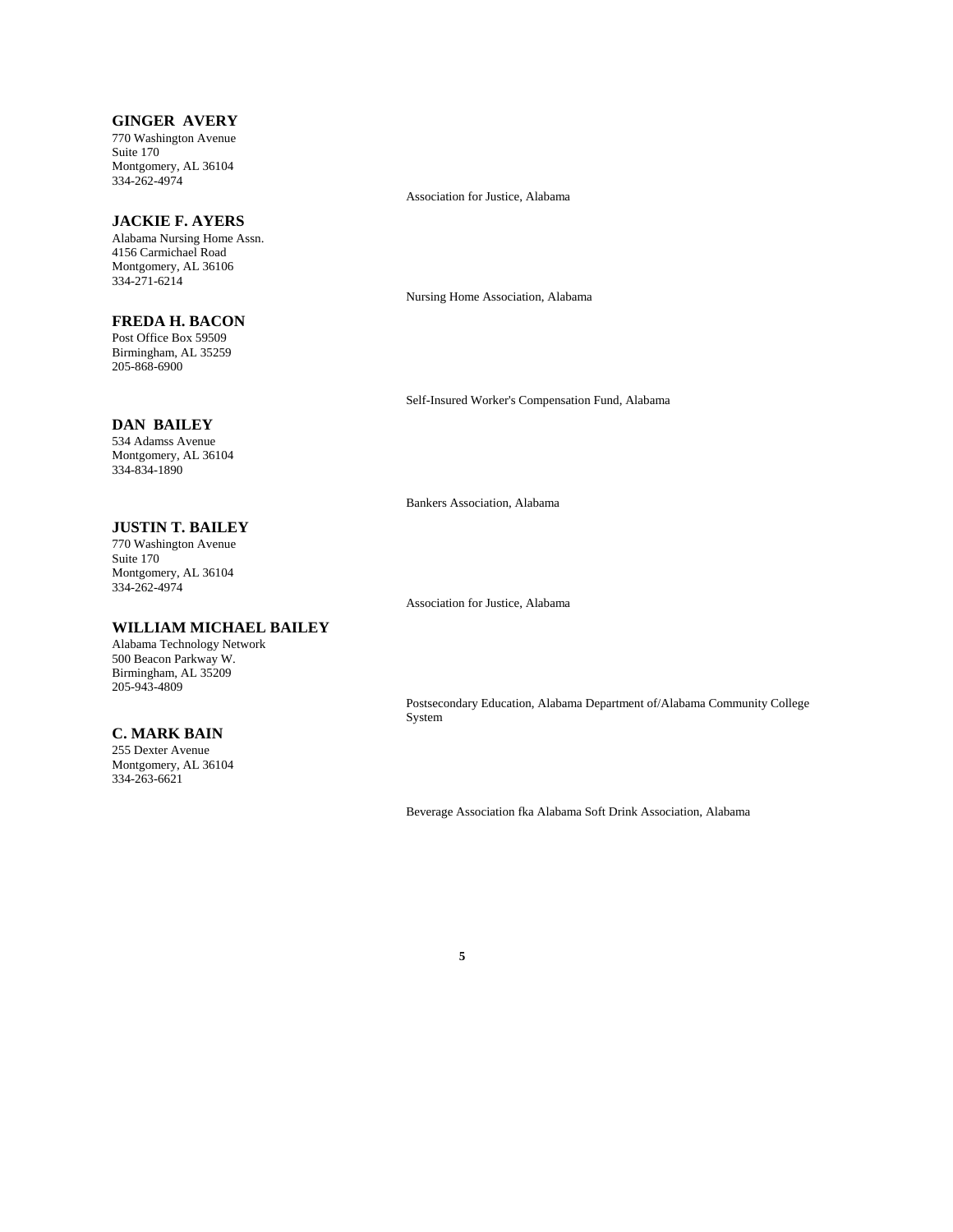### **GINGER AVERY**

770 Washington Avenue Suite 170 Montgomery, AL 36104 334-262-4974

#### **JACKIE F. AYERS**

Alabama Nursing Home Assn. 4156 Carmichael Road Montgomery, AL 36106 334-271-6214

**FREDA H. BACON** Post Office Box 59509 Birmingham, AL 35259 205-868-6900

#### **DAN BAILEY**

534 Adamss Avenue Montgomery, AL 36104 334-834-1890

### **JUSTIN T. BAILEY**

770 Washington Avenue Suite 170 Montgomery, AL 36104 334-262-4974

#### **WILLIAM MICHAEL BAILEY**

Alabama Technology Network 500 Beacon Parkway W. Birmingham, AL 35209 205-943-4809

#### **C. MARK BAIN**

255 Dexter Avenue Montgomery, AL 36104 334-263-6621

Association for Justice, Alabama

Nursing Home Association, Alabama

Self-Insured Worker's Compensation Fund, Alabama

Bankers Association, Alabama

Association for Justice, Alabama

Postsecondary Education, Alabama Department of/Alabama Community College System

Beverage Association fka Alabama Soft Drink Association, Alabama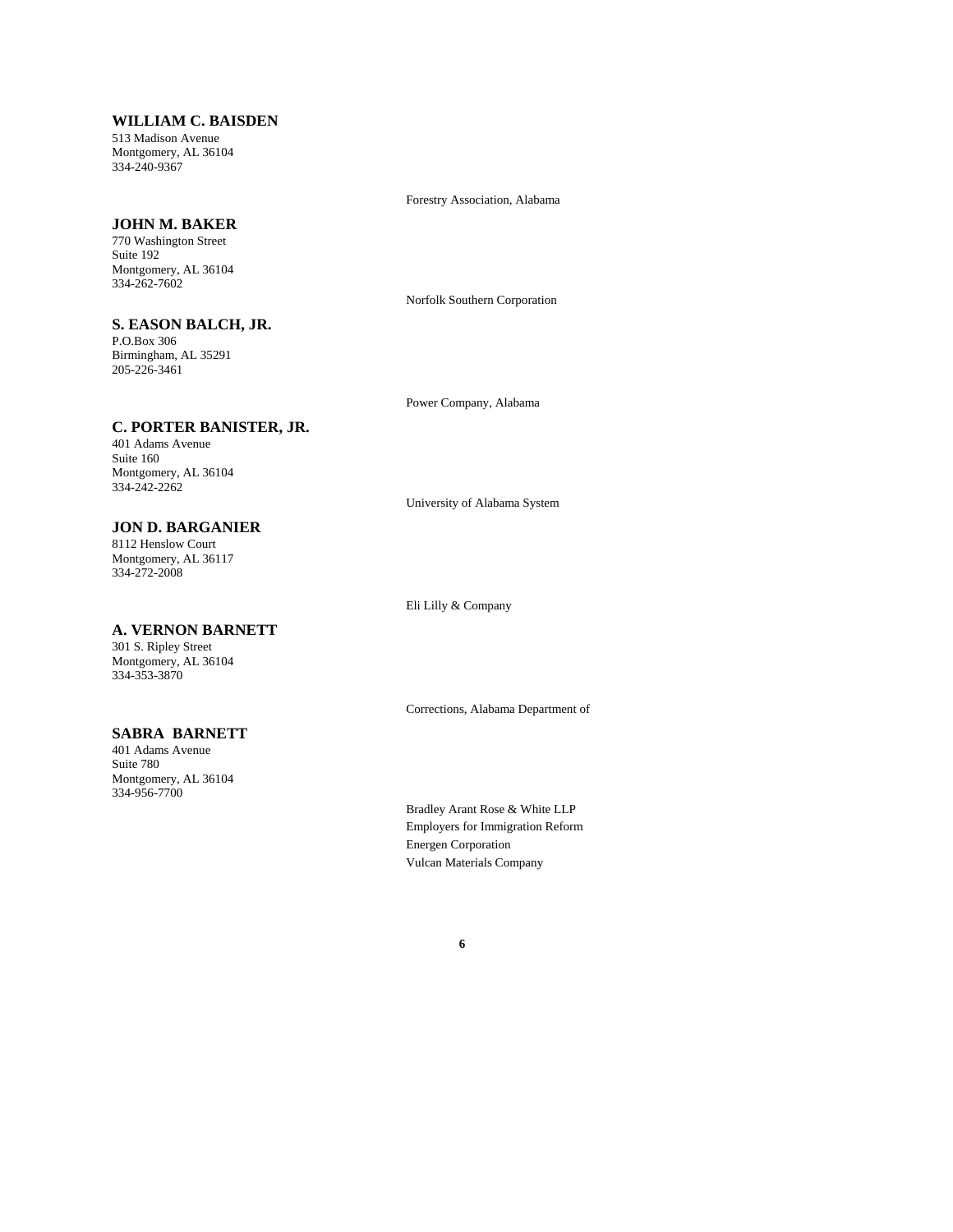### **WILLIAM C. BAISDEN**

513 Madison Avenue Montgomery, AL 36104 334-240-9367

Forestry Association, Alabama

# **JOHN M. BAKER**

770 Washington Street Suite 192 Montgomery, AL 36104 334-262-7602

Norfolk Southern Corporation

### **S. EASON BALCH, JR.**

P.O.Box 306 Birmingham, AL 35291 205-226-3461

Power Company, Alabama

# **C. PORTER BANISTER, JR.**

401 Adams Avenue Suite 160 Montgomery, AL 36104 334-242-2262

**JON D. BARGANIER** 8112 Henslow Court Montgomery, AL 36117 334-272-2008

University of Alabama System

Eli Lilly & Company

### **A. VERNON BARNETT**

301 S. Ripley Street Montgomery, AL 36104 334-353-3870

### **SABRA BARNETT**

401 Adams Avenue Suite 780 Montgomery, AL 36104 334-956-7700

Corrections, Alabama Department of

Bradley Arant Rose & White LLP Employers for Immigration Reform Energen Corporation Vulcan Materials Company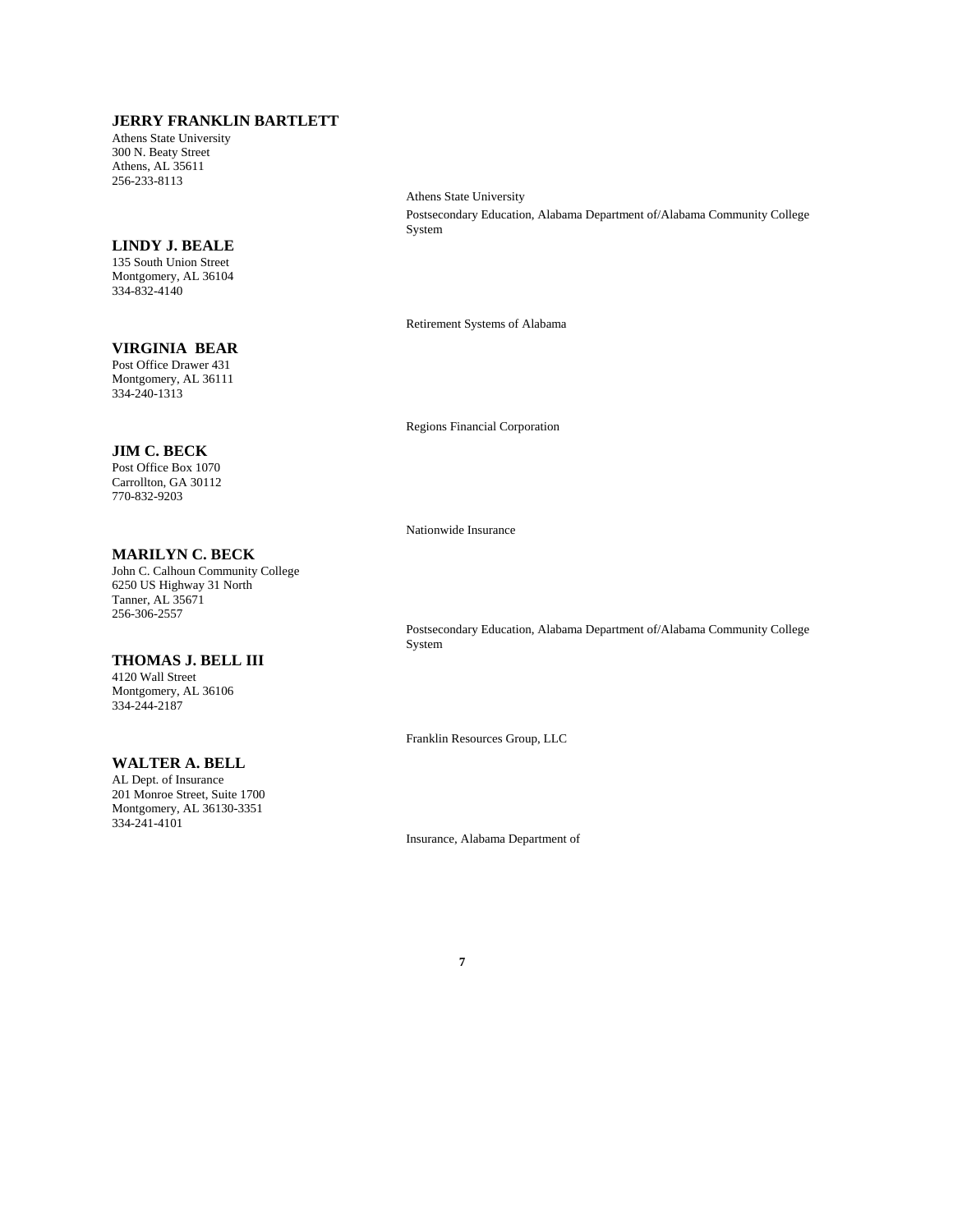## **JERRY FRANKLIN BARTLETT**

Athens State University 300 N. Beaty Street Athens, AL 35611 256-233-8113

### **LINDY J. BEALE**

135 South Union Street Montgomery, AL 36104 334-832-4140

#### **VIRGINIA BEAR**

Post Office Drawer 431 Montgomery, AL 36111 334-240-1313

### **JIM C. BECK**

Post Office Box 1070 Carrollton, GA 30112 770-832-9203

# **MARILYN C. BECK**

John C. Calhoun Community College 6250 US Highway 31 North Tanner, AL 35671 256-306-2557

### **THOMAS J. BELL III**

4120 Wall Street Montgomery, AL 36106 334-244-2187

#### **WALTER A. BELL**

AL Dept. of Insurance 201 Monroe Street, Suite 1700 Montgomery, AL 36130-3351 334-241-4101

Athens State University Postsecondary Education, Alabama Department of/Alabama Community College System

Retirement Systems of Alabama

Regions Financial Corporation

Nationwide Insurance

Postsecondary Education, Alabama Department of/Alabama Community College System

Franklin Resources Group, LLC

Insurance, Alabama Department of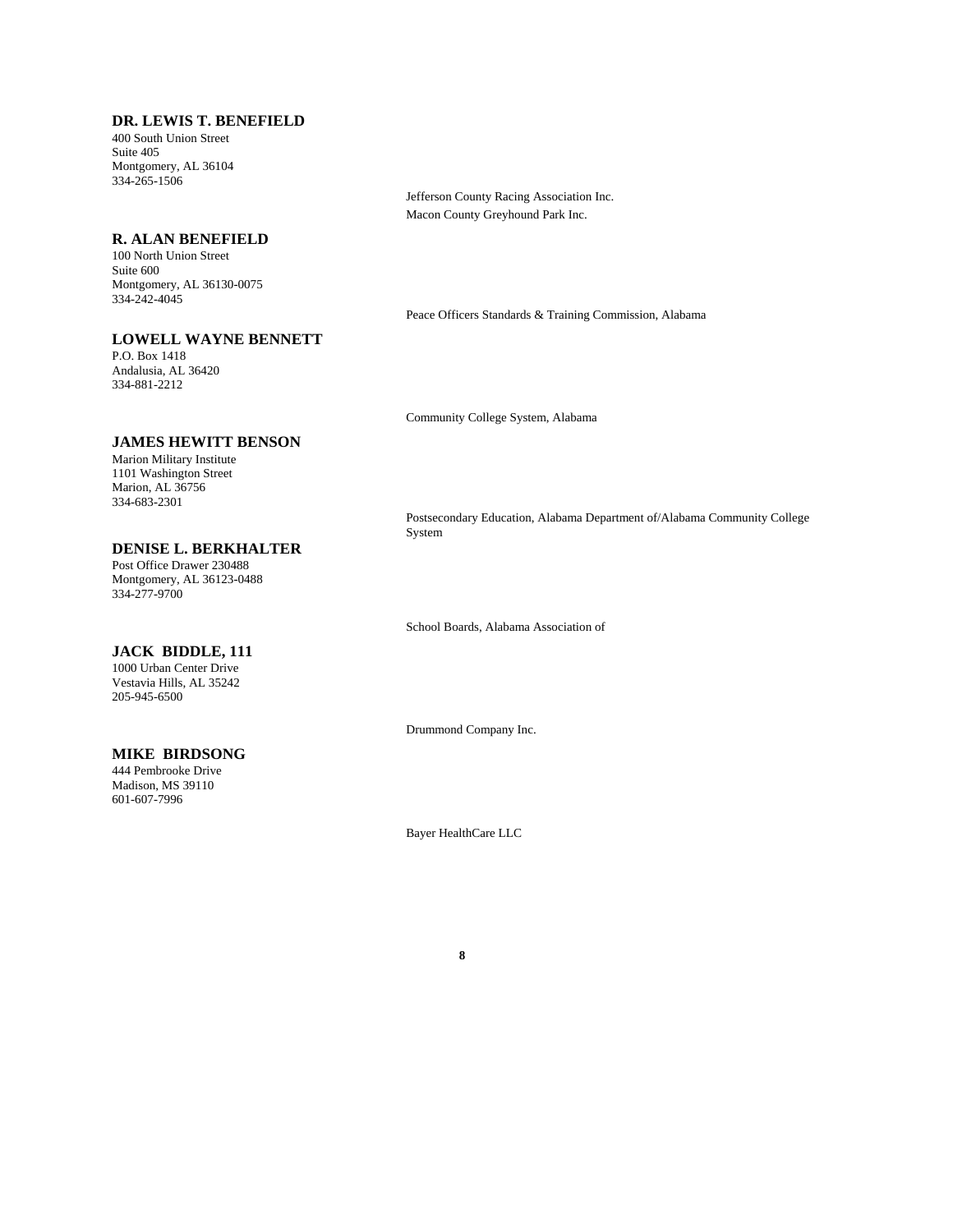### **DR. LEWIS T. BENEFIELD**

400 South Union Street Suite 405 Montgomery, AL 36104 334-265-1506

### **R. ALAN BENEFIELD**

100 North Union Street Suite 600 Montgomery, AL 36130-0075 334-242-4045

### **LOWELL WAYNE BENNETT**

P.O. Box 1418 Andalusia, AL 36420 334-881-2212

### **JAMES HEWITT BENSON**

Marion Military Institute 1101 Washington Street Marion, AL 36756 334-683-2301

### **DENISE L. BERKHALTER**

Post Office Drawer 230488 Montgomery, AL 36123-0488 334-277-9700

#### **JACK BIDDLE, 111**

1000 Urban Center Drive Vestavia Hills, AL 35242 205-945-6500

#### **MIKE BIRDSONG**

444 Pembrooke Drive Madison, MS 39110 601-607-7996

Jefferson County Racing Association Inc. Macon County Greyhound Park Inc.

Peace Officers Standards & Training Commission, Alabama

Community College System, Alabama

Postsecondary Education, Alabama Department of/Alabama Community College System

School Boards, Alabama Association of

Drummond Company Inc.

Bayer HealthCare LLC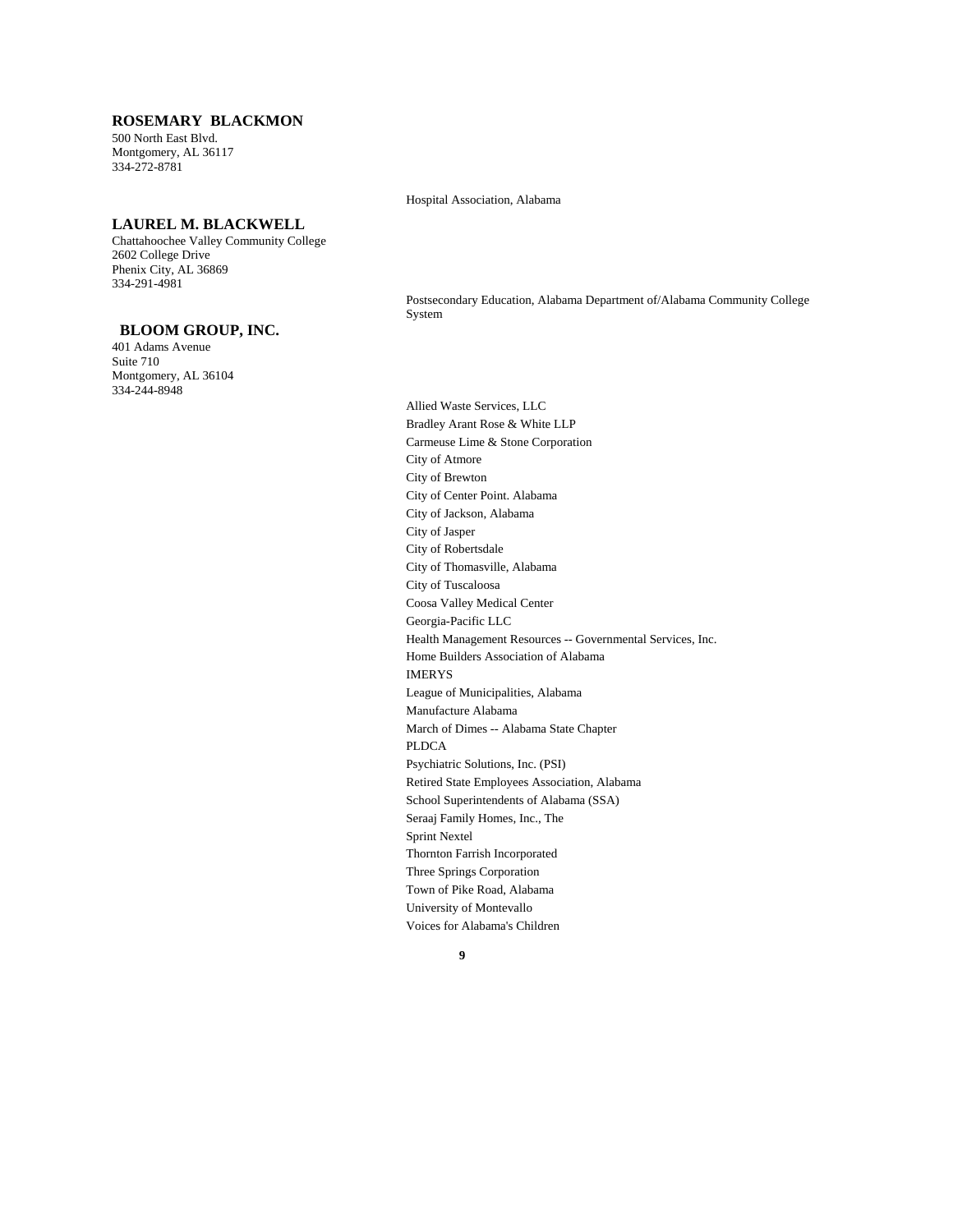### **ROSEMARY BLACKMON**

500 North East Blvd. Montgomery, AL 36117 334-272-8781

#### **LAUREL M. BLACKWELL**

Chattahoochee Valley Community College 2602 College Drive Phenix City, AL 36869 334-291-4981

#### **BLOOM GROUP, INC.**

401 Adams Avenue Suite 710 Montgomery, AL 36104 334-244-8948

Hospital Association, Alabama

Postsecondary Education, Alabama Department of/Alabama Community College System

Allied Waste Services, LLC Bradley Arant Rose & White LLP Carmeuse Lime & Stone Corporation City of Atmore City of Brewton City of Center Point. Alabama City of Jackson, Alabama City of Jasper City of Robertsdale City of Thomasville, Alabama City of Tuscaloosa Coosa Valley Medical Center Georgia-Pacific LLC Health Management Resources -- Governmental Services, Inc. Home Builders Association of Alabama IMERYS League of Municipalities, Alabama Manufacture Alabama March of Dimes -- Alabama State Chapter PLDCA Psychiatric Solutions, Inc. (PSI) Retired State Employees Association, Alabama School Superintendents of Alabama (SSA) Seraaj Family Homes, Inc., The Sprint Nextel Thornton Farrish Incorporated Three Springs Corporation Town of Pike Road, Alabama University of Montevallo Voices for Alabama's Children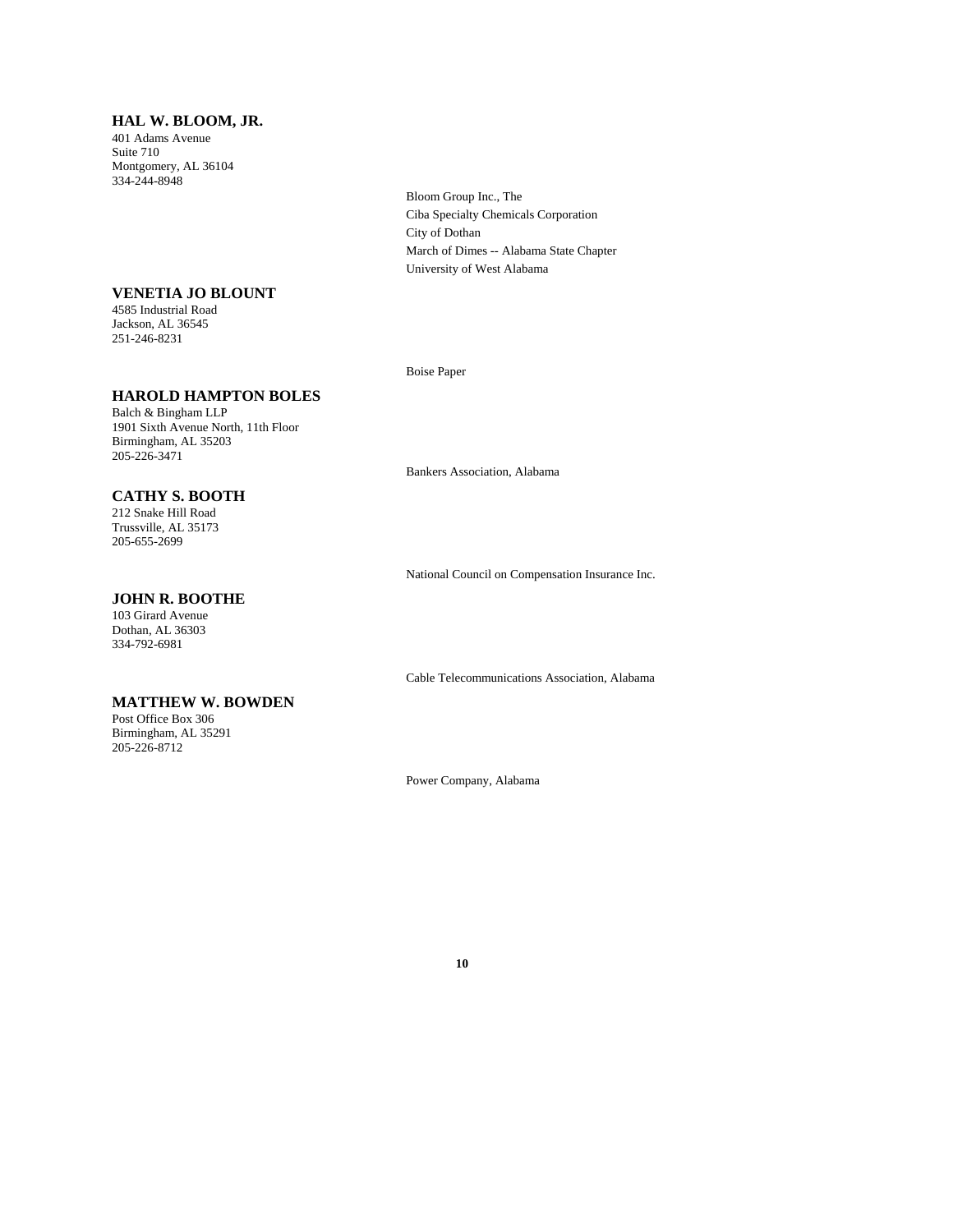### **HAL W. BLOOM, JR.**

**VENETIA JO BLOUNT**

4585 Industrial Road Jackson, AL 36545 251-246-8231

401 Adams Avenue Suite 710 Montgomery, AL 36104 334-244-8948

Bloom Group Inc., The Ciba Specialty Chemicals Corporation City of Dothan March of Dimes -- Alabama State Chapter University of West Alabama

Boise Paper

**HAROLD HAMPTON BOLES**

Balch & Bingham LLP 1901 Sixth Avenue North, 11th Floor Birmingham, AL 35203 205-226-3471

### **CATHY S. BOOTH**

212 Snake Hill Road Trussville, AL 35173 205-655-2699

### **JOHN R. BOOTHE**

103 Girard Avenue Dothan, AL 36303 334-792-6981

### **MATTHEW W. BOWDEN**

Post Office Box 306 Birmingham, AL 35291 205-226-8712

Bankers Association, Alabama

National Council on Compensation Insurance Inc.

Cable Telecommunications Association, Alabama

Power Company, Alabama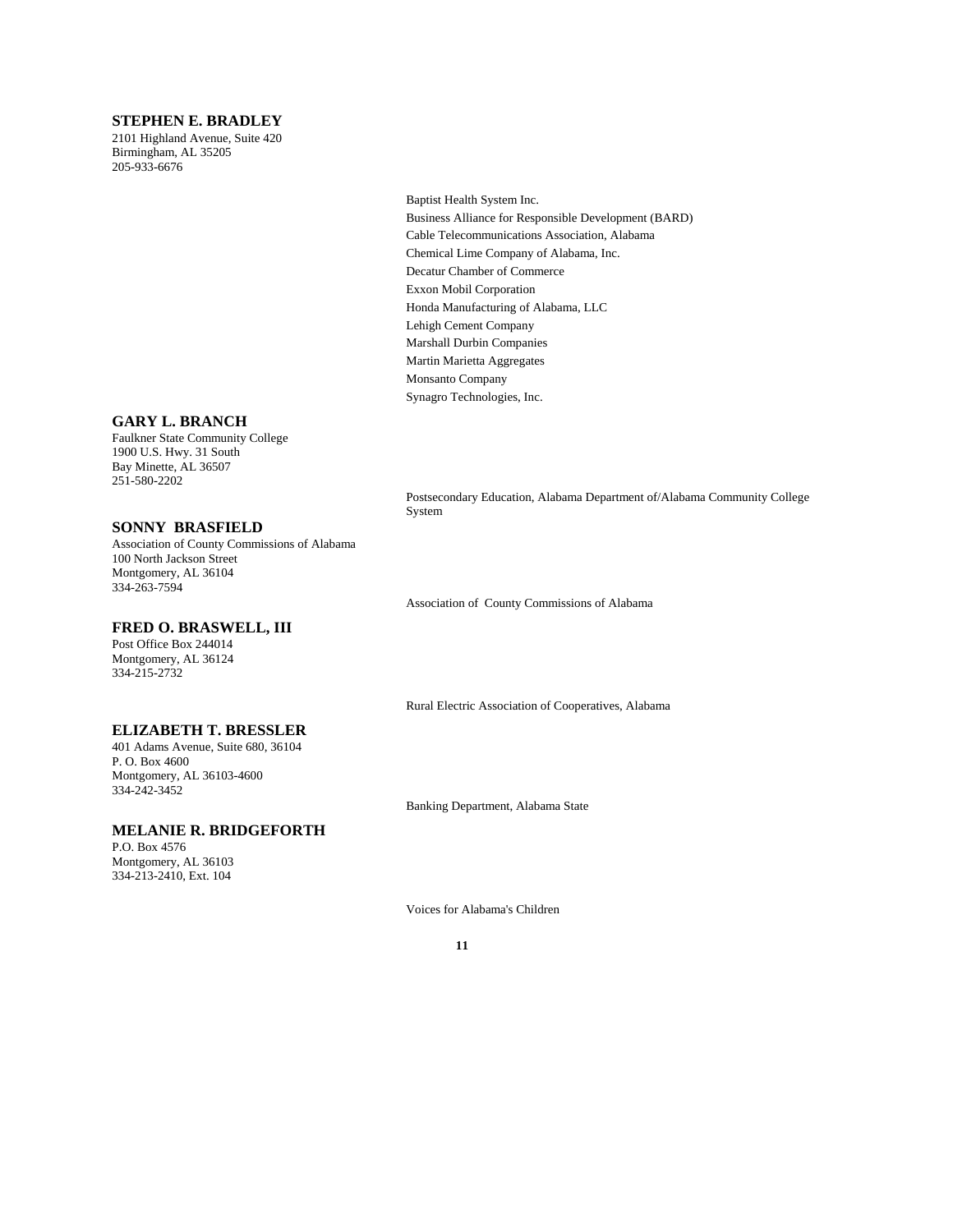### **STEPHEN E. BRADLEY**

2101 Highland Avenue, Suite 420 Birmingham, AL 35205 205-933-6676

> Baptist Health System Inc. Business Alliance for Responsible Development (BARD) Cable Telecommunications Association, Alabama Chemical Lime Company of Alabama, Inc. Decatur Chamber of Commerce Exxon Mobil Corporation Honda Manufacturing of Alabama, LLC Lehigh Cement Company Marshall Durbin Companies Martin Marietta Aggregates Monsanto Company Synagro Technologies, Inc.

#### **GARY L. BRANCH**

Faulkner State Community College 1900 U.S. Hwy. 31 South Bay Minette, AL 36507 251-580-2202

**SONNY BRASFIELD**

**FRED O. BRASWELL, III**

**ELIZABETH T. BRESSLER** 401 Adams Avenue, Suite 680, 36104

**MELANIE R. BRIDGEFORTH**

Montgomery, AL 36103-4600

100 North Jackson Street Montgomery, AL 36104 334-263-7594

Post Office Box 244014 Montgomery, AL 36124 334-215-2732

P. O. Box 4600

334-242-3452

P.O. Box 4576

Association of County Commissions of Alabama

Postsecondary Education, Alabama Department of/Alabama Community College System

Association of County Commissions of Alabama

Rural Electric Association of Cooperatives, Alabama

Banking Department, Alabama State

Montgomery, AL 36103 334-213-2410, Ext. 104

Voices for Alabama's Children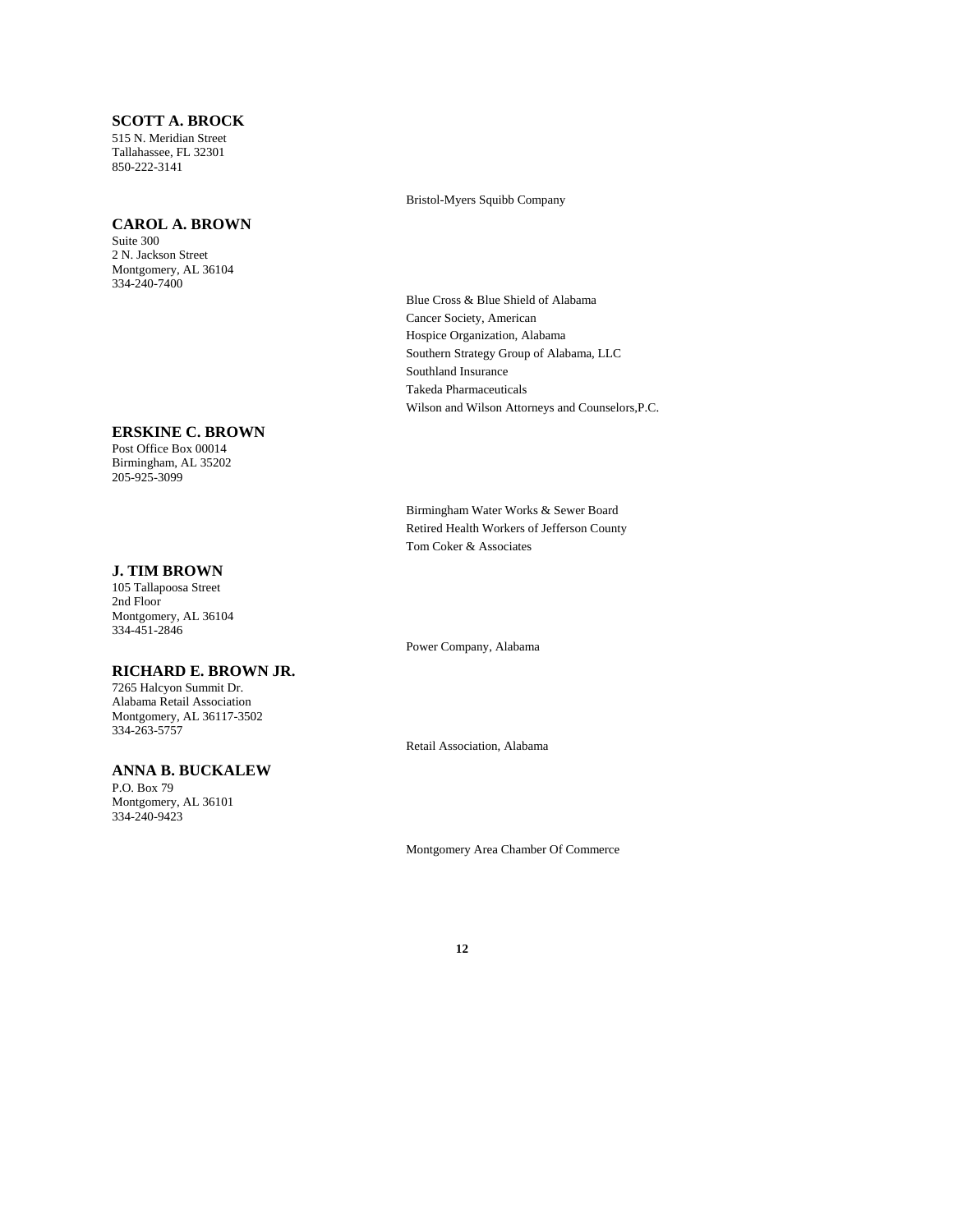### **SCOTT A. BROCK**

515 N. Meridian Street Tallahassee, FL 32301 850-222-3141

#### **CAROL A. BROWN**

Suite 300 2 N. Jackson Street Montgomery, AL 36104 334-240-7400

#### **ERSKINE C. BROWN**

Post Office Box 00014 Birmingham, AL 35202 205-925-3099

#### **J. TIM BROWN**

105 Tallapoosa Street 2nd Floor Montgomery, AL 36104 334-451-2846

### **RICHARD E. BROWN JR.**

7265 Halcyon Summit Dr. Alabama Retail Association Montgomery, AL 36117-3502 334-263-5757

# **ANNA B. BUCKALEW**

P.O. Box 79 Montgomery, AL 36101 334-240-9423

Bristol-Myers Squibb Company

Blue Cross & Blue Shield of Alabama Cancer Society, American Hospice Organization, Alabama Southern Strategy Group of Alabama, LLC Southland Insurance Takeda Pharmaceuticals Wilson and Wilson Attorneys and Counselors,P.C.

Birmingham Water Works & Sewer Board Retired Health Workers of Jefferson County Tom Coker & Associates

Power Company, Alabama

Retail Association, Alabama

Montgomery Area Chamber Of Commerce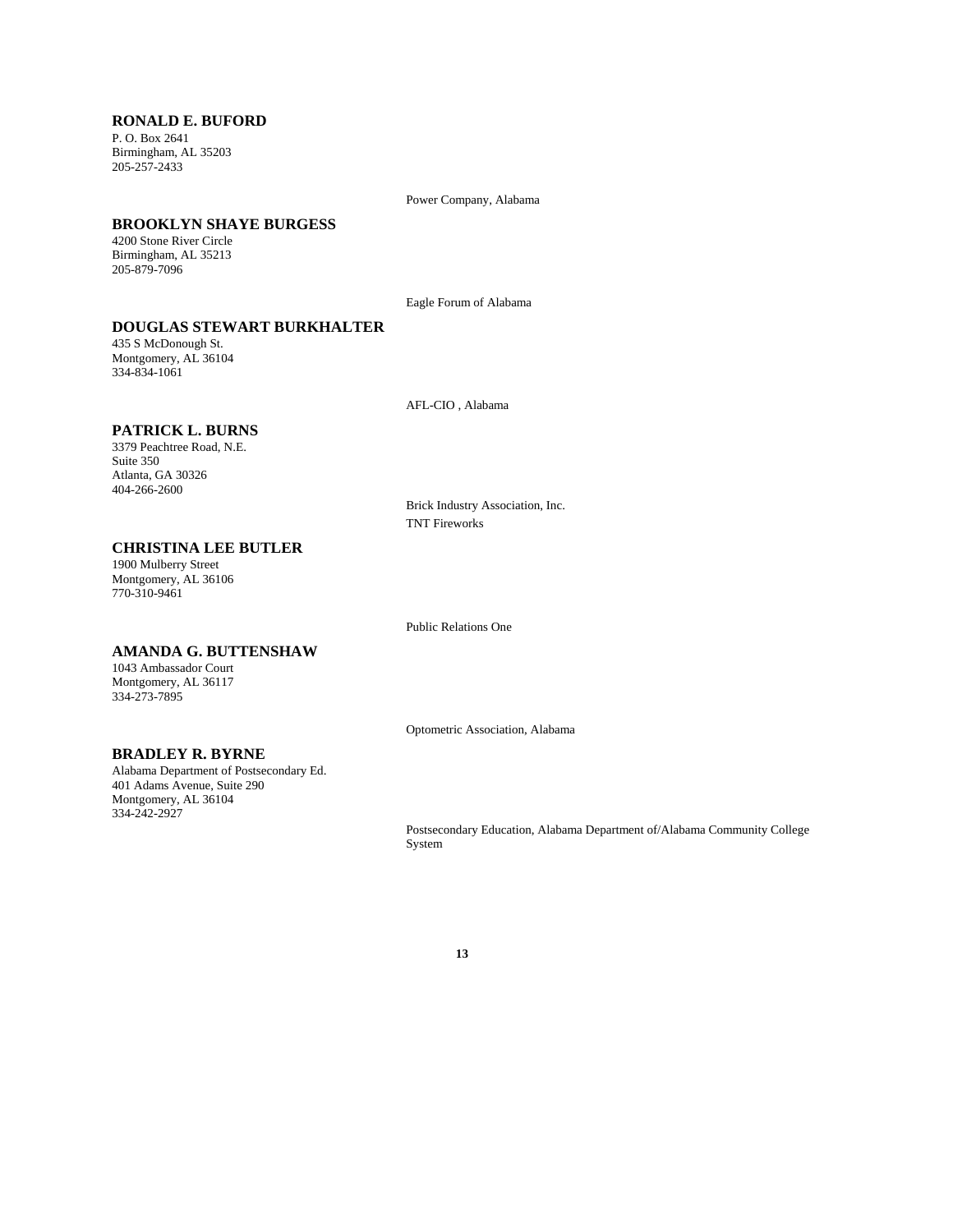### **RONALD E. BUFORD**

P. O. Box 2641 Birmingham, AL 35203 205-257-2433

Power Company, Alabama

### **BROOKLYN SHAYE BURGESS**

4200 Stone River Circle Birmingham, AL 35213 205-879-7096

Eagle Forum of Alabama

### **DOUGLAS STEWART BURKHALTER**

435 S McDonough St. Montgomery, AL 36104 334-834-1061

AFL-CIO , Alabama

### **PATRICK L. BURNS**

3379 Peachtree Road, N.E. Suite 350 Atlanta, GA 30326 404-266-2600

> Brick Industry Association, Inc. TNT Fireworks

# **CHRISTINA LEE BUTLER**

1900 Mulberry Street Montgomery, AL 36106 770-310-9461

Public Relations One

# **AMANDA G. BUTTENSHAW**

1043 Ambassador Court Montgomery, AL 36117 334-273-7895

Optometric Association, Alabama

### **BRADLEY R. BYRNE**

Alabama Department of Postsecondary Ed. 401 Adams Avenue, Suite 290 Montgomery, AL 36104 334-242-2927

> Postsecondary Education, Alabama Department of/Alabama Community College System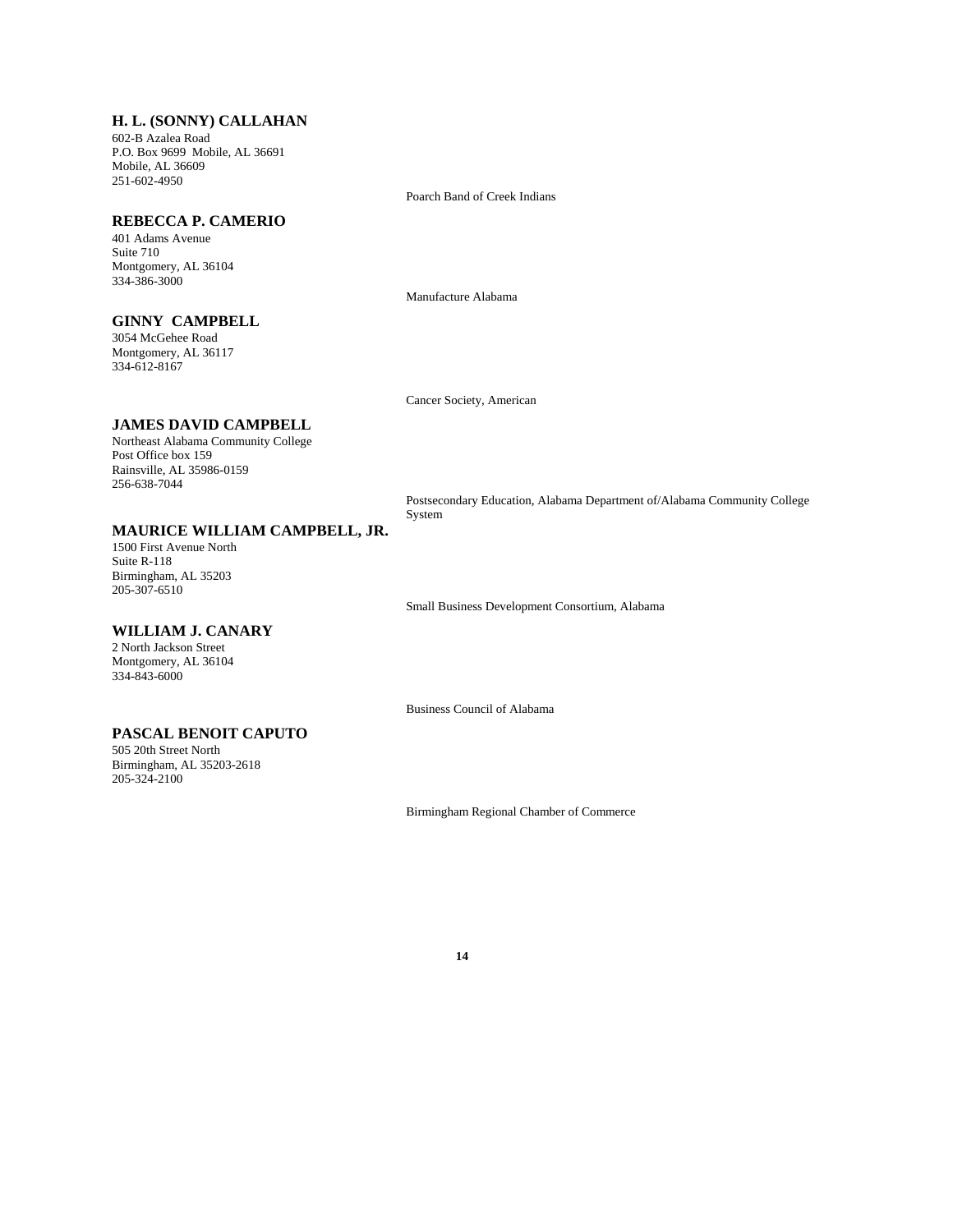## **H. L. (SONNY) CALLAHAN**

602-B Azalea Road P.O. Box 9699 Mobile, AL 36691 Mobile, AL 36609 251-602-4950

#### **REBECCA P. CAMERIO**

401 Adams Avenue Suite 710 Montgomery, AL 36104 334-386-3000

### **GINNY CAMPBELL**

3054 McGehee Road Montgomery, AL 36117 334-612-8167

**JAMES DAVID CAMPBELL**

Northeast Alabama Community College Post Office box 159 Rainsville, AL 35986-0159 256-638-7044

# **MAURICE WILLIAM CAMPBELL, JR.**

1500 First Avenue North Suite R-118 Birmingham, AL 35203 205-307-6510

#### **WILLIAM J. CANARY**

2 North Jackson Street Montgomery, AL 36104 334-843-6000

# **PASCAL BENOIT CAPUTO**

505 20th Street North Birmingham, AL 35203-2618 205-324-2100

Poarch Band of Creek Indians

Manufacture Alabama

Cancer Society, American

Postsecondary Education, Alabama Department of/Alabama Community College System

Small Business Development Consortium, Alabama

Business Council of Alabama

Birmingham Regional Chamber of Commerce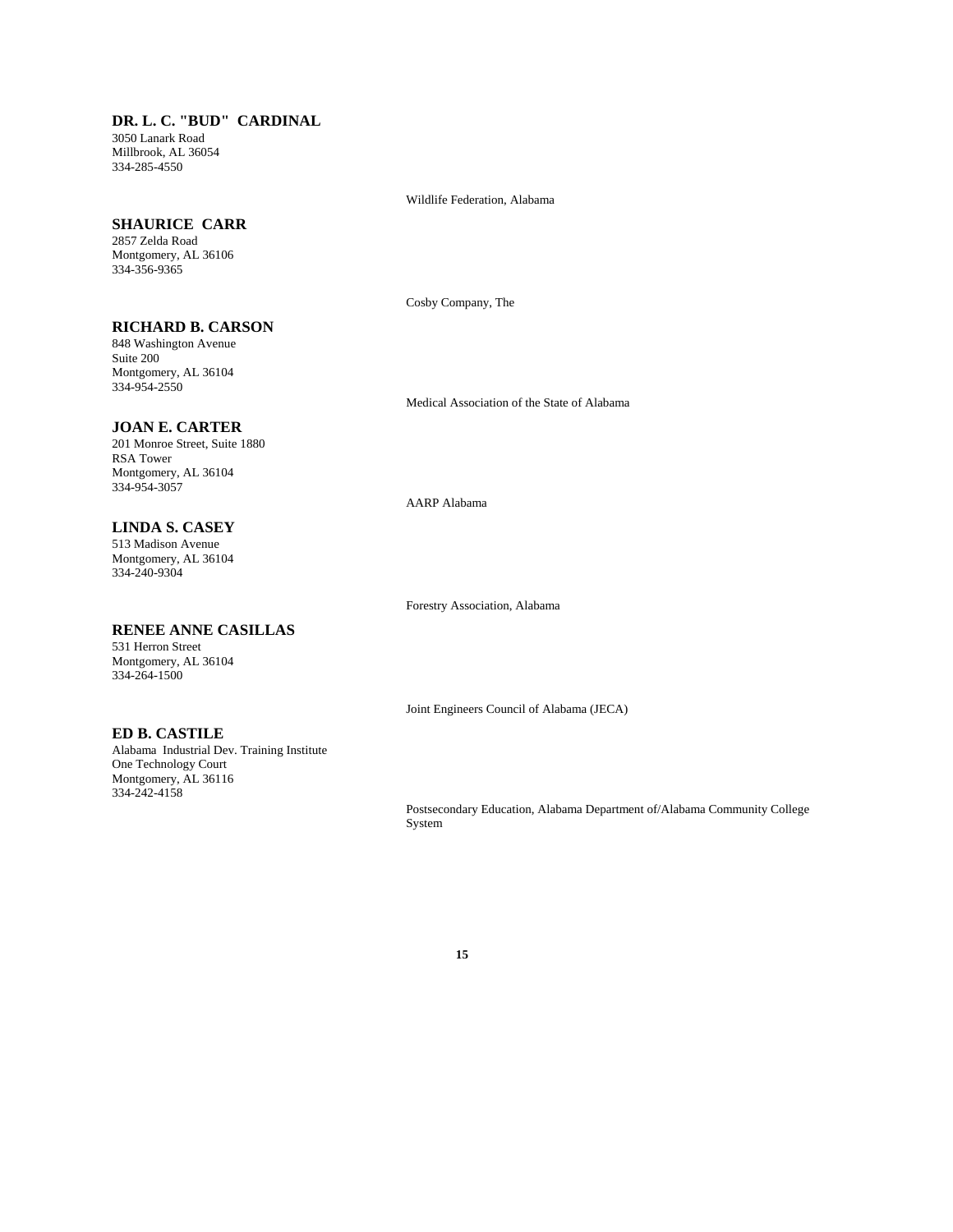# **DR. L. C. "BUD" CARDINAL**

3050 Lanark Road Millbrook, AL 36054 334-285-4550

Wildlife Federation, Alabama

# **SHAURICE CARR**

2857 Zelda Road Montgomery, AL 36106 334-356-9365

Cosby Company, The

# **RICHARD B. CARSON**

848 Washington Avenue Suite 200 Montgomery, AL 36104 334-954-2550

Medical Association of the State of Alabama

# **JOAN E. CARTER**

**LINDA S. CASEY** 513 Madison Avenue Montgomery, AL 36104 334-240-9304

201 Monroe Street, Suite 1880 RSA Tower Montgomery, AL 36104 334-954-3057

AARP Alabama

Forestry Association, Alabama

531 Herron Street

Montgomery, AL 36104 334-264-1500

**RENEE ANNE CASILLAS**

#### **ED B. CASTILE**

Alabama Industrial Dev. Training Institute One Technology Court Montgomery, AL 36116 334-242-4158

Joint Engineers Council of Alabama (JECA)

Postsecondary Education, Alabama Department of/Alabama Community College System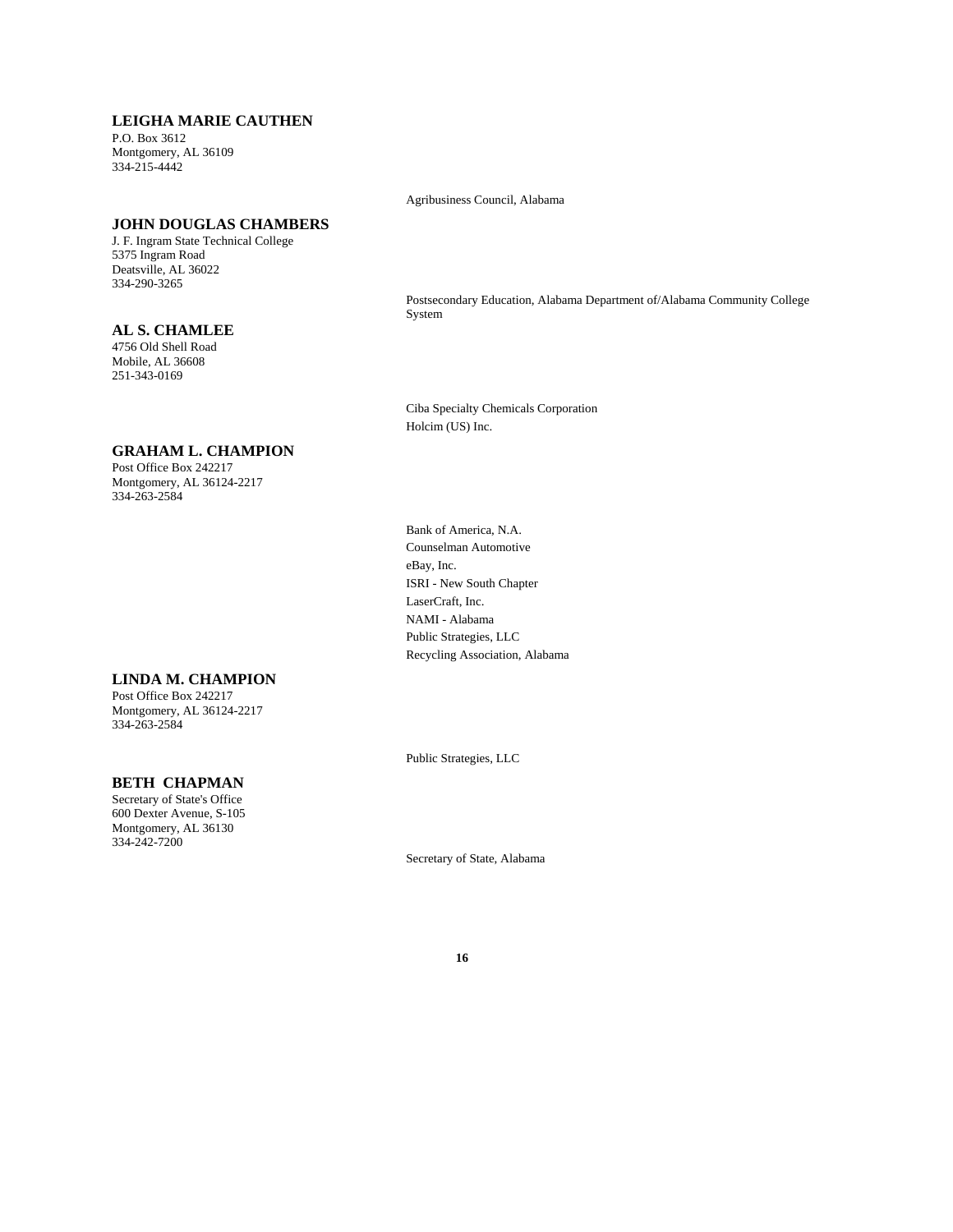### **LEIGHA MARIE CAUTHEN**

P.O. Box 3612 Montgomery, AL 36109 334-215-4442

#### **JOHN DOUGLAS CHAMBERS**

J. F. Ingram State Technical College 5375 Ingram Road Deatsville, AL 36022 334-290-3265

#### **AL S. CHAMLEE**

4756 Old Shell Road Mobile, AL 36608 251-343-0169

#### **GRAHAM L. CHAMPION**

Post Office Box 242217 Montgomery, AL 36124-2217 334-263-2584

# **LINDA M. CHAMPION**

Post Office Box 242217 Montgomery, AL 36124-2217 334-263-2584

### **BETH CHAPMAN**

Secretary of State's Office 600 Dexter Avenue, S-105 Montgomery, AL 36130 334-242-7200

Agribusiness Council, Alabama

Postsecondary Education, Alabama Department of/Alabama Community College System

Ciba Specialty Chemicals Corporation Holcim (US) Inc.

Bank of America, N.A. Counselman Automotive eBay, Inc. ISRI - New South Chapter LaserCraft, Inc. NAMI - Alabama Public Strategies, LLC Recycling Association, Alabama

Public Strategies, LLC

Secretary of State, Alabama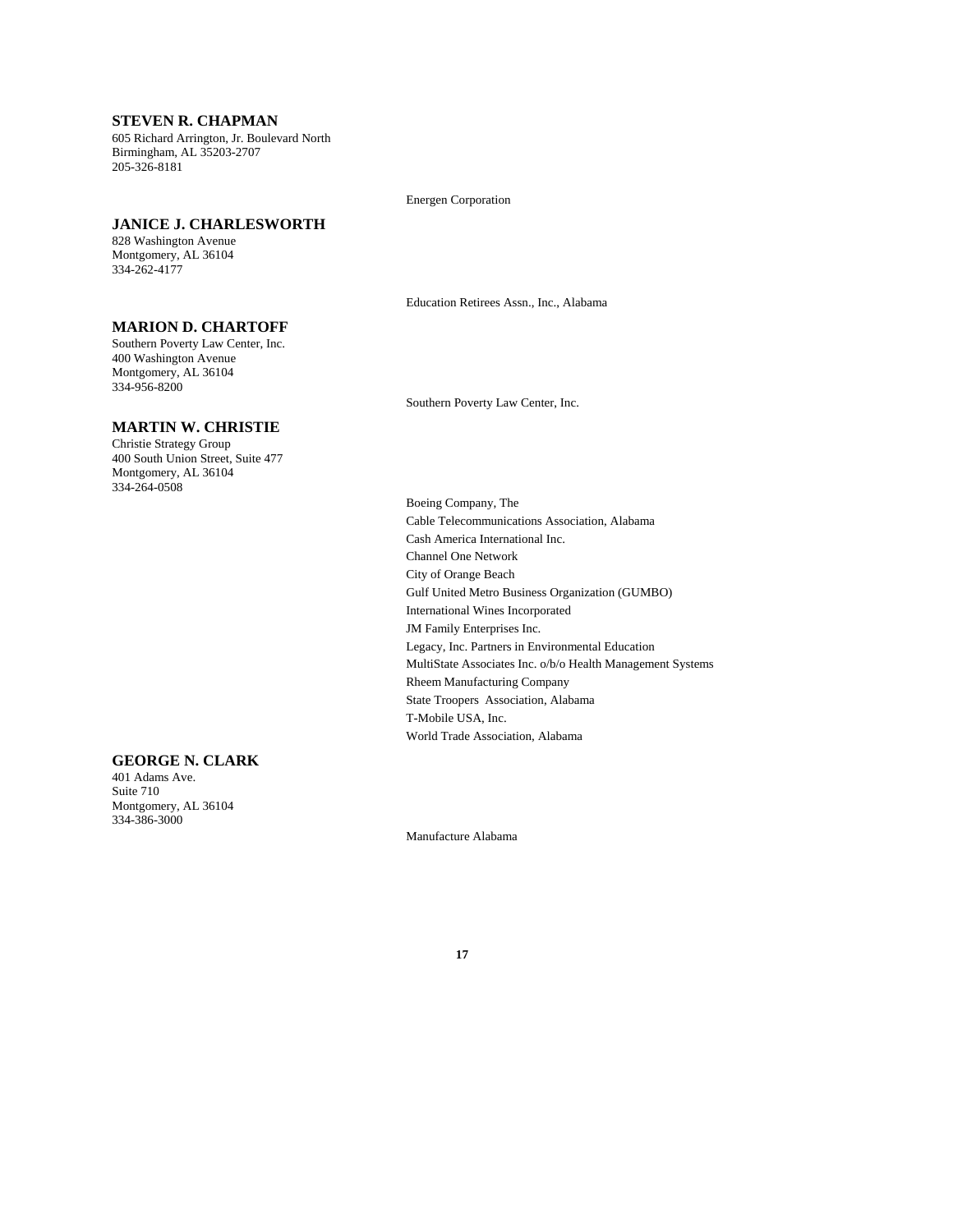### **STEVEN R. CHAPMAN**

605 Richard Arrington, Jr. Boulevard North Birmingham, AL 35203-2707 205-326-8181

Energen Corporation

#### **JANICE J. CHARLESWORTH**

828 Washington Avenue Montgomery, AL 36104 334-262-4177

Education Retirees Assn., Inc., Alabama

**MARION D. CHARTOFF** Southern Poverty Law Center, Inc.

400 Washington Avenue Montgomery, AL 36104 334-956-8200

### **MARTIN W. CHRISTIE**

Christie Strategy Group 400 South Union Street, Suite 477 Montgomery, AL 36104 334-264-0508

Southern Poverty Law Center, Inc.

Boeing Company, The Cable Telecommunications Association, Alabama Cash America International Inc. Channel One Network City of Orange Beach Gulf United Metro Business Organization (GUMBO) International Wines Incorporated JM Family Enterprises Inc. Legacy, Inc. Partners in Environmental Education MultiState Associates Inc. o/b/o Health Management Systems Rheem Manufacturing Company State Troopers Association, Alabama T-Mobile USA, Inc. World Trade Association, Alabama

**GEORGE N. CLARK**

401 Adams Ave. Suite 710 Montgomery, AL 36104 334-386-3000

Manufacture Alabama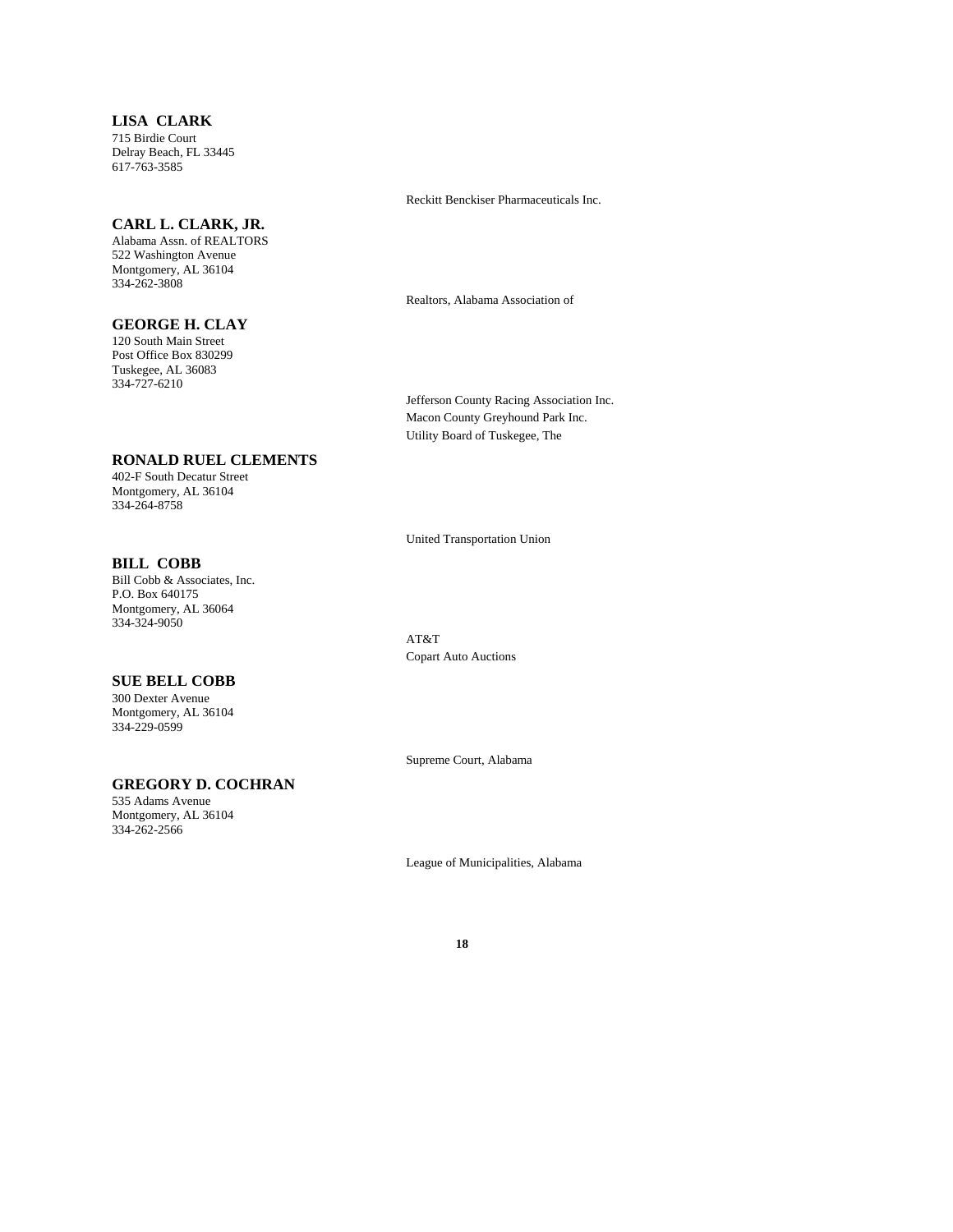#### **LISA CLARK** 715 Birdie Court Delray Beach, FL 33445 617-763-3585

#### **CARL L. CLARK, JR.**

Alabama Assn. of REALTORS 522 Washington Avenue Montgomery, AL 36104 334-262-3808

### **GEORGE H. CLAY**

120 South Main Street Post Office Box 830299 Tuskegee, AL 36083 334-727-6210

#### **RONALD RUEL CLEMENTS**

402-F South Decatur Street Montgomery, AL 36104 334-264-8758

#### **BILL COBB**

Bill Cobb & Associates, Inc. P.O. Box 640175 Montgomery, AL 36064 334-324-9050

#### **SUE BELL COBB**

300 Dexter Avenue Montgomery, AL 36104 334-229-0599

### **GREGORY D. COCHRAN**

535 Adams Avenue Montgomery, AL 36104 334-262-2566

Reckitt Benckiser Pharmaceuticals Inc.

Realtors, Alabama Association of

Jefferson County Racing Association Inc. Macon County Greyhound Park Inc. Utility Board of Tuskegee, The

United Transportation Union

AT&T Copart Auto Auctions

Supreme Court, Alabama

League of Municipalities, Alabama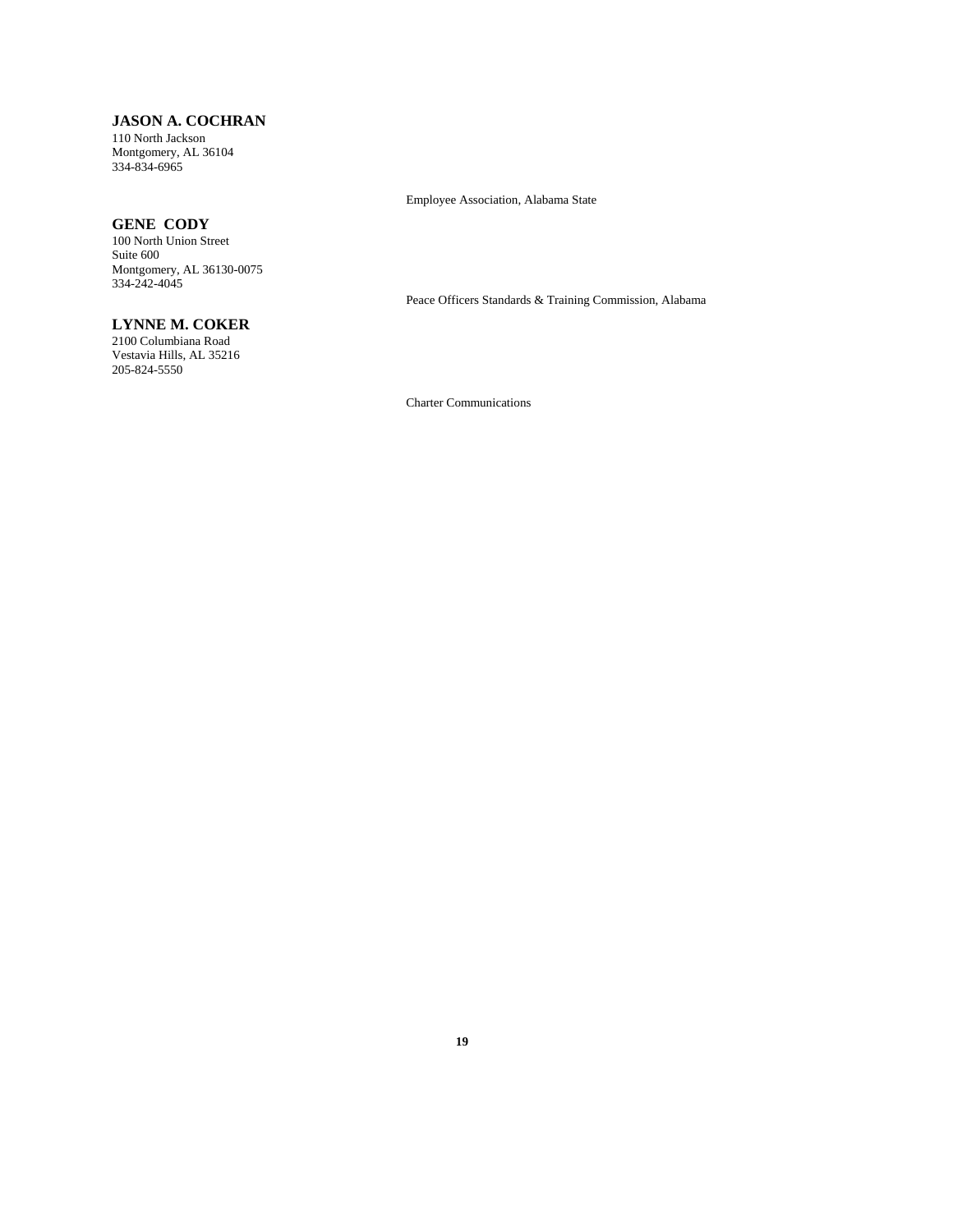### **JASON A. COCHRAN**

110 North Jackson Montgomery, AL 36104 334-834-6965

## **GENE CODY**

100 North Union Street Suite 600 Montgomery, AL 36130-0075 334-242-4045

# **LYNNE M. COKER**

2100 Columbiana Road Vestavia Hills, AL 35216 205-824-5550

Employee Association, Alabama State

Peace Officers Standards & Training Commission, Alabama

Charter Communications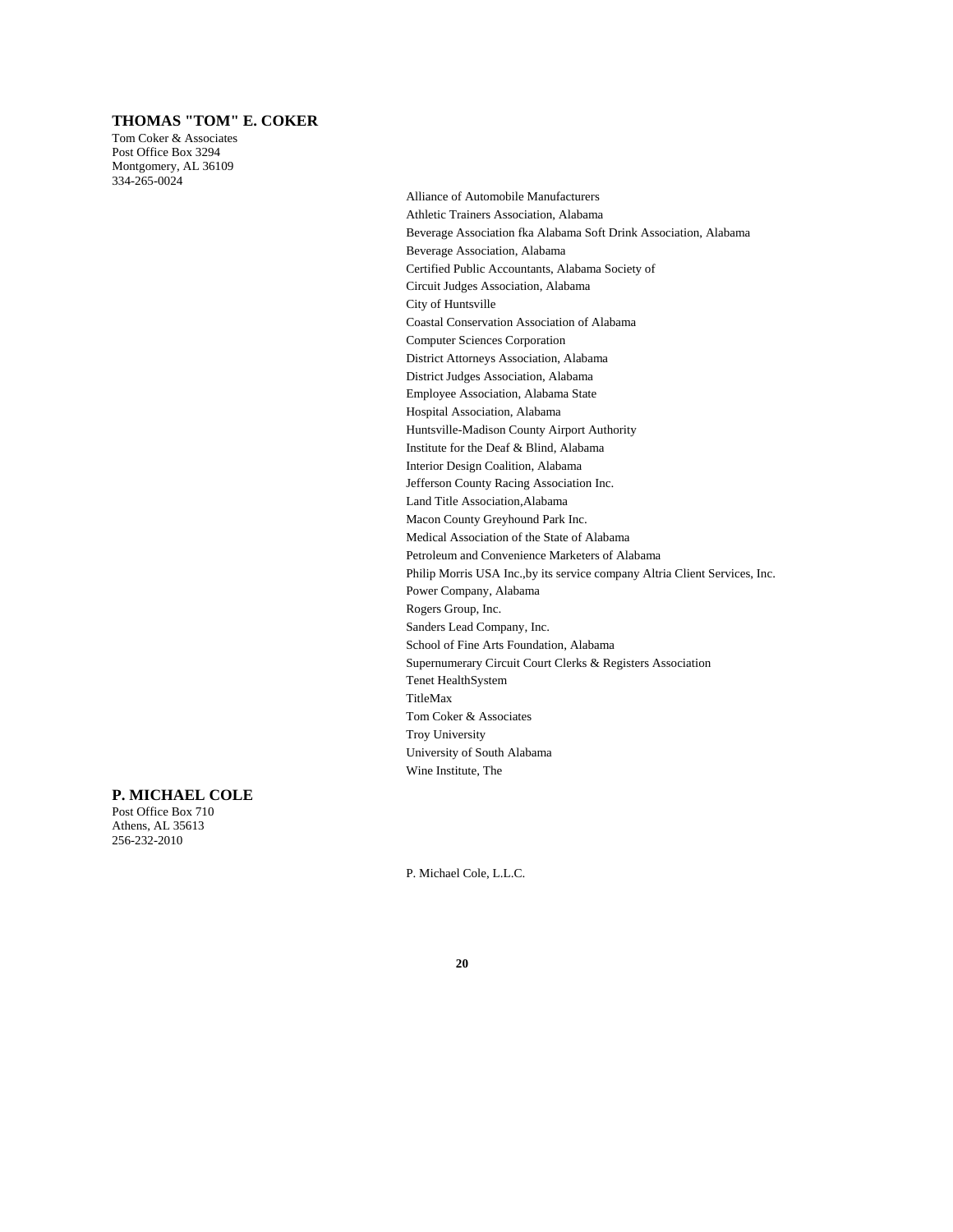## **THOMAS "TOM" E. COKER**

Tom Coker & Associates Post Office Box 3294 Montgomery, AL 36109 334-265-0024

> Alliance of Automobile Manufacturers Athletic Trainers Association, Alabama Beverage Association fka Alabama Soft Drink Association, Alabama Beverage Association, Alabama Certified Public Accountants, Alabama Society of Circuit Judges Association, Alabama City of Huntsville Coastal Conservation Association of Alabama Computer Sciences Corporation District Attorneys Association, Alabama District Judges Association, Alabama Employee Association, Alabama State Hospital Association, Alabama Huntsville-Madison County Airport Authority Institute for the Deaf & Blind, Alabama Interior Design Coalition, Alabama Jefferson County Racing Association Inc. Land Title Association,Alabama Macon County Greyhound Park Inc. Medical Association of the State of Alabama Petroleum and Convenience Marketers of Alabama Philip Morris USA Inc.,by its service company Altria Client Services, Inc. Power Company, Alabama Rogers Group, Inc. Sanders Lead Company, Inc. School of Fine Arts Foundation, Alabama Supernumerary Circuit Court Clerks & Registers Association Tenet HealthSystem TitleMax Tom Coker & Associates Troy University University of South Alabama Wine Institute, The

# **P. MICHAEL COLE**

Post Office Box 710 Athens, AL 35613 256-232-2010

P. Michael Cole, L.L.C.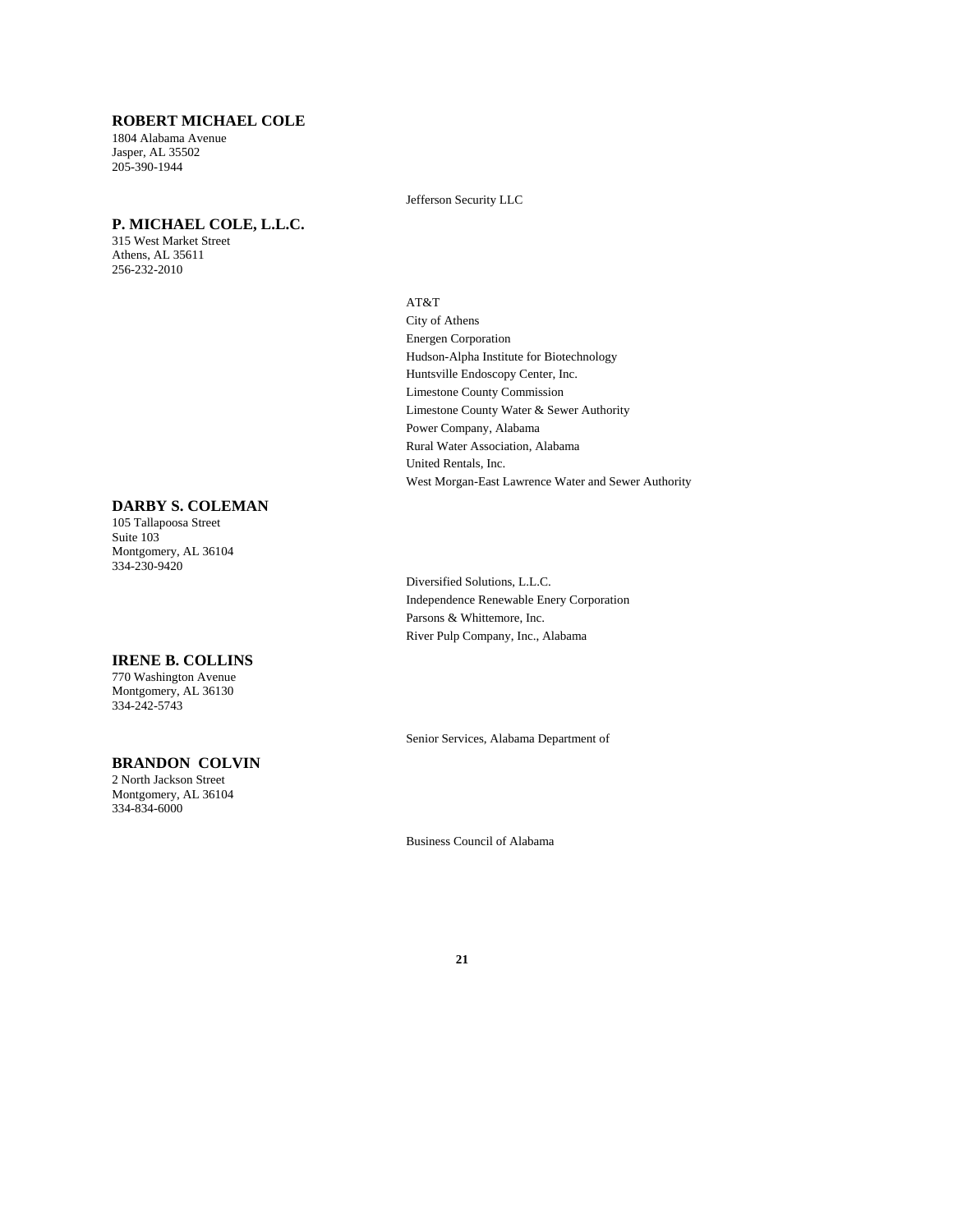## **ROBERT MICHAEL COLE**

1804 Alabama Avenue Jasper, AL 35502 205-390-1944

### **P. MICHAEL COLE, L.L.C.**

315 West Market Street Athens, AL 35611 256-232-2010

## **DARBY S. COLEMAN**

105 Tallapoosa Street Suite 103 Montgomery, AL 36104 334-230-9420

### **IRENE B. COLLINS**

770 Washington Avenue Montgomery, AL 36130 334-242-5743

### **BRANDON COLVIN**

2 North Jackson Street Montgomery, AL 36104 334-834-6000

Jefferson Security LLC

AT&T

City of Athens Energen Corporation Hudson-Alpha Institute for Biotechnology Huntsville Endoscopy Center, Inc. Limestone County Commission Limestone County Water & Sewer Authority Power Company, Alabama Rural Water Association, Alabama United Rentals, Inc. West Morgan-East Lawrence Water and Sewer Authority

Diversified Solutions, L.L.C. Independence Renewable Enery Corporation Parsons & Whittemore, Inc. River Pulp Company, Inc., Alabama

Senior Services, Alabama Department of

Business Council of Alabama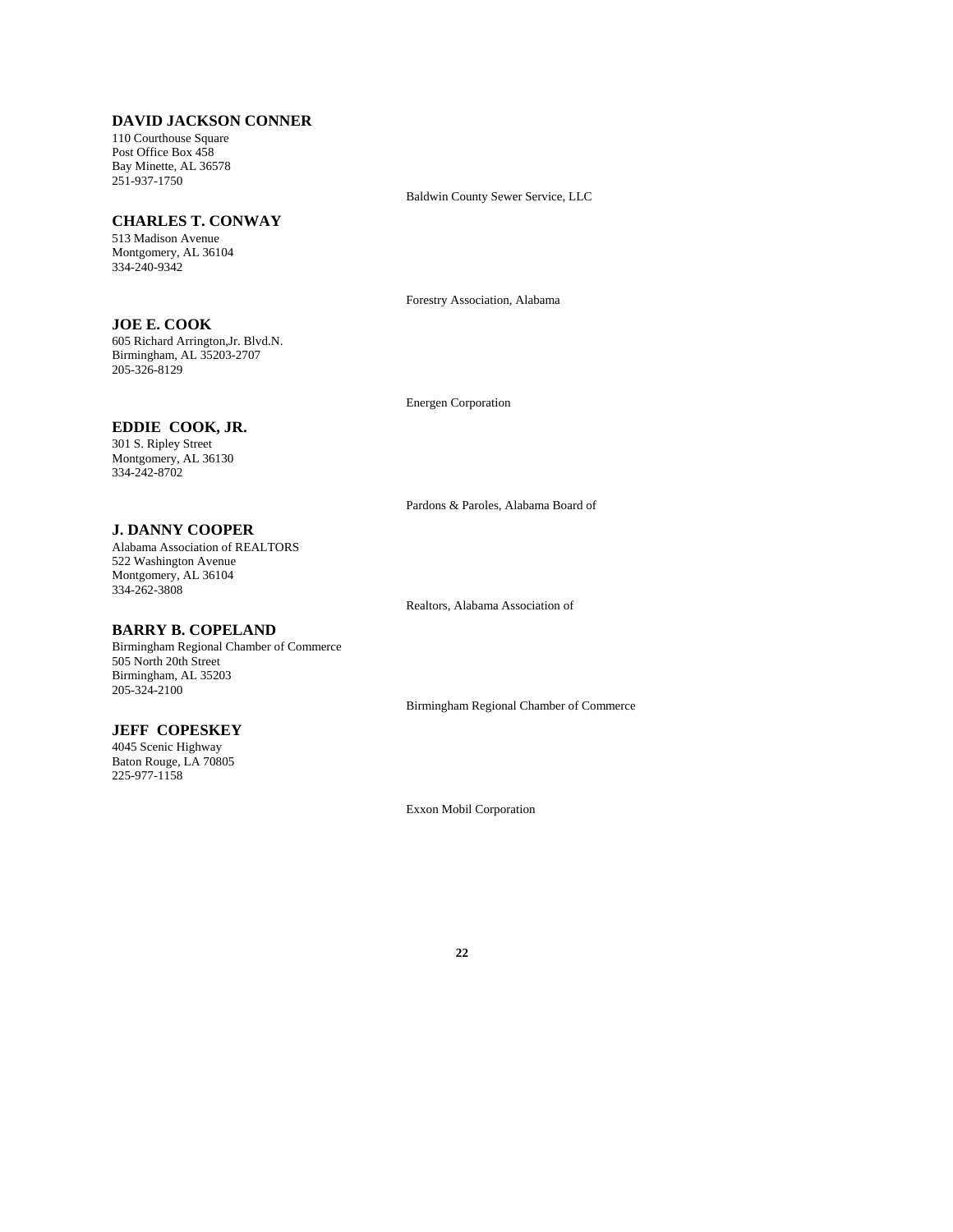### **DAVID JACKSON CONNER**

110 Courthouse Square Post Office Box  $4\overline{58}$ Bay Minette, AL 36578 251-937-1750

#### **CHARLES T. CONWAY**

605 Richard Arrington,Jr. Blvd.N. Birmingham, AL 35203-2707

513 Madison Avenue Montgomery, AL 36104 334-240-9342

**JOE E. COOK**

205-326-8129

Forestry Association, Alabama

Baldwin County Sewer Service, LLC

Energen Corporation

### **EDDIE COOK, JR.**

301 S. Ripley Street Montgomery, AL 36130 334-242-8702

**J. DANNY COOPER**

Alabama Association of REALTORS 522 Washington Avenue Montgomery, AL 36104 334-262-3808

#### **BARRY B. COPELAND**

Birmingham Regional Chamber of Commerce 505 North 20th Street Birmingham, AL 35203 205-324-2100

### **JEFF COPESKEY**

4045 Scenic Highway Baton Rouge, LA 70805 225-977-1158

Pardons & Paroles, Alabama Board of

Realtors, Alabama Association of

Birmingham Regional Chamber of Commerce

Exxon Mobil Corporation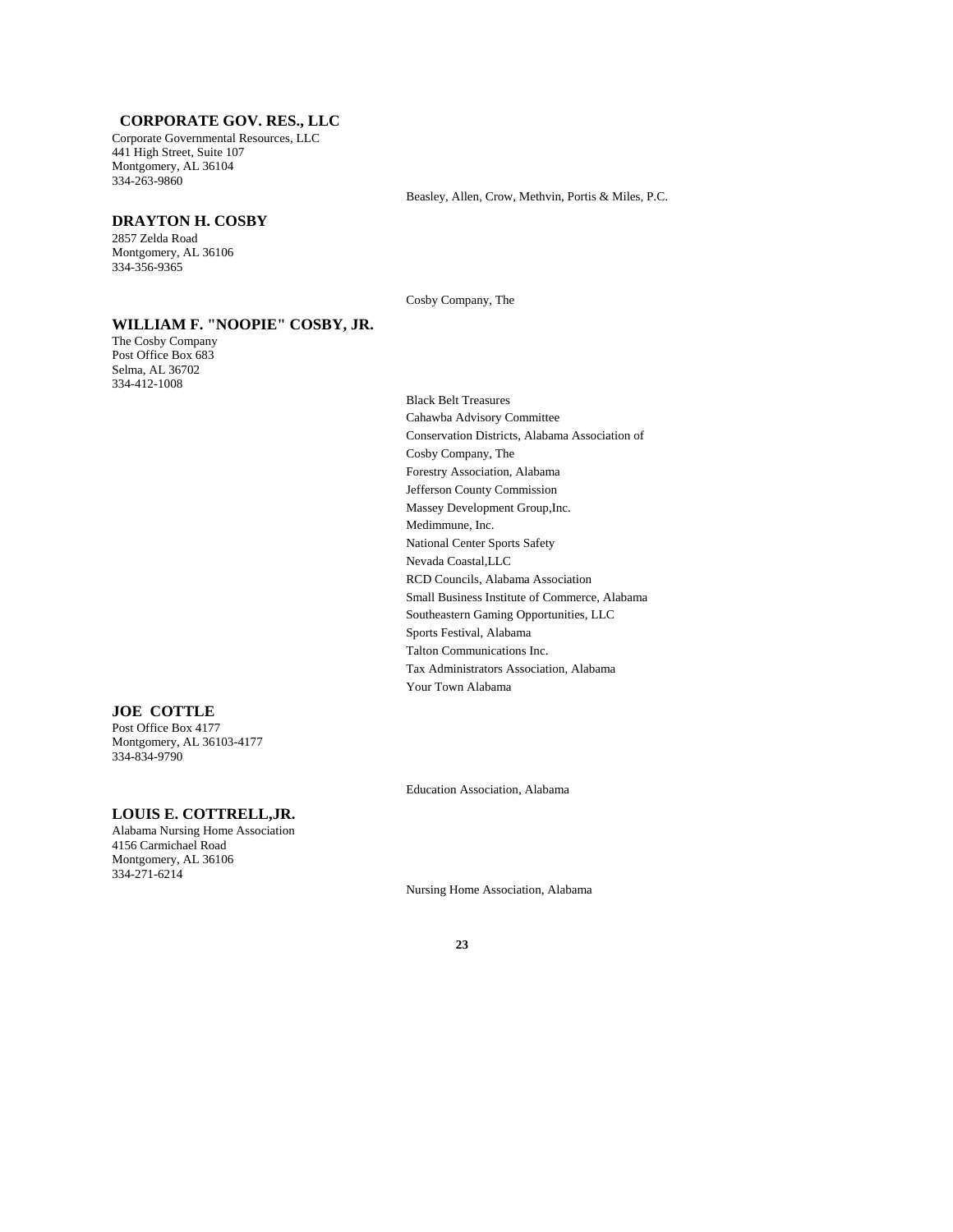## **CORPORATE GOV. RES., LLC**

Corporate Governmental Resources, LLC 441 High Street, Suite 107 Montgomery, AL 36104 334-263-9860

#### **DRAYTON H. COSBY**

2857 Zelda Road Montgomery, AL 36106 334-356-9365

### **WILLIAM F. "NOOPIE" COSBY, JR.**

The Cosby Company Post Office Box 683 Selma, AL 36702 334-412-1008

#### **JOE COTTLE**

Post Office Box 4177 Montgomery, AL 36103-4177 334-834-9790

#### **LOUIS E. COTTRELL,JR.**

Alabama Nursing Home Association 4156 Carmichael Road Montgomery, AL 36106 334-271-6214

Beasley, Allen, Crow, Methvin, Portis & Miles, P.C.

Cosby Company, The

Black Belt Treasures Cahawba Advisory Committee Conservation Districts, Alabama Association of Cosby Company, The Forestry Association, Alabama Jefferson County Commission Massey Development Group,Inc. Medimmune, Inc. National Center Sports Safety Nevada Coastal,LLC RCD Councils, Alabama Association Small Business Institute of Commerce, Alabama Southeastern Gaming Opportunities, LLC Sports Festival, Alabama Talton Communications Inc. Tax Administrators Association, Alabama Your Town Alabama

Education Association, Alabama

Nursing Home Association, Alabama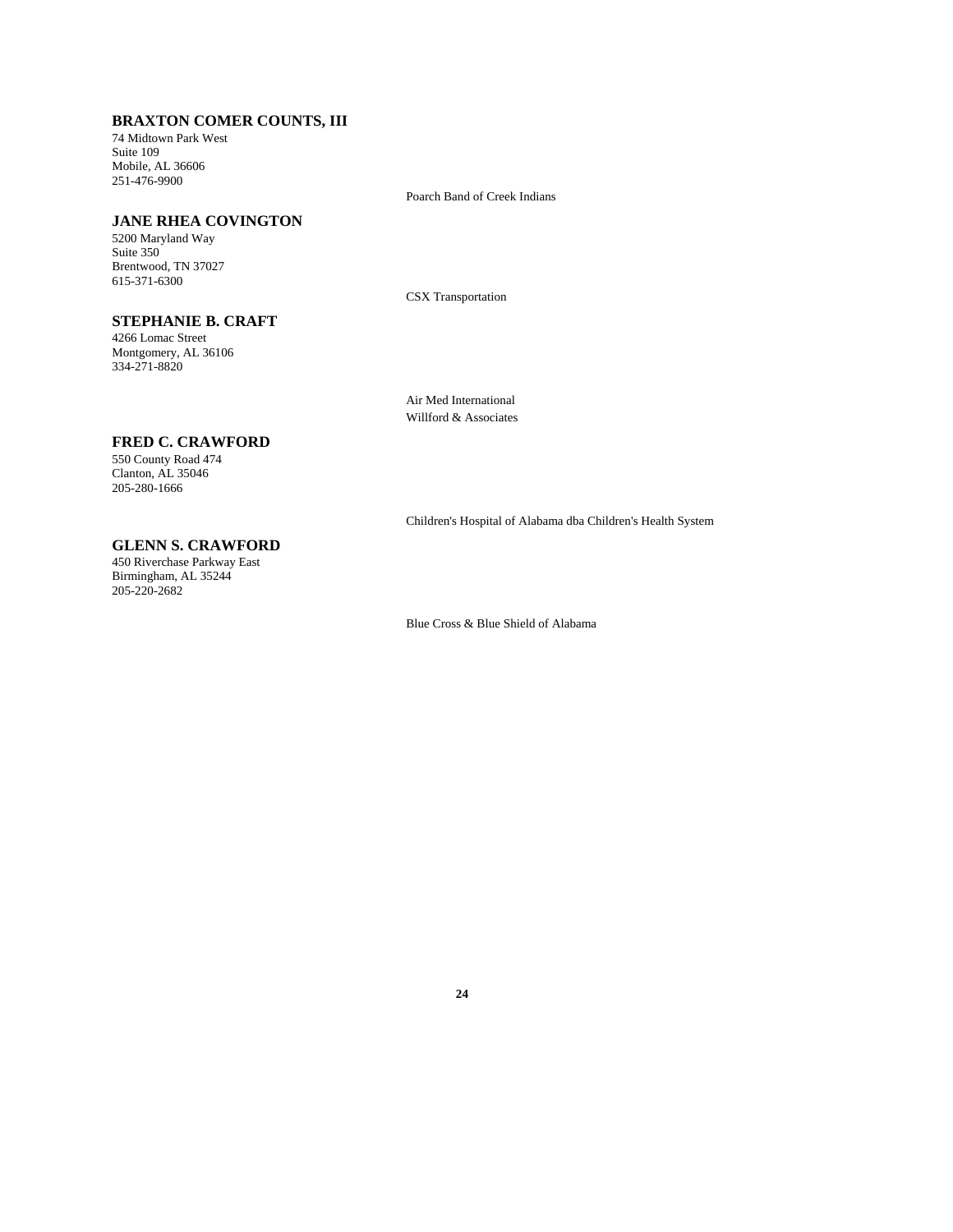# **BRAXTON COMER COUNTS, III**

74 Midtown Park West Suite 109 Mobile, AL 36606 251-476-9900

#### **JANE RHEA COVINGTON**

5200 Maryland Way Suite 350 Brentwood, TN 37027 615-371-6300

4266 Lomac Street

CSX Transportation

Poarch Band of Creek Indians

#### Montgomery, AL 36106 334-271-8820

**STEPHANIE B. CRAFT**

Air Med International Willford & Associates

### **FRED C. CRAWFORD**

**GLENN S. CRAWFORD** 450 Riverchase Parkway East Birmingham, AL 35244 205-220-2682

550 County Road 474 Clanton, AL 35046 205-280-1666

Children's Hospital of Alabama dba Children's Health System

Blue Cross & Blue Shield of Alabama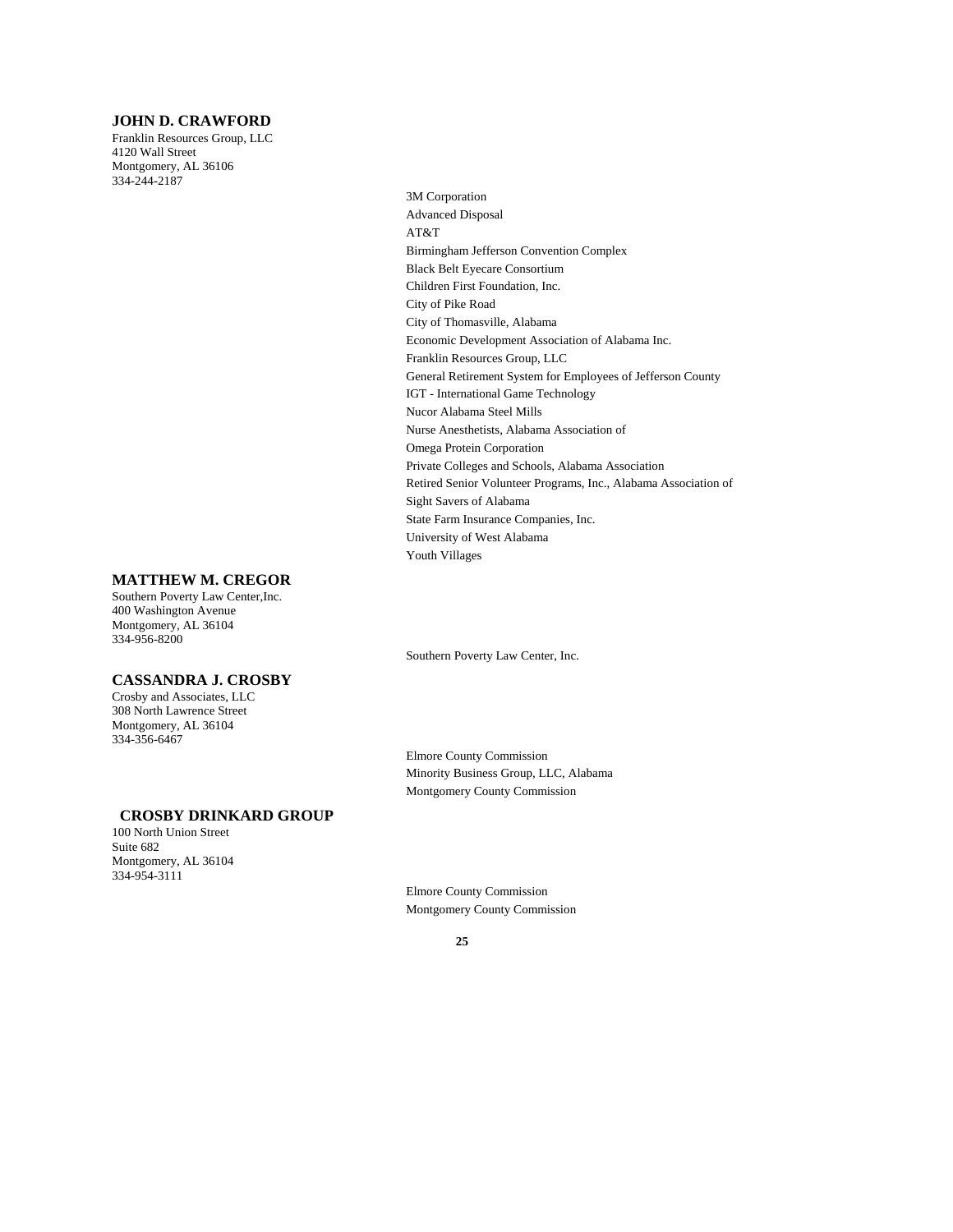### **JOHN D. CRAWFORD**

Franklin Resources Group, LLC 4120 Wall Street Montgomery, AL 36106 334-244-2187

# **MATTHEW M. CREGOR**

Southern Poverty Law Center,Inc. 400 Washington Avenue Montgomery, AL 36104 334-956-8200

### **CASSANDRA J. CROSBY**

Crosby and Associates, LLC 308 North Lawrence Street Montgomery, AL 36104 334-356-6467

#### **CROSBY DRINKARD GROUP**

100 North Union Street Suite 682 Montgomery, AL 36104 334-954-3111

3M Corporation Advanced Disposal AT&T Birmingham Jefferson Convention Complex Black Belt Eyecare Consortium Children First Foundation, Inc. City of Pike Road City of Thomasville, Alabama Economic Development Association of Alabama Inc. Franklin Resources Group, LLC General Retirement System for Employees of Jefferson County IGT - International Game Technology Nucor Alabama Steel Mills Nurse Anesthetists, Alabama Association of Omega Protein Corporation Private Colleges and Schools, Alabama Association Retired Senior Volunteer Programs, Inc., Alabama Association of Sight Savers of Alabama State Farm Insurance Companies, Inc. University of West Alabama Youth Villages

Southern Poverty Law Center, Inc.

Elmore County Commission Minority Business Group, LLC, Alabama Montgomery County Commission

Elmore County Commission Montgomery County Commission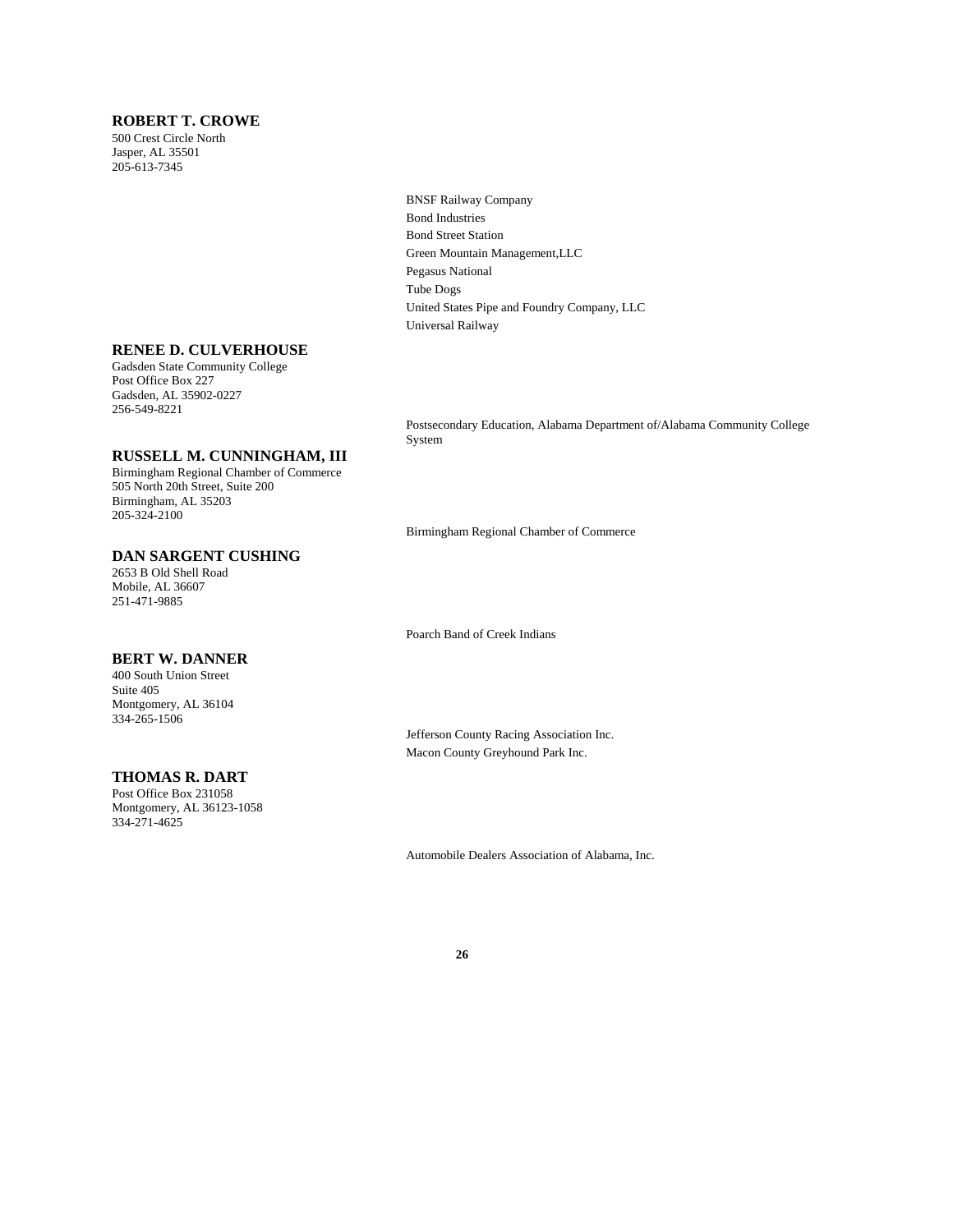### **ROBERT T. CROWE**

500 Crest Circle North Jasper, AL 35501 205-613-7345

> BNSF Railway Company Bond Industries Bond Street Station Green Mountain Management,LLC Pegasus National Tube Dogs United States Pipe and Foundry Company, LLC Universal Railway

#### **RENEE D. CULVERHOUSE**

Gadsden State Community College Post Office Box 227 Gadsden, AL 35902-0227 256-549-8221

#### **RUSSELL M. CUNNINGHAM, III**

Birmingham Regional Chamber of Commerce 505 North 20th Street, Suite 200 Birmingham, AL 35203 205-324-2100

## **DAN SARGENT CUSHING**

2653 B Old Shell Road Mobile, AL 36607 251-471-9885

### **BERT W. DANNER**

400 South Union Street Suite 405 Montgomery, AL 36104 334-265-1506

#### **THOMAS R. DART**

Post Office Box 231058 Montgomery, AL 36123-1058 334-271-4625

Postsecondary Education, Alabama Department of/Alabama Community College System

Birmingham Regional Chamber of Commerce

Poarch Band of Creek Indians

Jefferson County Racing Association Inc. Macon County Greyhound Park Inc.

Automobile Dealers Association of Alabama, Inc.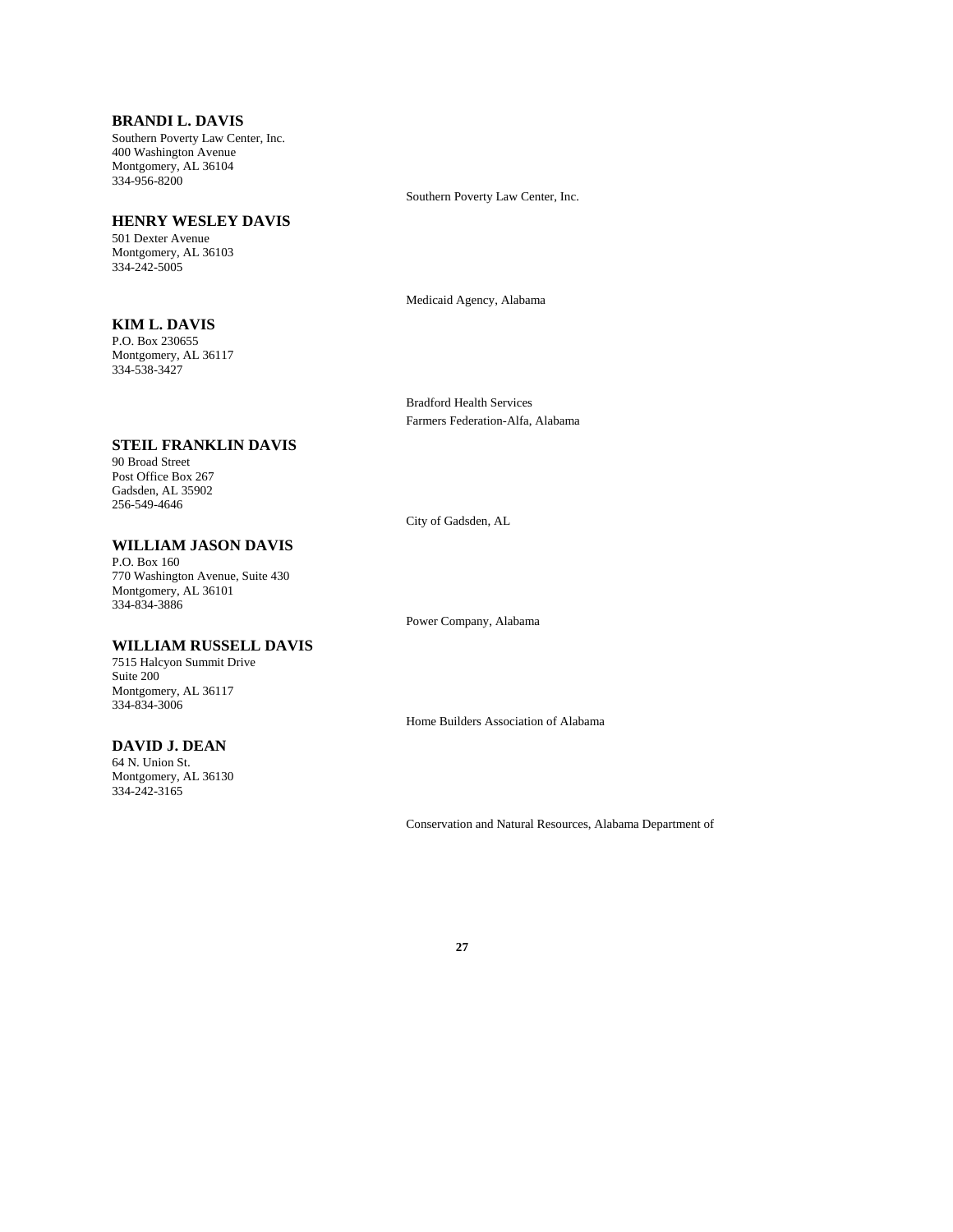# **BRANDI L. DAVIS**

Southern Poverty Law Center, Inc. 400 Washington Avenue Montgomery, AL 36104 334-956-8200

#### **HENRY WESLEY DAVIS**

501 Dexter Avenue Montgomery, AL 36103 334-242-5005

Medicaid Agency, Alabama

Southern Poverty Law Center, Inc.

# **KIM L. DAVIS** P.O. Box 230655

Montgomery, AL 36117 334-538-3427

> Bradford Health Services Farmers Federation-Alfa, Alabama

# **STEIL FRANKLIN DAVIS**

90 Broad Street Post Office Box 267 Gadsden, AL 35902 256-549-4646

City of Gadsden, AL

#### **WILLIAM JASON DAVIS**

P.O. Box 160 770 Washington Avenue, Suite 430 Montgomery, AL 36101 334-834-3886

## **WILLIAM RUSSELL DAVIS**

7515 Halcyon Summit Drive Suite 200 Montgomery, AL 36117 334-834-3006

### **DAVID J. DEAN**

64 N. Union St. Montgomery, AL 36130 334-242-3165

Power Company, Alabama

Home Builders Association of Alabama

Conservation and Natural Resources, Alabama Department of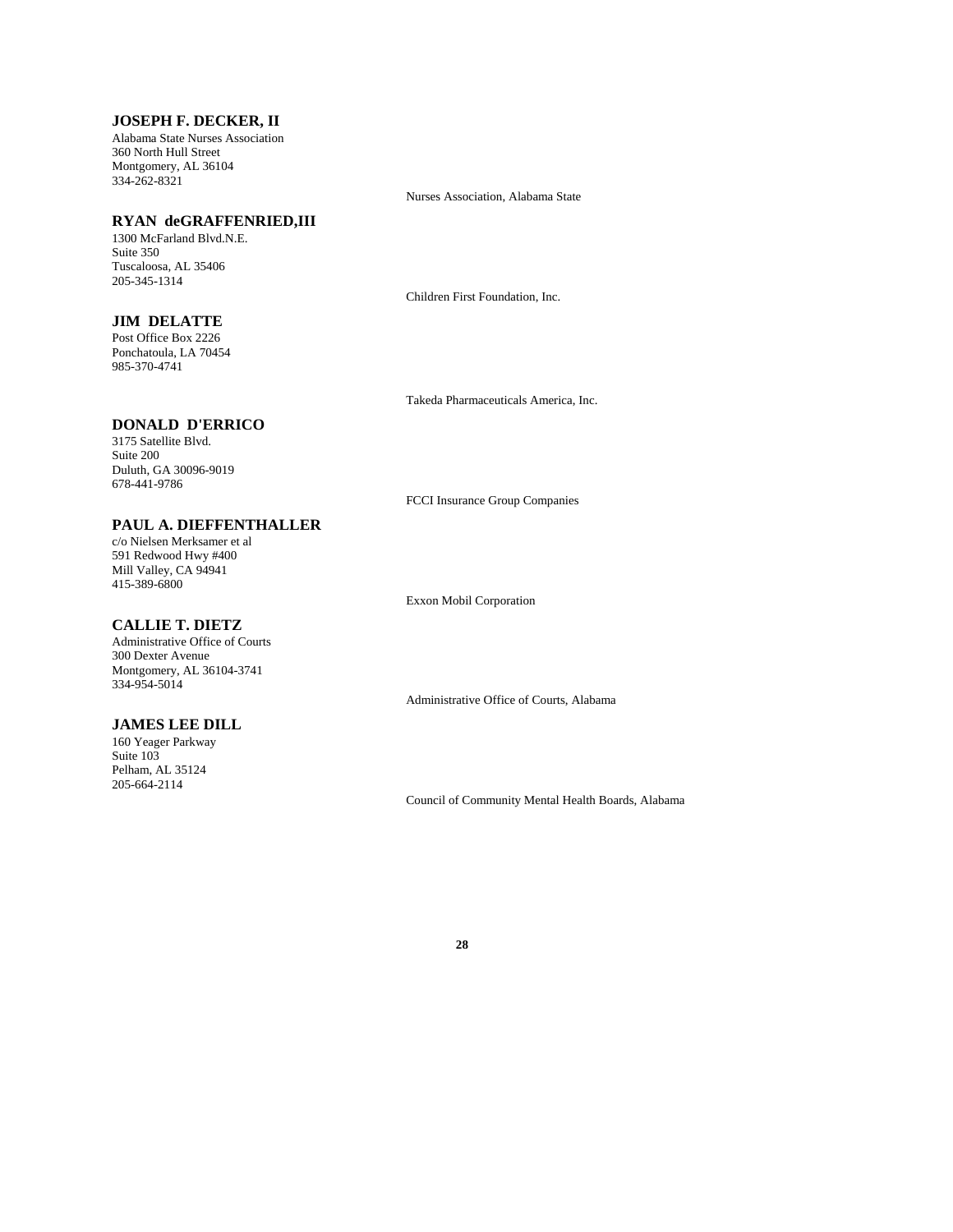### **JOSEPH F. DECKER, II**

Alabama State Nurses Association 360 North Hull Street Montgomery, AL 36104 334-262-8321

#### **RYAN deGRAFFENRIED,III**

1300 McFarland Blvd.N.E. Suite 350 Tuscaloosa, AL 35406 205-345-1314

### **JIM DELATTE**

Post Office Box 2226 Ponchatoula, LA 70454 985-370-4741

#### **DONALD D'ERRICO**

3175 Satellite Blvd. Suite 200 Duluth, GA 30096-9019 678-441-9786

### **PAUL A. DIEFFENTHALLER**

c/o Nielsen Merksamer et al 591 Redwood Hwy #400 Mill Valley, CA 94941 415-389-6800

### **CALLIE T. DIETZ**

Administrative Office of Courts 300 Dexter Avenue Montgomery, AL 36104-3741 334-954-5014

#### **JAMES LEE DILL**

160 Yeager Parkway Suite 103 Pelham, AL 35124 205-664-2114

Nurses Association, Alabama State

Children First Foundation, Inc.

Takeda Pharmaceuticals America, Inc.

FCCI Insurance Group Companies

Exxon Mobil Corporation

Administrative Office of Courts, Alabama

Council of Community Mental Health Boards, Alabama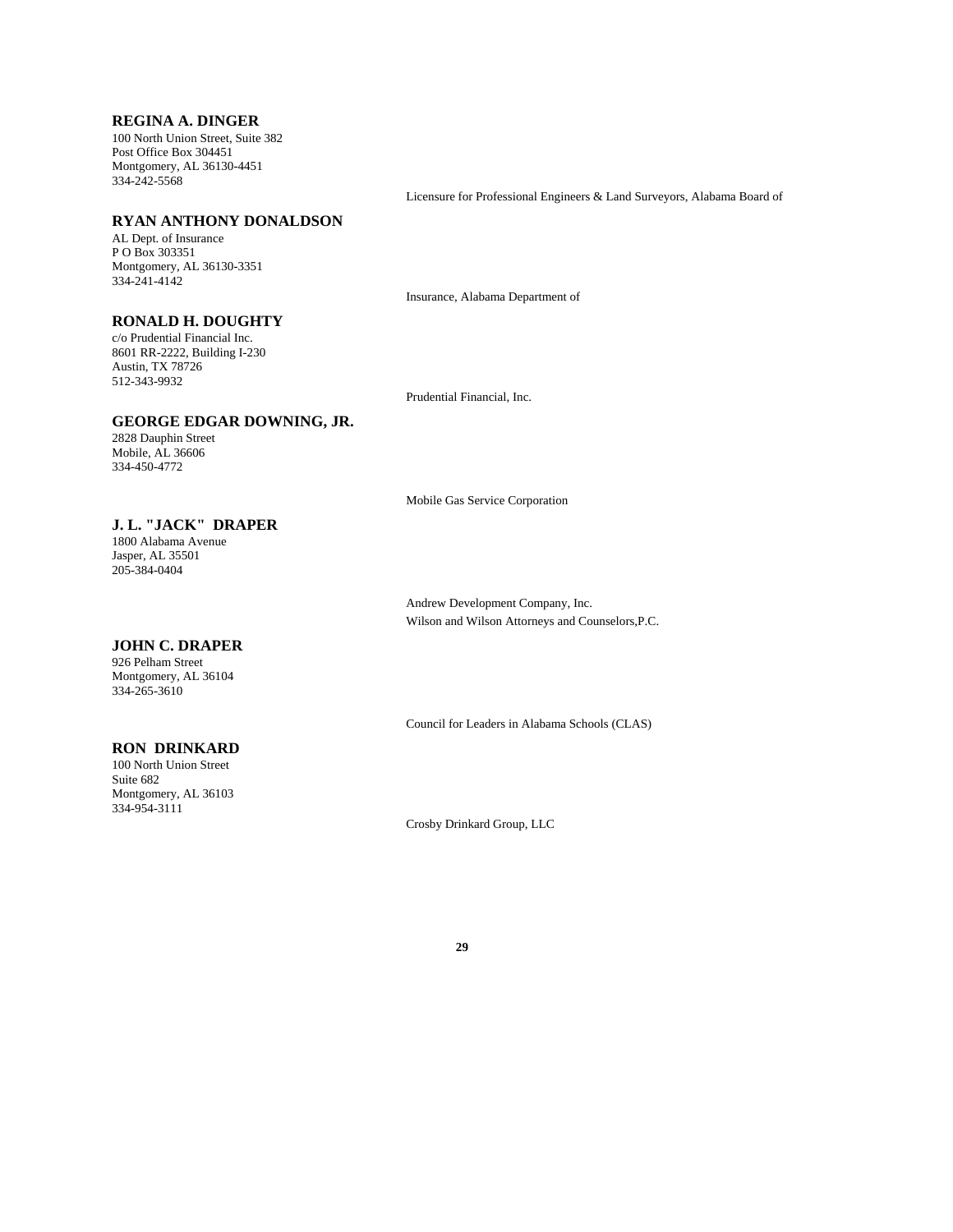# **REGINA A. DINGER**

100 North Union Street, Suite 382 Post Office Box 304451 Montgomery, AL 36130-4451 334-242-5568

**RYAN ANTHONY DONALDSON**

AL Dept. of Insurance P O Box 303351 Montgomery, AL 36130-3351 334-241-4142

Licensure for Professional Engineers & Land Surveyors, Alabama Board of

Insurance, Alabama Department of

# **RONALD H. DOUGHTY**

c/o Prudential Financial Inc. 8601 RR-2222, Building I-230 Austin, TX 78726 512-343-9932

Prudential Financial, Inc.

# **GEORGE EDGAR DOWNING, JR.**

2828 Dauphin Street Mobile, AL 36606 334-450-4772

Mobile Gas Service Corporation

# **J. L. "JACK" DRAPER**

1800 Alabama Avenue Jasper, AL 35501 205-384-0404

> Andrew Development Company, Inc. Wilson and Wilson Attorneys and Counselors,P.C.

# **JOHN C. DRAPER**

926 Pelham Street Montgomery, AL 36104 334-265-3610

**RON DRINKARD** 100 North Union Street

Montgomery, AL 36103 334-954-3111

Suite 682

Council for Leaders in Alabama Schools (CLAS)

Crosby Drinkard Group, LLC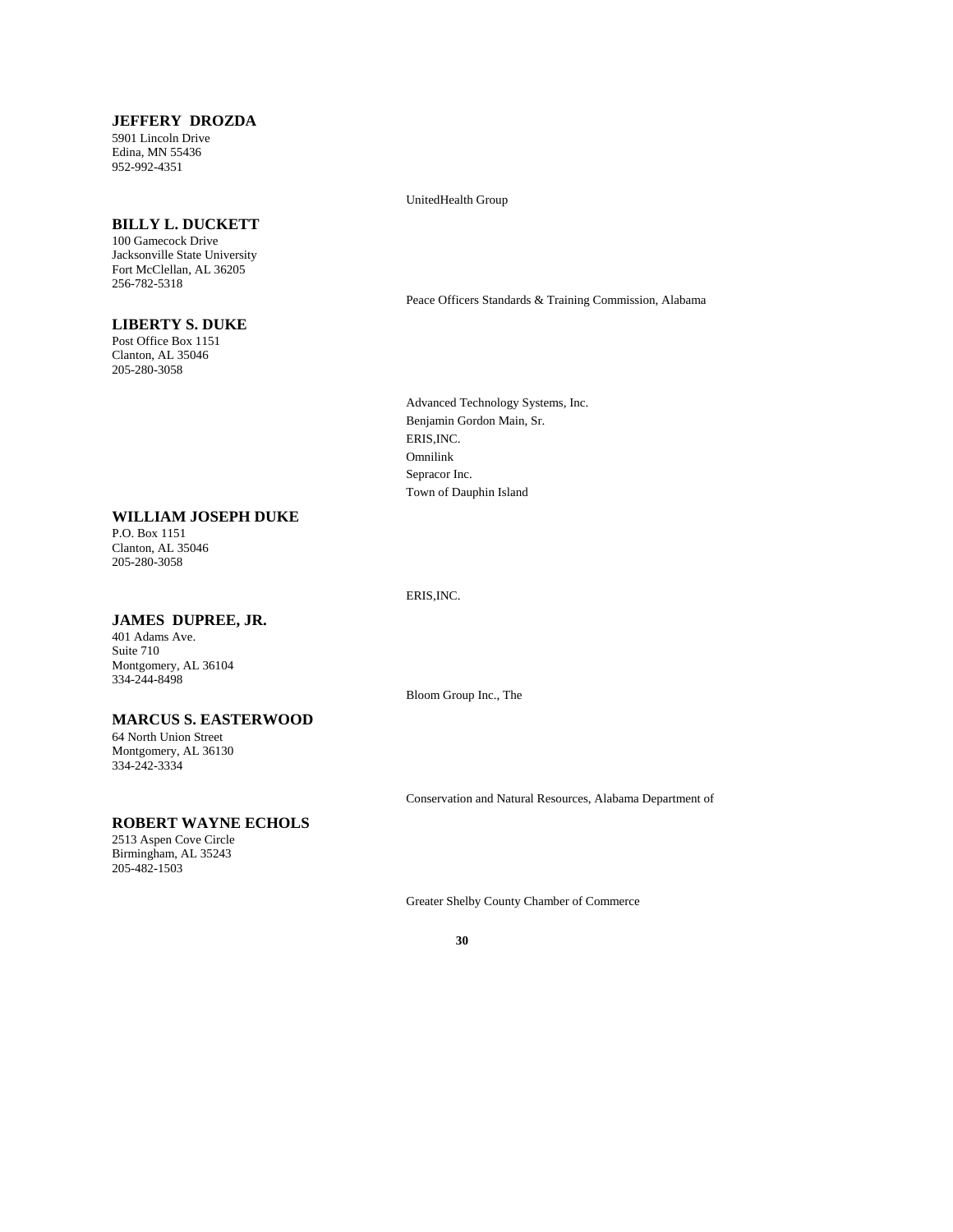### **JEFFERY DROZDA**

5901 Lincoln Drive Edina, MN 55436 952-992-4351

#### **BILLY L. DUCKETT**

100 Gamecock Drive Jacksonville State University Fort McClellan, AL 36205 256-782-5318

#### **LIBERTY S. DUKE**

Post Office Box 1151 Clanton, AL 35046 205-280-3058

P.O. Box 1151 Clanton, AL 35046 205-280-3058

#### UnitedHealth Group

Peace Officers Standards & Training Commission, Alabama

Advanced Technology Systems, Inc. Benjamin Gordon Main, Sr. ERIS,INC. Omnilink Sepracor Inc. Town of Dauphin Island

#### ERIS,INC.

### **JAMES DUPREE, JR.**

**WILLIAM JOSEPH DUKE**

401 Adams Ave. Suite 710 Montgomery, AL 36104 334-244-8498

### **MARCUS S. EASTERWOOD**

64 North Union Street Montgomery, AL 36130 334-242-3334

### **ROBERT WAYNE ECHOLS**

2513 Aspen Cove Circle Birmingham, AL 35243 205-482-1503

Bloom Group Inc., The

Conservation and Natural Resources, Alabama Department of

Greater Shelby County Chamber of Commerce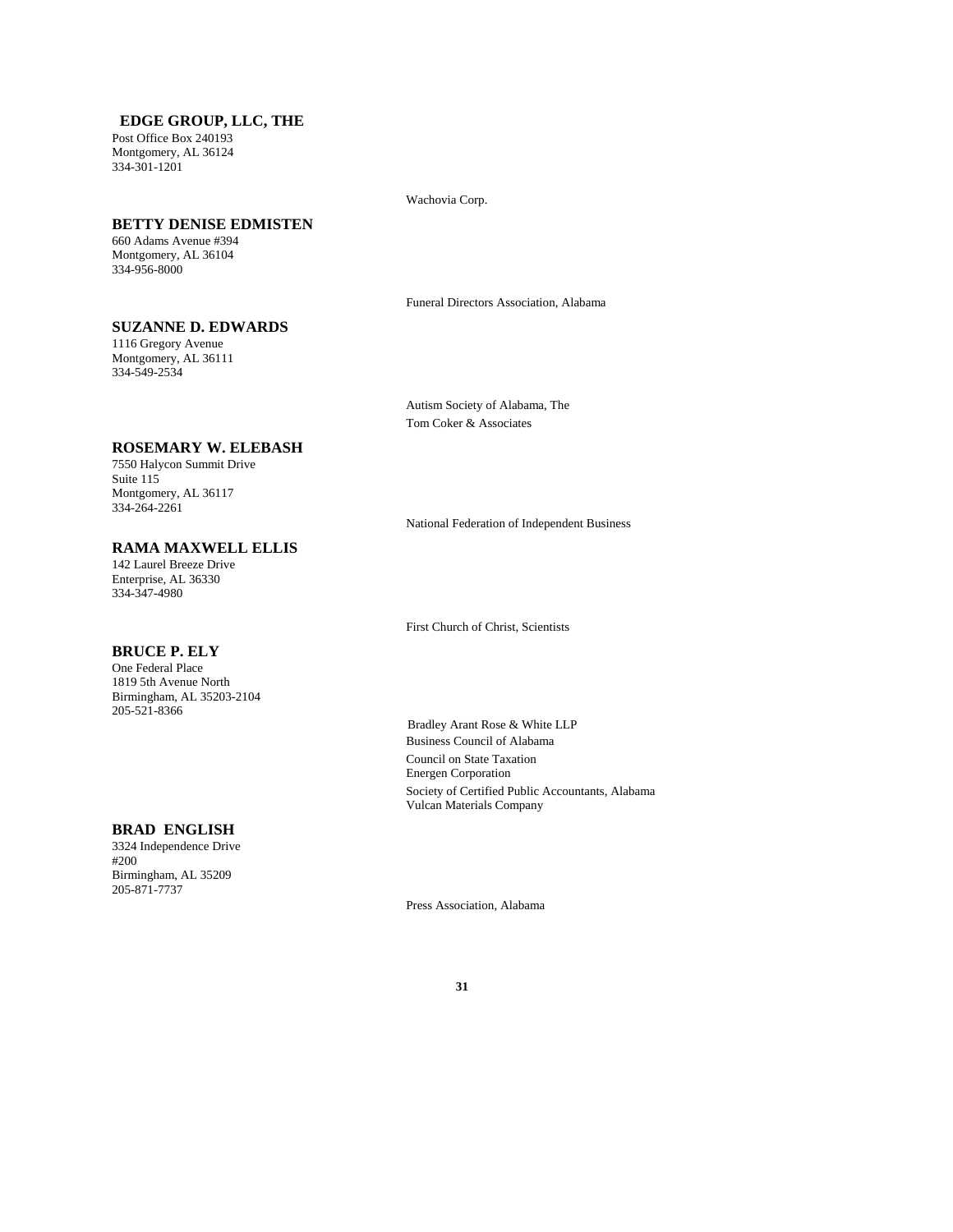# **EDGE GROUP, LLC, THE**

Post Office Box 240193 Montgomery, AL 36124 334-301-1201

#### **BETTY DENISE EDMISTEN**

660 Adams Avenue #394 Montgomery, AL 36104 334-956-8000

1116 Gregory Avenue Montgomery, AL 36111 334-549-2534

Funeral Directors Association, Alabama

Autism Society of Alabama, The Tom Coker & Associates

Wachovia Corp.

# **ROSEMARY W. ELEBASH**

**SUZANNE D. EDWARDS**

7550 Halycon Summit Drive Suite 115 Montgomery, AL 36117 334-264-2261

# **RAMA MAXWELL ELLIS**

142 Laurel Breeze Drive Enterprise, AL 36330 334-347-4980

## **BRUCE P. ELY**

One Federal Place 1819 5th Avenue North Birmingham, AL 35203-2104 205-521-8366

#### **BRAD ENGLISH**

3324 Independence Drive #200 Birmingham, AL 35209 205-871-7737

National Federation of Independent Business

First Church of Christ, Scientists

 Bradley Arant Rose & White LLP Business Council of Alabama Council on State Taxation Energen Corporation Society of Certified Public Accountants, Alabama Vulcan Materials Company

Press Association, Alabama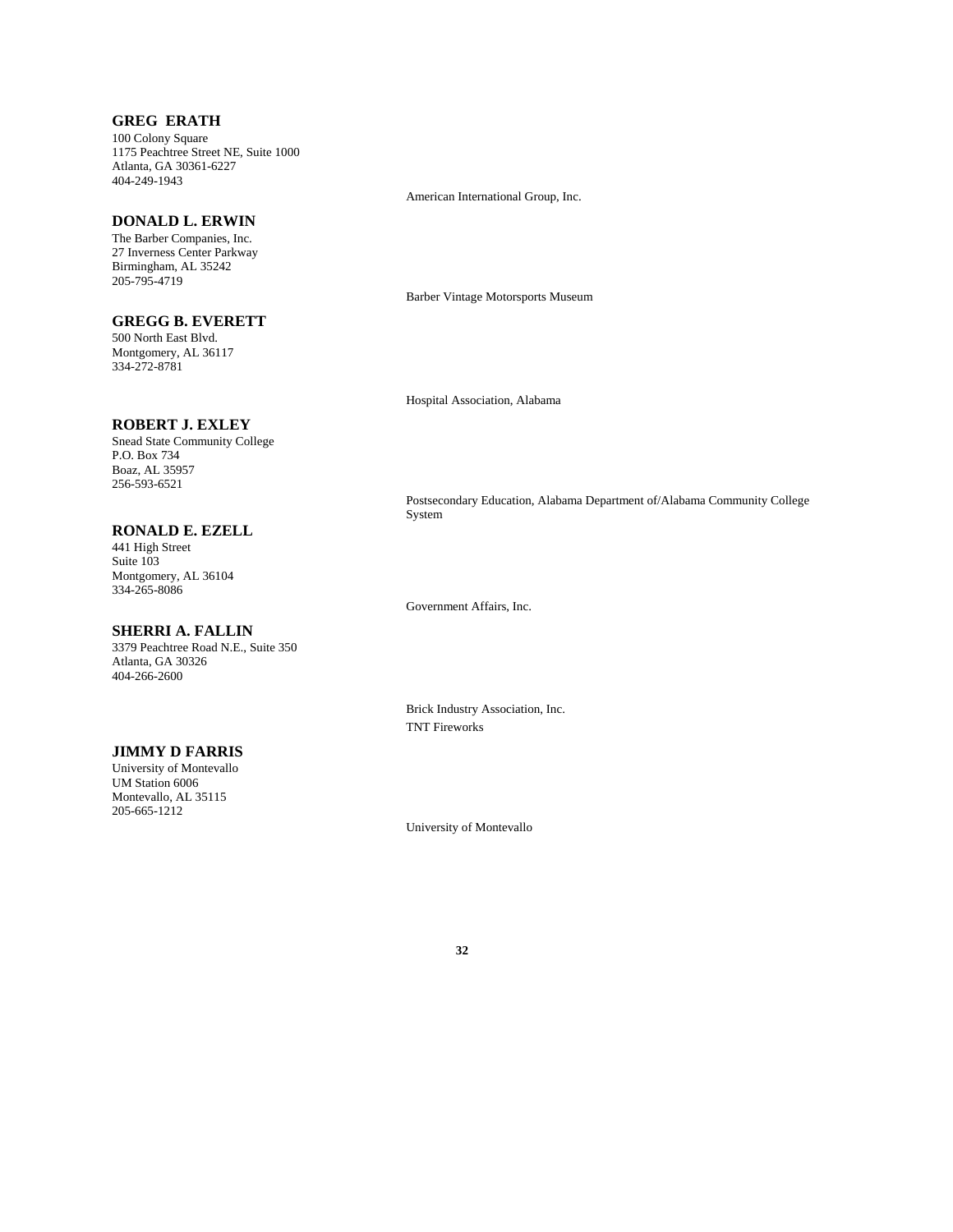# **GREG ERATH**

100 Colony Square 1175 Peachtree Street NE, Suite 1000 Atlanta, GA 30361-6227 404-249-1943

#### **DONALD L. ERWIN**

The Barber Companies, Inc. 27 Inverness Center Parkway Birmingham, AL 35242 205-795-4719

# **GREGG B. EVERETT**

500 North East Blvd. Montgomery, AL 36117 334-272-8781

### **ROBERT J. EXLEY**

Snead State Community College P.O. Box 734 Boaz, AL 35957 256-593-6521

### **RONALD E. EZELL**

441 High Street Suite 103 Montgomery, AL 36104 334-265-8086

# **SHERRI A. FALLIN**

3379 Peachtree Road N.E., Suite 350 Atlanta, GA 30326 404-266-2600

#### **JIMMY D FARRIS**

University of Montevallo UM Station 6006 Montevallo, AL 35115 205-665-1212

American International Group, Inc.

Barber Vintage Motorsports Museum

Hospital Association, Alabama

Postsecondary Education, Alabama Department of/Alabama Community College System

Government Affairs, Inc.

Brick Industry Association, Inc. TNT Fireworks

University of Montevallo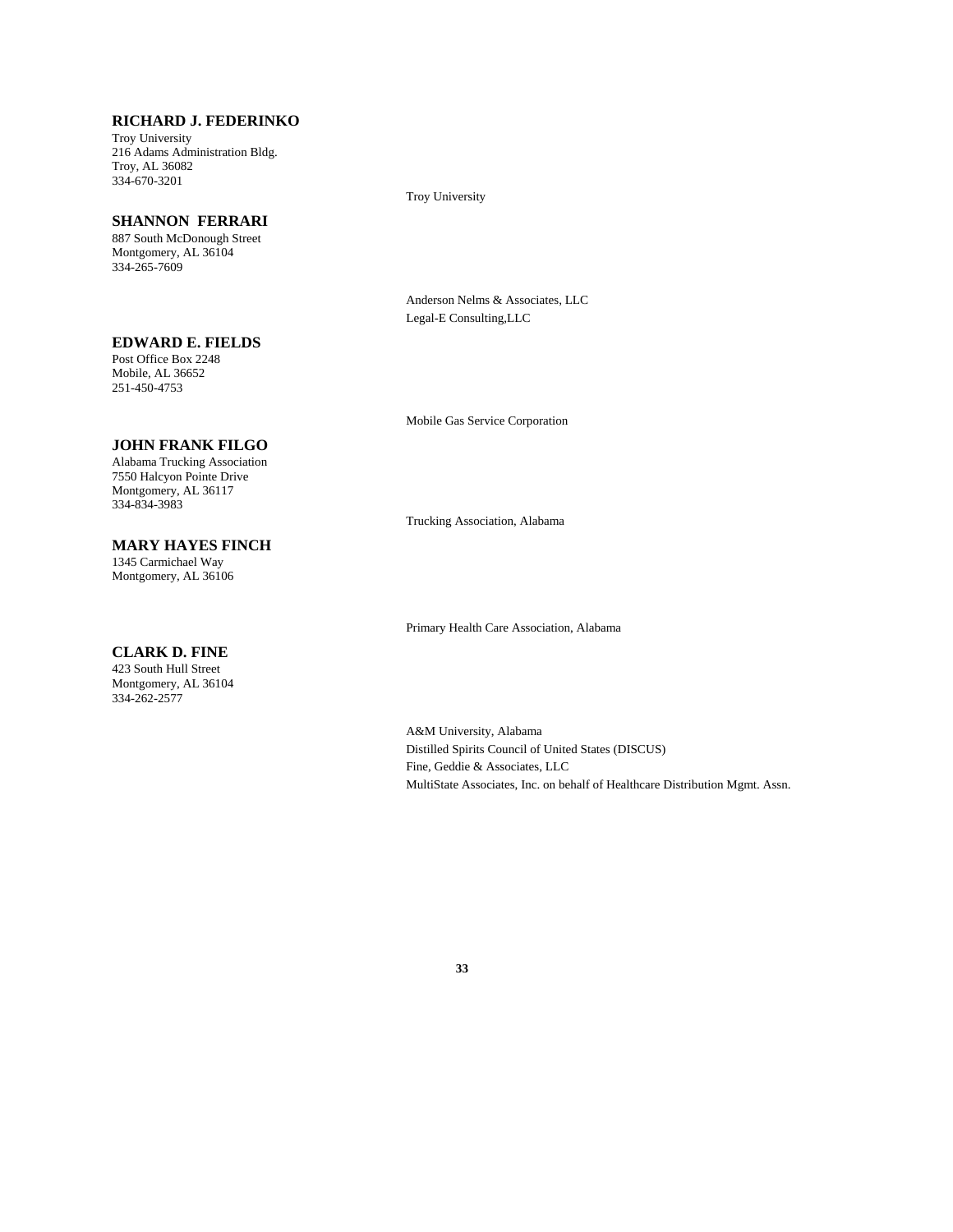### **RICHARD J. FEDERINKO**

Troy University 216 Adams Administration Bldg. Troy, AL 36082 334-670-3201

#### **SHANNON FERRARI**

887 South McDonough Street Montgomery, AL 36104 334-265-7609

### **EDWARD E. FIELDS**

Post Office Box 2248 Mobile, AL 36652 251-450-4753

### **JOHN FRANK FILGO**

Alabama Trucking Association 7550 Halcyon Pointe Drive Montgomery, AL 36117 334-834-3983

#### **MARY HAYES FINCH**

1345 Carmichael Way Montgomery, AL 36106

#### **CLARK D. FINE**

423 South Hull Street Montgomery, AL 36104 334-262-2577

Troy University

Anderson Nelms & Associates, LLC Legal-E Consulting,LLC

Mobile Gas Service Corporation

Trucking Association, Alabama

Primary Health Care Association, Alabama

A&M University, Alabama Distilled Spirits Council of United States (DISCUS) Fine, Geddie & Associates, LLC MultiState Associates, Inc. on behalf of Healthcare Distribution Mgmt. Assn.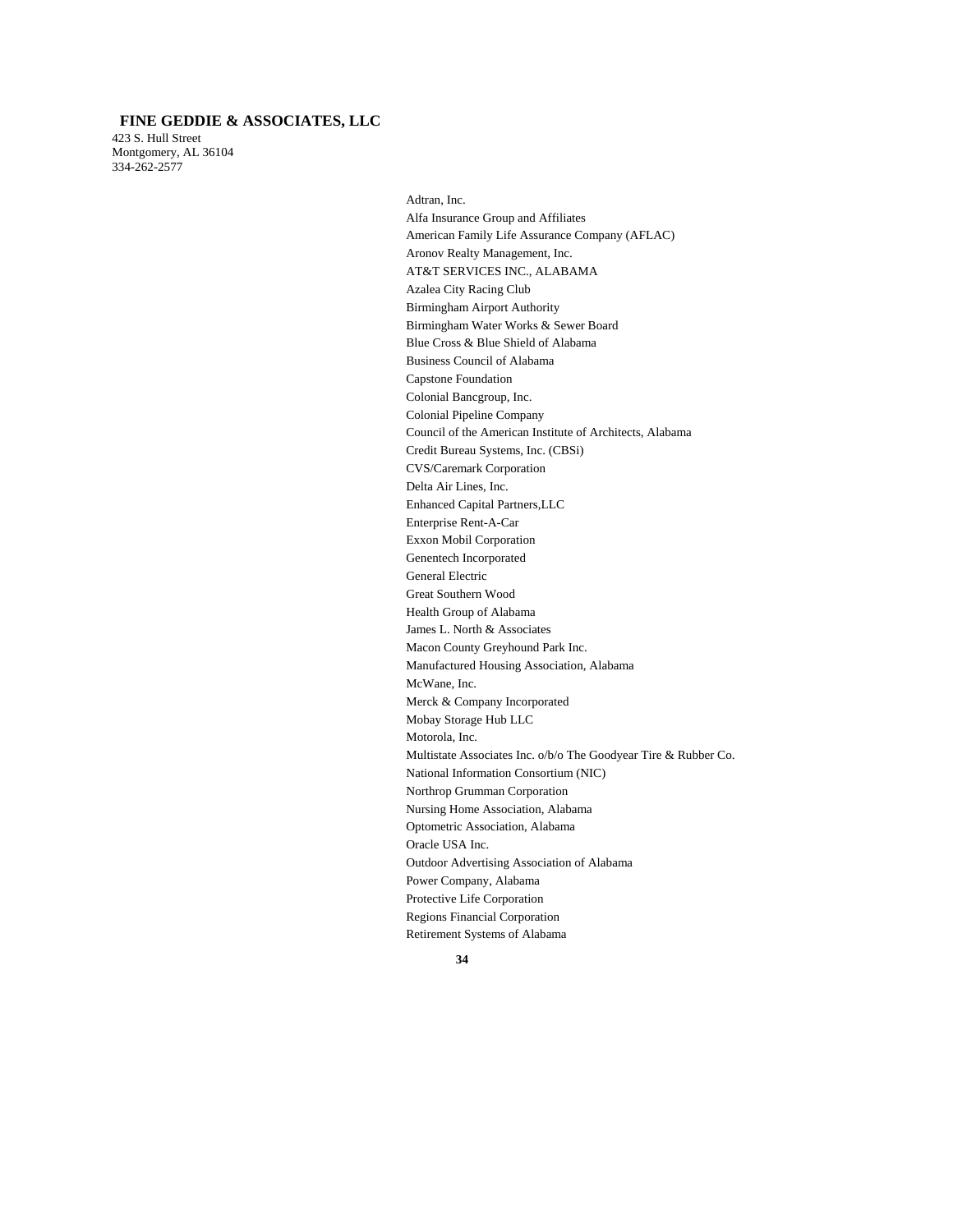## **FINE GEDDIE & ASSOCIATES, LLC**

423 S. Hull Street Montgomery, AL 36104 334-262-2577

> Adtran, Inc. Alfa Insurance Group and Affiliates American Family Life Assurance Company (AFLAC) Aronov Realty Management, Inc. AT&T SERVICES INC., ALABAMA Azalea City Racing Club Birmingham Airport Authority Birmingham Water Works & Sewer Board Blue Cross & Blue Shield of Alabama Business Council of Alabama Capstone Foundation Colonial Bancgroup, Inc. Colonial Pipeline Company Council of the American Institute of Architects, Alabama Credit Bureau Systems, Inc. (CBSi) CVS/Caremark Corporation Delta Air Lines, Inc. Enhanced Capital Partners,LLC Enterprise Rent-A-Car Exxon Mobil Corporation Genentech Incorporated General Electric Great Southern Wood Health Group of Alabama James L. North & Associates Macon County Greyhound Park Inc. Manufactured Housing Association, Alabama McWane, Inc. Merck & Company Incorporated Mobay Storage Hub LLC Motorola, Inc. Multistate Associates Inc. o/b/o The Goodyear Tire & Rubber Co. National Information Consortium (NIC) Northrop Grumman Corporation Nursing Home Association, Alabama Optometric Association, Alabama Oracle USA Inc. Outdoor Advertising Association of Alabama Power Company, Alabama Protective Life Corporation Regions Financial Corporation Retirement Systems of Alabama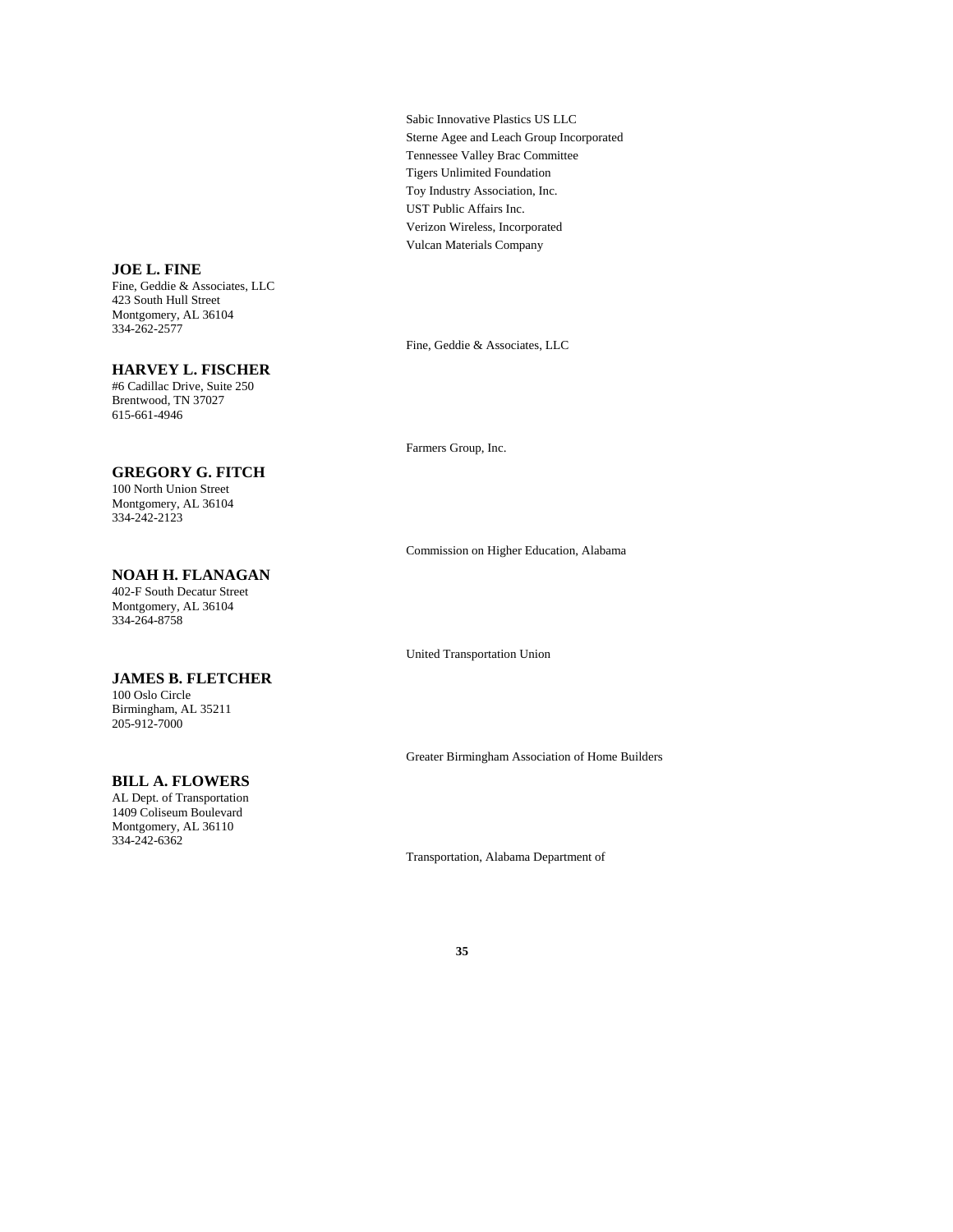Sabic Innovative Plastics US LLC Sterne Agee and Leach Group Incorporated Tennessee Valley Brac Committee Tigers Unlimited Foundation Toy Industry Association, Inc. UST Public Affairs Inc. Verizon Wireless, Incorporated Vulcan Materials Company

### **JOE L. FINE**

Fine, Geddie & Associates, LLC 423 South Hull Street Montgomery, AL 36104 334-262-2577

#### **HARVEY L. FISCHER**

#6 Cadillac Drive, Suite 250 Brentwood, TN 37027 615-661-4946

### **GREGORY G. FITCH**

100 North Union Street Montgomery, AL 36104 334-242-2123

### **NOAH H. FLANAGAN**

402-F South Decatur Street Montgomery, AL 36104 334-264-8758

### **JAMES B. FLETCHER**

100 Oslo Circle Birmingham, AL 35211 205-912-7000

#### **BILL A. FLOWERS**

AL Dept. of Transportation 1409 Coliseum Boulevard Montgomery, AL 36110 334-242-6362

Fine, Geddie & Associates, LLC

Farmers Group, Inc.

Commission on Higher Education, Alabama

United Transportation Union

Greater Birmingham Association of Home Builders

Transportation, Alabama Department of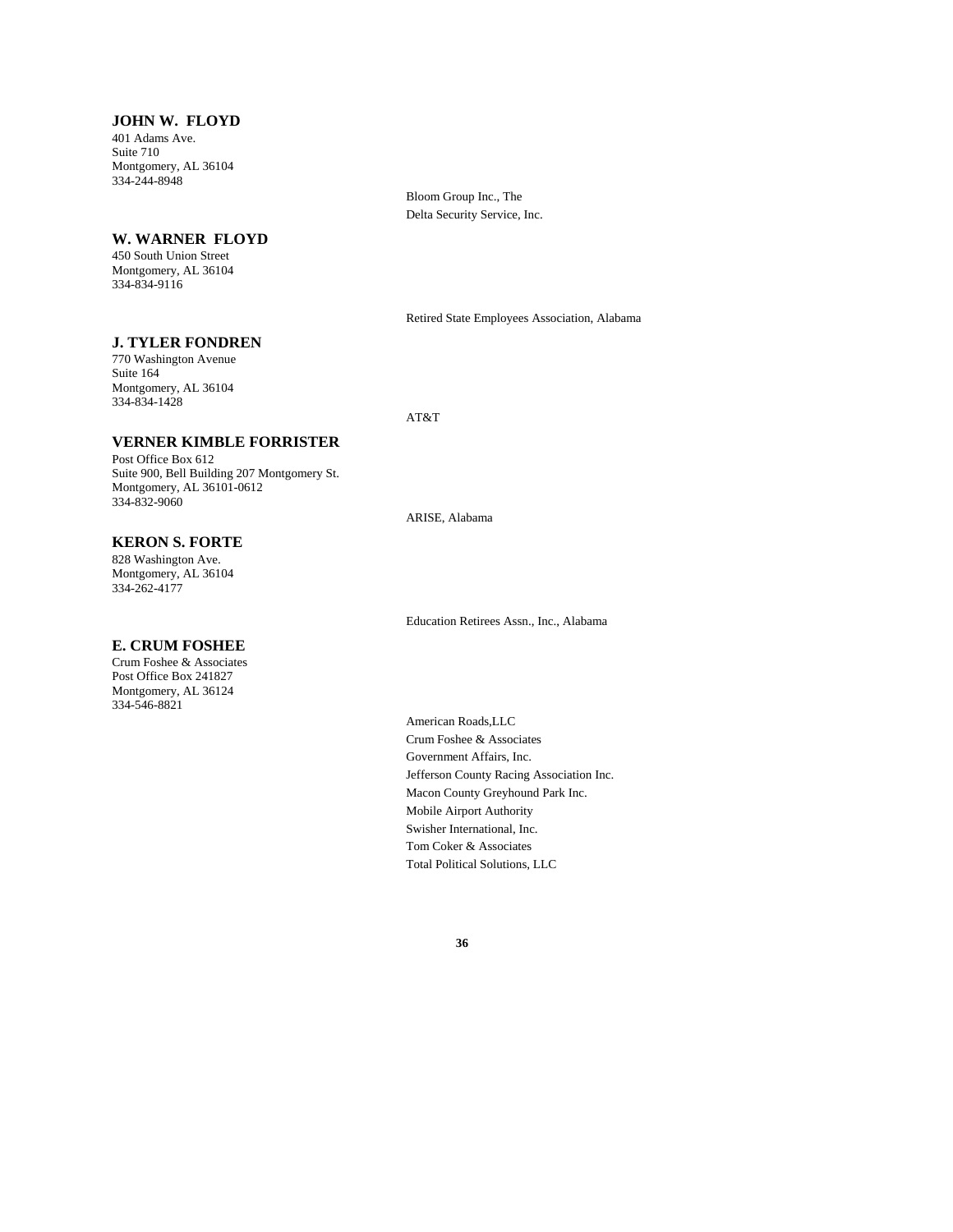### **JOHN W. FLOYD**

401 Adams Ave. Suite 710 Montgomery, AL 36104 334-244-8948

### **W. WARNER FLOYD**

450 South Union Street Montgomery, AL 36104 334-834-9116

# **J. TYLER FONDREN**

770 Washington Avenue Suite 164 Montgomery, AL 36104 334-834-1428

**KERON S. FORTE** 828 Washington Ave. Montgomery, AL 36104 334-262-4177

**E. CRUM FOSHEE** Crum Foshee & Associates Post Office Box 241827 Montgomery, AL 36124 334-546-8821

AT&T

# **VERNER KIMBLE FORRISTER**

Post Office Box 612 Suite 900, Bell Building 207 Montgomery St. Montgomery, AL 36101-0612 334-832-9060

ARISE, Alabama

Bloom Group Inc., The Delta Security Service, Inc.

Education Retirees Assn., Inc., Alabama

Retired State Employees Association, Alabama

American Roads,LLC Crum Foshee & Associates Government Affairs, Inc. Jefferson County Racing Association Inc. Macon County Greyhound Park Inc. Mobile Airport Authority Swisher International, Inc. Tom Coker & Associates Total Political Solutions, LLC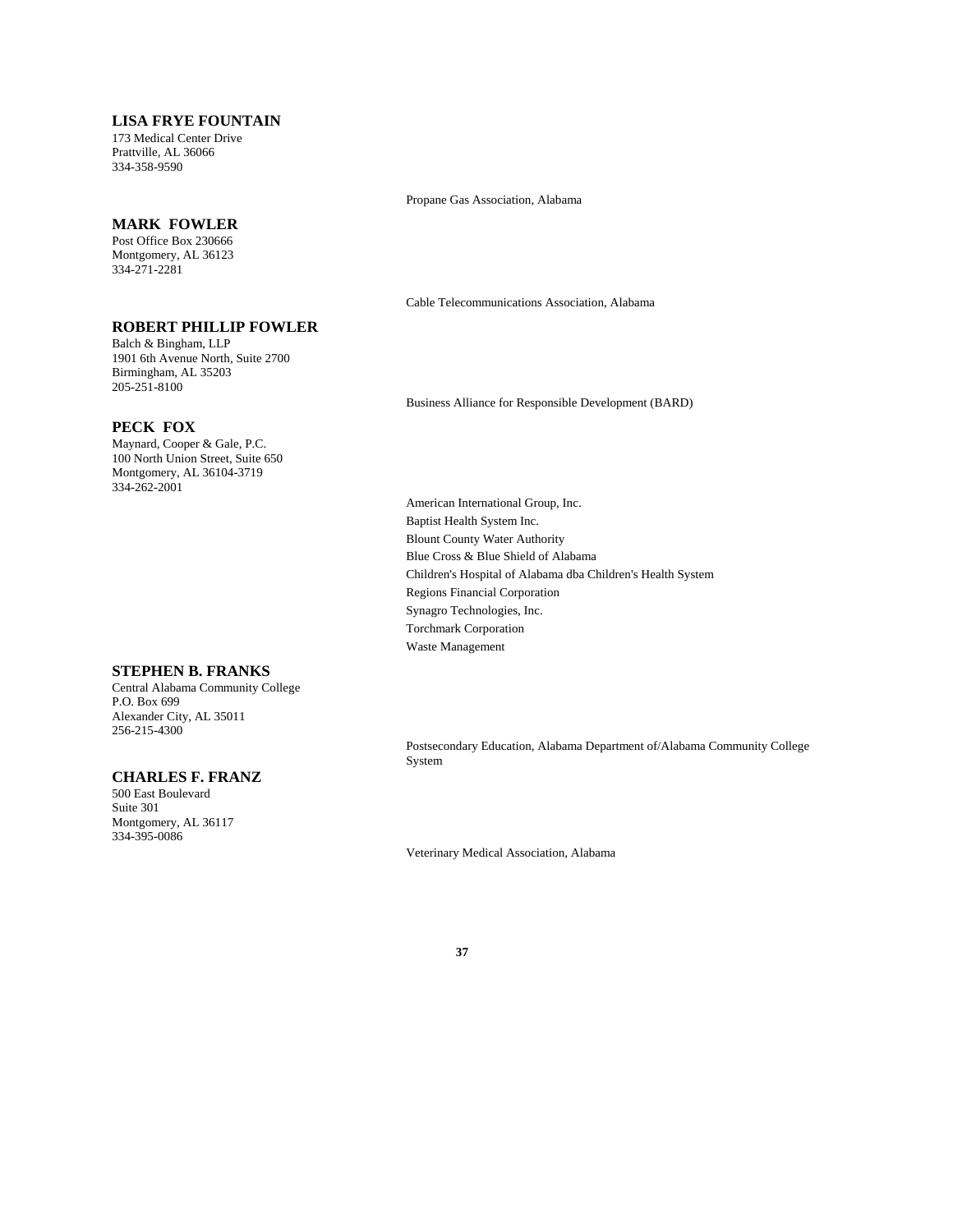# **LISA FRYE FOUNTAIN**

173 Medical Center Drive Prattville, AL 36066 334-358-9590

#### **MARK FOWLER**

Post Office Box 230666 Montgomery, AL 36123 334-271-2281

## **ROBERT PHILLIP FOWLER**

Balch & Bingham, LLP 1901 6th Avenue North, Suite 2700 Birmingham, AL 35203 205-251-8100

#### **PECK FOX**

Maynard, Cooper & Gale, P.C. 100 North Union Street, Suite 650 Montgomery, AL 36104-3719 334-262-2001

#### **STEPHEN B. FRANKS**

Central Alabama Community College P.O. Box 699 Alexander City, AL 35011 256-215-4300

#### **CHARLES F. FRANZ**

500 East Boulevard Suite 301 Montgomery, AL 36117 334-395-0086

Propane Gas Association, Alabama

Cable Telecommunications Association, Alabama

Business Alliance for Responsible Development (BARD)

American International Group, Inc. Baptist Health System Inc. Blount County Water Authority Blue Cross & Blue Shield of Alabama Children's Hospital of Alabama dba Children's Health System Regions Financial Corporation Synagro Technologies, Inc. Torchmark Corporation Waste Management

Postsecondary Education, Alabama Department of/Alabama Community College System

Veterinary Medical Association, Alabama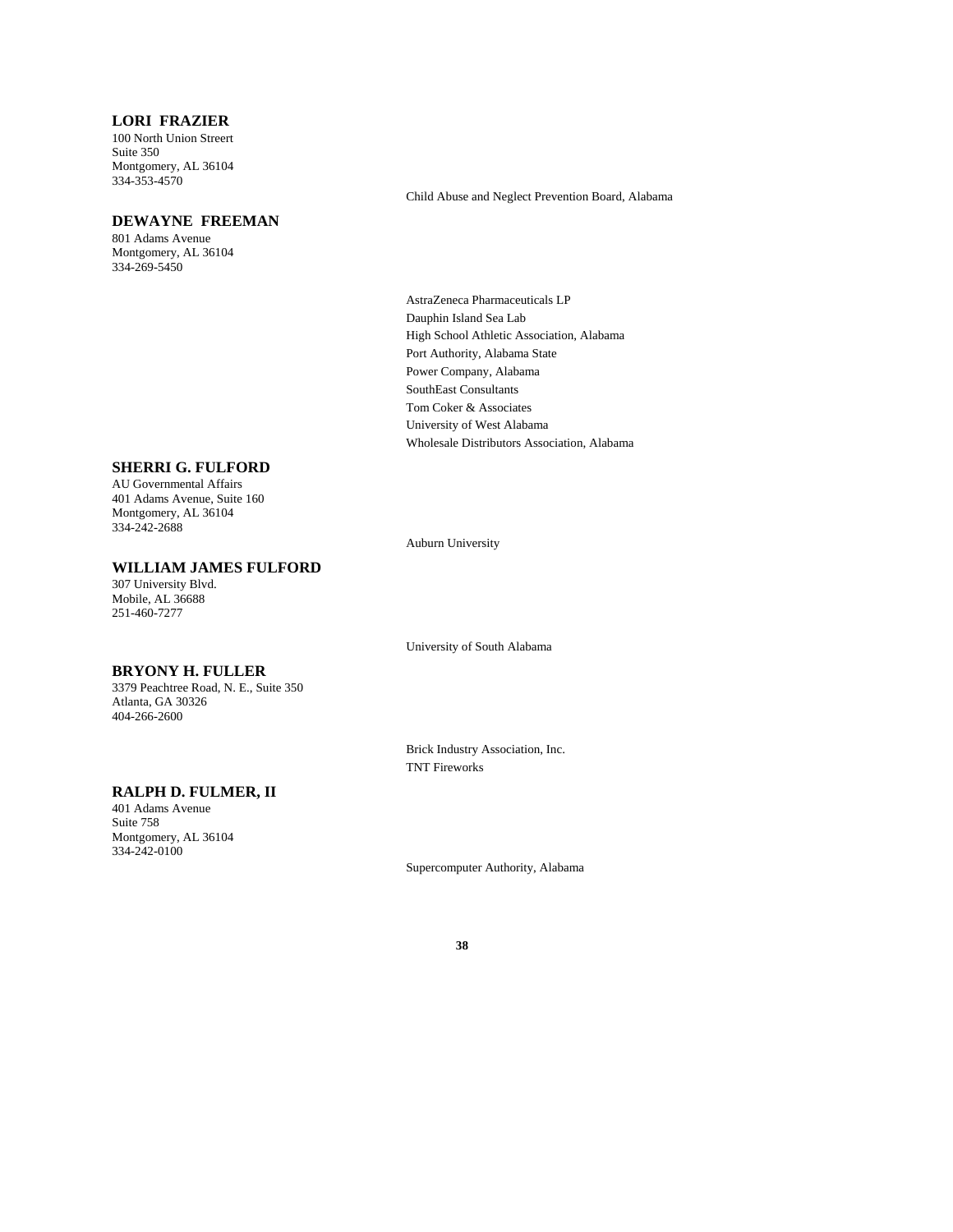# **LORI FRAZIER**

100 North Union Streert Suite 350 Montgomery, AL 36104 334-353-4570

#### **DEWAYNE FREEMAN**

801 Adams Avenue Montgomery, AL 36104 334-269-5450

Child Abuse and Neglect Prevention Board, Alabama

AstraZeneca Pharmaceuticals LP Dauphin Island Sea Lab High School Athletic Association, Alabama Port Authority, Alabama State Power Company, Alabama SouthEast Consultants Tom Coker & Associates University of West Alabama Wholesale Distributors Association, Alabama

## **SHERRI G. FULFORD**

AU Governmental Affairs 401 Adams Avenue, Suite 160 Montgomery, AL 36104 334-242-2688

Auburn University

# **WILLIAM JAMES FULFORD**

307 University Blvd. Mobile, AL 36688 251-460-7277

#### **BRYONY H. FULLER**

3379 Peachtree Road, N. E., Suite 350 Atlanta, GA 30326 404-266-2600

## **RALPH D. FULMER, II**

401 Adams Avenue Suite 758 Montgomery, AL 36104 334-242-0100

University of South Alabama

Brick Industry Association, Inc. TNT Fireworks

Supercomputer Authority, Alabama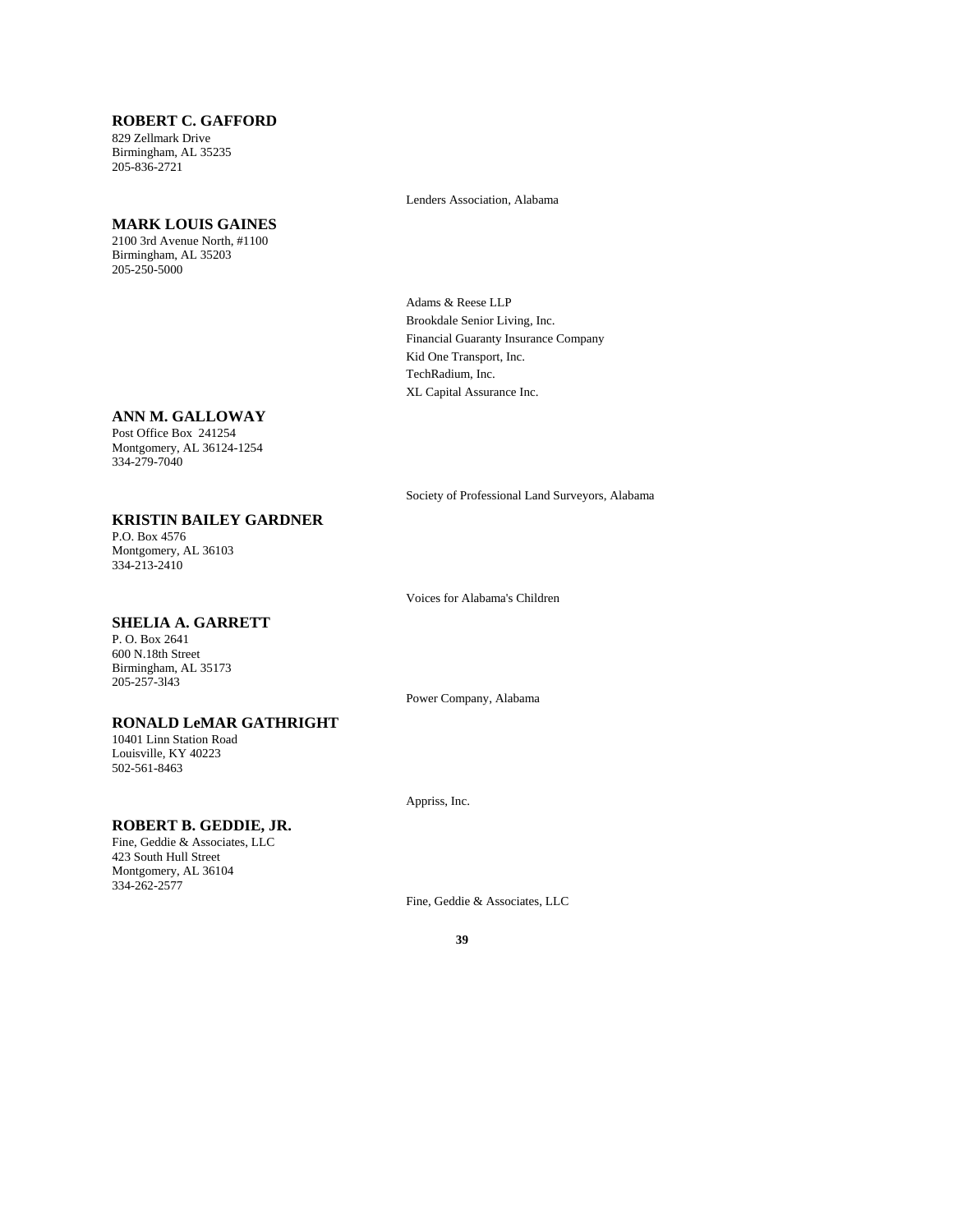## **ROBERT C. GAFFORD**

829 Zellmark Drive Birmingham, AL 35235 205-836-2721

#### **MARK LOUIS GAINES**

2100 3rd Avenue North, #1100 Birmingham, AL 35203 205-250-5000

Lenders Association, Alabama

Adams & Reese LLP Brookdale Senior Living, Inc. Financial Guaranty Insurance Company Kid One Transport, Inc. TechRadium, Inc. XL Capital Assurance Inc.

# **ANN M. GALLOWAY**

Post Office Box 241254 Montgomery, AL 36124-1254 334-279-7040

Society of Professional Land Surveyors, Alabama

#### **SHELIA A. GARRETT**

**KRISTIN BAILEY GARDNER**

P. O. Box 2641 600 N.18th Street Birmingham, AL 35173 205-257-3l43

P.O. Box 4576 Montgomery, AL 36103 334-213-2410

Power Company, Alabama

Voices for Alabama's Children

# **RONALD LeMAR GATHRIGHT**

10401 Linn Station Road Louisville, KY 40223 502-561-8463

Appriss, Inc.

# **ROBERT B. GEDDIE, JR.**

Fine, Geddie & Associates, LLC 423 South Hull Street Montgomery, AL 36104 334-262-2577

Fine, Geddie & Associates, LLC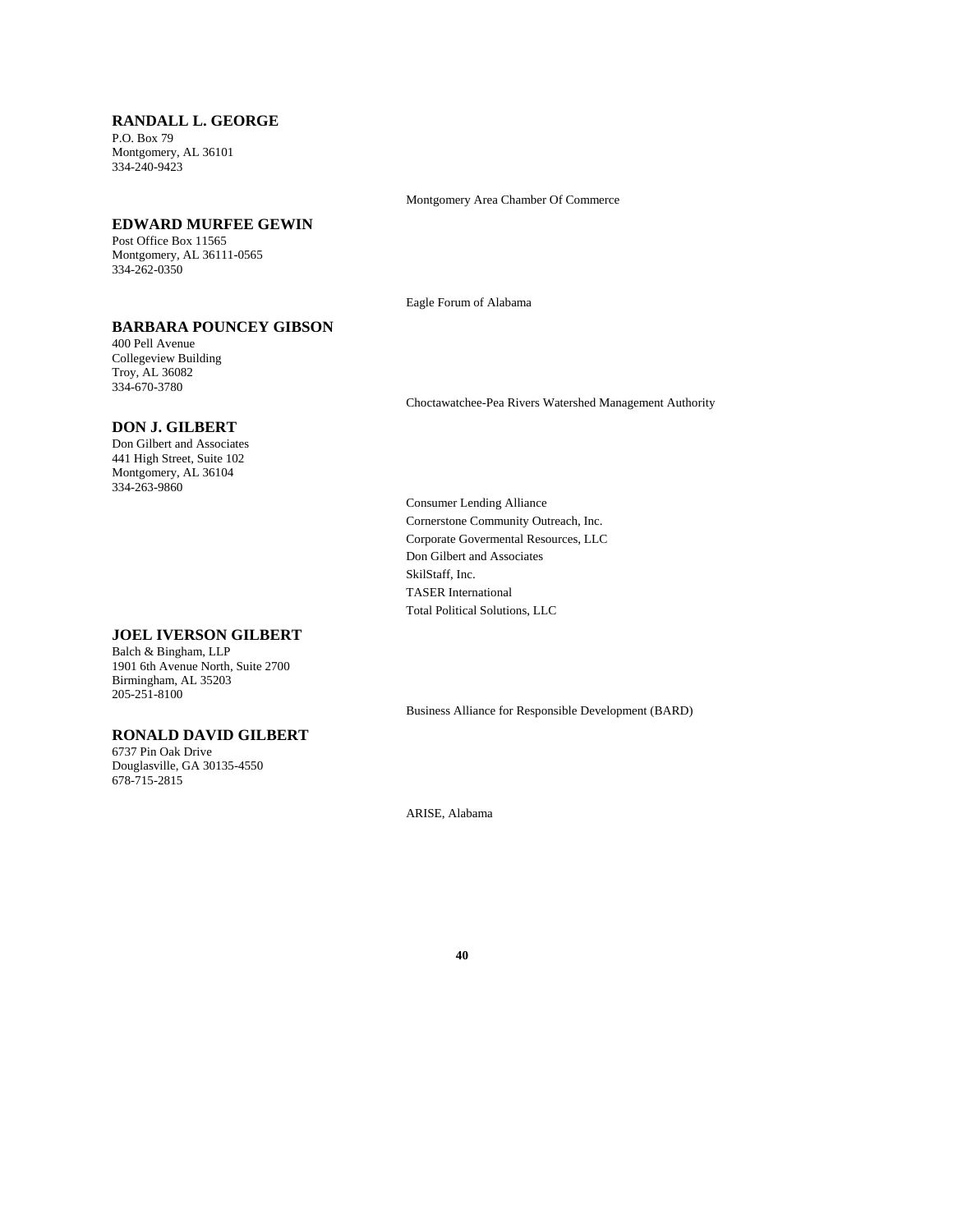# **RANDALL L. GEORGE**

P.O. Box 79 Montgomery, AL 36101 334-240-9423

#### **EDWARD MURFEE GEWIN**

Post Office Box 11565 Montgomery, AL 36111-0565 334-262-0350

Eagle Forum of Alabama

Montgomery Area Chamber Of Commerce

# **BARBARA POUNCEY GIBSON**

400 Pell Avenue Collegeview Building Troy, AL 36082 334-670-3780

#### **DON J. GILBERT**

Don Gilbert and Associates 441 High Street, Suite 102 Montgomery, AL 36104 334-263-9860

#### **JOEL IVERSON GILBERT**

Balch & Bingham, LLP 1901 6th Avenue North, Suite 2700 Birmingham, AL 35203 205-251-8100

#### **RONALD DAVID GILBERT**

6737 Pin Oak Drive Douglasville, GA 30135-4550 678-715-2815

Choctawatchee-Pea Rivers Watershed Management Authority

Consumer Lending Alliance Cornerstone Community Outreach, Inc. Corporate Govermental Resources, LLC Don Gilbert and Associates SkilStaff, Inc. TASER International Total Political Solutions, LLC

Business Alliance for Responsible Development (BARD)

ARISE, Alabama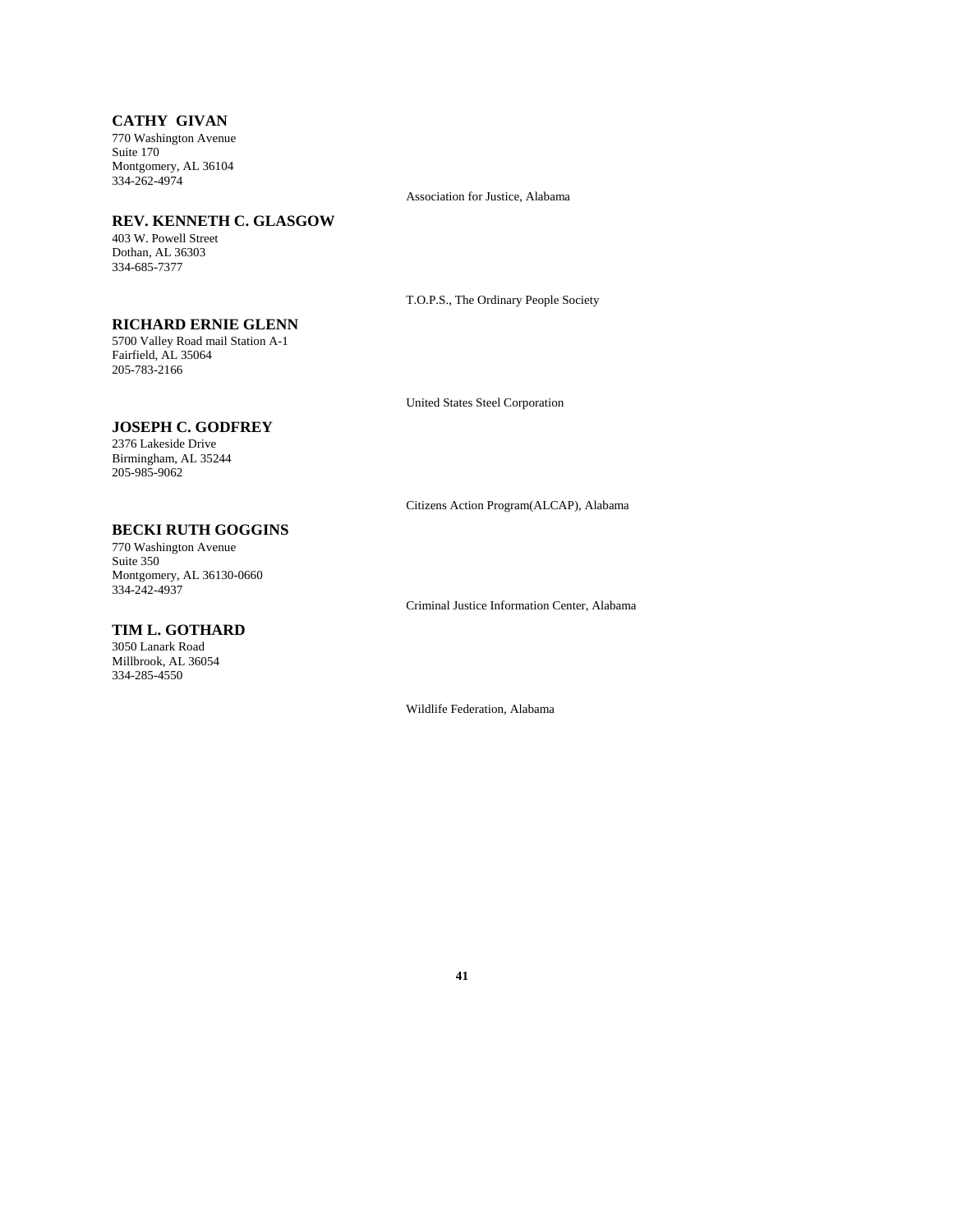# **CATHY GIVAN**

770 Washington Avenue Suite 170 Montgomery, AL 36104 334-262-4974

#### **REV. KENNETH C. GLASGOW**

403 W. Powell Street Dothan, AL 36303 334-685-7377

Fairfield, AL 35064 205-783-2166

T.O.P.S., The Ordinary People Society

United States Steel Corporation

Association for Justice, Alabama

#### **JOSEPH C. GODFREY**

**RICHARD ERNIE GLENN** 5700 Valley Road mail Station A-1

2376 Lakeside Drive Birmingham, AL 35244 205-985-9062

Citizens Action Program(ALCAP), Alabama

# **BECKI RUTH GOGGINS**

770 Washington Avenue Suite 350 Montgomery, AL 36130-0660 334-242-4937

#### **TIM L. GOTHARD**

3050 Lanark Road Millbrook, AL 36054 334-285-4550

Criminal Justice Information Center, Alabama

Wildlife Federation, Alabama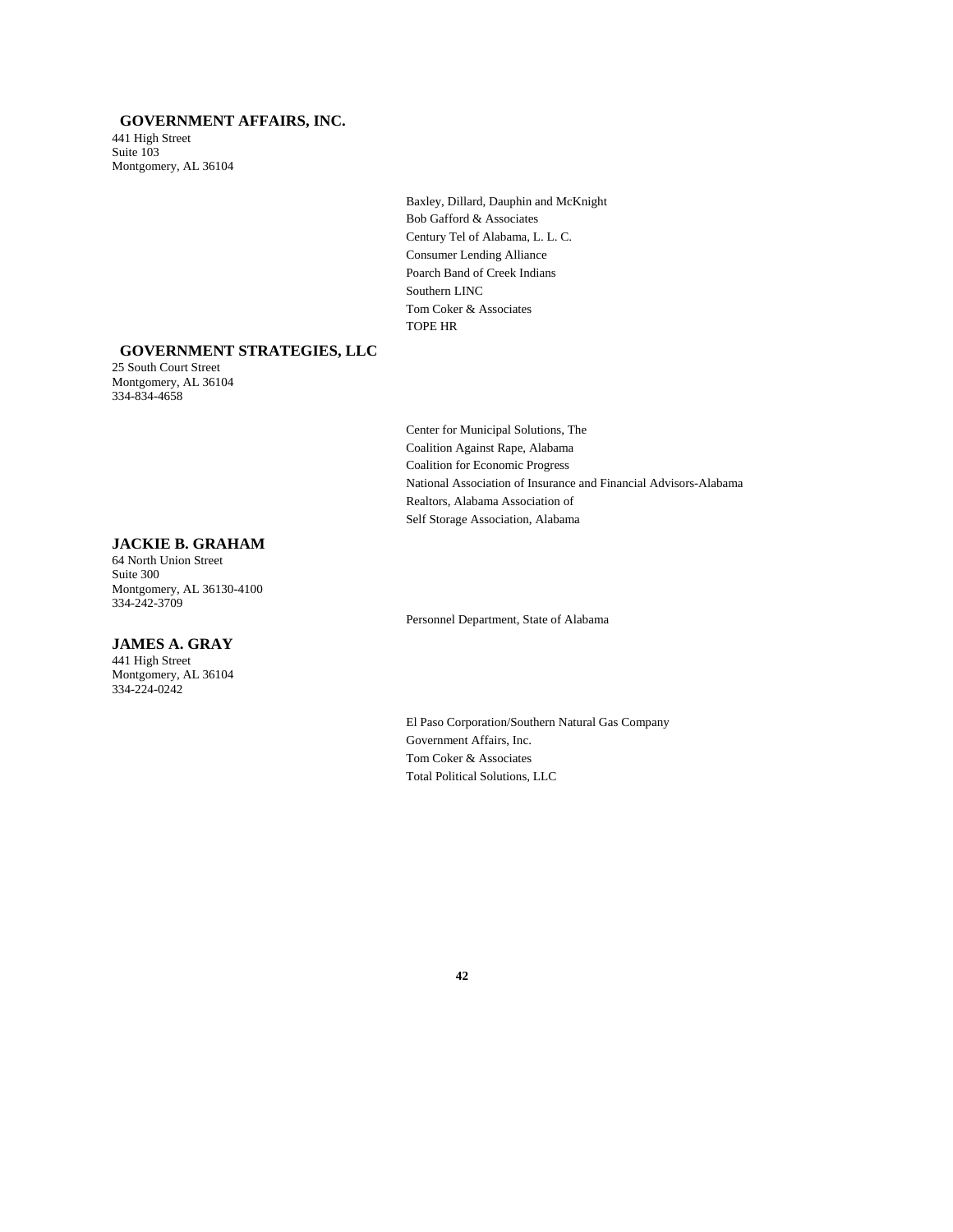# **GOVERNMENT AFFAIRS, INC.**

441 High Street Suite 103 Montgomery, AL 36104

> Baxley, Dillard, Dauphin and McKnight Bob Gafford & Associates Century Tel of Alabama, L. L. C. Consumer Lending Alliance Poarch Band of Creek Indians Southern LINC Tom Coker & Associates TOPE HR

# **GOVERNMENT STRATEGIES, LLC**

25 South Court Street Montgomery, AL 36104 334-834-4658

> Center for Municipal Solutions, The Coalition Against Rape, Alabama Coalition for Economic Progress National Association of Insurance and Financial Advisors-Alabama Realtors, Alabama Association of Self Storage Association, Alabama

## **JACKIE B. GRAHAM**

64 North Union Street Suite 300 Montgomery, AL 36130-4100 334-242-3709

## **JAMES A. GRAY**

441 High Street Montgomery, AL 36104 334-224-0242

Personnel Department, State of Alabama

El Paso Corporation/Southern Natural Gas Company Government Affairs, Inc. Tom Coker & Associates Total Political Solutions, LLC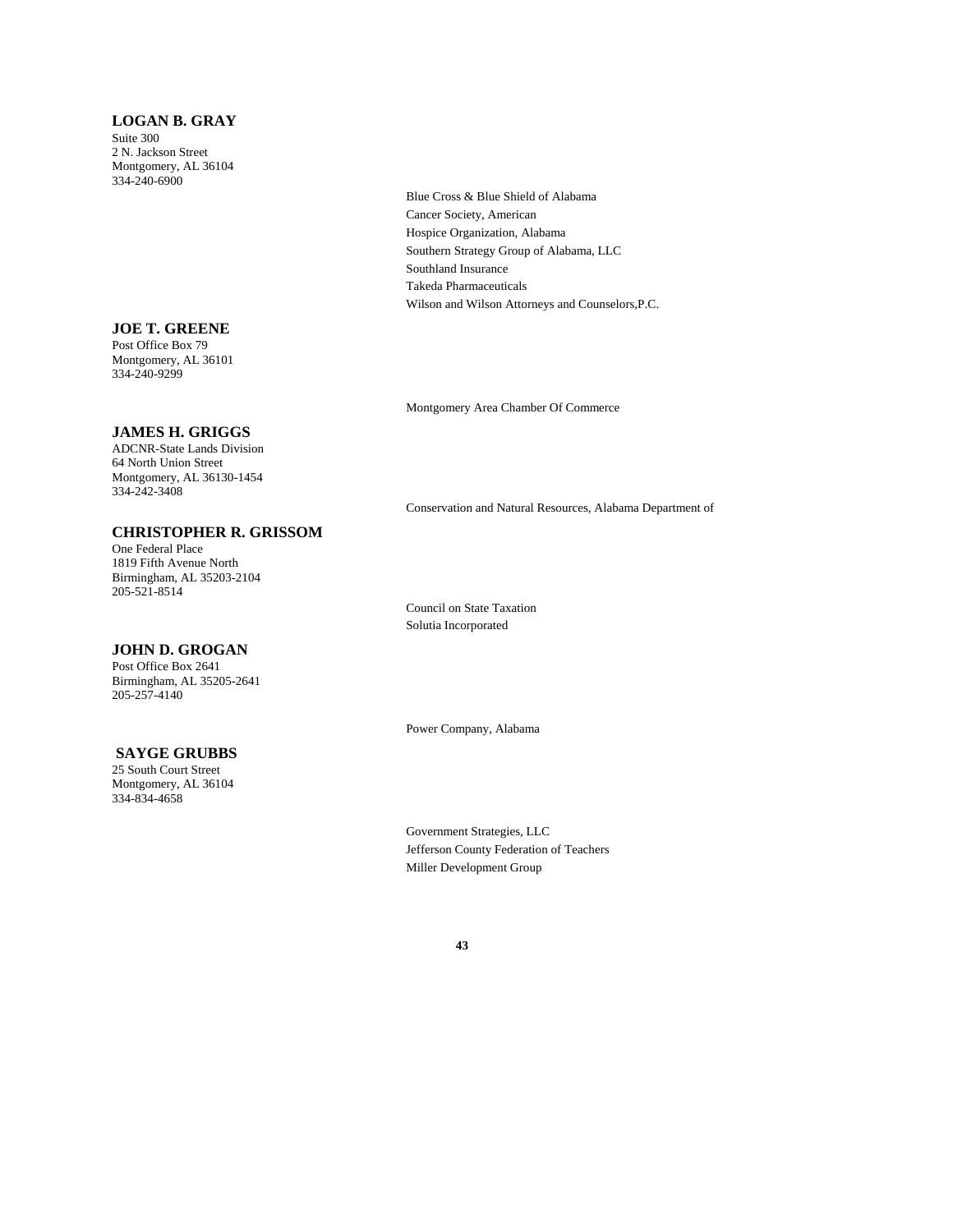# **LOGAN B. GRAY**

Suite 300 2 N. Jackson Street Montgomery, AL 36104 334-240-6900

#### **JOE T. GREENE**

Post Office Box 79 Montgomery, AL 36101 334-240-9299

#### **JAMES H. GRIGGS**

ADCNR-State Lands Division 64 North Union Street Montgomery, AL 36130-1454 334-242-3408

# **CHRISTOPHER R. GRISSOM**

One Federal Place 1819 Fifth Avenue North Birmingham, AL 35203-2104 205-521-8514

# **JOHN D. GROGAN**

Post Office Box 2641 Birmingham, AL 35205-2641 205-257-4140

## **SAYGE GRUBBS**

25 South Court Street Montgomery, AL 36104 334-834-4658

Blue Cross & Blue Shield of Alabama Cancer Society, American Hospice Organization, Alabama Southern Strategy Group of Alabama, LLC Southland Insurance Takeda Pharmaceuticals Wilson and Wilson Attorneys and Counselors,P.C.

Montgomery Area Chamber Of Commerce

Conservation and Natural Resources, Alabama Department of

Council on State Taxation Solutia Incorporated

Power Company, Alabama

Government Strategies, LLC Jefferson County Federation of Teachers Miller Development Group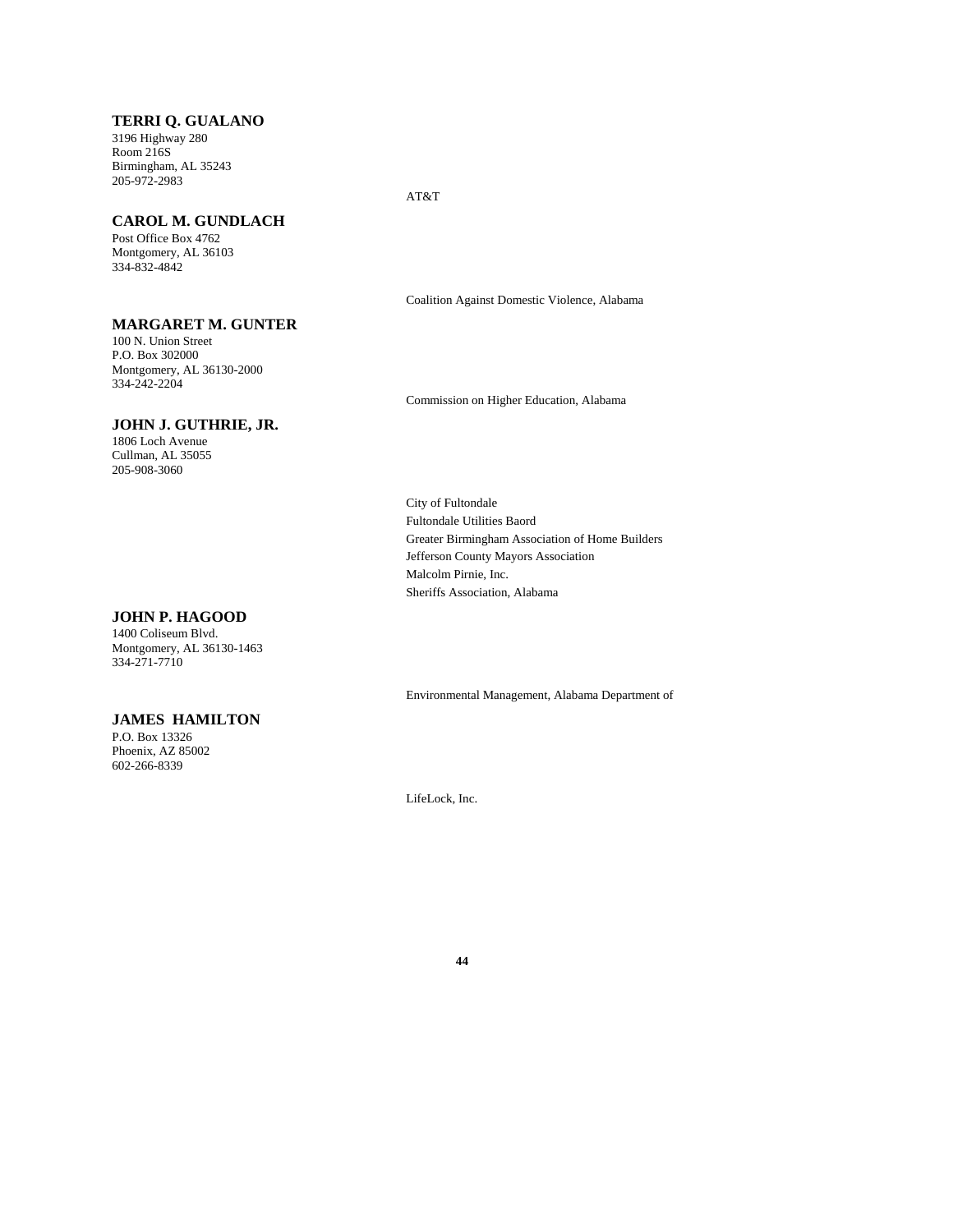#### **TERRI Q. GUALANO**

3196 Highway 280 Room 216S Birmingham, AL 35243 205-972-2983

AT&T

#### **CAROL M. GUNDLACH**

Post Office Box 4762 Montgomery, AL 36103 334-832-4842

#### **MARGARET M. GUNTER**

100 N. Union Street P.O. Box 302000 Montgomery, AL 36130-2000 334-242-2204

#### **JOHN J. GUTHRIE, JR.**

1806 Loch Avenue Cullman, AL 35055 205-908-3060

## **JOHN P. HAGOOD**

1400 Coliseum Blvd. Montgomery, AL 36130-1463 334-271-7710

# **JAMES HAMILTON**

P.O. Box 13326 Phoenix, AZ 85002 602-266-8339

Coalition Against Domestic Violence, Alabama

Commission on Higher Education, Alabama

City of Fultondale Fultondale Utilities Baord Greater Birmingham Association of Home Builders Jefferson County Mayors Association Malcolm Pirnie, Inc. Sheriffs Association, Alabama

Environmental Management, Alabama Department of

LifeLock, Inc.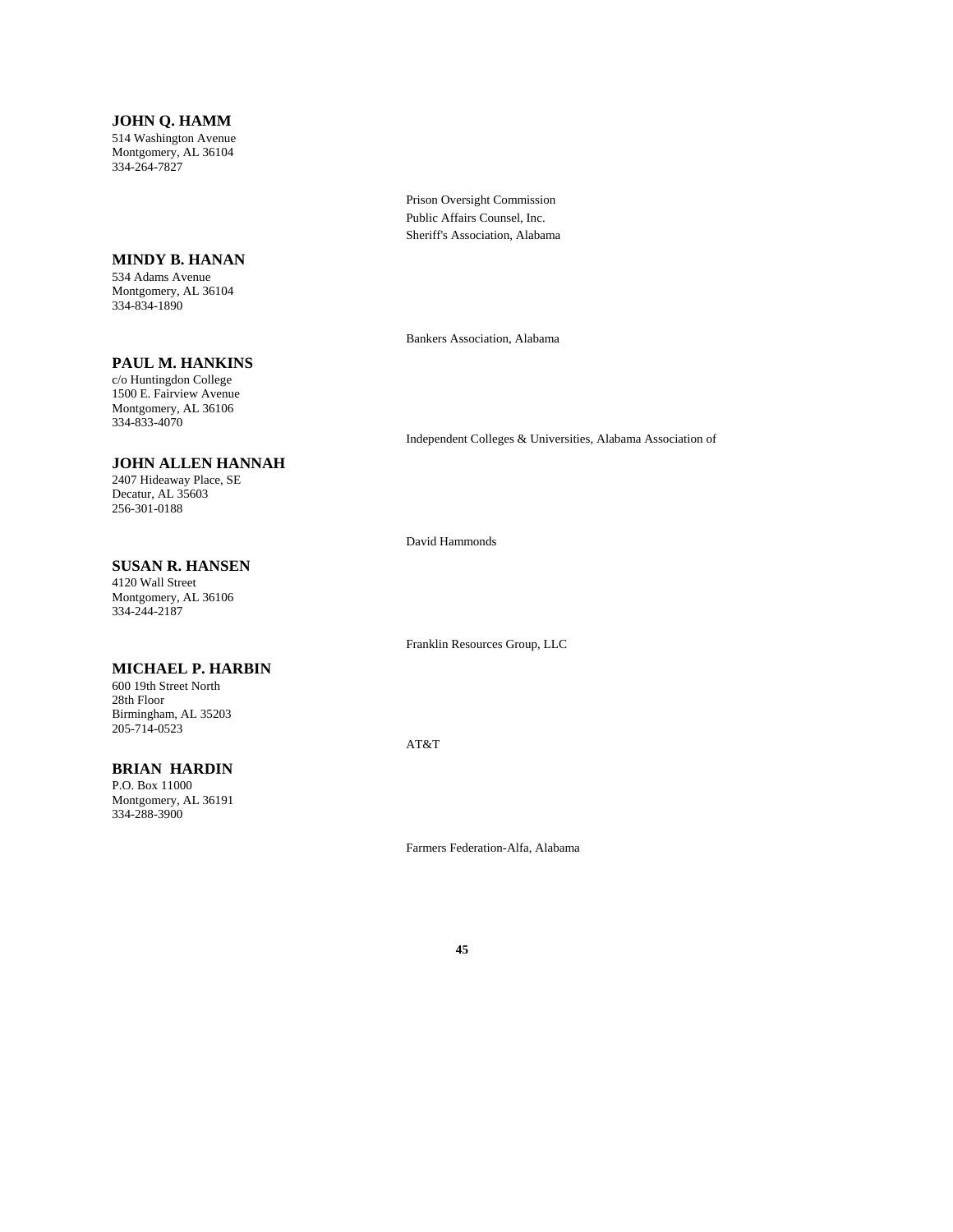## **JOHN Q. HAMM**

514 Washington Avenue Montgomery, AL 36104 334-264-7827

#### **MINDY B. HANAN**

534 Adams Avenue Montgomery, AL 36104 334-834-1890

# **PAUL M. HANKINS**

c/o Huntingdon College 1500 E. Fairview Avenue Montgomery, AL 36106 334-833-4070

# **JOHN ALLEN HANNAH**

2407 Hideaway Place, SE Decatur, AL 35603 256-301-0188

# **SUSAN R. HANSEN**

4120 Wall Street Montgomery, AL 36106 334-244-2187

#### **MICHAEL P. HARBIN**

600 19th Street North 28th Floor Birmingham, AL 35203 205-714-0523

#### **BRIAN HARDIN**

P.O. Box 11000 Montgomery, AL 36191 334-288-3900

Prison Oversight Commission Public Affairs Counsel, Inc. Sheriff's Association, Alabama

Bankers Association, Alabama

Independent Colleges & Universities, Alabama Association of

David Hammonds

Franklin Resources Group, LLC

AT&T

Farmers Federation-Alfa, Alabama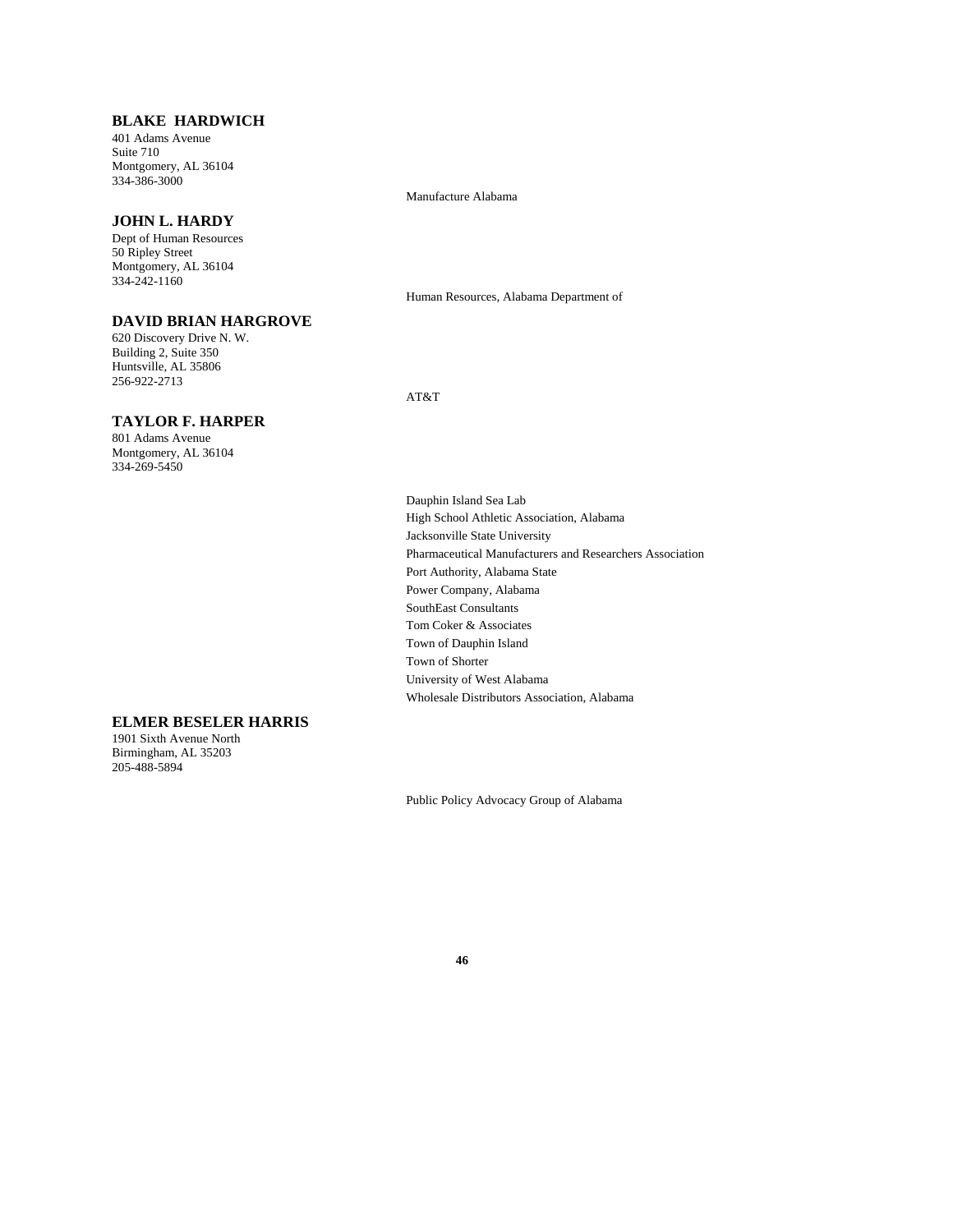# **BLAKE HARDWICH**

401 Adams Avenue Suite 710 Montgomery, AL 36104 334-386-3000

#### **JOHN L. HARDY**

Dept of Human Resources 50 Ripley Street Montgomery, AL 36104 334-242-1160

## **DAVID BRIAN HARGROVE**

**ELMER BESELER HARRIS**

1901 Sixth Avenue North Birmingham, AL 35203 205-488-5894

620 Discovery Drive N. W. Building 2, Suite 350 Huntsville, AL 35806 256-922-2713

#### **TAYLOR F. HARPER**

801 Adams Avenue Montgomery, AL 36104 334-269-5450

Manufacture Alabama

Human Resources, Alabama Department of

AT&T

Dauphin Island Sea Lab High School Athletic Association, Alabama Jacksonville State University Pharmaceutical Manufacturers and Researchers Association Port Authority, Alabama State Power Company, Alabama SouthEast Consultants Tom Coker & Associates Town of Dauphin Island Town of Shorter University of West Alabama Wholesale Distributors Association, Alabama

Public Policy Advocacy Group of Alabama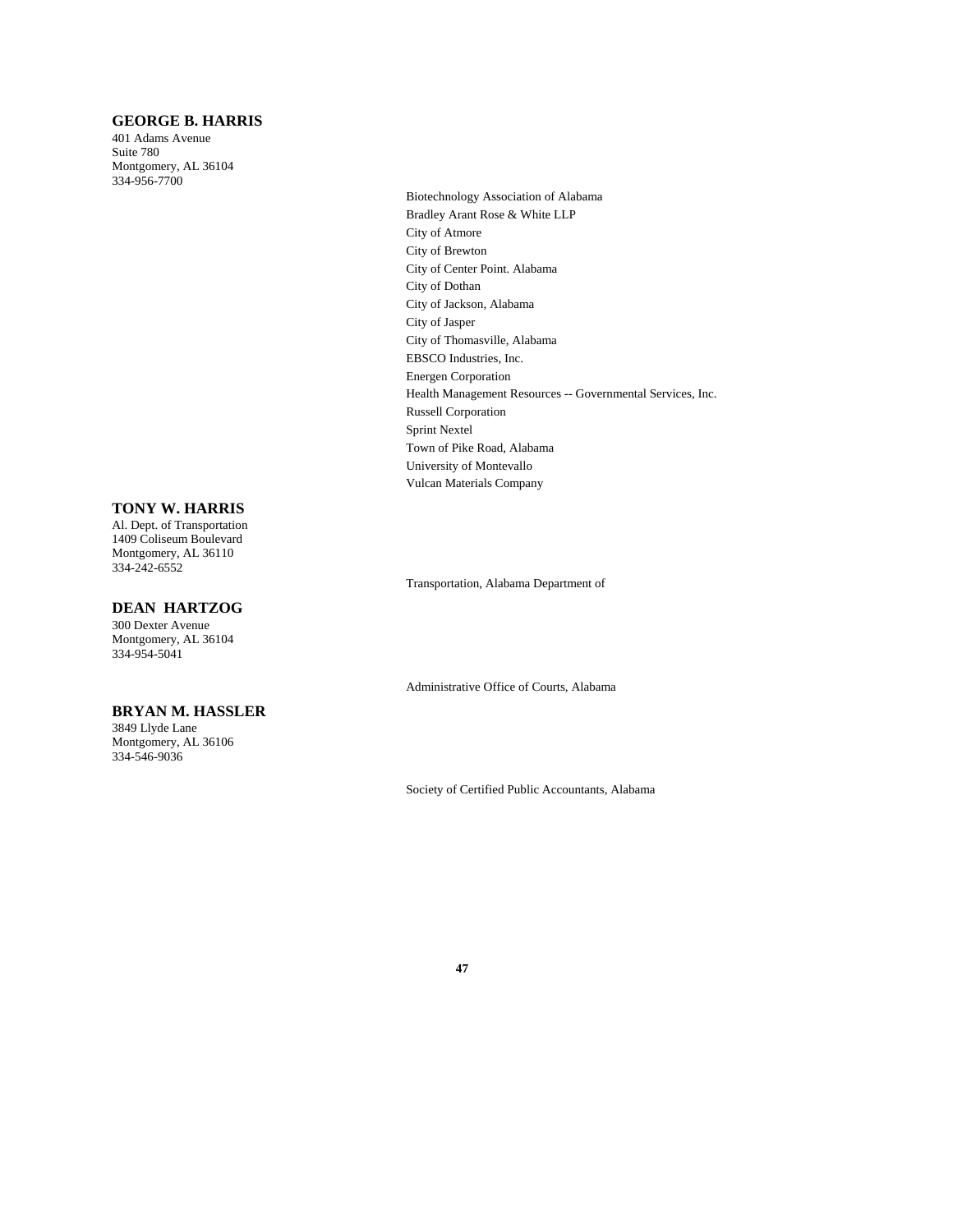# **GEORGE B. HARRIS**

401 Adams Avenue Suite 780 Montgomery, AL 36104 334-956-7700

# **TONY W. HARRIS**

Al. Dept. of Transportation 1409 Coliseum Boulevard Montgomery, AL 36110 334-242-6552

#### **DEAN HARTZOG**

300 Dexter Avenue Montgomery, AL 36104 334-954-5041

#### **BRYAN M. HASSLER**

3849 Llyde Lane Montgomery, AL 36106 334-546-9036

Biotechnology Association of Alabama Bradley Arant Rose & White LLP City of Atmore City of Brewton City of Center Point. Alabama City of Dothan City of Jackson, Alabama City of Jasper City of Thomasville, Alabama EBSCO Industries, Inc. Energen Corporation Health Management Resources -- Governmental Services, Inc. Russell Corporation Sprint Nextel Town of Pike Road, Alabama University of Montevallo Vulcan Materials Company

Transportation, Alabama Department of

Administrative Office of Courts, Alabama

Society of Certified Public Accountants, Alabama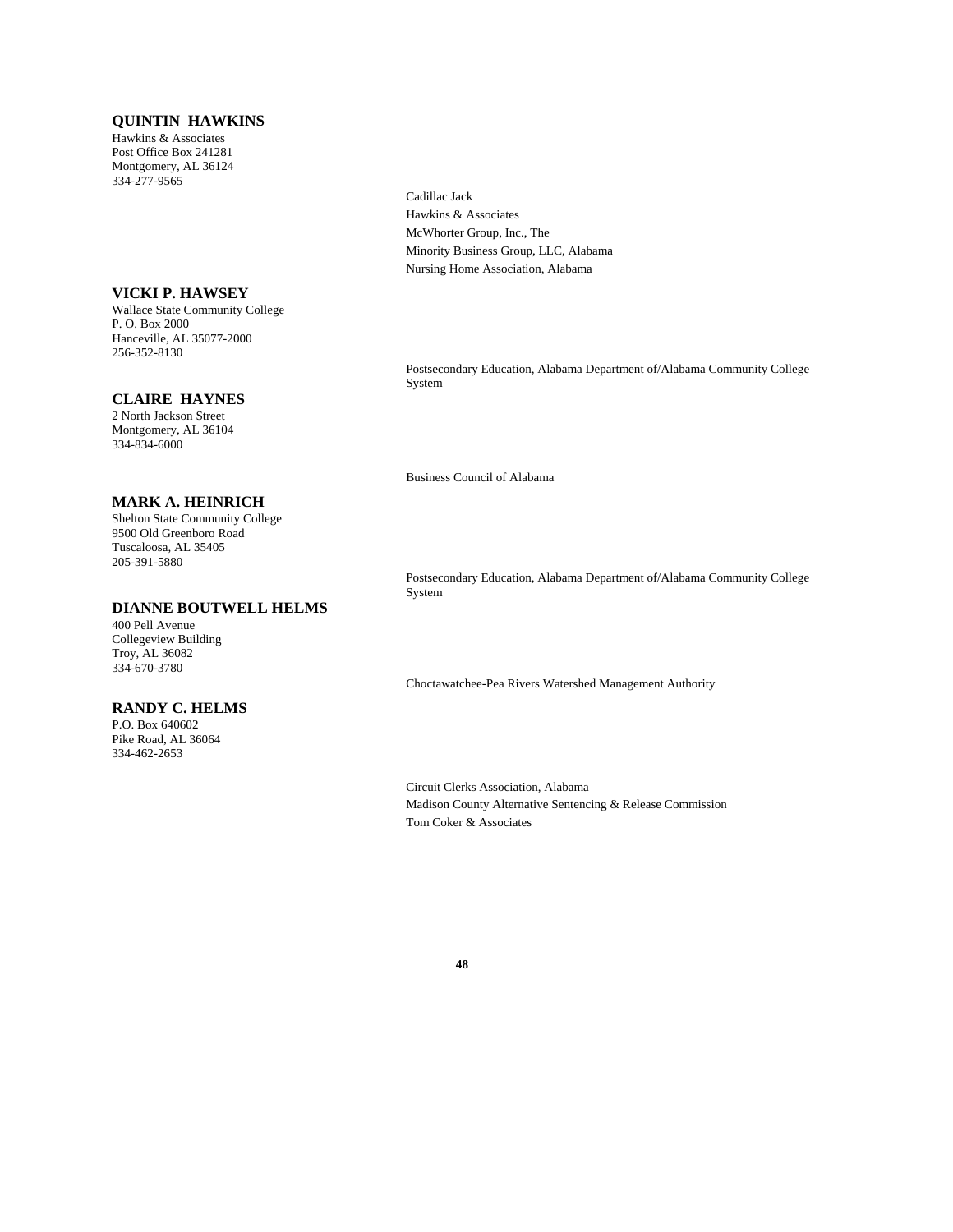# **QUINTIN HAWKINS**

Hawkins & Associates Post Office Box 241281 Montgomery, AL 36124 334-277-9565

#### **VICKI P. HAWSEY**

Wallace State Community College P. O. Box 2000 Hanceville, AL 35077-2000 256-352-8130

#### **CLAIRE HAYNES**

2 North Jackson Street Montgomery, AL 36104 334-834-6000

#### **MARK A. HEINRICH**

Shelton State Community College 9500 Old Greenboro Road Tuscaloosa, AL 35405 205-391-5880

#### **DIANNE BOUTWELL HELMS**

400 Pell Avenue Collegeview Building Troy, AL 36082 334-670-3780

#### **RANDY C. HELMS**

P.O. Box 640602 Pike Road, AL 36064 334-462-2653

Cadillac Jack Hawkins & Associates McWhorter Group, Inc., The Minority Business Group, LLC, Alabama Nursing Home Association, Alabama

Postsecondary Education, Alabama Department of/Alabama Community College System

Business Council of Alabama

Postsecondary Education, Alabama Department of/Alabama Community College System

Choctawatchee-Pea Rivers Watershed Management Authority

Circuit Clerks Association, Alabama Madison County Alternative Sentencing & Release Commission Tom Coker & Associates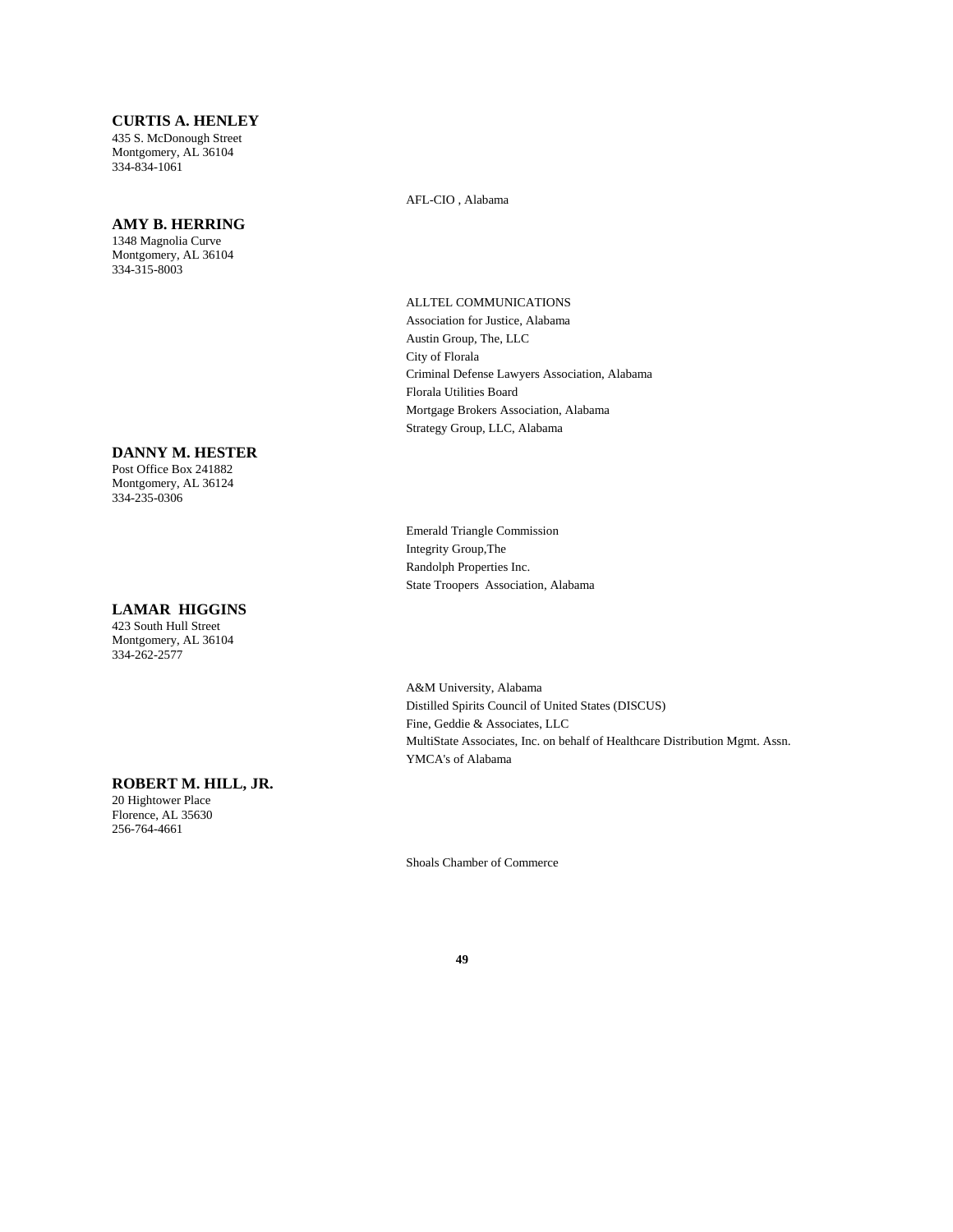#### **CURTIS A. HENLEY**

435 S. McDonough Street Montgomery, AL 36104 334-834-1061

#### **AMY B. HERRING**

1348 Magnolia Curve Montgomery, AL 36104 334-315-8003

#### **DANNY M. HESTER**

Post Office Box 241882 Montgomery, AL 36124 334-235-0306

## **LAMAR HIGGINS**

423 South Hull Street Montgomery, AL 36104 334-262-2577

AFL-CIO , Alabama

ALLTEL COMMUNICATIONS Association for Justice, Alabama Austin Group, The, LLC City of Florala Criminal Defense Lawyers Association, Alabama Florala Utilities Board Mortgage Brokers Association, Alabama Strategy Group, LLC, Alabama

Emerald Triangle Commission Integrity Group,The Randolph Properties Inc. State Troopers Association, Alabama

A&M University, Alabama Distilled Spirits Council of United States (DISCUS) Fine, Geddie & Associates, LLC MultiState Associates, Inc. on behalf of Healthcare Distribution Mgmt. Assn. YMCA's of Alabama

# **ROBERT M. HILL, JR.**

20 Hightower Place Florence, AL 35630 256-764-4661

Shoals Chamber of Commerce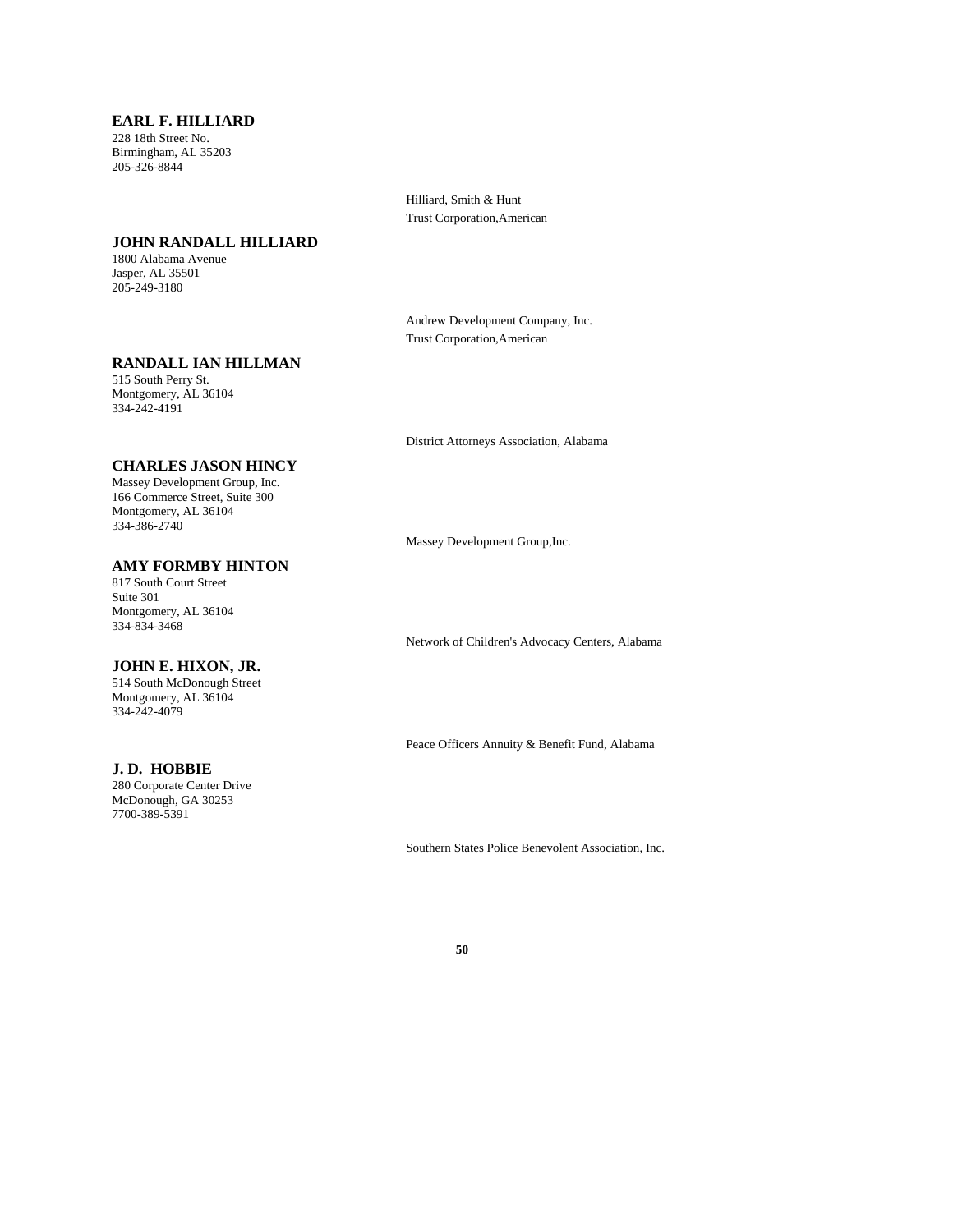## **EARL F. HILLIARD**

228 18th Street No. Birmingham, AL 35203 205-326-8844

> Hilliard, Smith & Hunt Trust Corporation,American

# **JOHN RANDALL HILLIARD**

1800 Alabama Avenue Jasper, AL 35501 205-249-3180

## **RANDALL IAN HILLMAN**

515 South Perry St. Montgomery, AL 36104 334-242-4191

District Attorneys Association, Alabama

Andrew Development Company, Inc. Trust Corporation,American

# **CHARLES JASON HINCY**

Massey Development Group, Inc. 166 Commerce Street, Suite 300 Montgomery, AL 36104 334-386-2740

# **AMY FORMBY HINTON**

817 South Court Street Suite 301 Montgomery, AL 36104 334-834-3468

# **JOHN E. HIXON, JR.**

514 South McDonough Street Montgomery, AL 36104 334-242-4079

# **J. D. HOBBIE**

280 Corporate Center Drive McDonough, GA 30253 7700-389-5391

Massey Development Group,Inc.

Network of Children's Advocacy Centers, Alabama

Peace Officers Annuity & Benefit Fund, Alabama

Southern States Police Benevolent Association, Inc.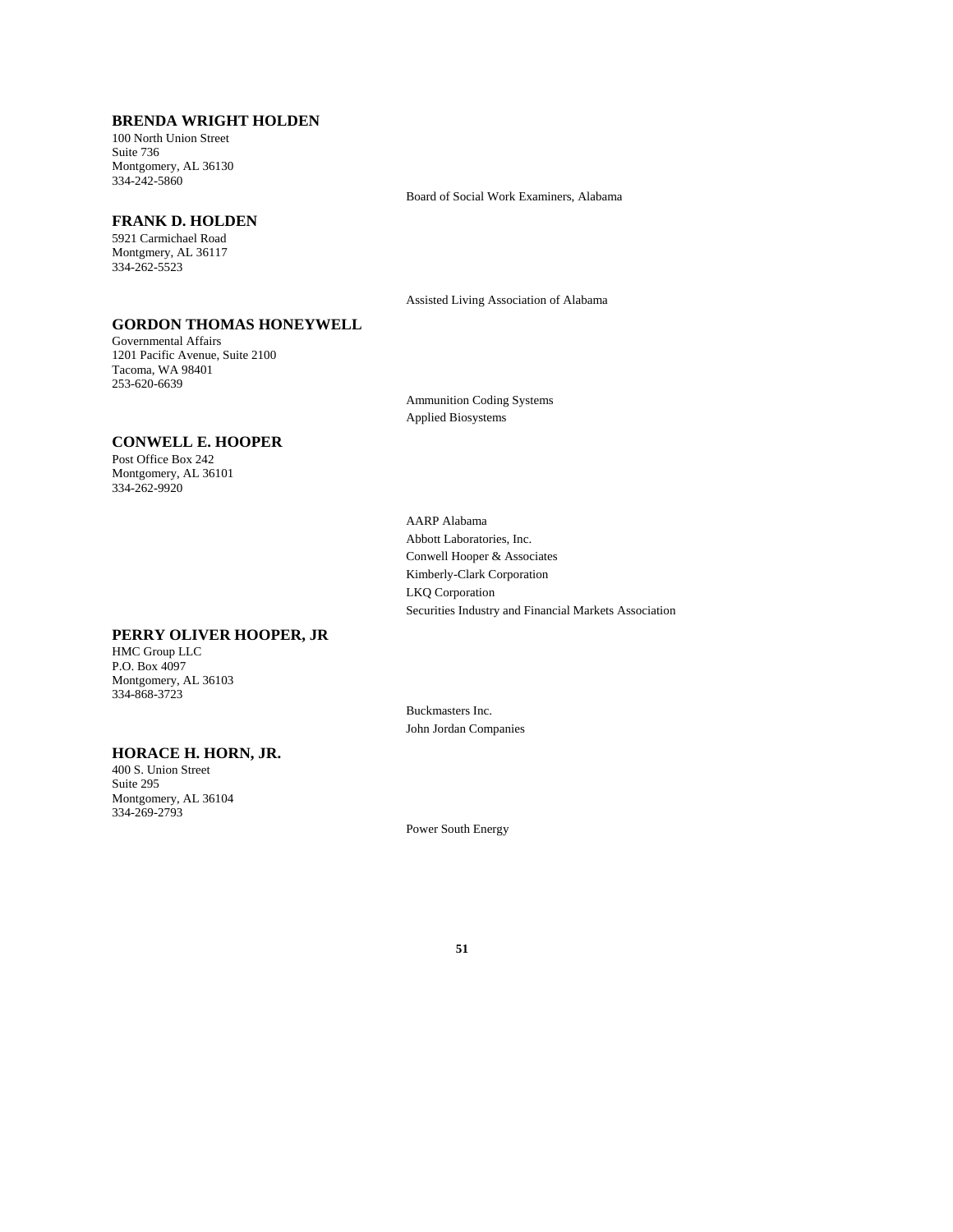# **BRENDA WRIGHT HOLDEN**

100 North Union Street Suite 736 Montgomery, AL 36130 334-242-5860

#### **FRANK D. HOLDEN**

5921 Carmichael Road Montgmery, AL 36117 334-262-5523

Board of Social Work Examiners, Alabama

Assisted Living Association of Alabama

# **GORDON THOMAS HONEYWELL**

Governmental Affairs 1201 Pacific Avenue, Suite 2100 Tacoma, WA 98401 253-620-6639

Ammunition Coding Systems Applied Biosystems

AARP Alabama Abbott Laboratories, Inc. Conwell Hooper & Associates Kimberly-Clark Corporation

LKQ Corporation

Securities Industry and Financial Markets Association

## **CONWELL E. HOOPER**

Post Office Box 242 Montgomery, AL 36101 334-262-9920

**PERRY OLIVER HOOPER, JR**

HMC Group LLC P.O. Box 4097 Montgomery, AL 36103 334-868-3723

> Buckmasters Inc. John Jordan Companies

# **HORACE H. HORN, JR.**

400 S. Union Street Suite 295 Montgomery, AL 36104 334-269-2793

Power South Energy

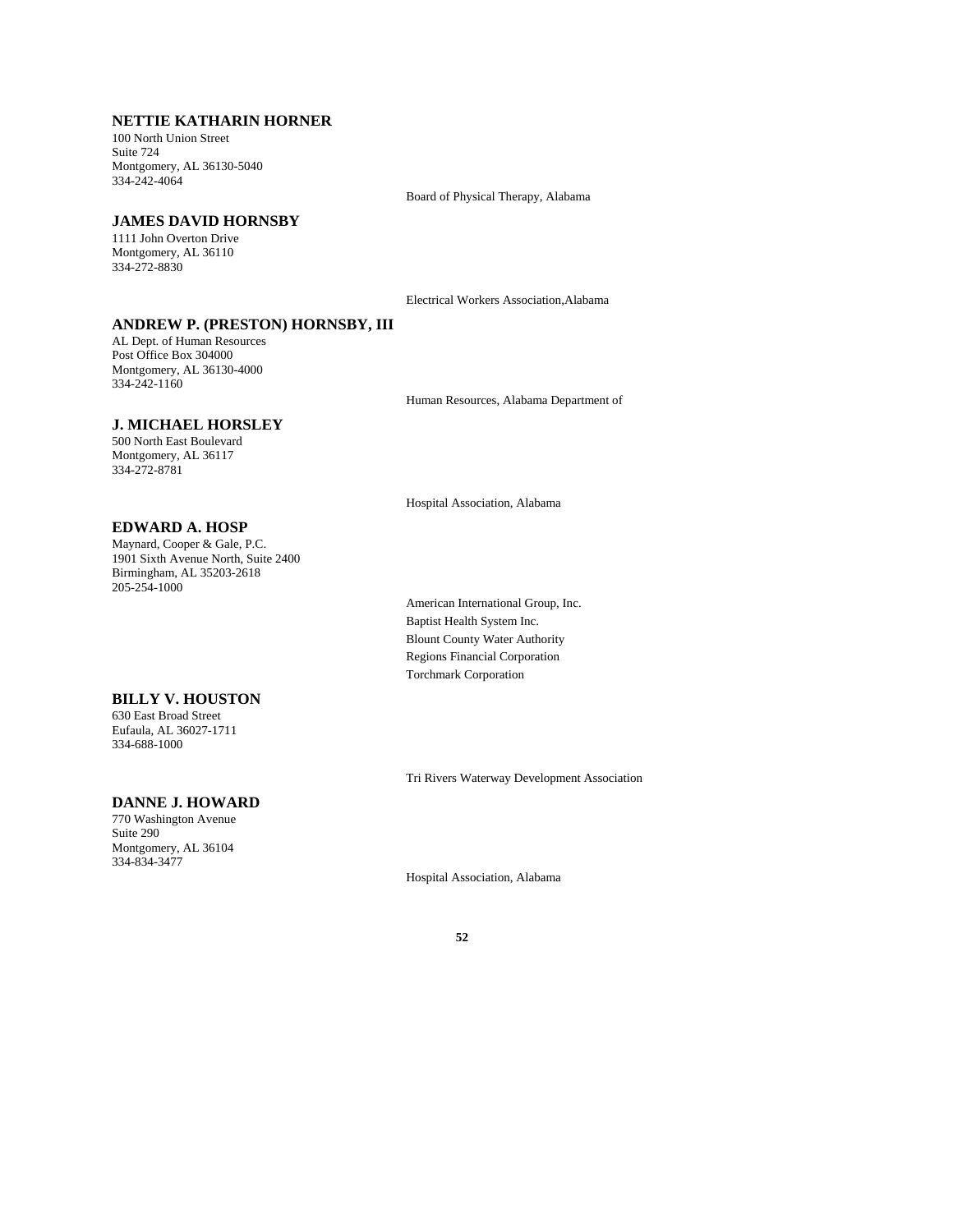# **NETTIE KATHARIN HORNER**

100 North Union Street Suite 724 Montgomery, AL 36130-5040 334-242-4064

**JAMES DAVID HORNSBY**

1111 John Overton Drive Montgomery, AL 36110 334-272-8830

Electrical Workers Association,Alabama

Board of Physical Therapy, Alabama

# **ANDREW P. (PRESTON) HORNSBY, III**

AL Dept. of Human Resources Post Office Box 304000 Montgomery, AL 36130-4000 334-242-1160

Human Resources, Alabama Department of

# **J. MICHAEL HORSLEY**

500 North East Boulevard Montgomery, AL 36117 334-272-8781

Hospital Association, Alabama

# **EDWARD A. HOSP**

Maynard, Cooper & Gale, P.C. 1901 Sixth Avenue North, Suite 2400 Birmingham, AL 35203-2618 205-254-1000

**BILLY V. HOUSTON**

630 East Broad Street Eufaula, AL 36027-1711 334-688-1000

#### **DANNE J. HOWARD**

770 Washington Avenue Suite 290 Montgomery, AL 36104 334-834-3477

American International Group, Inc. Baptist Health System Inc. Blount County Water Authority Regions Financial Corporation Torchmark Corporation

Tri Rivers Waterway Development Association

Hospital Association, Alabama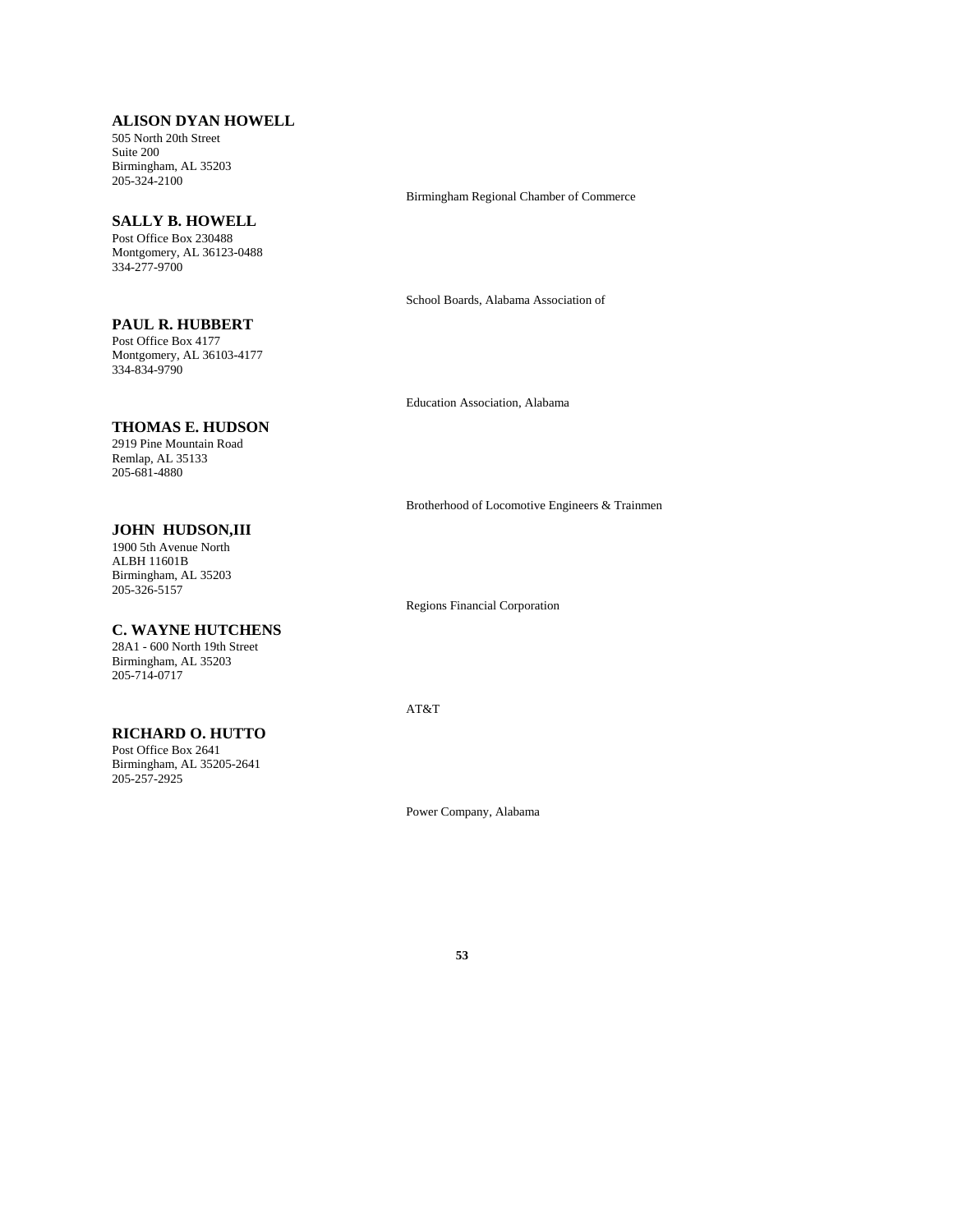## **ALISON DYAN HOWELL**

505 North 20th Street Suite 200 Birmingham, AL 35203 205-324-2100

#### **SALLY B. HOWELL**

Post Office Box 230488 Montgomery, AL 36123-0488 334-277-9700

# **PAUL R. HUBBERT**

Post Office Box 4177 Montgomery, AL 36103-4177 334-834-9790

Birmingham Regional Chamber of Commerce

School Boards, Alabama Association of

Education Association, Alabama

# **THOMAS E. HUDSON**

2919 Pine Mountain Road Remlap, AL 35133 205-681-4880

**JOHN HUDSON,III** 1900 5th Avenue North ALBH 11601B Birmingham, AL 35203 205-326-5157

Brotherhood of Locomotive Engineers & Trainmen

Regions Financial Corporation

**C. WAYNE HUTCHENS** 28A1 - 600 North 19th Street Birmingham, AL 35203 205-714-0717

## **RICHARD O. HUTTO**

Post Office Box 2641 Birmingham, AL 35205-2641 205-257-2925

AT&T

Power Company, Alabama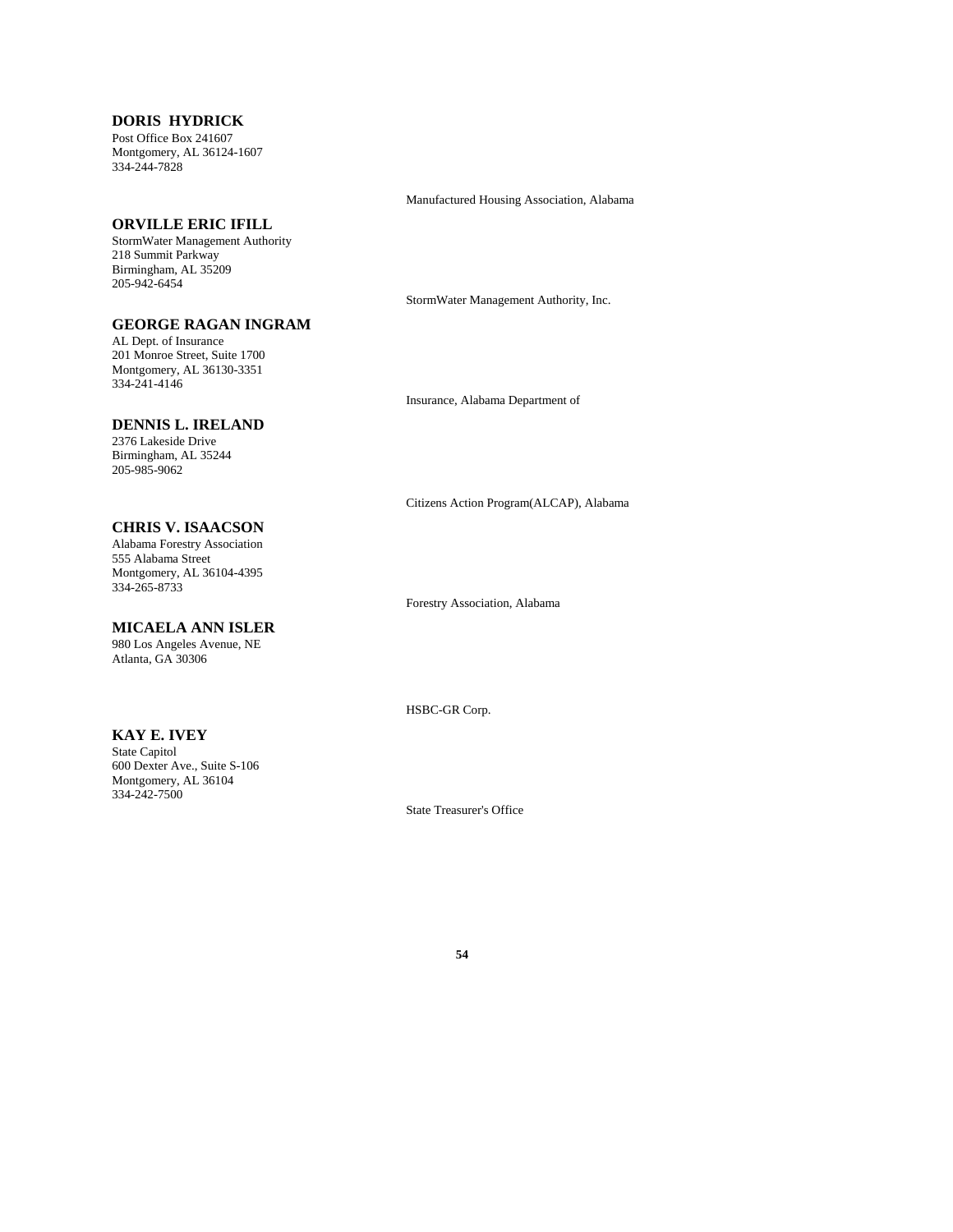# **DORIS HYDRICK**

Post Office Box 241607 Montgomery, AL 36124-1607 334-244-7828

#### **ORVILLE ERIC IFILL**

StormWater Management Authority 218 Summit Parkway Birmingham, AL 35209 205-942-6454

## **GEORGE RAGAN INGRAM**

AL Dept. of Insurance 201 Monroe Street, Suite 1700 Montgomery, AL 36130-3351 334-241-4146

#### **DENNIS L. IRELAND**

2376 Lakeside Drive Birmingham, AL 35244 205-985-9062

# **CHRIS V. ISAACSON**

Alabama Forestry Association 555 Alabama Street Montgomery, AL 36104-4395 334-265-8733

**MICAELA ANN ISLER** 980 Los Angeles Avenue, NE Atlanta, GA 30306

#### **KAY E. IVEY**

State Capitol 600 Dexter Ave., Suite S-106 Montgomery, AL 36104 334-242-7500

Manufactured Housing Association, Alabama

StormWater Management Authority, Inc.

Insurance, Alabama Department of

Citizens Action Program(ALCAP), Alabama

Forestry Association, Alabama

HSBC-GR Corp.

State Treasurer's Office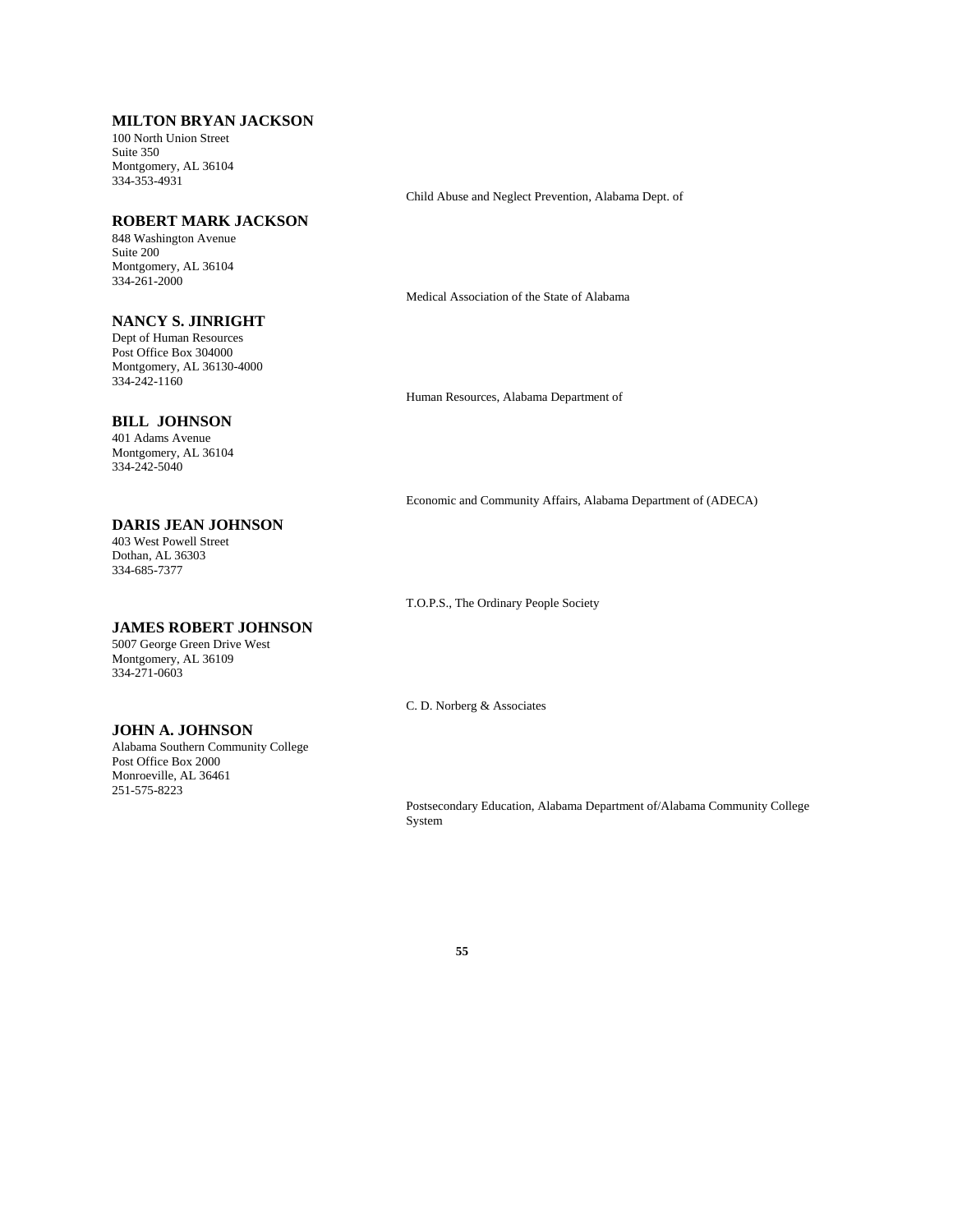# **MILTON BRYAN JACKSON**

100 North Union Street Suite 350 Montgomery, AL 36104 334-353-4931

#### **ROBERT MARK JACKSON**

848 Washington Avenue Suite 200 Montgomery, AL 36104 334-261-2000

#### **NANCY S. JINRIGHT**

Dept of Human Resources Post Office Box 304000 Montgomery, AL 36130-4000 334-242-1160

#### **BILL JOHNSON**

401 Adams Avenue Montgomery, AL 36104 334-242-5040

### **DARIS JEAN JOHNSON**

403 West Powell Street Dothan, AL 36303 334-685-7377

#### **JAMES ROBERT JOHNSON**

5007 George Green Drive West Montgomery, AL 36109 334-271-0603

#### **JOHN A. JOHNSON**

Alabama Southern Community College Post Office Box 2000 Monroeville, AL 36461 251-575-8223

Child Abuse and Neglect Prevention, Alabama Dept. of

Medical Association of the State of Alabama

Human Resources, Alabama Department of

Economic and Community Affairs, Alabama Department of (ADECA)

T.O.P.S., The Ordinary People Society

C. D. Norberg & Associates

Postsecondary Education, Alabama Department of/Alabama Community College System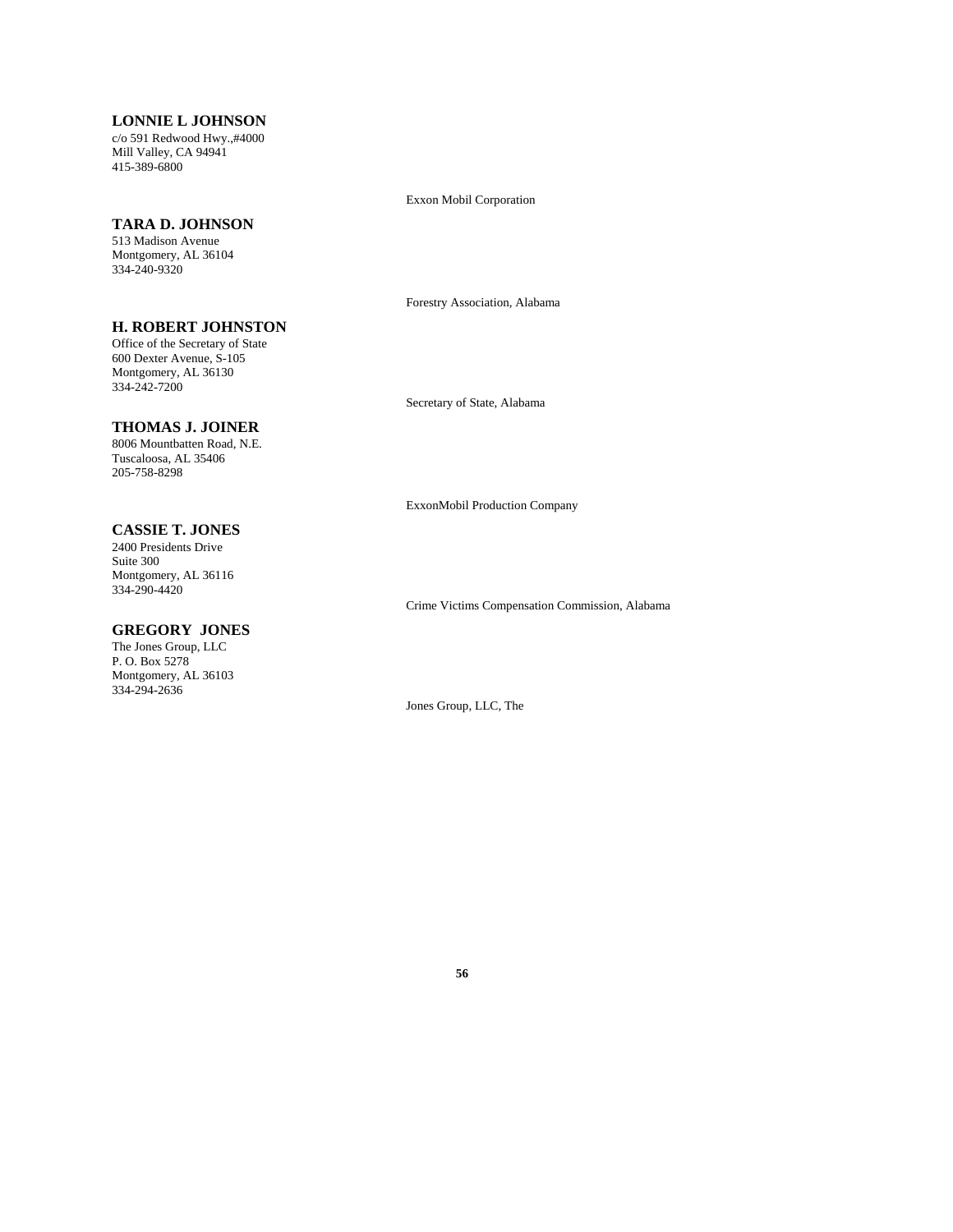# **LONNIE L JOHNSON**

c/o 591 Redwood Hwy.,#4000 Mill Valley, CA 94941 415-389-6800

#### **TARA D. JOHNSON**

513 Madison Avenue Montgomery, AL 36104 334-240-9320

**H. ROBERT JOHNSTON**

Office of the Secretary of State 600 Dexter Avenue, S-105 Montgomery, AL 36130 334-242-7200

**THOMAS J. JOINER**

8006 Mountbatten Road, N.E. Tuscaloosa, AL 35406 205-758-8298

# **CASSIE T. JONES**

2400 Presidents Drive Suite 300 Montgomery, AL 36116 334-290-4420

## **GREGORY JONES**

The Jones Group, LLC P. O. Box 5278 Montgomery, AL 36103 334-294-2636

Exxon Mobil Corporation

Forestry Association, Alabama

Secretary of State, Alabama

ExxonMobil Production Company

Crime Victims Compensation Commission, Alabama

Jones Group, LLC, The

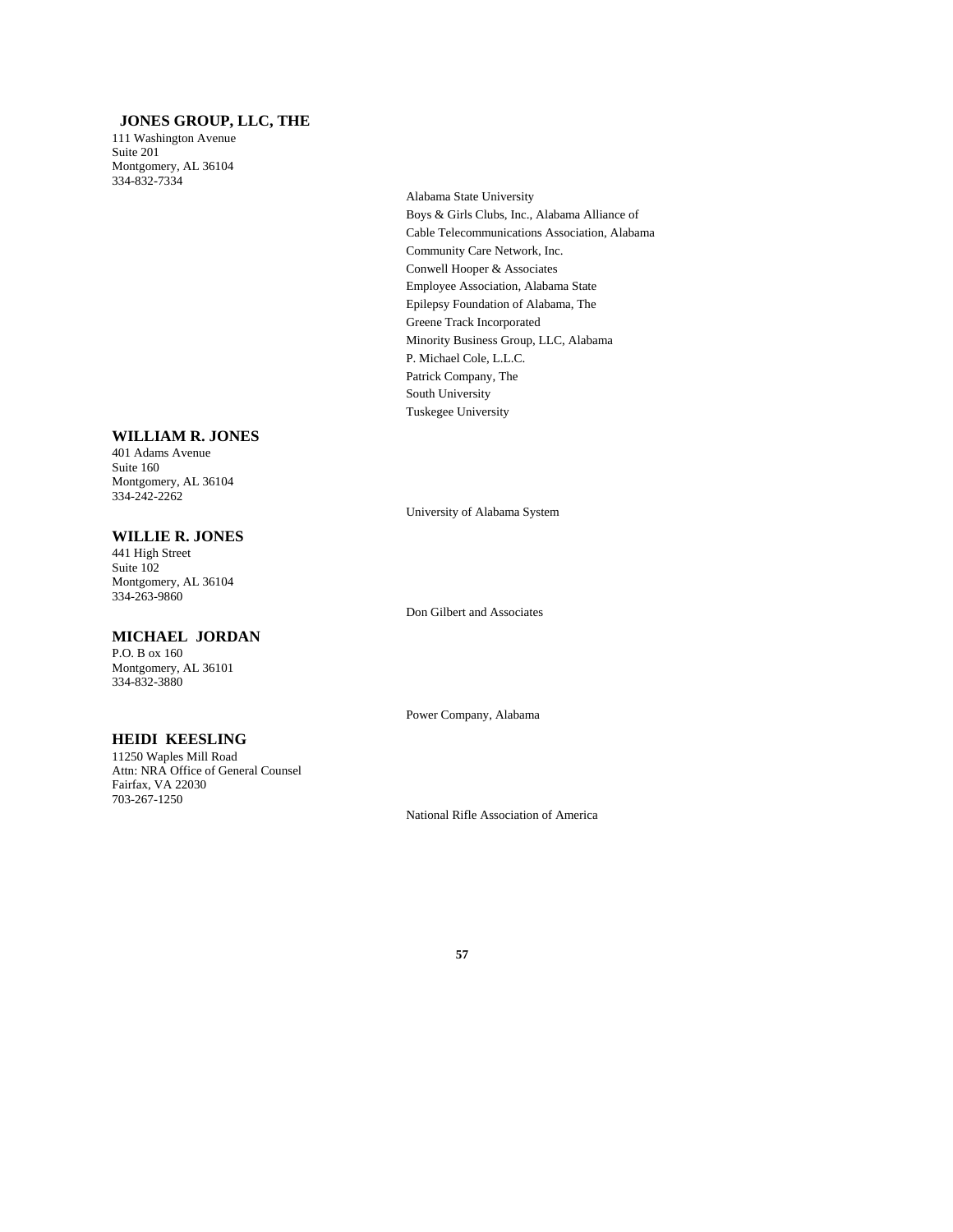# **JONES GROUP, LLC, THE**

111 Washington Avenue Suite 201 Montgomery, AL 36104 334-832-7334

# **WILLIAM R. JONES**

401 Adams Avenue Suite 160 Montgomery, AL 36104 334-242-2262

**WILLIE R. JONES** 441 High Street Suite 102

Montgomery, AL 36104 334-263-9860

University of Alabama System

Alabama State University

Community Care Network, Inc. Conwell Hooper & Associates Employee Association, Alabama State Epilepsy Foundation of Alabama, The

Greene Track Incorporated

P. Michael Cole, L.L.C. Patrick Company, The South University Tuskegee University

Boys & Girls Clubs, Inc., Alabama Alliance of Cable Telecommunications Association, Alabama

Minority Business Group, LLC, Alabama

Don Gilbert and Associates

**MICHAEL JORDAN** P.O. B ox 160 Montgomery, AL 36101 334-832-3880

#### **HEIDI KEESLING**

11250 Waples Mill Road Attn: NRA Office of General Counsel Fairfax, VA 22030 703-267-1250

Power Company, Alabama

National Rifle Association of America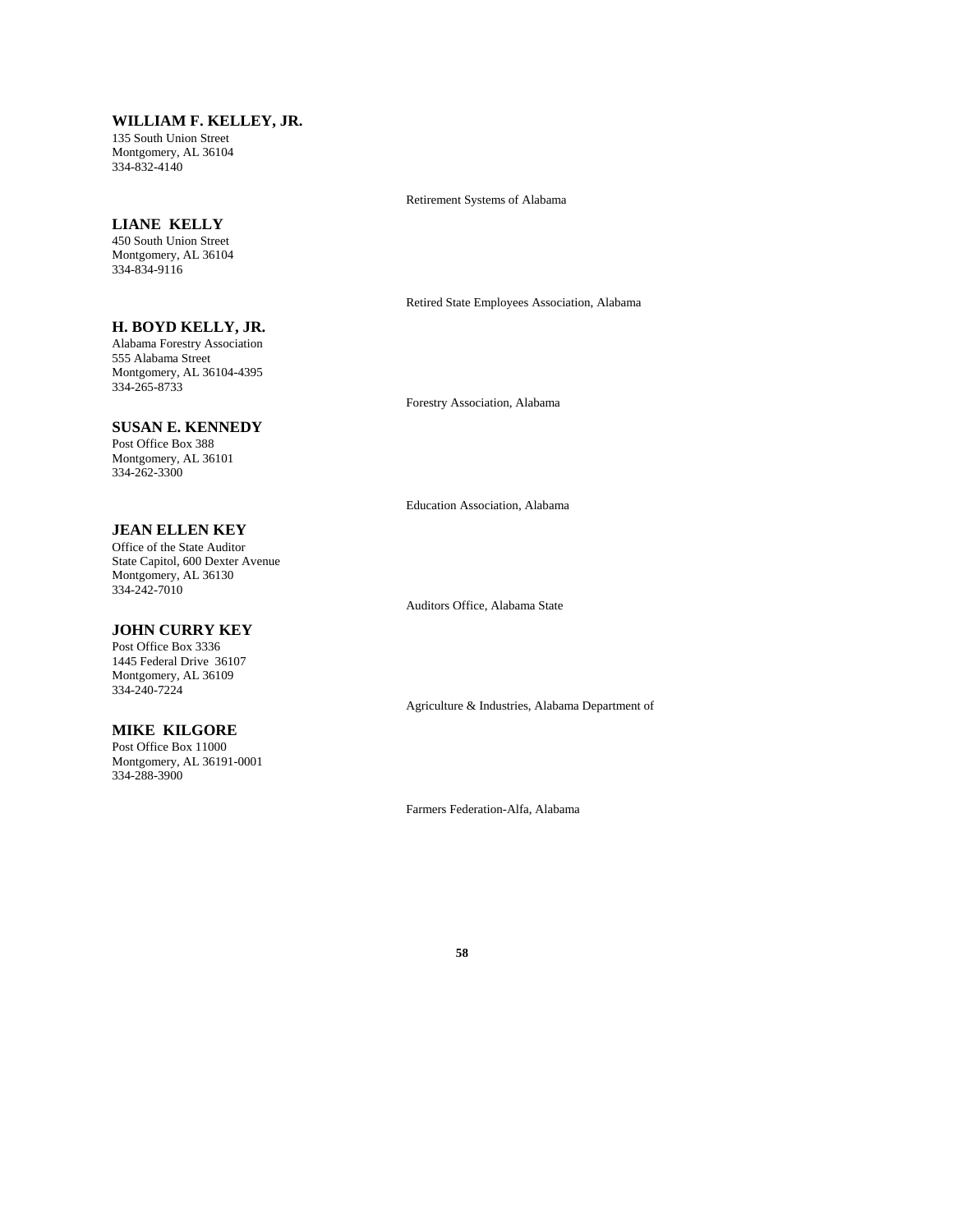#### **WILLIAM F. KELLEY, JR.**

135 South Union Street Montgomery, AL 36104 334-832-4140

Retirement Systems of Alabama

# **LIANE KELLY**

450 South Union Street Montgomery, AL 36104 334-834-9116

Retired State Employees Association, Alabama

Forestry Association, Alabama

#### **SUSAN E. KENNEDY** Post Office Box 388

**H. BOYD KELLY, JR.** Alabama Forestry Association 555 Alabama Street Montgomery, AL 36104-4395

Montgomery, AL 36101 334-262-3300

334-265-8733

# **JEAN ELLEN KEY**

Office of the State Auditor State Capitol, 600 Dexter Avenue Montgomery, AL 36130 334-242-7010

## **JOHN CURRY KEY**

Post Office Box 3336 1445 Federal Drive 36107 Montgomery, AL 36109 334-240-7224

#### **MIKE KILGORE**

Post Office Box 11000 Montgomery, AL 36191-0001 334-288-3900

Education Association, Alabama

Auditors Office, Alabama State

Agriculture & Industries, Alabama Department of

Farmers Federation-Alfa, Alabama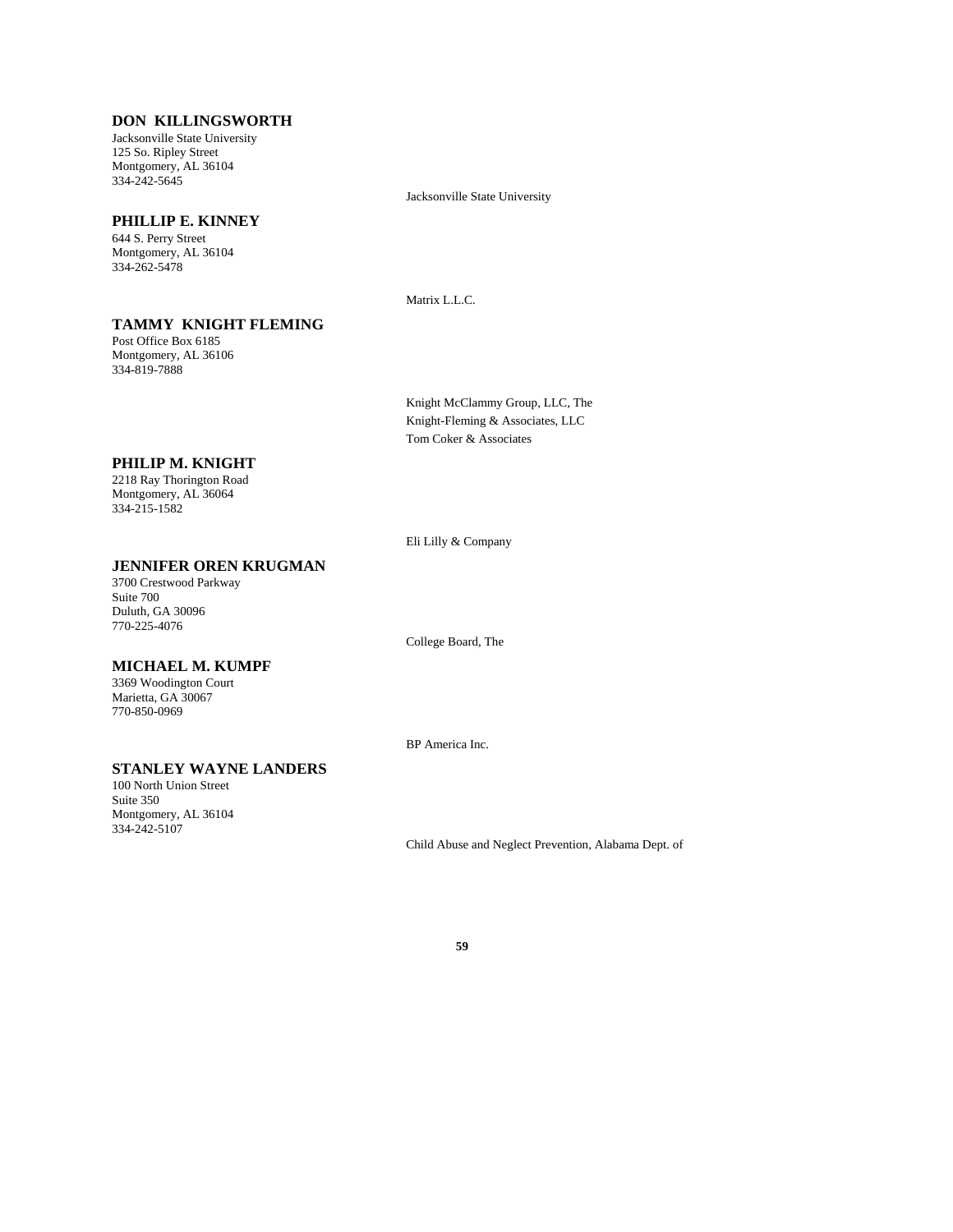# **DON KILLINGSWORTH**

Jacksonville State University 125 So. Ripley Street Montgomery, AL 36104 334-242-5645

#### **PHILLIP E. KINNEY**

644 S. Perry Street Montgomery, AL 36104 334-262-5478

## **TAMMY KNIGHT FLEMING**

Post Office Box 6185 Montgomery, AL 36106 334-819-7888

Jacksonville State University

Matrix L.L.C.

Knight McClammy Group, LLC, The Knight-Fleming & Associates, LLC Tom Coker & Associates

#### **PHILIP M. KNIGHT**

2218 Ray Thorington Road Montgomery, AL 36064 334-215-1582

Eli Lilly & Company

# **JENNIFER OREN KRUGMAN**

3700 Crestwood Parkway Suite 700 Duluth, GA 30096 770-225-4076

College Board, The

#### **MICHAEL M. KUMPF**

3369 Woodington Court Marietta, GA 30067 770-850-0969

# **STANLEY WAYNE LANDERS**

100 North Union Street Suite 350 Montgomery, AL 36104 334-242-5107

BP America Inc.

Child Abuse and Neglect Prevention, Alabama Dept. of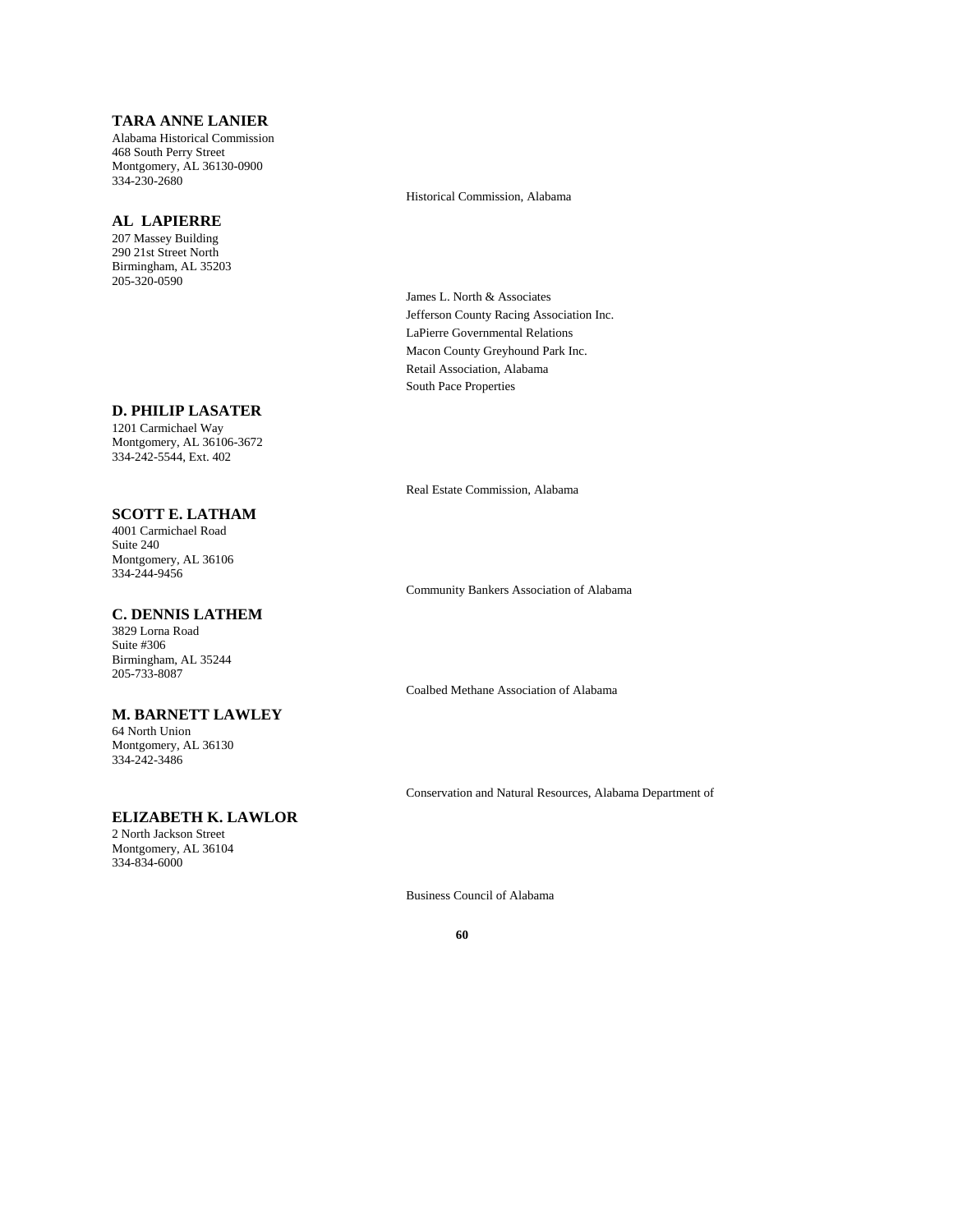# **TARA ANNE LANIER**

Alabama Historical Commission 468 South Perry Street Montgomery, AL 36130-0900 334-230-2680

### **AL LAPIERRE**

207 Massey Building 290 21st Street North Birmingham, AL 35203 205-320-0590

# **D. PHILIP LASATER**

1201 Carmichael Way Montgomery, AL 36106-3672 334-242-5544, Ext. 402

# **SCOTT E. LATHAM**

4001 Carmichael Road Suite 240 Montgomery, AL 36106 334-244-9456

# **C. DENNIS LATHEM**

3829 Lorna Road Suite #306 Birmingham, AL 35244 205-733-8087

#### **M. BARNETT LAWLEY**

64 North Union Montgomery, AL 36130 334-242-3486

#### **ELIZABETH K. LAWLOR**

2 North Jackson Street Montgomery, AL 36104 334-834-6000

Historical Commission, Alabama

James L. North & Associates Jefferson County Racing Association Inc. LaPierre Governmental Relations Macon County Greyhound Park Inc. Retail Association, Alabama South Pace Properties

Real Estate Commission, Alabama

Community Bankers Association of Alabama

Coalbed Methane Association of Alabama

Conservation and Natural Resources, Alabama Department of

Business Council of Alabama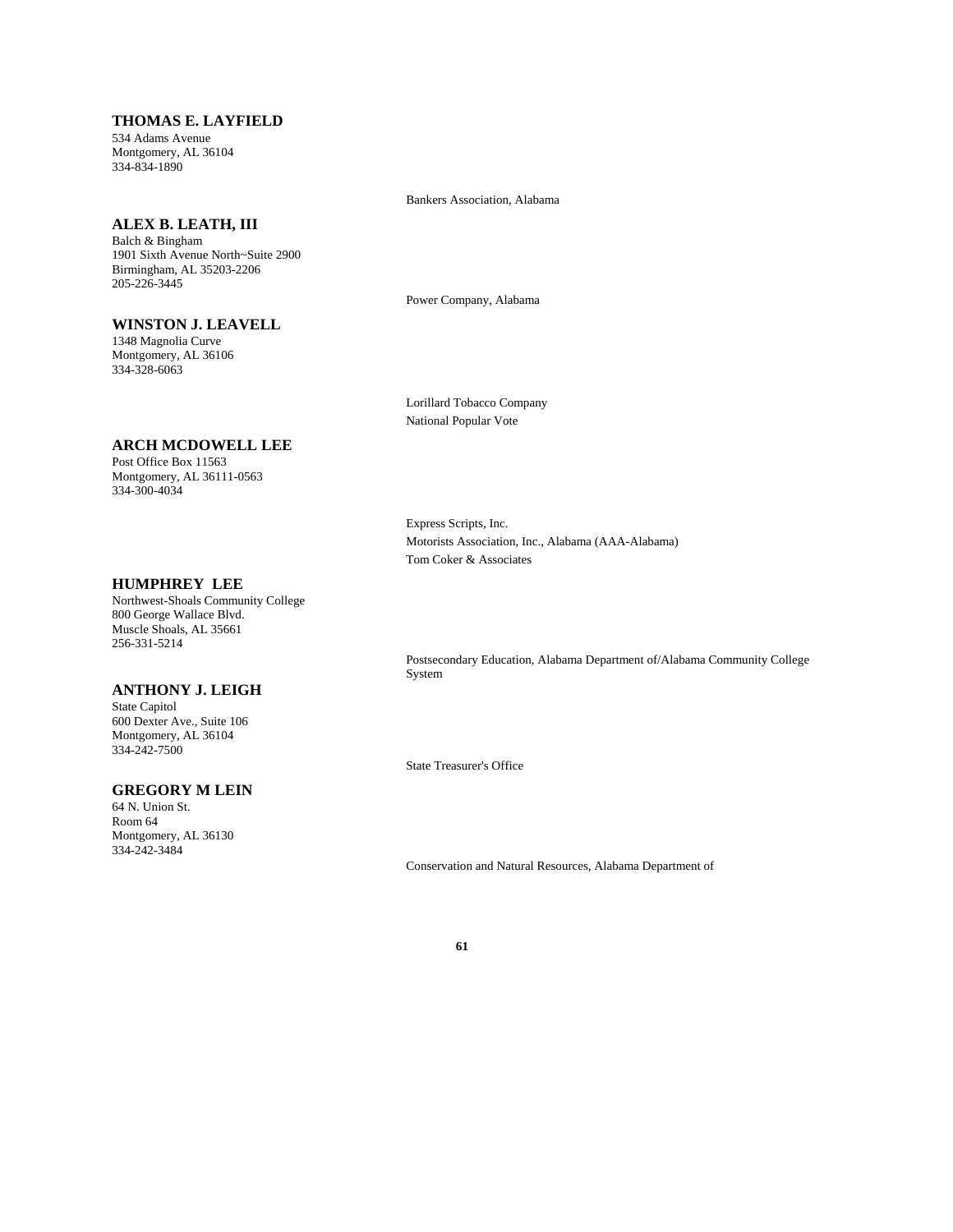# **THOMAS E. LAYFIELD**

534 Adams Avenue Montgomery, AL 36104 334-834-1890

## **ALEX B. LEATH, III**

Balch & Bingham 1901 Sixth Avenue North~Suite 2900 Birmingham, AL 35203-2206 205-226-3445

## **WINSTON J. LEAVELL**

1348 Magnolia Curve Montgomery, AL 36106 334-328-6063

# **ARCH MCDOWELL LEE**

Post Office Box 11563 Montgomery, AL 36111-0563 334-300-4034

#### **HUMPHREY LEE**

Northwest-Shoals Community College 800 George Wallace Blvd. Muscle Shoals, AL 35661 256-331-5214

#### **ANTHONY J. LEIGH**

State Capitol 600 Dexter Ave., Suite 106 Montgomery, AL 36104 334-242-7500

## **GREGORY M LEIN**

64 N. Union St. Room 64 Montgomery, AL 36130 334-242-3484

Bankers Association, Alabama

Power Company, Alabama

Lorillard Tobacco Company National Popular Vote

Express Scripts, Inc. Motorists Association, Inc., Alabama (AAA-Alabama) Tom Coker & Associates

Postsecondary Education, Alabama Department of/Alabama Community College System

State Treasurer's Office

Conservation and Natural Resources, Alabama Department of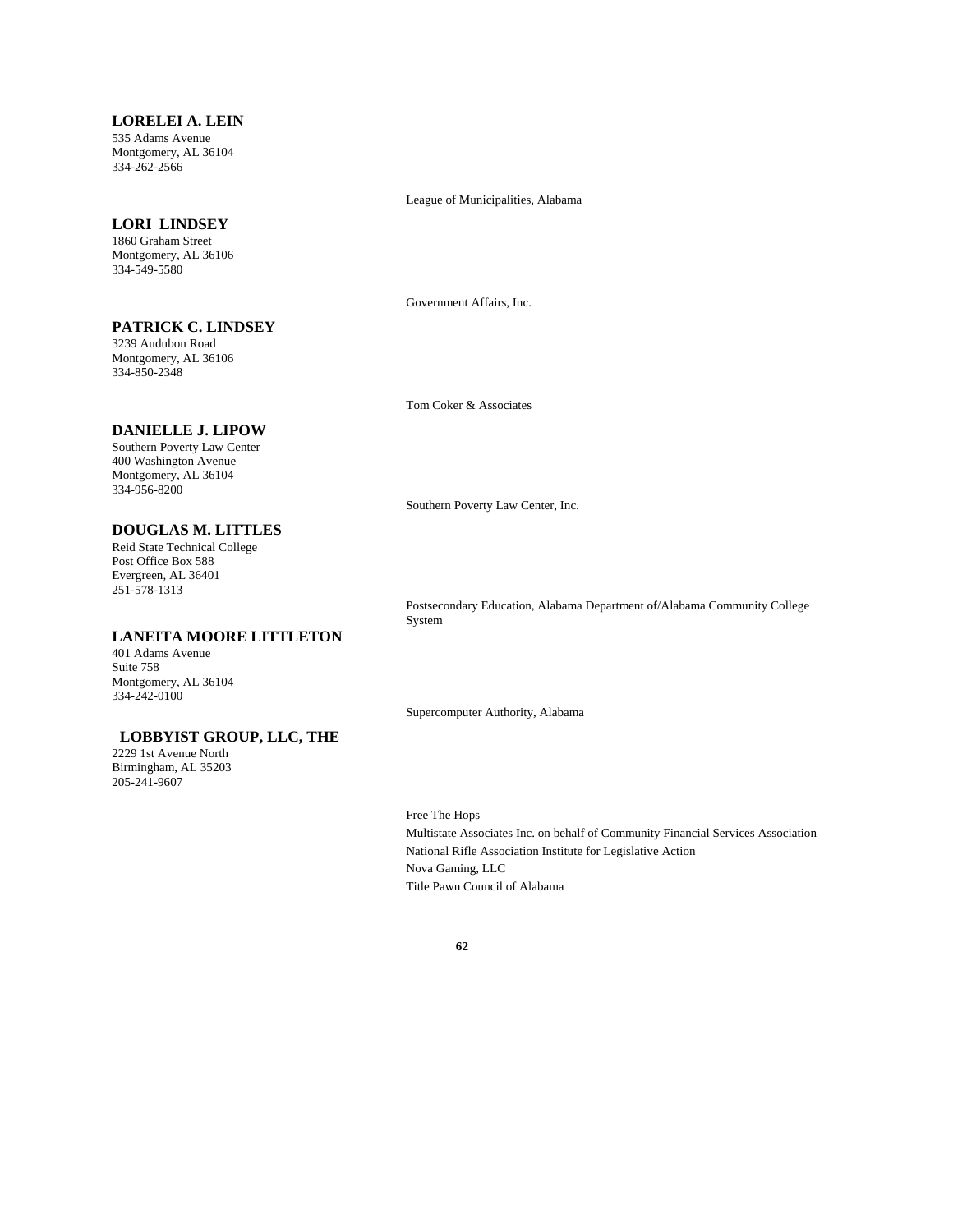# **LORELEI A. LEIN**

535 Adams Avenue Montgomery, AL 36104 334-262-2566

#### **LORI LINDSEY**

1860 Graham Street Montgomery, AL 36106 334-549-5580

## **PATRICK C. LINDSEY**

3239 Audubon Road Montgomery, AL 36106 334-850-2348

#### **DANIELLE J. LIPOW**

Southern Poverty Law Center 400 Washington Avenue Montgomery, AL 36104 334-956-8200

**DOUGLAS M. LITTLES** Reid State Technical College Post Office Box 588 Evergreen, AL 36401 251-578-1313

**LANEITA MOORE LITTLETON**

Southern Poverty Law Center, Inc.

Postsecondary Education, Alabama Department of/Alabama Community College System

Supercomputer Authority, Alabama

 **LOBBYIST GROUP, LLC, THE** 2229 1st Avenue North Birmingham, AL 35203 205-241-9607

401 Adams Avenue Suite 758

Montgomery, AL 36104 334-242-0100

**62**

#### League of Municipalities, Alabama

Government Affairs, Inc.

Tom Coker & Associates

Free The Hops

Multistate Associates Inc. on behalf of Community Financial Services Association National Rifle Association Institute for Legislative Action Nova Gaming, LLC Title Pawn Council of Alabama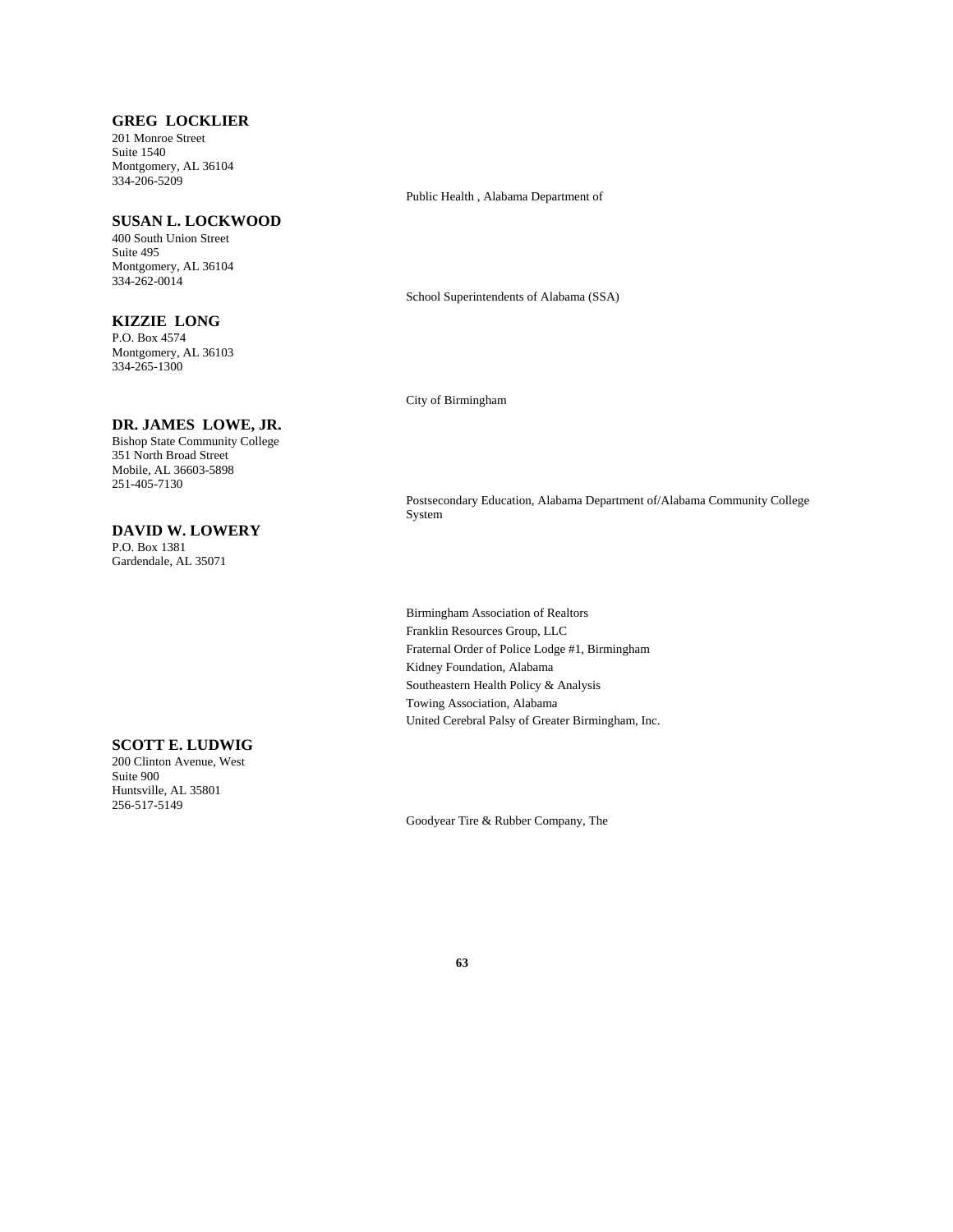# **GREG LOCKLIER**

201 Monroe Street Suite 1540 Montgomery, AL 36104 334-206-5209

#### **SUSAN L. LOCKWOOD**

400 South Union Street Suite 495 Montgomery, AL 36104 334-262-0014

# **KIZZIE LONG**

P.O. Box 4574 Montgomery, AL 36103 334-265-1300

# **DR. JAMES LOWE, JR.**

Bishop State Community College 351 North Broad Street Mobile, AL 36603-5898 251-405-7130

#### **DAVID W. LOWERY**

**SCOTT E. LUDWIG** 200 Clinton Avenue, West

Huntsville, AL 35801 256-517-5149

Suite 900

P.O. Box 1381 Gardendale, AL 35071

#### Public Health , Alabama Department of

School Superintendents of Alabama (SSA)

City of Birmingham

Postsecondary Education, Alabama Department of/Alabama Community College System

Birmingham Association of Realtors Franklin Resources Group, LLC Fraternal Order of Police Lodge #1, Birmingham Kidney Foundation, Alabama Southeastern Health Policy & Analysis Towing Association, Alabama United Cerebral Palsy of Greater Birmingham, Inc.

Goodyear Tire & Rubber Company, The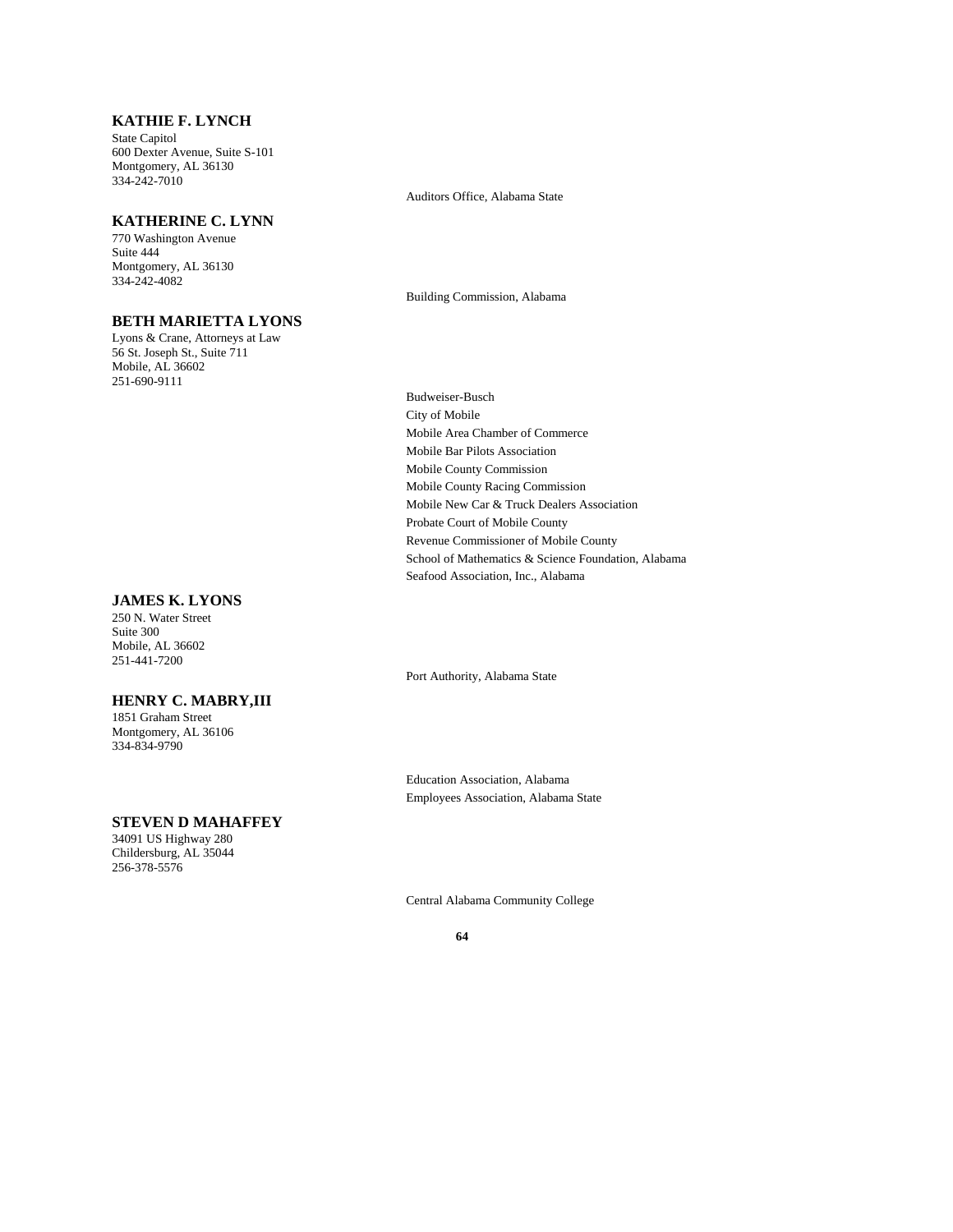# **KATHIE F. LYNCH**

State Capitol 600 Dexter Avenue, Suite S-101 Montgomery, AL 36130 334-242-7010

#### **KATHERINE C. LYNN**

770 Washington Avenue Suite 444 Montgomery, AL 36130 334-242-4082

#### **BETH MARIETTA LYONS**

Lyons & Crane, Attorneys at Law 56 St. Joseph St., Suite 711 Mobile, AL 36602 251-690-9111

### **JAMES K. LYONS**

250 N. Water Street Suite 300 Mobile, AL 36602 251-441-7200

#### **HENRY C. MABRY,III**

1851 Graham Street Montgomery, AL 36106 334-834-9790

#### **STEVEN D MAHAFFEY**

34091 US Highway 280 Childersburg, AL 35044 256-378-5576

Auditors Office, Alabama State

Building Commission, Alabama

Budweiser-Busch City of Mobile Mobile Area Chamber of Commerce Mobile Bar Pilots Association Mobile County Commission Mobile County Racing Commission Mobile New Car & Truck Dealers Association Probate Court of Mobile County Revenue Commissioner of Mobile County School of Mathematics & Science Foundation, Alabama Seafood Association, Inc., Alabama

Port Authority, Alabama State

Education Association, Alabama Employees Association, Alabama State

Central Alabama Community College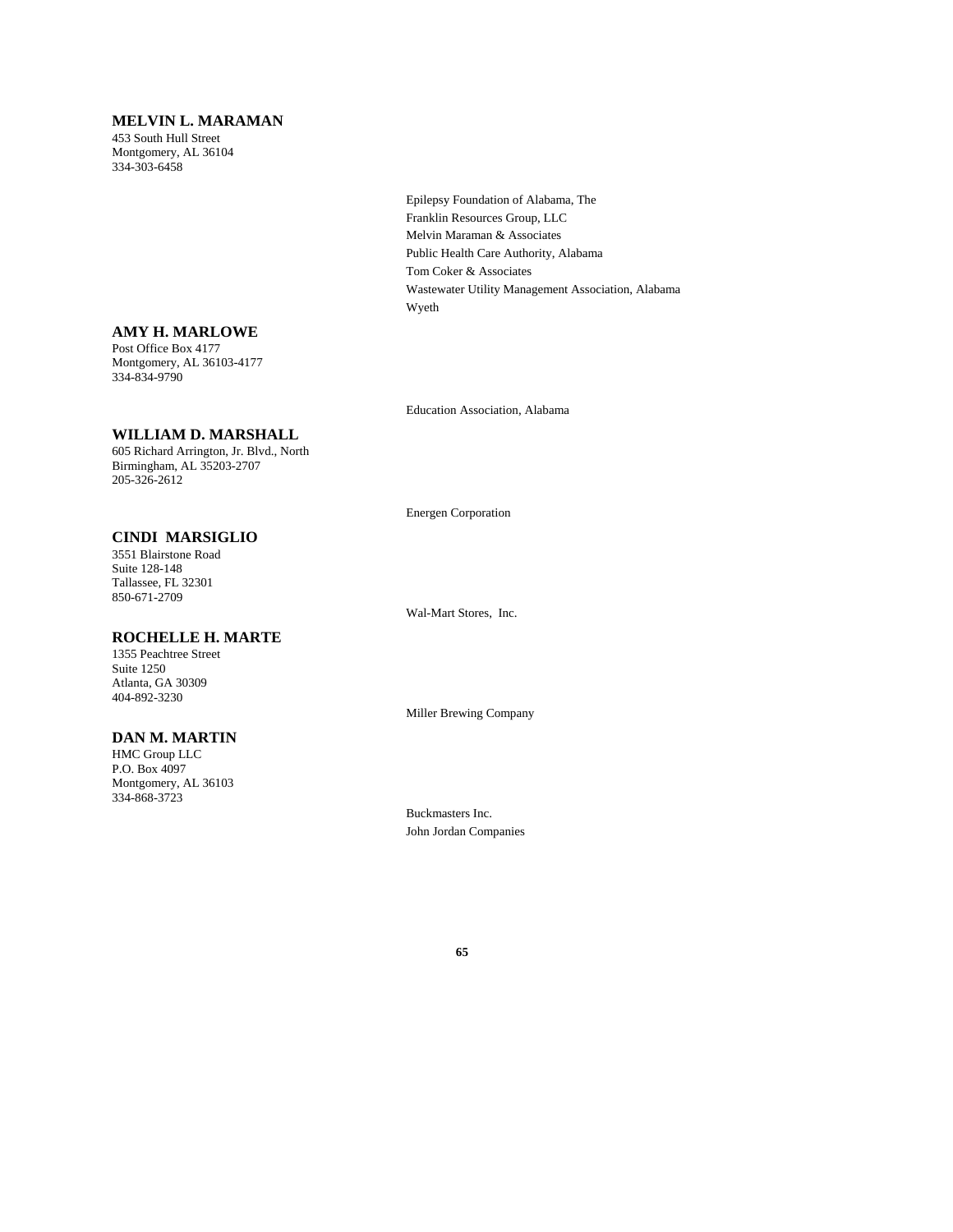# **MELVIN L. MARAMAN**

453 South Hull Street Montgomery, AL 36104 334-303-6458

> Epilepsy Foundation of Alabama, The Franklin Resources Group, LLC Melvin Maraman & Associates Public Health Care Authority, Alabama Tom Coker & Associates Wastewater Utility Management Association, Alabama Wyeth

# **AMY H. MARLOWE**

Post Office Box 4177 Montgomery, AL 36103-4177 334-834-9790

Education Association, Alabama

# **WILLIAM D. MARSHALL**

605 Richard Arrington, Jr. Blvd., North Birmingham, AL 35203-2707 205-326-2612

Energen Corporation

# **CINDI MARSIGLIO**

3551 Blairstone Road Suite 128-148 Tallassee, FL 32301 850-671-2709

# **ROCHELLE H. MARTE**

1355 Peachtree Street Suite 1250 Atlanta, GA 30309 404-892-3230

## **DAN M. MARTIN**

HMC Group LLC P.O. Box 4097 Montgomery, AL 36103 334-868-3723

Wal-Mart Stores, Inc.

Miller Brewing Company

Buckmasters Inc. John Jordan Companies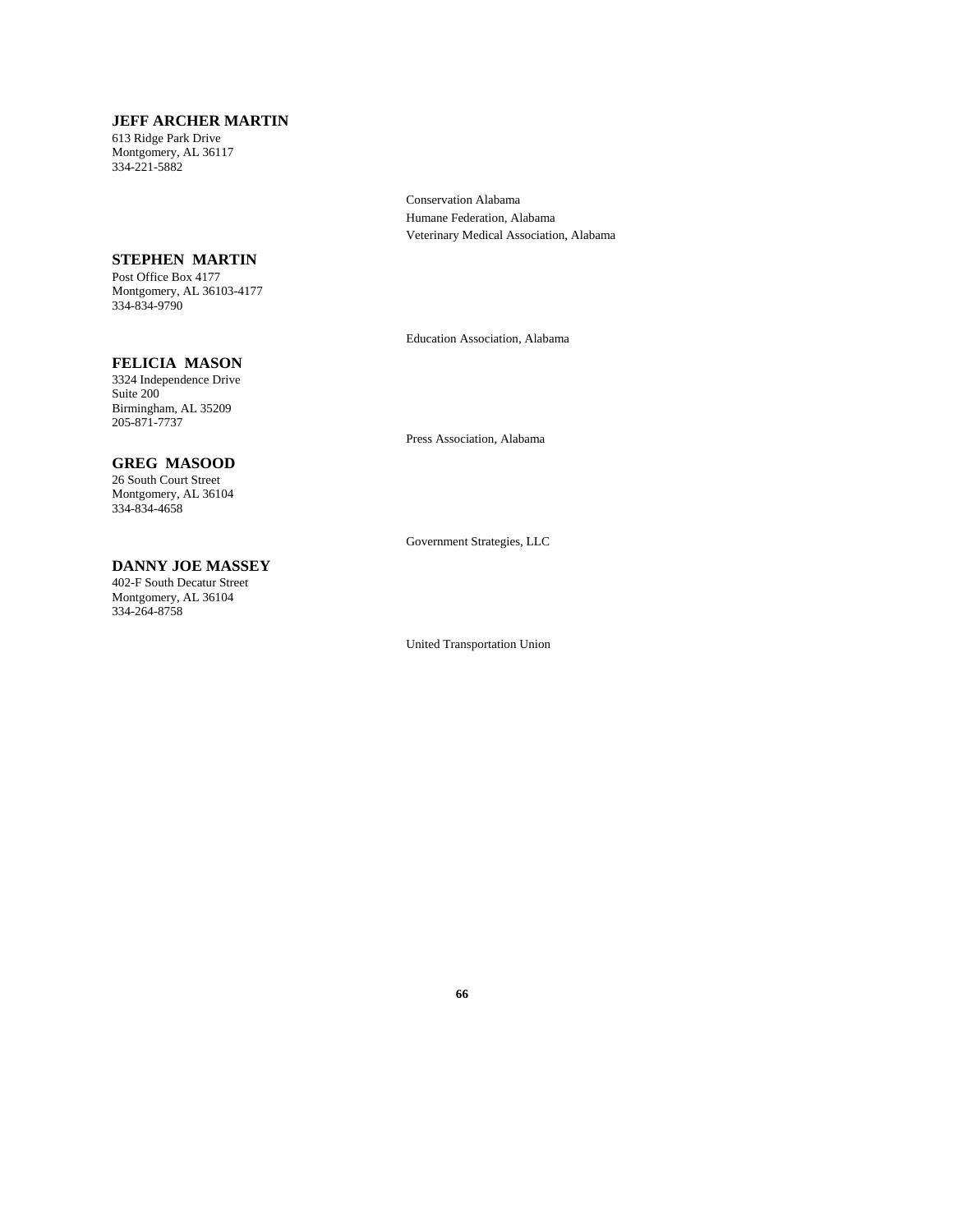# **JEFF ARCHER MARTIN**

613 Ridge Park Drive Montgomery, AL 36117 334-221-5882

#### **STEPHEN MARTIN**

Post Office Box 4177 Montgomery, AL 36103-4177 334-834-9790

# **FELICIA MASON**

3324 Independence Drive Suite 200 Birmingham, AL 35209 205-871-7737

# **GREG MASOOD**

26 South Court Street Montgomery, AL 36104 334-834-4658

## **DANNY JOE MASSEY**

402-F South Decatur Street Montgomery, AL 36104 334-264-8758

Conservation Alabama Humane Federation, Alabama Veterinary Medical Association, Alabama

Education Association, Alabama

Press Association, Alabama

Government Strategies, LLC

United Transportation Union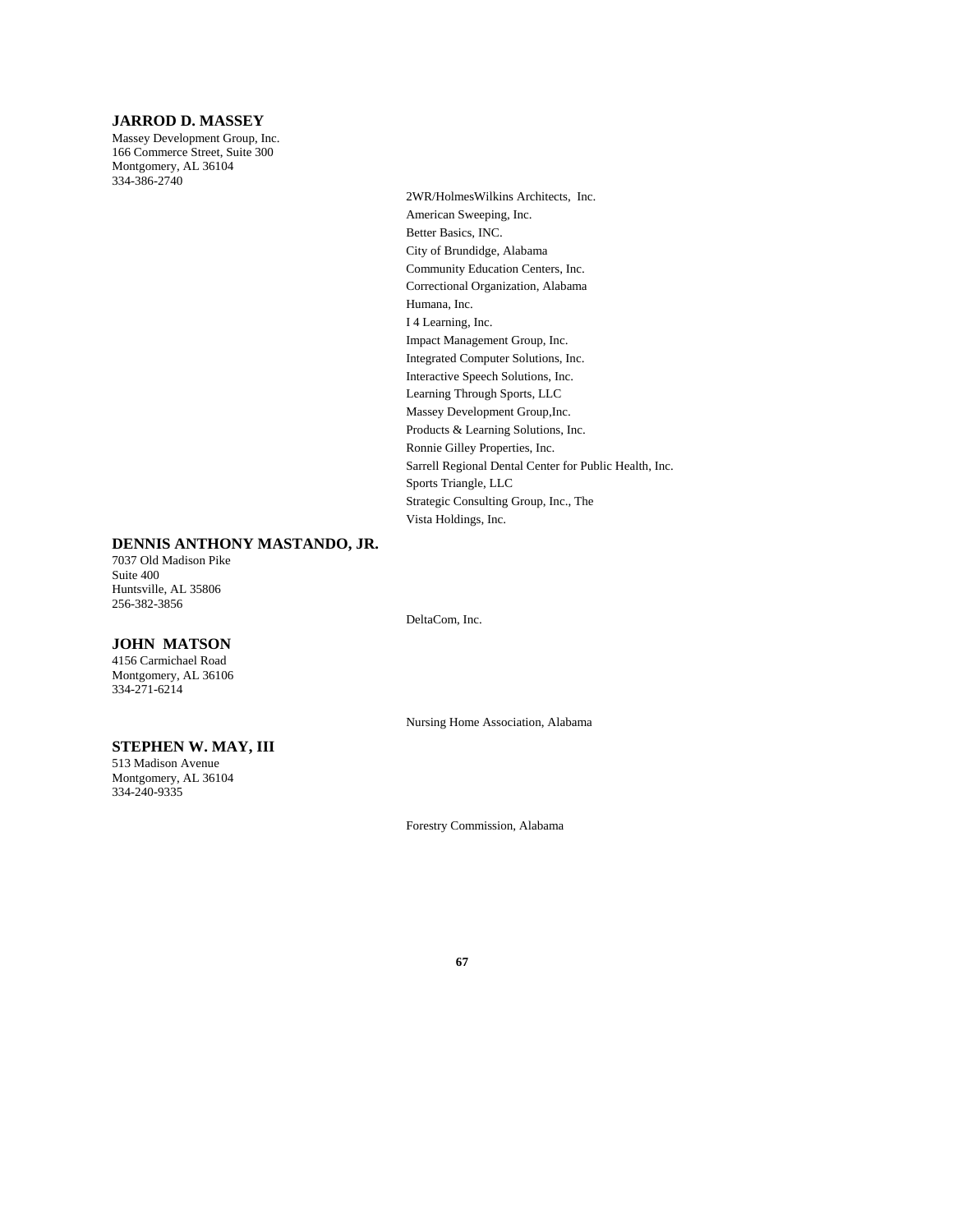## **JARROD D. MASSEY**

Massey Development Group, Inc. 166 Commerce Street, Suite 300 Montgomery, AL 36104 334-386-2740

# 2WR/HolmesWilkins Architects, Inc. American Sweeping, Inc. Better Basics, INC. City of Brundidge, Alabama Community Education Centers, Inc. Correctional Organization, Alabama Humana, Inc. I 4 Learning, Inc. Impact Management Group, Inc. Integrated Computer Solutions, Inc. Interactive Speech Solutions, Inc. Learning Through Sports, LLC Massey Development Group,Inc. Products & Learning Solutions, Inc. Ronnie Gilley Properties, Inc. Sarrell Regional Dental Center for Public Health, Inc. Sports Triangle, LLC Strategic Consulting Group, Inc., The Vista Holdings, Inc.

#### **DENNIS ANTHONY MASTANDO, JR.**

7037 Old Madison Pike Suite 400 Huntsville, AL 35806 256-382-3856

#### **JOHN MATSON**

4156 Carmichael Road Montgomery, AL 36106 334-271-6214

#### **STEPHEN W. MAY, III**

513 Madison Avenue Montgomery, AL 36104 334-240-9335

DeltaCom, Inc.

Nursing Home Association, Alabama

Forestry Commission, Alabama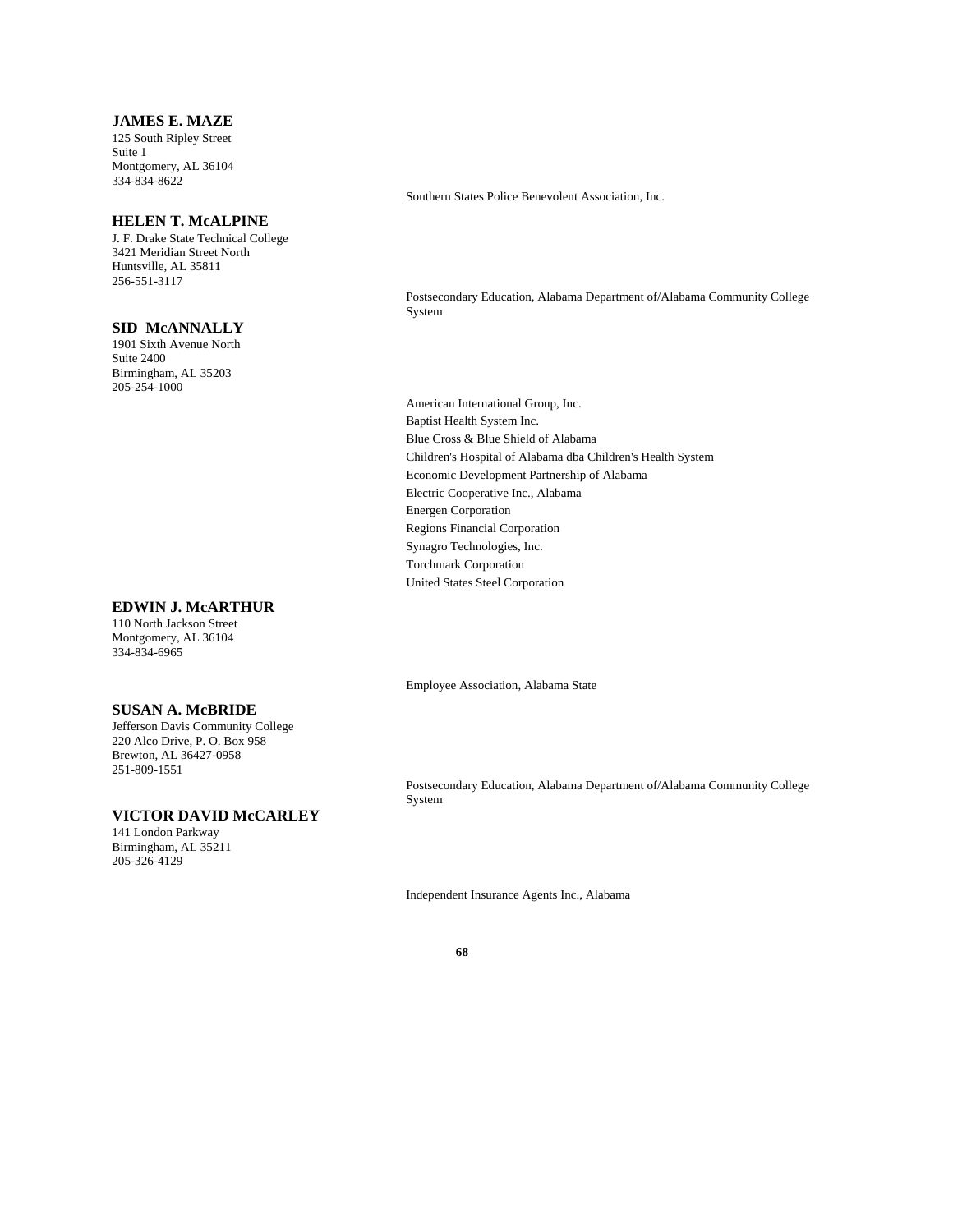# **JAMES E. MAZE**

125 South Ripley Street Suite 1 Montgomery, AL 36104 334-834-8622

#### **HELEN T. McALPINE**

J. F. Drake State Technical College 3421 Meridian Street North Huntsville, AL 35811 256-551-3117

#### **SID McANNALLY**

1901 Sixth Avenue North Suite 2400 Birmingham, AL 35203 205-254-1000

#### **EDWIN J. McARTHUR**

110 North Jackson Street Montgomery, AL 36104 334-834-6965

#### **SUSAN A. McBRIDE**

Jefferson Davis Community College 220 Alco Drive, P. O. Box 958 Brewton, AL 36427-0958 251-809-1551

#### **VICTOR DAVID McCARLEY**

141 London Parkway Birmingham, AL 35211 205-326-4129

Southern States Police Benevolent Association, Inc.

Postsecondary Education, Alabama Department of/Alabama Community College System

American International Group, Inc. Baptist Health System Inc. Blue Cross & Blue Shield of Alabama Children's Hospital of Alabama dba Children's Health System Economic Development Partnership of Alabama Electric Cooperative Inc., Alabama Energen Corporation Regions Financial Corporation Synagro Technologies, Inc. Torchmark Corporation United States Steel Corporation

Employee Association, Alabama State

Postsecondary Education, Alabama Department of/Alabama Community College System

Independent Insurance Agents Inc., Alabama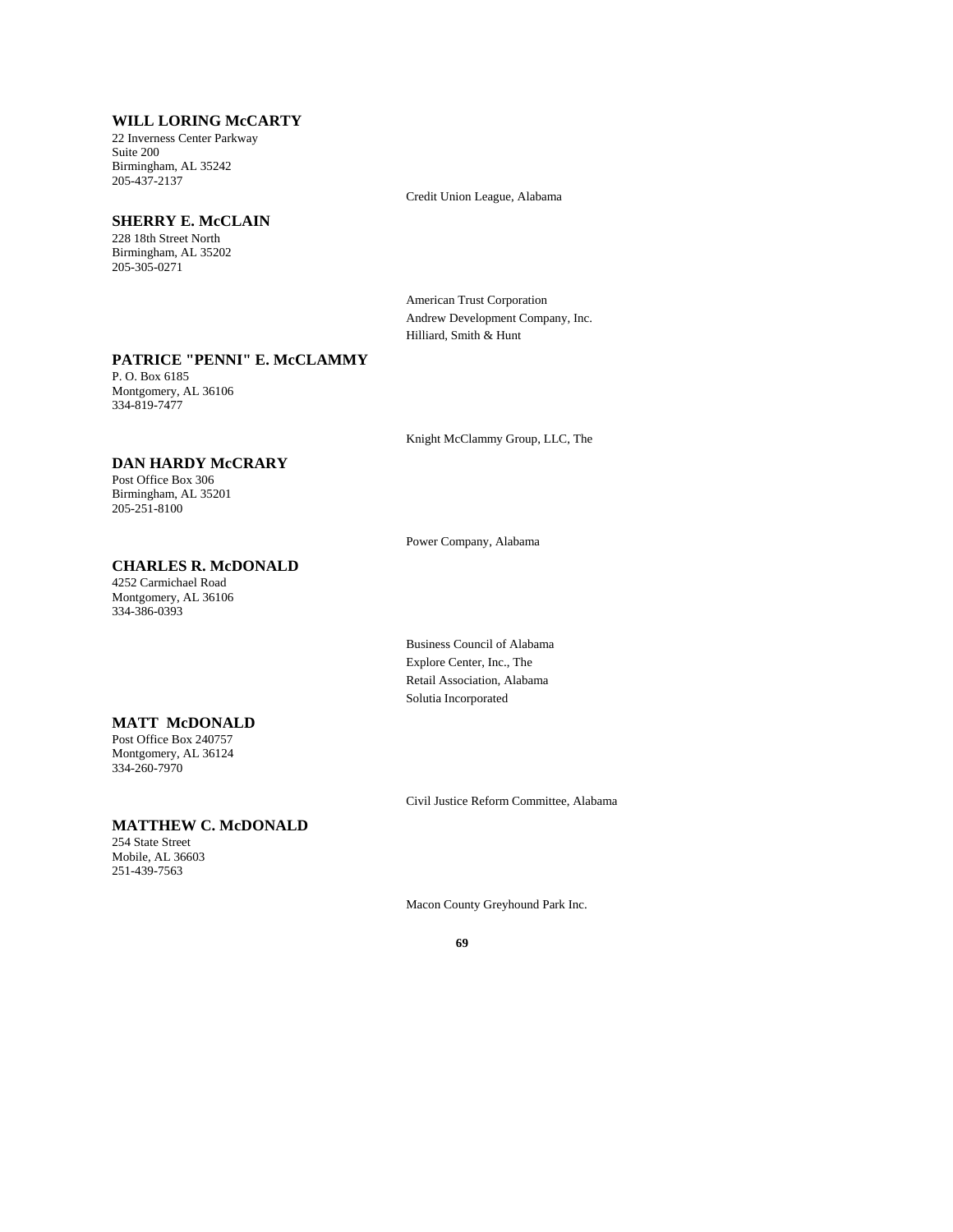# **WILL LORING McCARTY**

22 Inverness Center Parkway Suite 200 Birmingham, AL 35242 205-437-2137

#### **SHERRY E. McCLAIN**

228 18th Street North Birmingham, AL 35202 205-305-0271

Credit Union League, Alabama

American Trust Corporation Andrew Development Company, Inc. Hilliard, Smith & Hunt

# **PATRICE "PENNI" E. McCLAMMY**

P. O. Box 6185 Montgomery, AL 36106 334-819-7477

Knight McClammy Group, LLC, The

# **DAN HARDY McCRARY**

Post Office Box 306 Birmingham, AL 35201 205-251-8100

## **CHARLES R. McDONALD**

4252 Carmichael Road Montgomery, AL 36106 334-386-0393

> Explore Center, Inc., The Retail Association, Alabama Solutia Incorporated

Business Council of Alabama

Power Company, Alabama

# **MATT McDONALD**

Post Office Box 240757 Montgomery, AL 36124 334-260-7970

Civil Justice Reform Committee, Alabama

# **MATTHEW C. McDONALD**

254 State Street Mobile, AL 36603 251-439-7563

Macon County Greyhound Park Inc.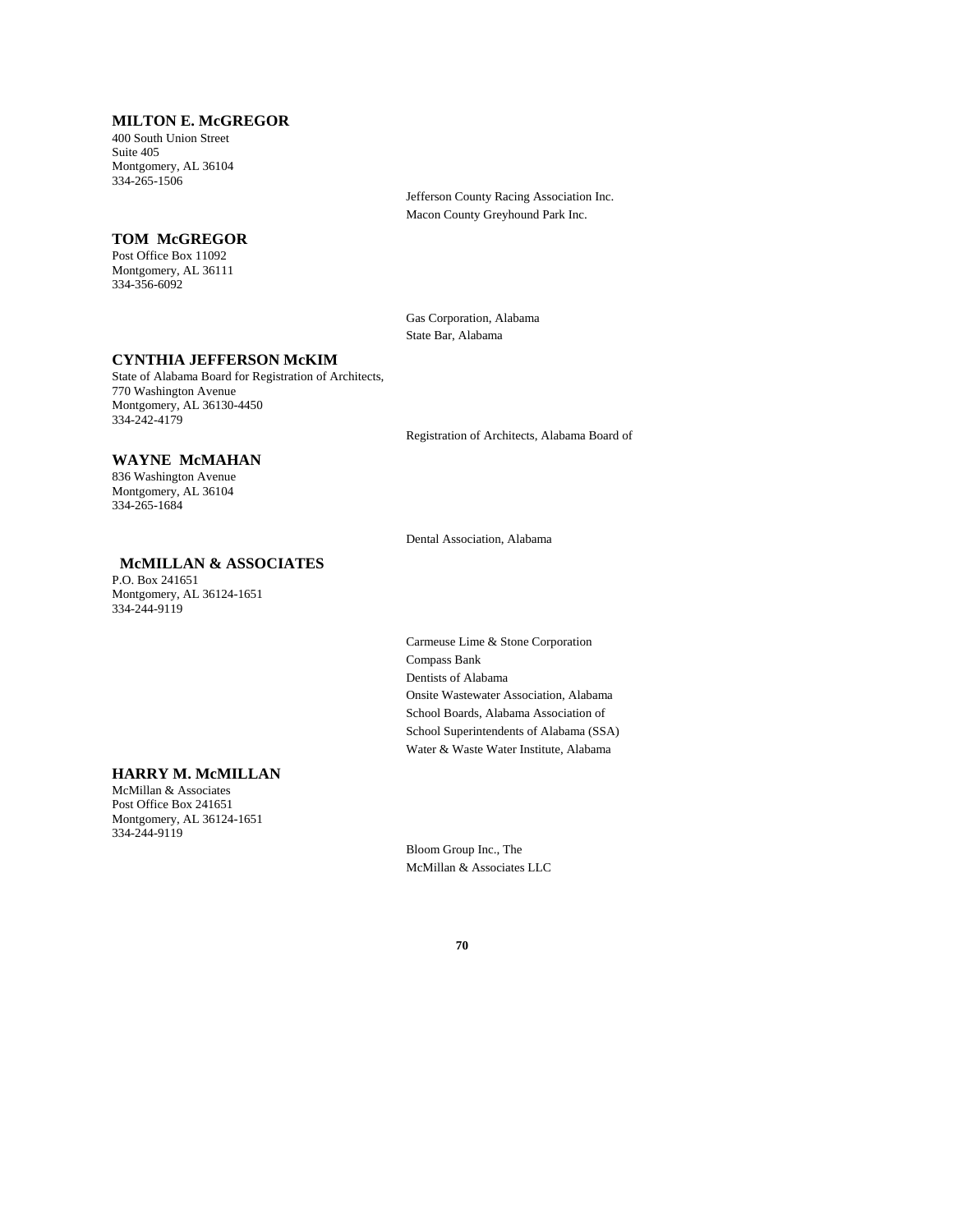## **MILTON E. McGREGOR**

400 South Union Street Suite 405 Montgomery, AL 36104 334-265-1506

#### **TOM McGREGOR**

Post Office Box 11092 Montgomery, AL 36111 334-356-6092

> Gas Corporation, Alabama State Bar, Alabama

Dental Association, Alabama

# **CYNTHIA JEFFERSON McKIM**

State of Alabama Board for Registration of Architects, 770 Washington Avenue Montgomery, AL 36130-4450 334-242-4179

Registration of Architects, Alabama Board of

Jefferson County Racing Association Inc. Macon County Greyhound Park Inc.

# **WAYNE McMAHAN**

836 Washington Avenue Montgomery, AL 36104 334-265-1684

#### **McMILLAN & ASSOCIATES**

P.O. Box 241651 Montgomery, AL 36124-1651 334-244-9119

> Carmeuse Lime & Stone Corporation Compass Bank Dentists of Alabama Onsite Wastewater Association, Alabama School Boards, Alabama Association of School Superintendents of Alabama (SSA) Water & Waste Water Institute, Alabama

## **HARRY M. McMILLAN**

McMillan & Associates Post Office Box 241651 Montgomery, AL 36124-1651 334-244-9119

> Bloom Group Inc., The McMillan & Associates LLC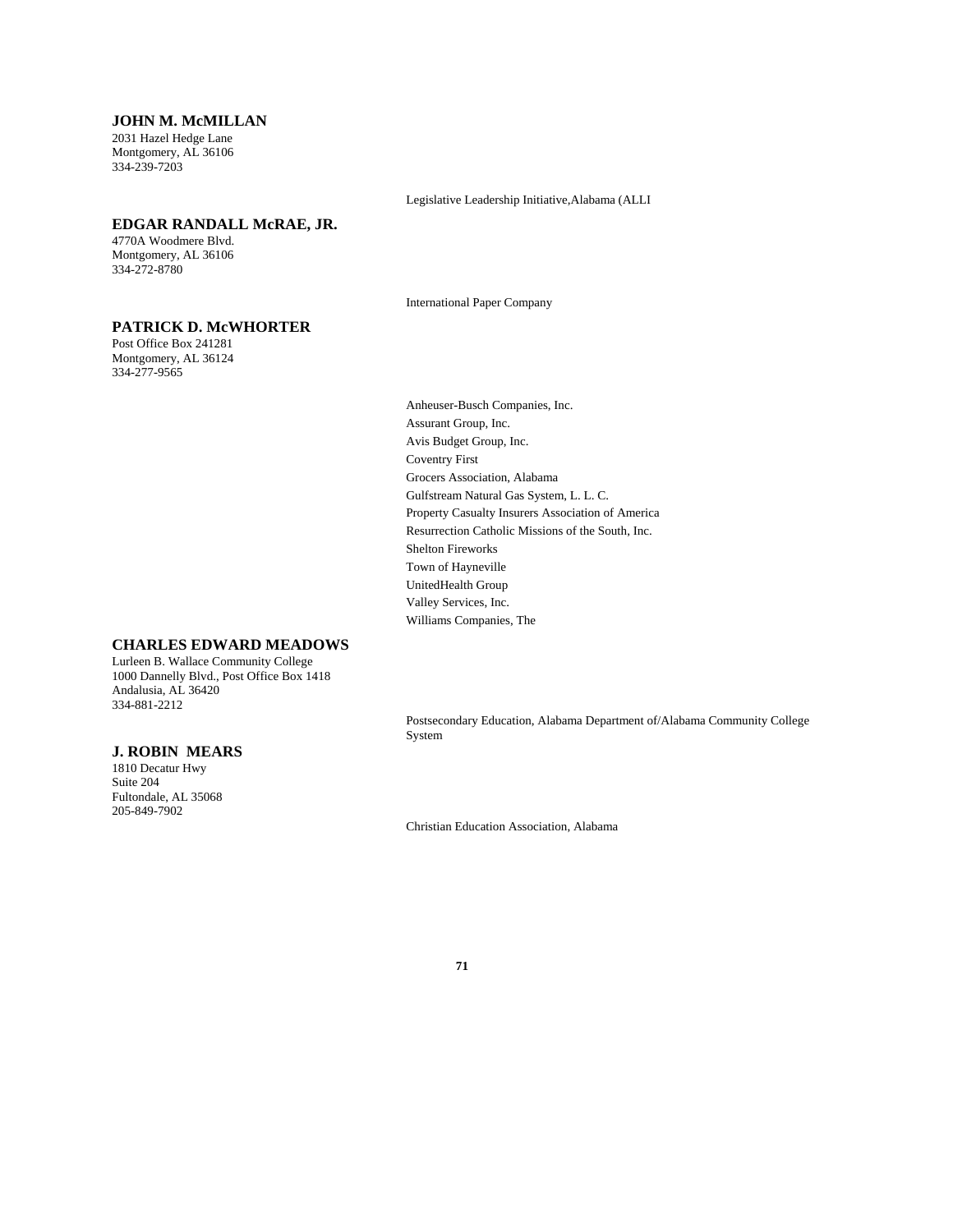## **JOHN M. McMILLAN**

2031 Hazel Hedge Lane Montgomery, AL 36106 334-239-7203

#### **EDGAR RANDALL McRAE, JR.**

4770A Woodmere Blvd. Montgomery, AL 36106 334-272-8780

# **PATRICK D. McWHORTER**

Post Office Box 241281 Montgomery, AL 36124 334-277-9565

#### International Paper Company

Legislative Leadership Initiative,Alabama (ALLI

Anheuser-Busch Companies, Inc. Assurant Group, Inc. Avis Budget Group, Inc. Coventry First Grocers Association, Alabama Gulfstream Natural Gas System, L. L. C. Property Casualty Insurers Association of America Resurrection Catholic Missions of the South, Inc. Shelton Fireworks Town of Hayneville UnitedHealth Group Valley Services, Inc. Williams Companies, The

#### **CHARLES EDWARD MEADOWS**

Lurleen B. Wallace Community College 1000 Dannelly Blvd., Post Office Box 1418 Andalusia, AL 36420 334-881-2212

#### **J. ROBIN MEARS**

1810 Decatur Hwy Suite 204 Fultondale, AL 35068 205-849-7902

Postsecondary Education, Alabama Department of/Alabama Community College System

Christian Education Association, Alabama

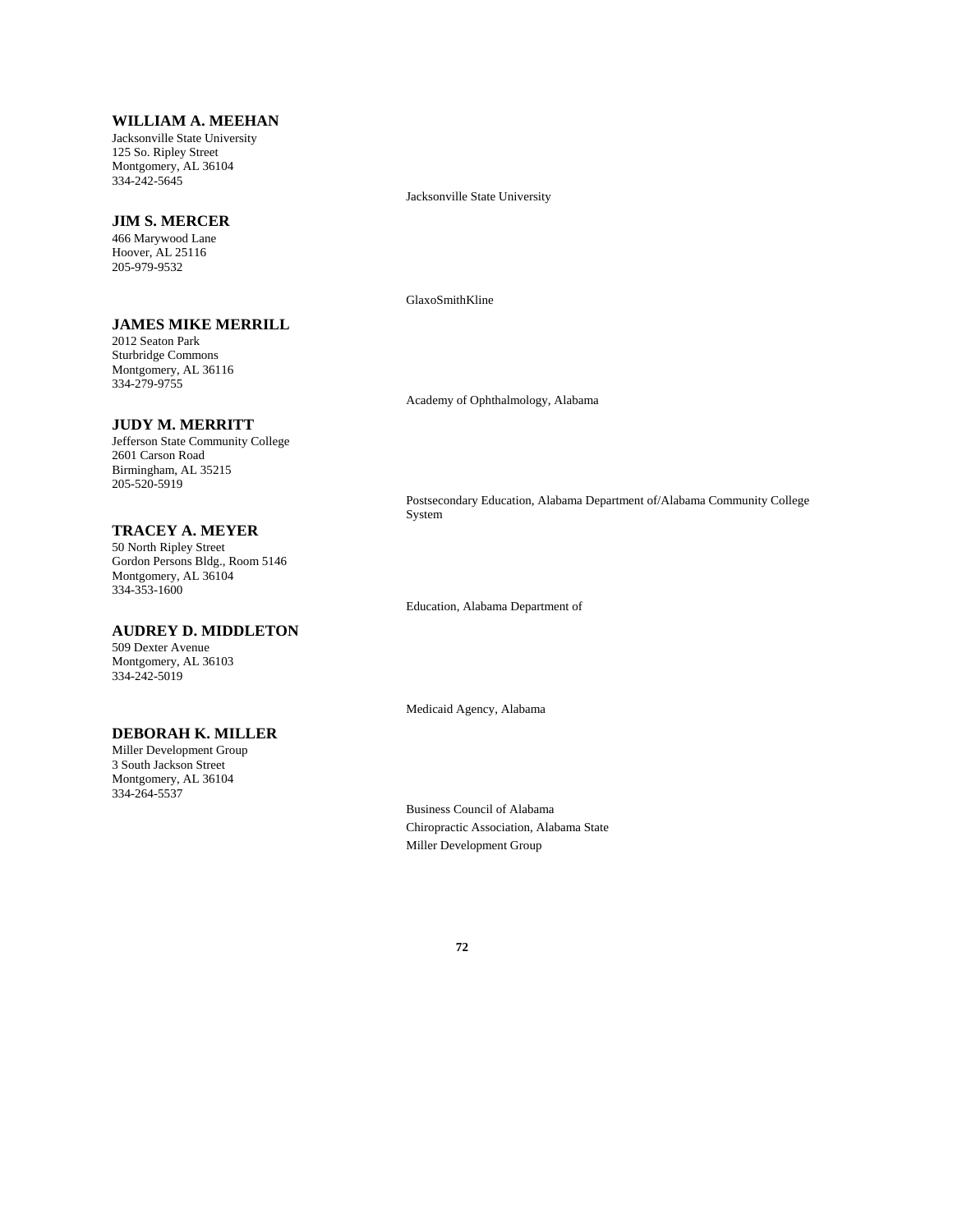# **WILLIAM A. MEEHAN**

Jacksonville State University 125 So. Ripley Street Montgomery, AL 36104 334-242-5645

#### **JIM S. MERCER**

466 Marywood Lane Hoover, AL 25116 205-979-9532

#### **JAMES MIKE MERRILL**

2012 Seaton Park Sturbridge Commons Montgomery, AL 36116 334-279-9755

#### **JUDY M. MERRITT**

Jefferson State Community College 2601 Carson Road Birmingham, AL 35215 205-520-5919

# **TRACEY A. MEYER**

50 North Ripley Street Gordon Persons Bldg., Room 5146 Montgomery, AL 36104 334-353-1600

#### **AUDREY D. MIDDLETON**

509 Dexter Avenue Montgomery, AL 36103 334-242-5019

## **DEBORAH K. MILLER**

Miller Development Group 3 South Jackson Street Montgomery, AL 36104 334-264-5537

Jacksonville State University

GlaxoSmithKline

Academy of Ophthalmology, Alabama

Postsecondary Education, Alabama Department of/Alabama Community College System

Education, Alabama Department of

Medicaid Agency, Alabama

Business Council of Alabama Chiropractic Association, Alabama State Miller Development Group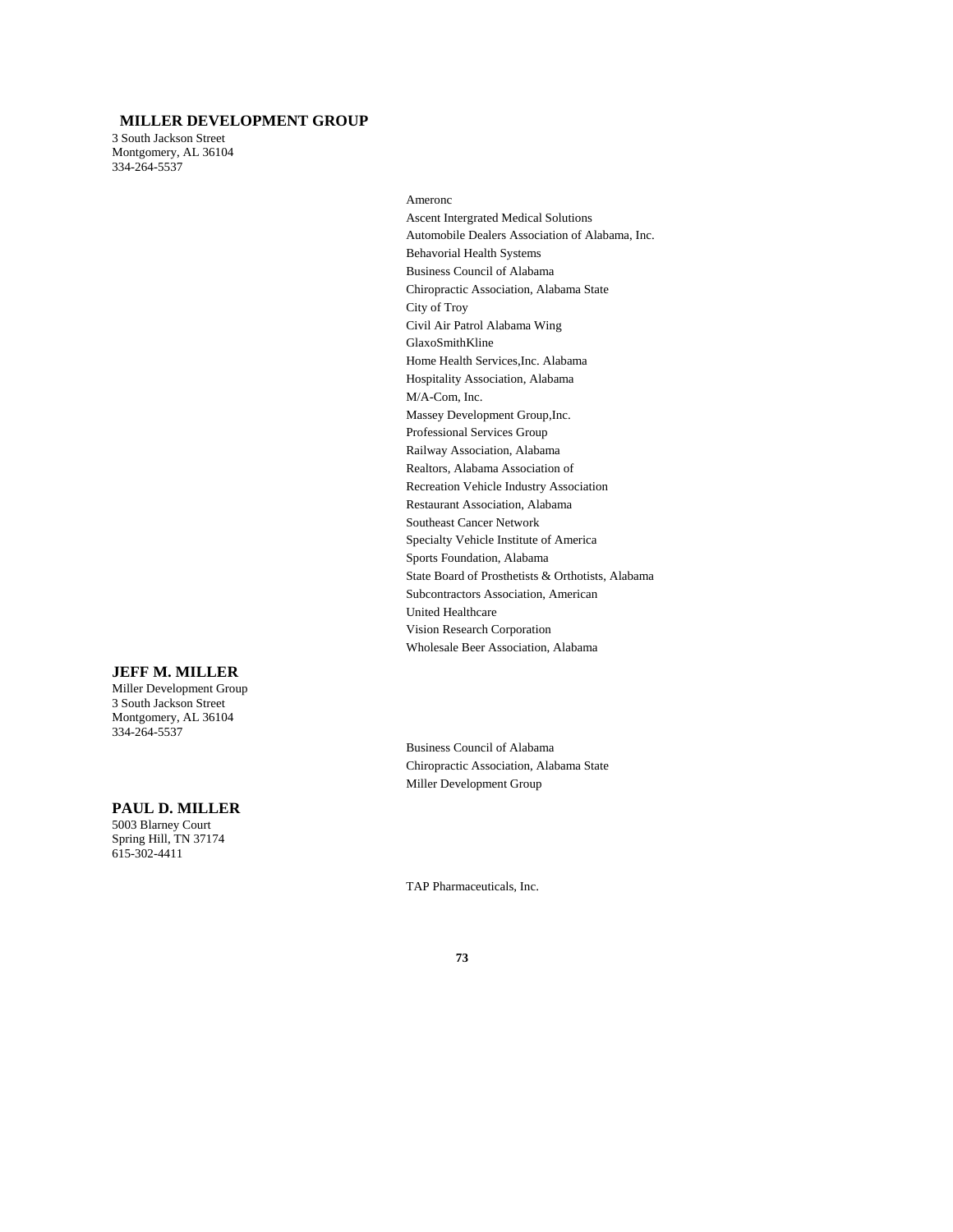## **MILLER DEVELOPMENT GROUP**

3 South Jackson Street Montgomery, AL 36104 334-264-5537

**JEFF M. MILLER** Miller Development Group 3 South Jackson Street Montgomery, AL 36104 334-264-5537

**PAUL D. MILLER** 5003 Blarney Court Spring Hill, TN 37174 615-302-4411

## Chiropractic Association, Alabama State City of Troy Civil Air Patrol Alabama Wing GlaxoSmithKline Home Health Services,Inc. Alabama Hospitality Association, Alabama M/A-Com, Inc. Massey Development Group,Inc. Professional Services Group Railway Association, Alabama Realtors, Alabama Association of Recreation Vehicle Industry Association Restaurant Association, Alabama Southeast Cancer Network Specialty Vehicle Institute of America Sports Foundation, Alabama State Board of Prosthetists & Orthotists, Alabama Subcontractors Association, American United Healthcare Vision Research Corporation Wholesale Beer Association, Alabama

Ameronc

Ascent Intergrated Medical Solutions

Behavorial Health Systems Business Council of Alabama

Automobile Dealers Association of Alabama, Inc.

Business Council of Alabama Chiropractic Association, Alabama State Miller Development Group

TAP Pharmaceuticals, Inc.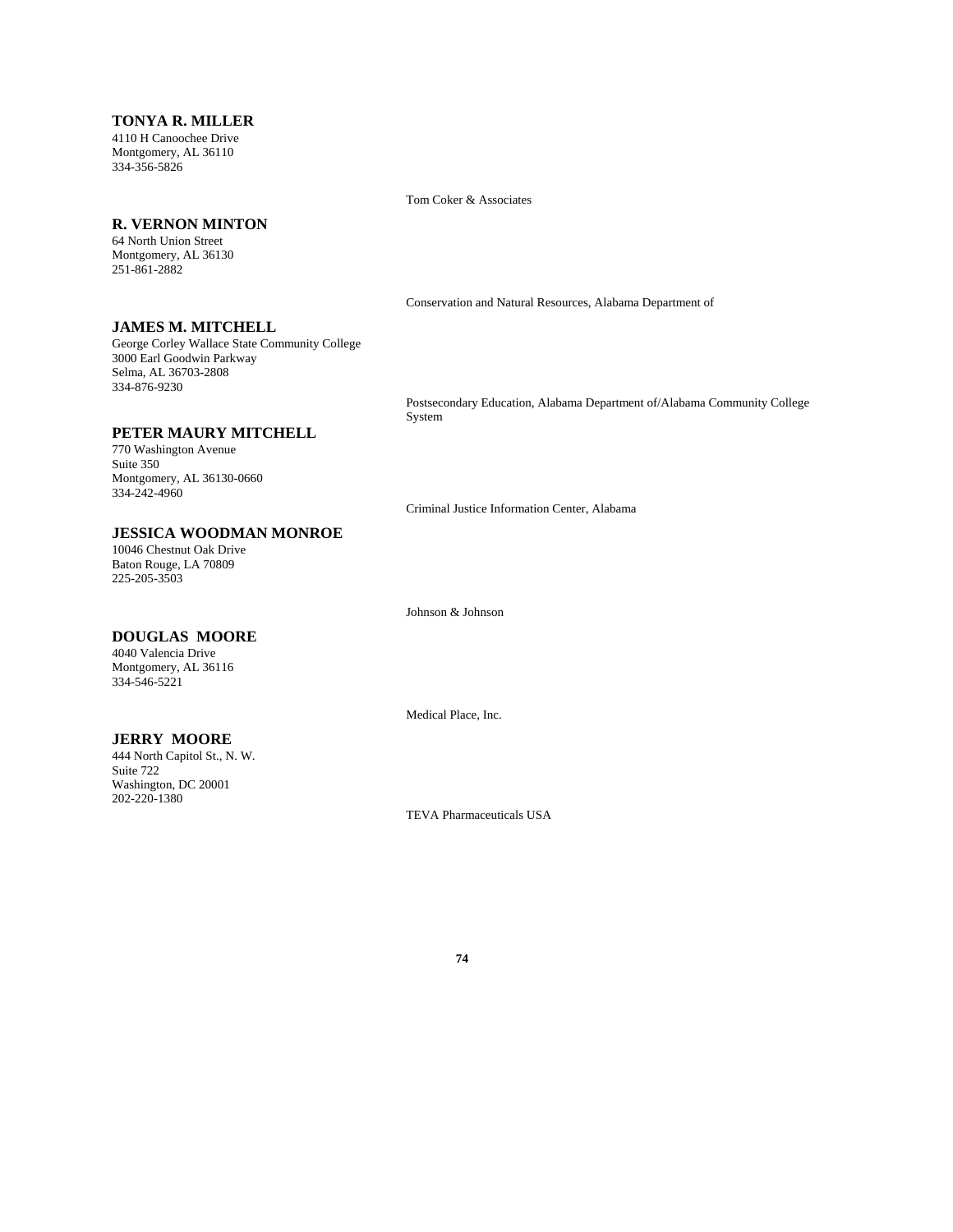#### **TONYA R. MILLER**

4110 H Canoochee Drive Montgomery, AL 36110 334-356-5826

#### **R. VERNON MINTON**

64 North Union Street Montgomery, AL 36130 251-861-2882

#### **JAMES M. MITCHELL**

George Corley Wallace State Community College 3000 Earl Goodwin Parkway Selma, AL 36703-2808 334-876-9230

#### **PETER MAURY MITCHELL**

770 Washington Avenue Suite 350 Montgomery, AL 36130-0660 334-242-4960

Tom Coker & Associates

Conservation and Natural Resources, Alabama Department of

Postsecondary Education, Alabama Department of/Alabama Community College System

Criminal Justice Information Center, Alabama

## **JESSICA WOODMAN MONROE**

10046 Chestnut Oak Drive Baton Rouge, LA 70809 225-205-3503

Johnson & Johnson

## **DOUGLAS MOORE**

4040 Valencia Drive Montgomery, AL 36116 334-546-5221

Medical Place, Inc.

## **JERRY MOORE**

444 North Capitol St., N. W. Suite 722 Washington, DC 20001 202-220-1380

TEVA Pharmaceuticals USA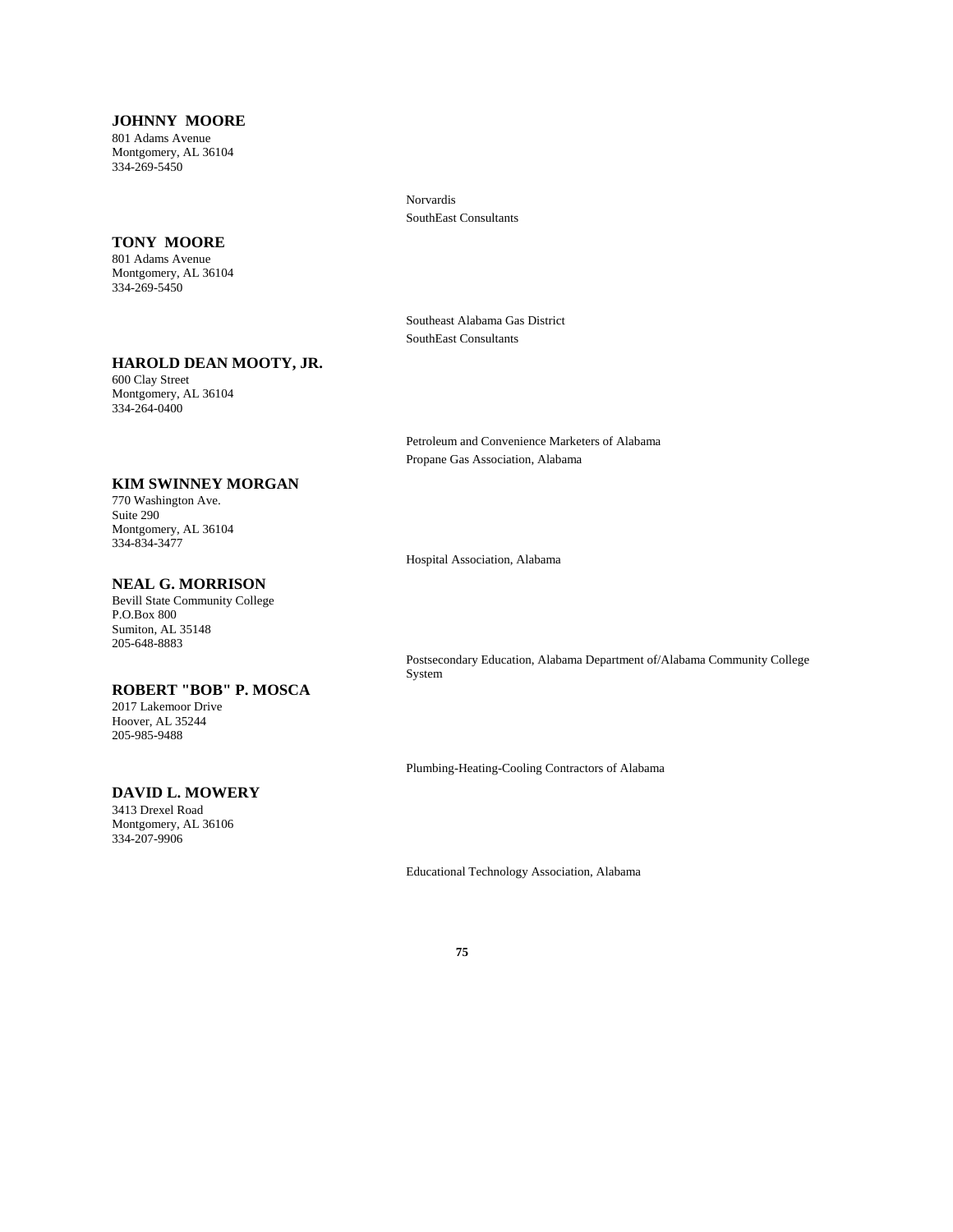## **JOHNNY MOORE**

801 Adams Avenue Montgomery, AL 36104 334-269-5450

**TONY MOORE**

801 Adams Avenue Montgomery, AL 36104 334-269-5450

## **HAROLD DEAN MOOTY, JR.**

600 Clay Street Montgomery, AL 36104 334-264-0400

Norvardis SouthEast Consultants

Southeast Alabama Gas District SouthEast Consultants

Hospital Association, Alabama

Petroleum and Convenience Marketers of Alabama Propane Gas Association, Alabama

## **KIM SWINNEY MORGAN**

770 Washington Ave. Suite 290 Montgomery, AL 36104 334-834-3477

#### **NEAL G. MORRISON**

Bevill State Community College P.O.Box 800 Sumiton, AL 35148 205-648-8883

#### **ROBERT "BOB" P. MOSCA**

2017 Lakemoor Drive Hoover, AL 35244 205-985-9488

#### **DAVID L. MOWERY**

3413 Drexel Road Montgomery, AL 36106 334-207-9906

Postsecondary Education, Alabama Department of/Alabama Community College System

Plumbing-Heating-Cooling Contractors of Alabama

Educational Technology Association, Alabama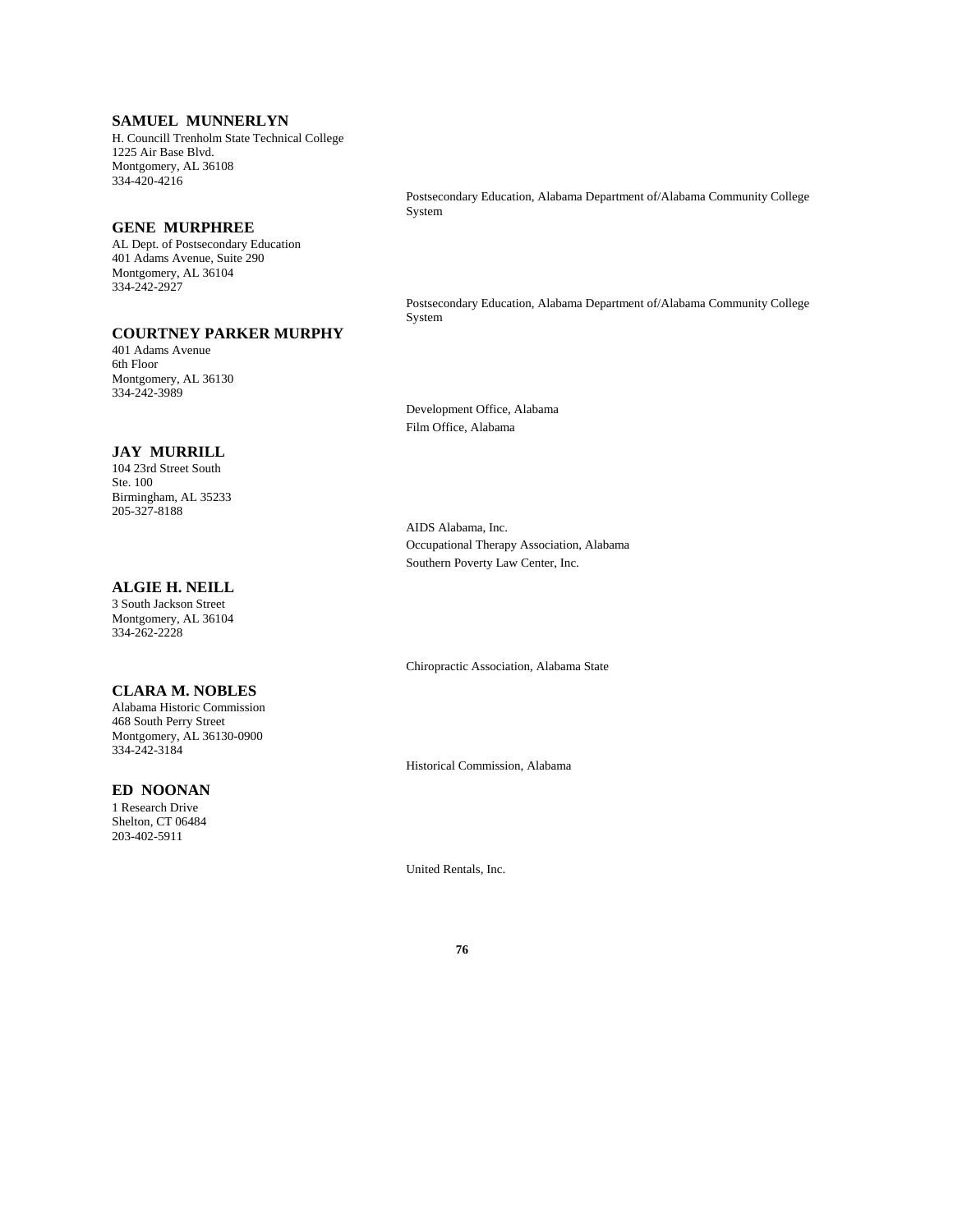## **SAMUEL MUNNERLYN**

H. Councill Trenholm State Technical College 1225 Air Base Blvd. Montgomery, AL 36108 334-420-4216

#### **GENE MURPHREE**

AL Dept. of Postsecondary Education 401 Adams Avenue, Suite 290 Montgomery, AL 36104 334-242-2927

#### **COURTNEY PARKER MURPHY**

401 Adams Avenue 6th Floor Montgomery, AL 36130 334-242-3989

#### **JAY MURRILL**

104 23rd Street South Ste. 100 Birmingham, AL 35233 205-327-8188

#### **ALGIE H. NEILL**

3 South Jackson Street Montgomery, AL 36104 334-262-2228

#### **CLARA M. NOBLES**

Alabama Historic Commission 468 South Perry Street Montgomery, AL 36130-0900 334-242-3184

#### **ED NOONAN**

1 Research Drive Shelton, CT 06484 203-402-5911

Postsecondary Education, Alabama Department of/Alabama Community College System

Postsecondary Education, Alabama Department of/Alabama Community College System

Development Office, Alabama Film Office, Alabama

AIDS Alabama, Inc. Occupational Therapy Association, Alabama Southern Poverty Law Center, Inc.

Chiropractic Association, Alabama State

Historical Commission, Alabama

United Rentals, Inc.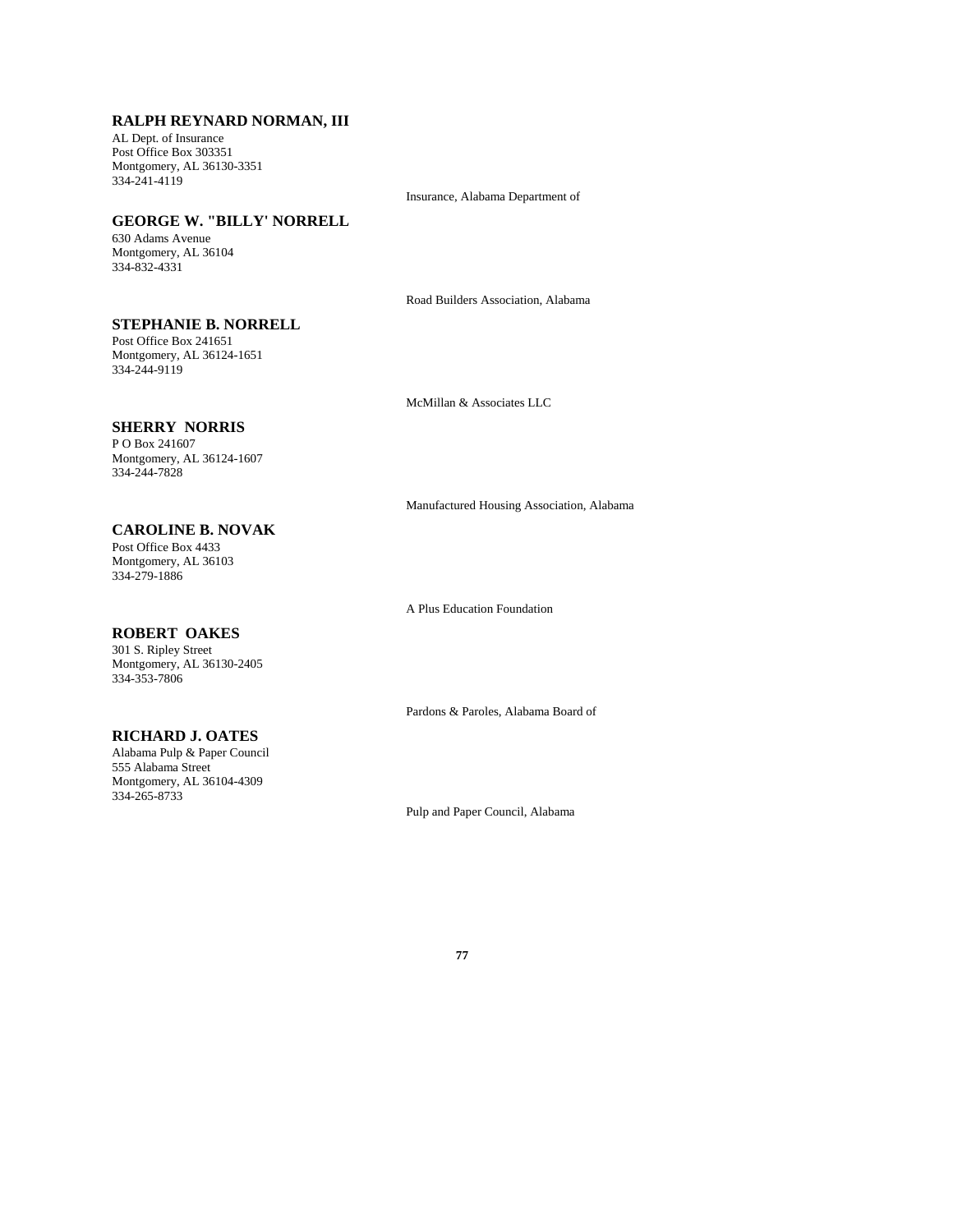# **RALPH REYNARD NORMAN, III**

AL Dept. of Insurance Post Office Box 303351 Montgomery, AL 36130-3351 334-241-4119

## **GEORGE W. "BILLY' NORRELL**

630 Adams Avenue Montgomery, AL 36104 334-832-4331

Road Builders Association, Alabama

Insurance, Alabama Department of

#### **STEPHANIE B. NORRELL**

Post Office Box 241651 Montgomery, AL 36124-1651 334-244-9119

McMillan & Associates LLC

## **SHERRY NORRIS**

P O Box 241607 Montgomery, AL 36124-1607 334-244-7828

Manufactured Housing Association, Alabama

# **CAROLINE B. NOVAK**

Post Office Box 4433 Montgomery, AL 36103 334-279-1886

A Plus Education Foundation

## **ROBERT OAKES**

301 S. Ripley Street Montgomery, AL 36130-2405 334-353-7806

#### **RICHARD J. OATES**

Alabama Pulp & Paper Council 555 Alabama Street Montgomery, AL 36104-4309 334-265-8733

Pardons & Paroles, Alabama Board of

Pulp and Paper Council, Alabama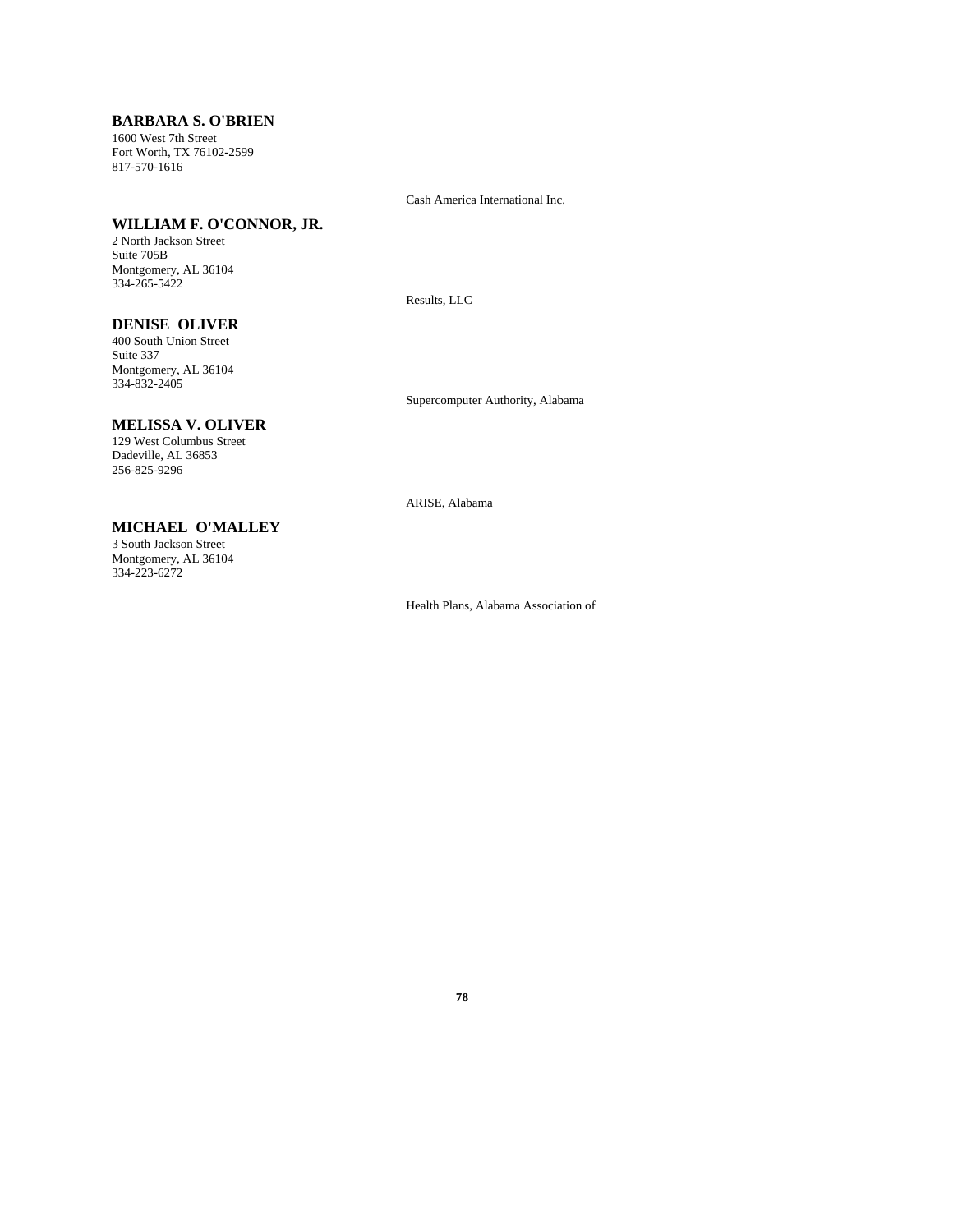## **BARBARA S. O'BRIEN**

1600 West 7th Street Fort Worth, TX 76102-2599 817-570-1616

Cash America International Inc.

Supercomputer Authority, Alabama

## **WILLIAM F. O'CONNOR, JR.**

2 North Jackson Street Suite 705B Montgomery, AL 36104 334-265-5422

Results, LLC

# **DENISE OLIVER**

400 South Union Street Suite 337 Montgomery, AL 36104 334-832-2405

#### **MELISSA V. OLIVER**

129 West Columbus Street Dadeville, AL 36853 256-825-9296

ARISE, Alabama

# **MICHAEL O'MALLEY**

3 South Jackson Street Montgomery, AL 36104 334-223-6272

Health Plans, Alabama Association of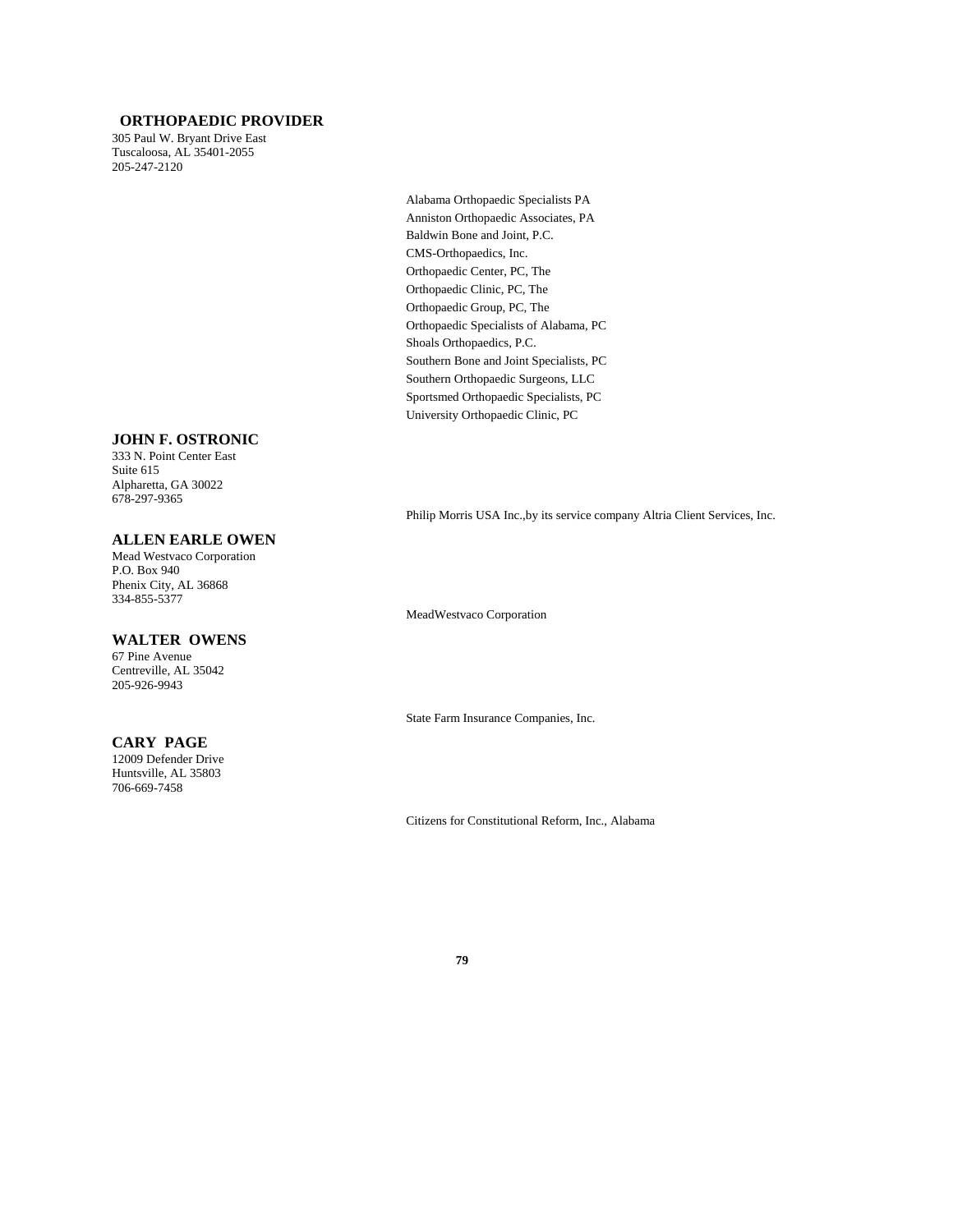## **ORTHOPAEDIC PROVIDER**

305 Paul W. Bryant Drive East Tuscaloosa, AL 35401-2055 205-247-2120

> Alabama Orthopaedic Specialists PA Anniston Orthopaedic Associates, PA Baldwin Bone and Joint, P.C. CMS-Orthopaedics, Inc. Orthopaedic Center, PC, The Orthopaedic Clinic, PC, The Orthopaedic Group, PC, The Orthopaedic Specialists of Alabama, PC Shoals Orthopaedics, P.C. Southern Bone and Joint Specialists, PC Southern Orthopaedic Surgeons, LLC Sportsmed Orthopaedic Specialists, PC University Orthopaedic Clinic, PC

#### **JOHN F. OSTRONIC**

333 N. Point Center East Suite 615 Alpharetta, GA 30022 678-297-9365

# **ALLEN EARLE OWEN**

Mead Westvaco Corporation P.O. Box 940 Phenix City, AL 36868 334-855-5377

#### **WALTER OWENS**

67 Pine Avenue Centreville, AL 35042 205-926-9943

#### **CARY PAGE**

12009 Defender Drive Huntsville, AL 35803 706-669-7458

Philip Morris USA Inc.,by its service company Altria Client Services, Inc.

MeadWestvaco Corporation

State Farm Insurance Companies, Inc.

Citizens for Constitutional Reform, Inc., Alabama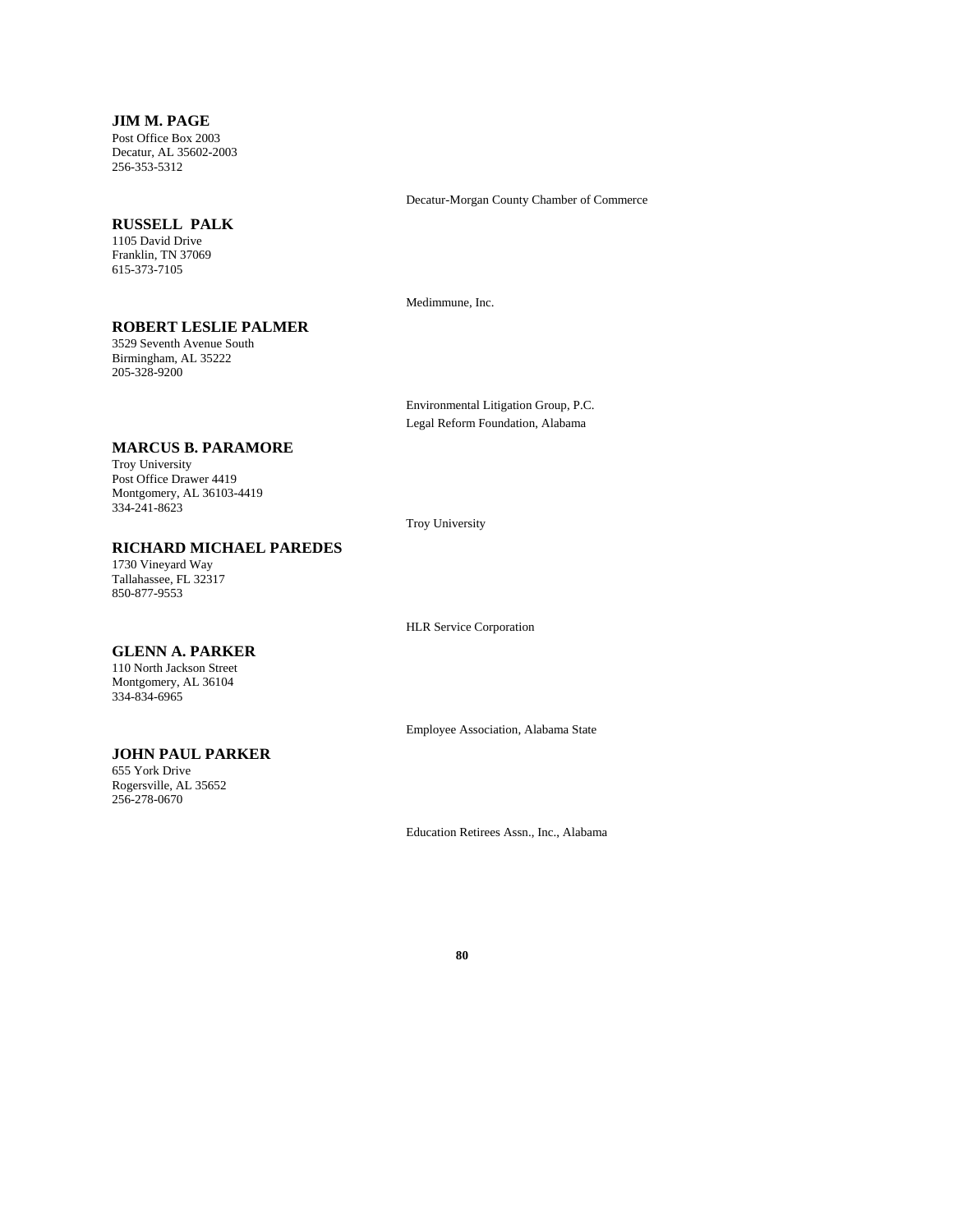**JIM M. PAGE** Post Office Box 2003 Decatur, AL 35602-2003 256-353-5312

#### **RUSSELL PALK**

1105 David Drive Franklin, TN 37069 615-373-7105

Medimmune, Inc.

#### Environmental Litigation Group, P.C. Legal Reform Foundation, Alabama

Decatur-Morgan County Chamber of Commerce

## **MARCUS B. PARAMORE**

**ROBERT LESLIE PALMER**

3529 Seventh Avenue South Birmingham, AL 35222 205-328-9200

Troy University Post Office Drawer 4419 Montgomery, AL 36103-4419 334-241-8623

Troy University

## **RICHARD MICHAEL PAREDES**

1730 Vineyard Way Tallahassee, FL 32317 850-877-9553

HLR Service Corporation

# **GLENN A. PARKER**

**JOHN PAUL PARKER**

110 North Jackson Street Montgomery, AL 36104 334-834-6965

655 York Drive Rogersville, AL 35652 256-278-0670

Employee Association, Alabama State

Education Retirees Assn., Inc., Alabama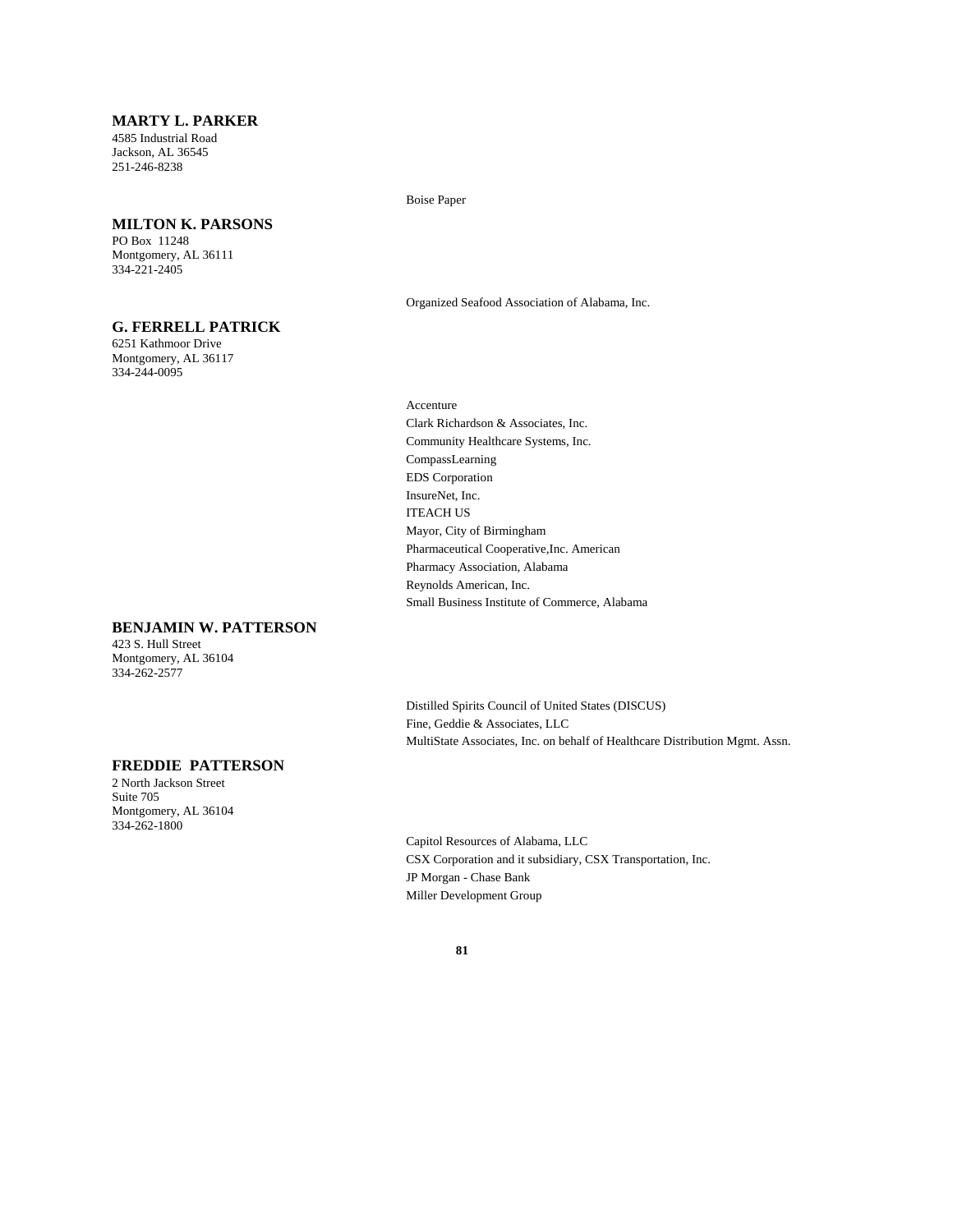## **MARTY L. PARKER**

4585 Industrial Road Jackson, AL 36545 251-246-8238

#### **MILTON K. PARSONS**

PO Box 11248 Montgomery, AL 36111 334-221-2405

## **G. FERRELL PATRICK**

6251 Kathmoor Drive Montgomery, AL 36117 334-244-0095

#### Boise Paper

Organized Seafood Association of Alabama, Inc.

Accenture Clark Richardson & Associates, Inc. Community Healthcare Systems, Inc. CompassLearning EDS Corporation InsureNet, Inc. ITEACH US Mayor, City of Birmingham Pharmaceutical Cooperative,Inc. American Pharmacy Association, Alabama Reynolds American, Inc. Small Business Institute of Commerce, Alabama

#### **BENJAMIN W. PATTERSON**

423 S. Hull Street Montgomery, AL 36104 334-262-2577

> Distilled Spirits Council of United States (DISCUS) Fine, Geddie & Associates, LLC MultiState Associates, Inc. on behalf of Healthcare Distribution Mgmt. Assn.

#### **FREDDIE PATTERSON**

2 North Jackson Street Suite 705 Montgomery, AL 36104 334-262-1800

> Capitol Resources of Alabama, LLC CSX Corporation and it subsidiary, CSX Transportation, Inc. JP Morgan - Chase Bank Miller Development Group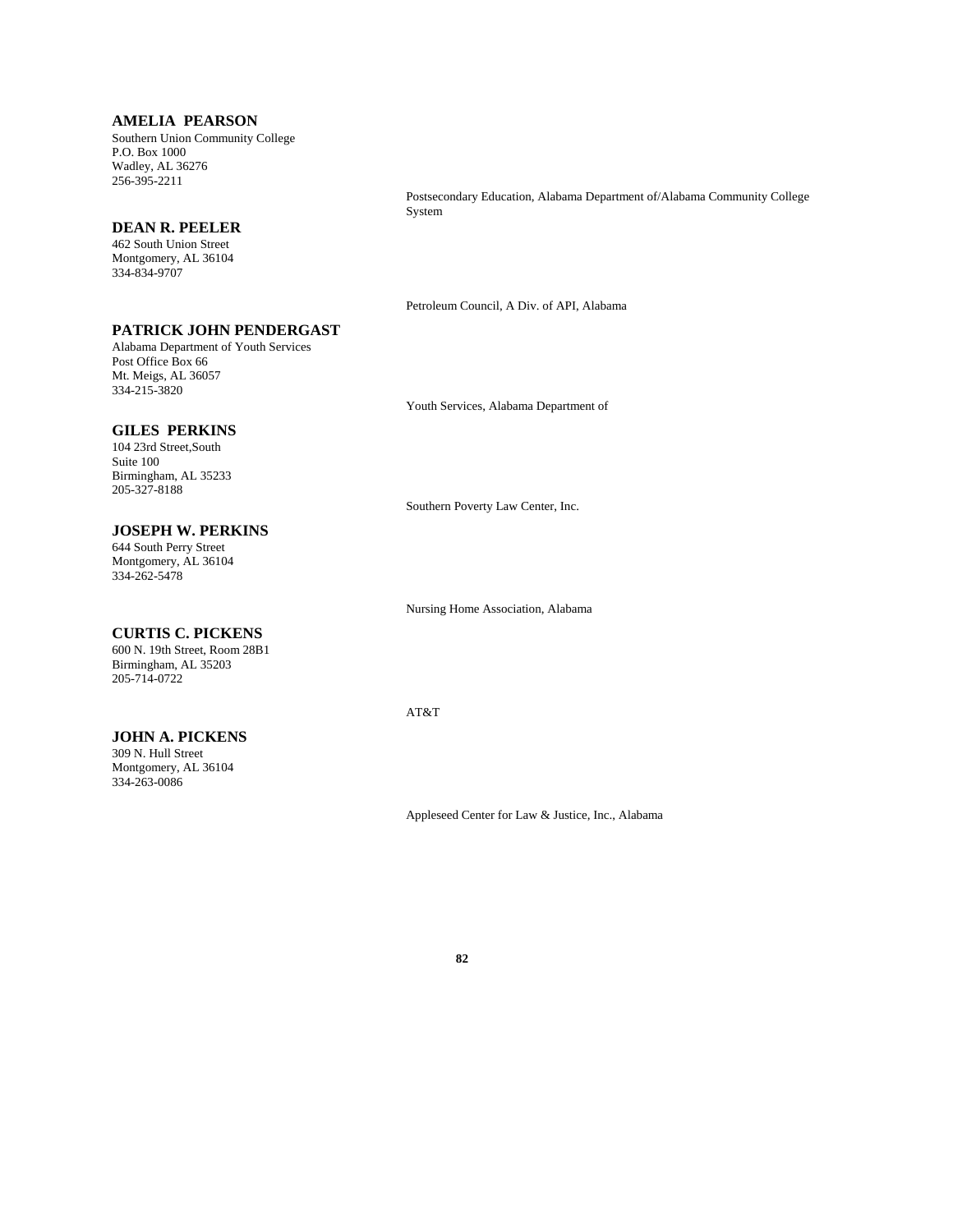## **AMELIA PEARSON**

Southern Union Community College P.O. Box 1000 Wadley, AL 36276 256-395-2211

#### **DEAN R. PEELER**

462 South Union Street Montgomery, AL 36104 334-834-9707

#### **PATRICK JOHN PENDERGAST**

Alabama Department of Youth Services Post Office Box 66 Mt. Meigs, AL 36057 334-215-3820

Youth Services, Alabama Department of

Petroleum Council, A Div. of API, Alabama

Postsecondary Education, Alabama Department of/Alabama Community College

#### **GILES PERKINS**

104 23rd Street,South Suite 100 Birmingham, AL 35233 205-327-8188

#### **JOSEPH W. PERKINS**

644 South Perry Street Montgomery, AL 36104 334-262-5478

## **CURTIS C. PICKENS**

600 N. 19th Street, Room 28B1 Birmingham, AL 35203 205-714-0722

## **JOHN A. PICKENS**

309 N. Hull Street Montgomery, AL 36104 334-263-0086

Southern Poverty Law Center, Inc.

Nursing Home Association, Alabama

AT&T

System

Appleseed Center for Law & Justice, Inc., Alabama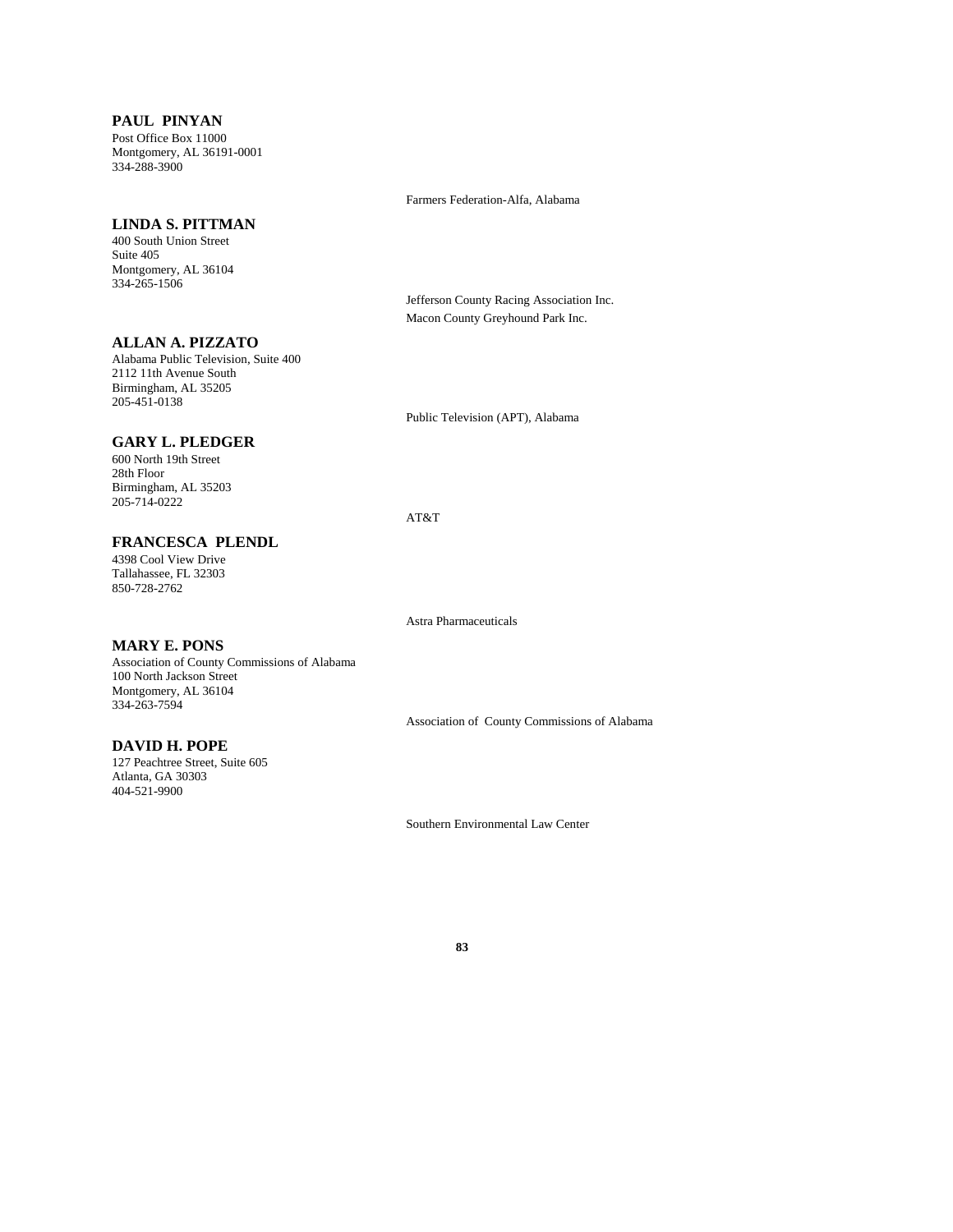**PAUL PINYAN** Post Office Box 11000 Montgomery, AL 36191-0001 334-288-3900

#### **LINDA S. PITTMAN**

400 South Union Street Suite 405 Montgomery, AL 36104 334-265-1506

## **ALLAN A. PIZZATO**

Alabama Public Television, Suite 400 2112 11th Avenue South Birmingham, AL 35205 205-451-0138

#### **GARY L. PLEDGER**

600 North 19th Street 28th Floor Birmingham, AL 35203 205-714-0222

# **FRANCESCA PLENDL**

4398 Cool View Drive Tallahassee, FL 32303 850-728-2762

#### **MARY E. PONS**

Association of County Commissions of Alabama 100 North Jackson Street Montgomery, AL 36104 334-263-7594

#### **DAVID H. POPE**

127 Peachtree Street, Suite 605 Atlanta, GA 30303 404-521-9900

Farmers Federation-Alfa, Alabama

Jefferson County Racing Association Inc. Macon County Greyhound Park Inc.

Public Television (APT), Alabama

AT&T

Astra Pharmaceuticals

Association of County Commissions of Alabama

Southern Environmental Law Center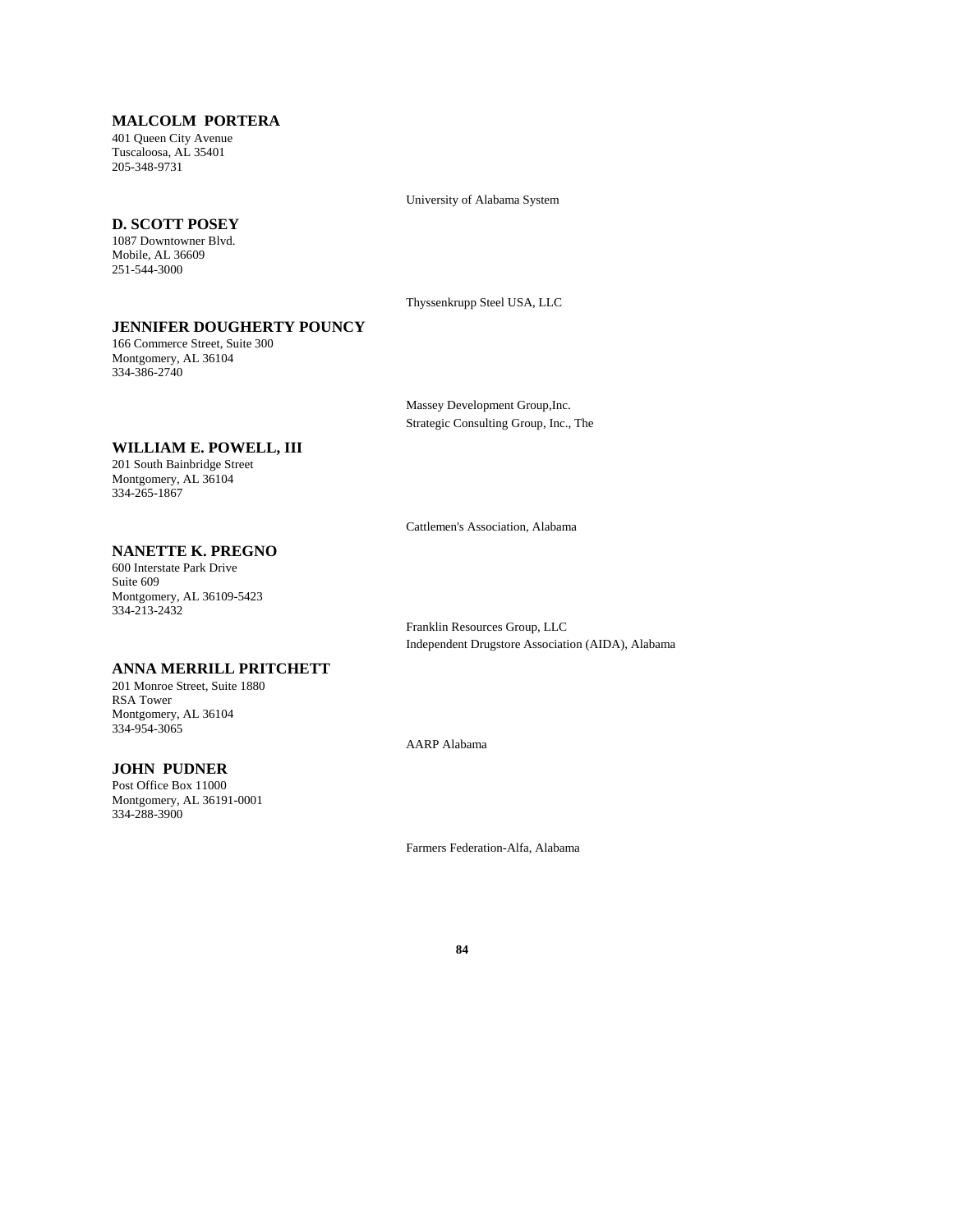## **MALCOLM PORTERA**

401 Queen City Avenue Tuscaloosa, AL 35401 205-348-9731

University of Alabama System

#### **D. SCOTT POSEY**

1087 Downtowner Blvd. Mobile, AL 36609 251-544-3000

Thyssenkrupp Steel USA, LLC

# **JENNIFER DOUGHERTY POUNCY**

166 Commerce Street, Suite 300 Montgomery, AL 36104 334-386-2740

> Massey Development Group,Inc. Strategic Consulting Group, Inc., The

# **WILLIAM E. POWELL, III**

201 South Bainbridge Street Montgomery, AL 36104 334-265-1867

Cattlemen's Association, Alabama

# **NANETTE K. PREGNO**

600 Interstate Park Drive Suite 609 Montgomery, AL 36109-5423 334-213-2432

Franklin Resources Group, LLC Independent Drugstore Association (AIDA), Alabama

# **ANNA MERRILL PRITCHETT**

201 Monroe Street, Suite 1880 RSA Tower Montgomery, AL 36104 334-954-3065

## **JOHN PUDNER**

Post Office Box 11000 Montgomery, AL 36191-0001 334-288-3900

AARP Alabama

Farmers Federation-Alfa, Alabama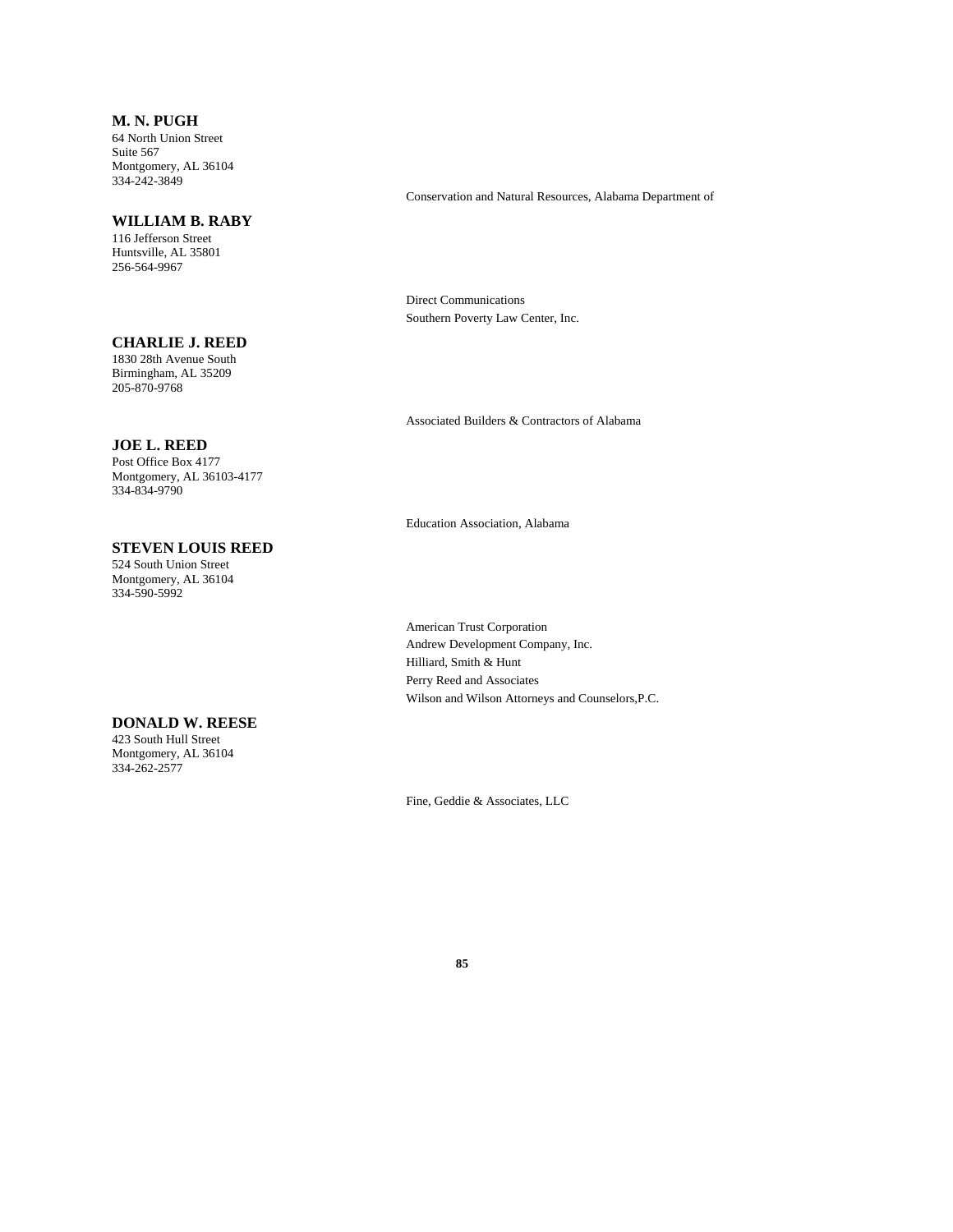## **M. N. PUGH**

64 North Union Street Suite 567 Montgomery, AL 36104 334-242-3849

#### **WILLIAM B. RABY**

116 Jefferson Street Huntsville, AL 35801 256-564-9967

#### **CHARLIE J. REED**

1830 28th Avenue South Birmingham, AL 35209 205-870-9768

## **JOE L. REED**

Post Office Box 4177 Montgomery, AL 36103-4177 334-834-9790

## **STEVEN LOUIS REED**

524 South Union Street Montgomery, AL 36104 334-590-5992

#### **DONALD W. REESE**

423 South Hull Street Montgomery, AL 36104 334-262-2577

Conservation and Natural Resources, Alabama Department of

Direct Communications Southern Poverty Law Center, Inc.

Associated Builders & Contractors of Alabama

Education Association, Alabama

American Trust Corporation Andrew Development Company, Inc. Hilliard, Smith & Hunt Perry Reed and Associates Wilson and Wilson Attorneys and Counselors,P.C.

Fine, Geddie & Associates, LLC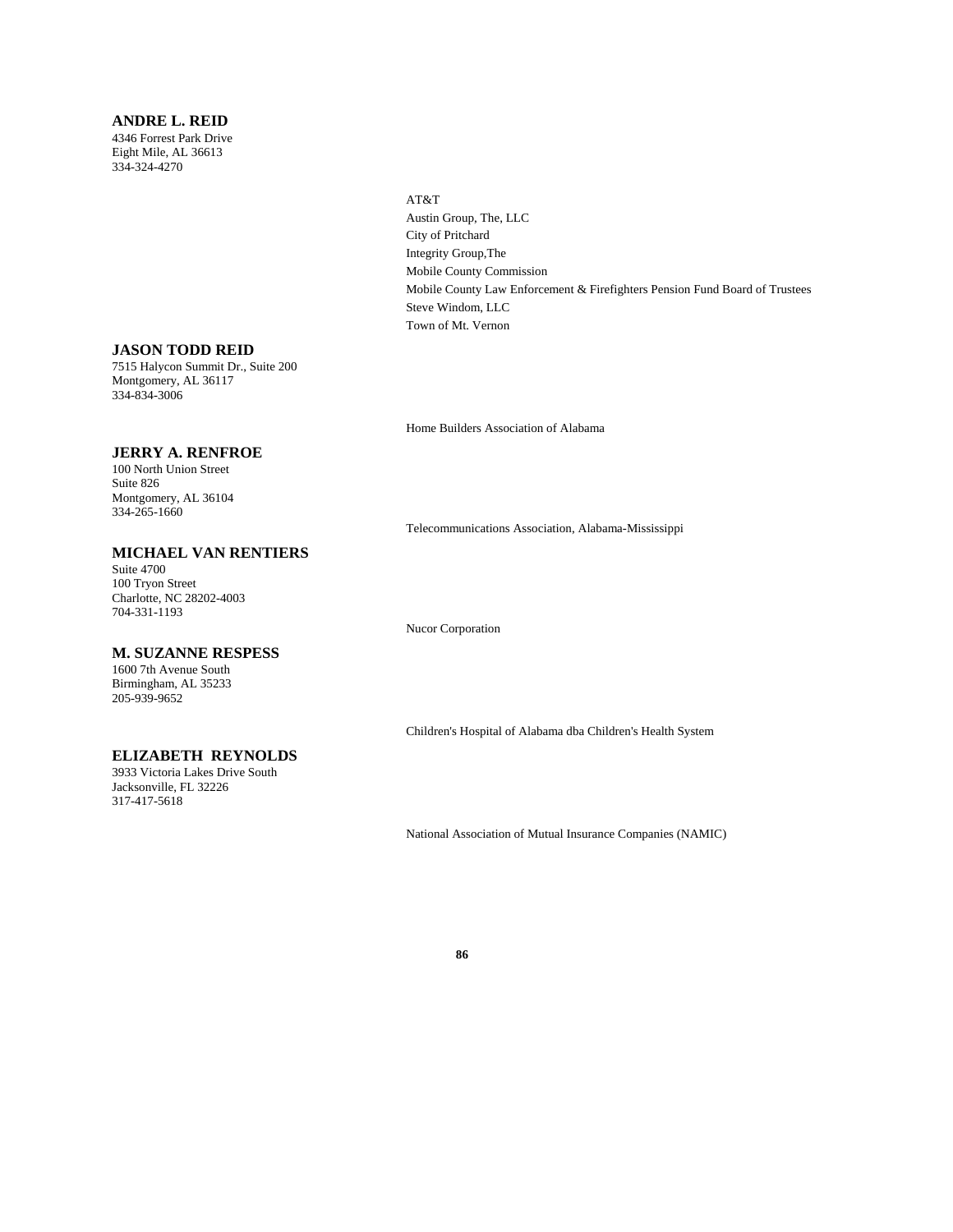## **ANDRE L. REID**

4346 Forrest Park Drive Eight Mile, AL 36613 334-324-4270

## AT&T

Austin Group, The, LLC City of Pritchard Integrity Group,The Mobile County Commission Mobile County Law Enforcement & Firefighters Pension Fund Board of Trustees Steve Windom, LLC Town of Mt. Vernon

#### **JASON TODD REID**

7515 Halycon Summit Dr., Suite 200 Montgomery, AL 36117 334-834-3006

#### **JERRY A. RENFROE**

100 North Union Street Suite 826 Montgomery, AL 36104 334-265-1660

#### **MICHAEL VAN RENTIERS**

Suite 4700 100 Tryon Street Charlotte, NC 28202-4003 704-331-1193

#### **M. SUZANNE RESPESS**

1600 7th Avenue South Birmingham, AL 35233 205-939-9652

#### **ELIZABETH REYNOLDS**

3933 Victoria Lakes Drive South Jacksonville, FL 32226 317-417-5618

Home Builders Association of Alabama

Telecommunications Association, Alabama-Mississippi

Nucor Corporation

Children's Hospital of Alabama dba Children's Health System

National Association of Mutual Insurance Companies (NAMIC)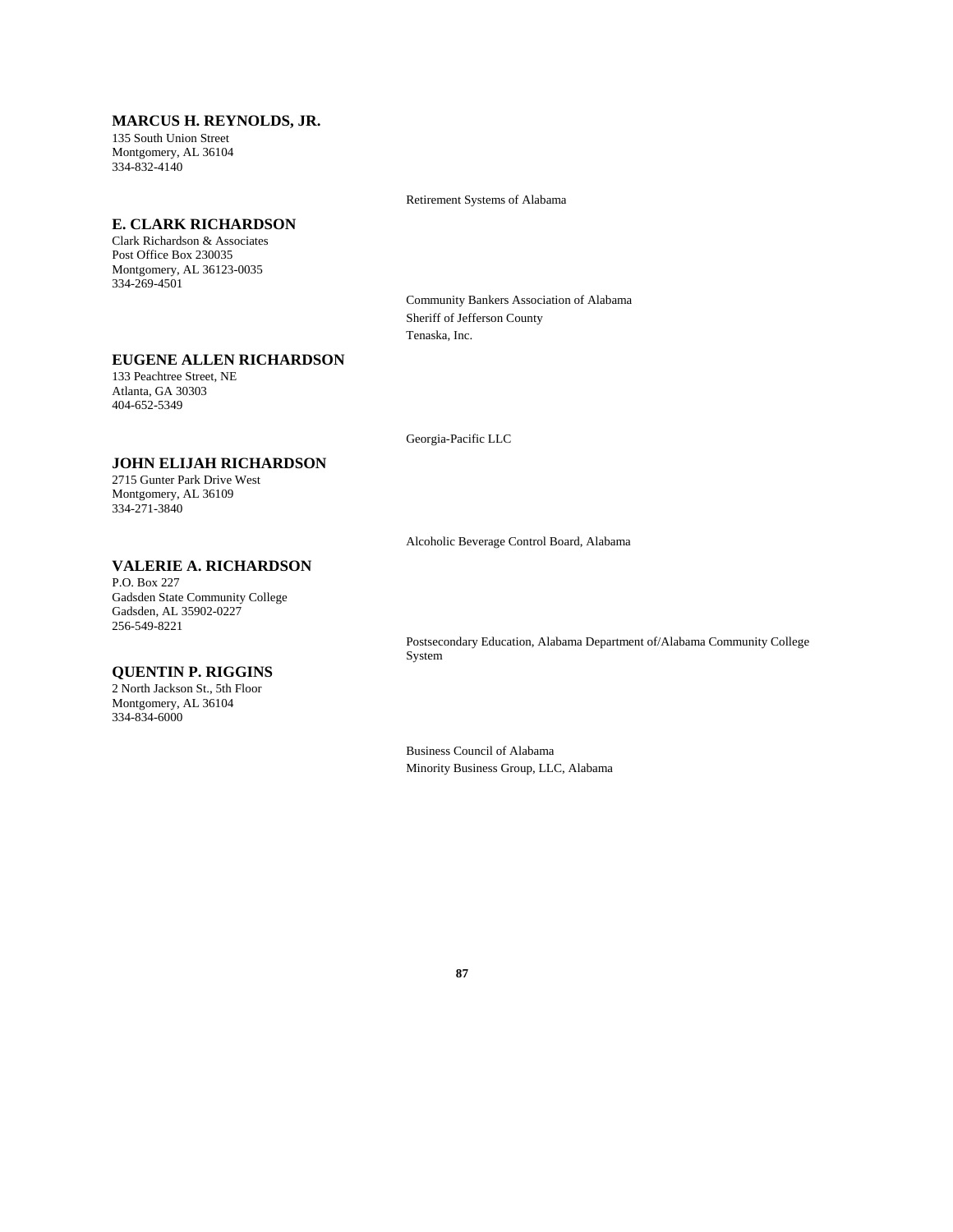## **MARCUS H. REYNOLDS, JR.**

135 South Union Street Montgomery, AL 36104 334-832-4140

#### **E. CLARK RICHARDSON**

Clark Richardson & Associates Post Office Box 230035 Montgomery, AL 36123-0035 334-269-4501

**EUGENE ALLEN RICHARDSON**

133 Peachtree Street, NE Atlanta, GA 30303 404-652-5349

Georgia-Pacific LLC

Retirement Systems of Alabama

Sheriff of Jefferson County

Tenaska, Inc.

Community Bankers Association of Alabama

Alcoholic Beverage Control Board, Alabama

# **JOHN ELIJAH RICHARDSON**

2715 Gunter Park Drive West Montgomery, AL 36109 334-271-3840

## **VALERIE A. RICHARDSON**

P.O. Box 227 Gadsden State Community College Gadsden, AL 35902-0227 256-549-8221

#### **QUENTIN P. RIGGINS**

2 North Jackson St., 5th Floor Montgomery, AL 36104 334-834-6000

Postsecondary Education, Alabama Department of/Alabama Community College System

Business Council of Alabama Minority Business Group, LLC, Alabama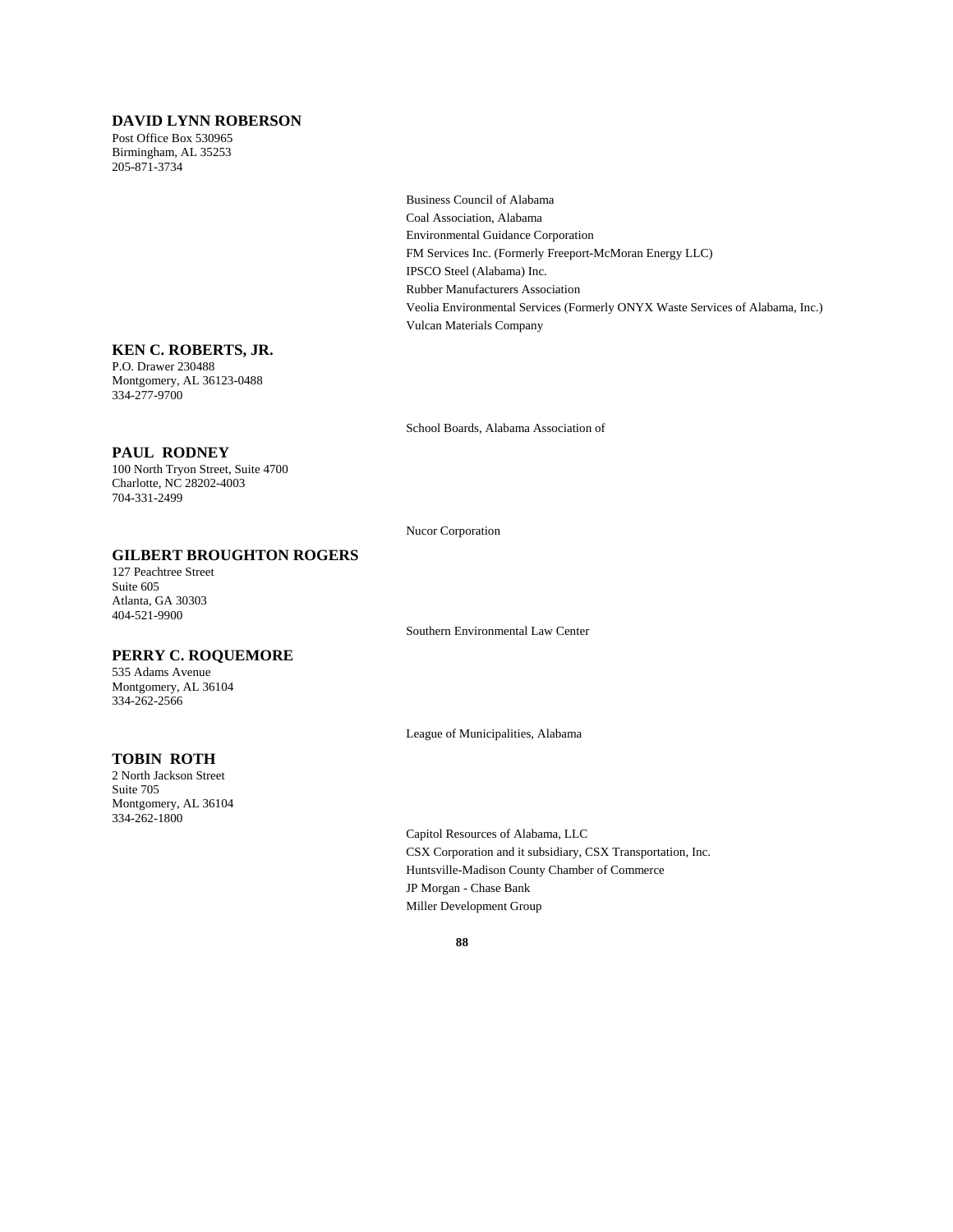## **DAVID LYNN ROBERSON**

Post Office Box 530965 Birmingham, AL 35253 205-871-3734

> Business Council of Alabama Coal Association, Alabama Environmental Guidance Corporation FM Services Inc. (Formerly Freeport-McMoran Energy LLC) IPSCO Steel (Alabama) Inc. Rubber Manufacturers Association Veolia Environmental Services (Formerly ONYX Waste Services of Alabama, Inc.) Vulcan Materials Company

#### **KEN C. ROBERTS, JR.**

P.O. Drawer 230488 Montgomery, AL 36123-0488 334-277-9700

#### **PAUL RODNEY**

100 North Tryon Street, Suite 4700 Charlotte, NC 28202-4003 704-331-2499

# **GILBERT BROUGHTON ROGERS**

127 Peachtree Street Suite 605 Atlanta, GA 30303 404-521-9900

## **PERRY C. ROQUEMORE**

535 Adams Avenue Montgomery, AL 36104 334-262-2566

## **TOBIN ROTH**

2 North Jackson Street Suite 705 Montgomery, AL 36104 334-262-1800

School Boards, Alabama Association of

Nucor Corporation

Southern Environmental Law Center

League of Municipalities, Alabama

Capitol Resources of Alabama, LLC CSX Corporation and it subsidiary, CSX Transportation, Inc. Huntsville-Madison County Chamber of Commerce JP Morgan - Chase Bank Miller Development Group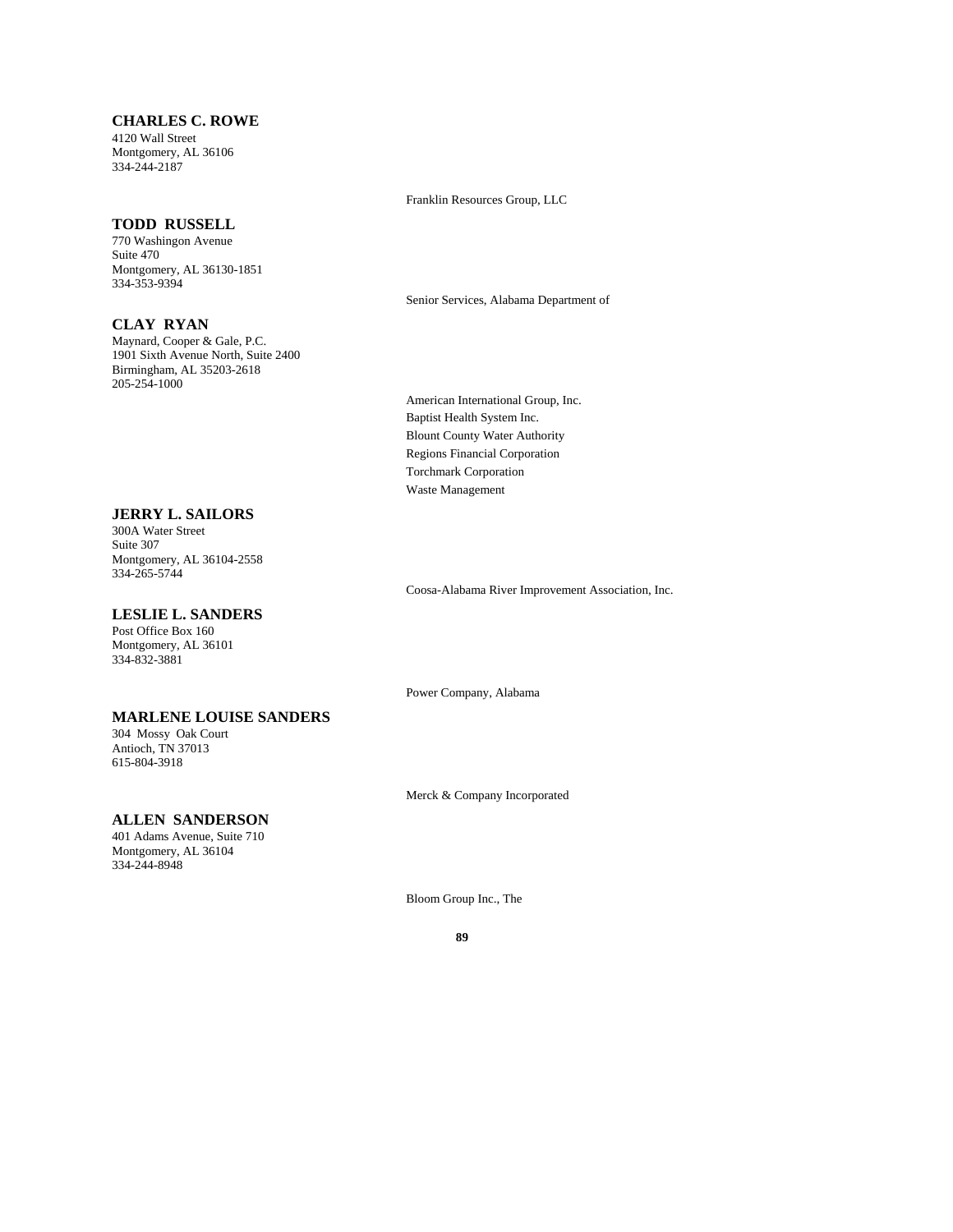## **CHARLES C. ROWE**

4120 Wall Street Montgomery, AL 36106 334-244-2187

#### **TODD RUSSELL**

770 Washingon Avenue Suite 470 Montgomery, AL 36130-1851 334-353-9394

#### **CLAY RYAN**

Maynard, Cooper & Gale, P.C. 1901 Sixth Avenue North, Suite 2400 Birmingham, AL 35203-2618 205-254-1000

#### Franklin Resources Group, LLC

Senior Services, Alabama Department of

American International Group, Inc. Baptist Health System Inc. Blount County Water Authority Regions Financial Corporation Torchmark Corporation Waste Management

Coosa-Alabama River Improvement Association, Inc.

**LESLIE L. SANDERS** Post Office Box 160 Montgomery, AL 36101 334-832-3881

**JERRY L. SAILORS** 300A Water Street Suite 307

Montgomery, AL 36104-2558

334-265-5744

#### **MARLENE LOUISE SANDERS**

304 Mossy Oak Court Antioch, TN 37013 615-804-3918

**ALLEN SANDERSON**

401 Adams Avenue, Suite 710 Montgomery, AL 36104 334-244-8948

Power Company, Alabama

Merck & Company Incorporated

Bloom Group Inc., The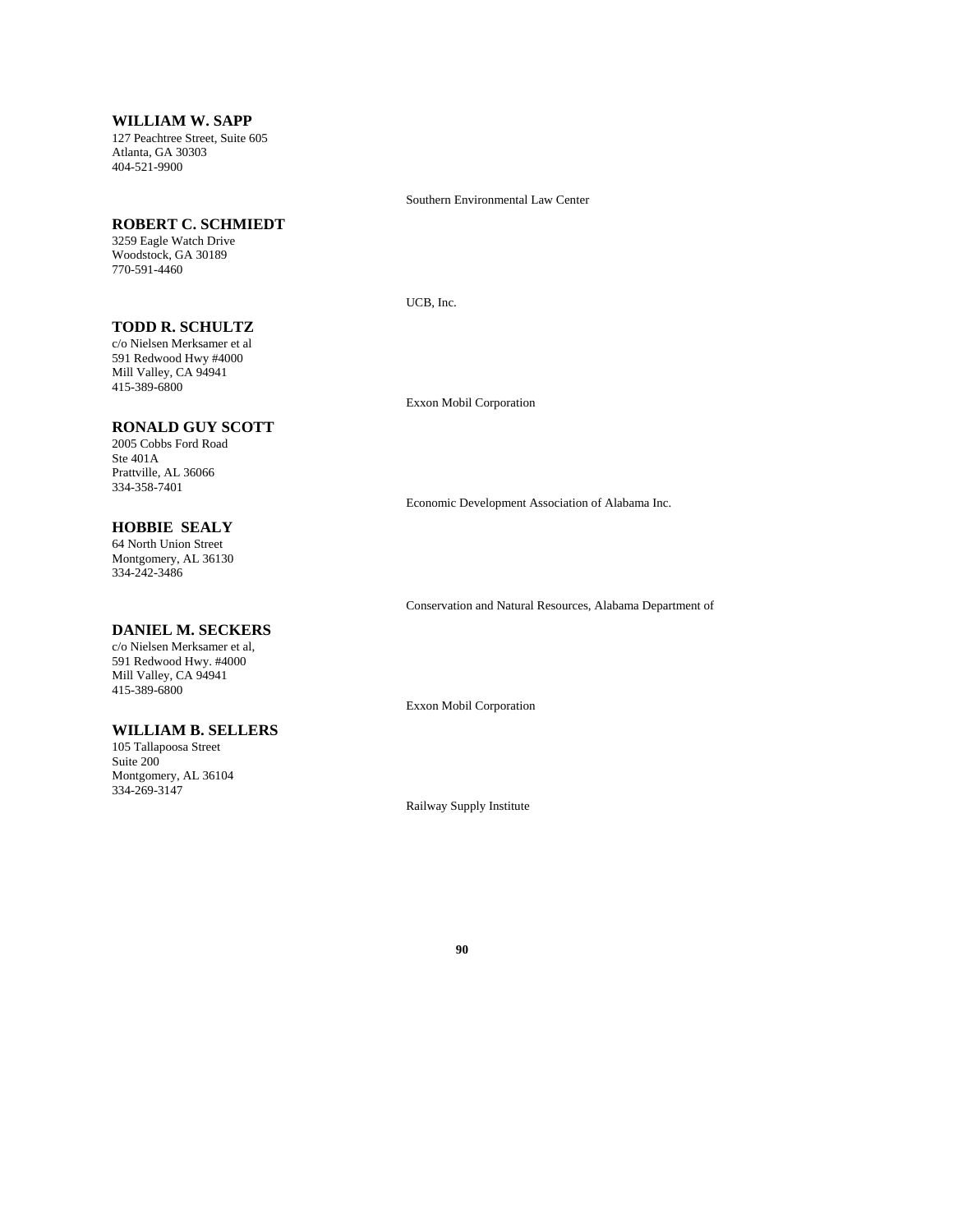#### **WILLIAM W. SAPP**

127 Peachtree Street, Suite 605 Atlanta, GA 30303 404-521-9900

#### **ROBERT C. SCHMIEDT**

3259 Eagle Watch Drive Woodstock, GA 30189 770-591-4460

## **TODD R. SCHULTZ**

c/o Nielsen Merksamer et al 591 Redwood Hwy #4000 Mill Valley, CA 94941 415-389-6800

#### **RONALD GUY SCOTT**

2005 Cobbs Ford Road Ste 401A Prattville, AL 36066 334-358-7401

## **HOBBIE SEALY**

64 North Union Street Montgomery, AL 36130 334-242-3486

#### **DANIEL M. SECKERS**

c/o Nielsen Merksamer et al, 591 Redwood Hwy. #4000 Mill Valley, CA 94941 415-389-6800

#### **WILLIAM B. SELLERS**

105 Tallapoosa Street Suite 200 Montgomery, AL 36104 334-269-3147

Southern Environmental Law Center

UCB, Inc.

Exxon Mobil Corporation

Economic Development Association of Alabama Inc.

Conservation and Natural Resources, Alabama Department of

Exxon Mobil Corporation

Railway Supply Institute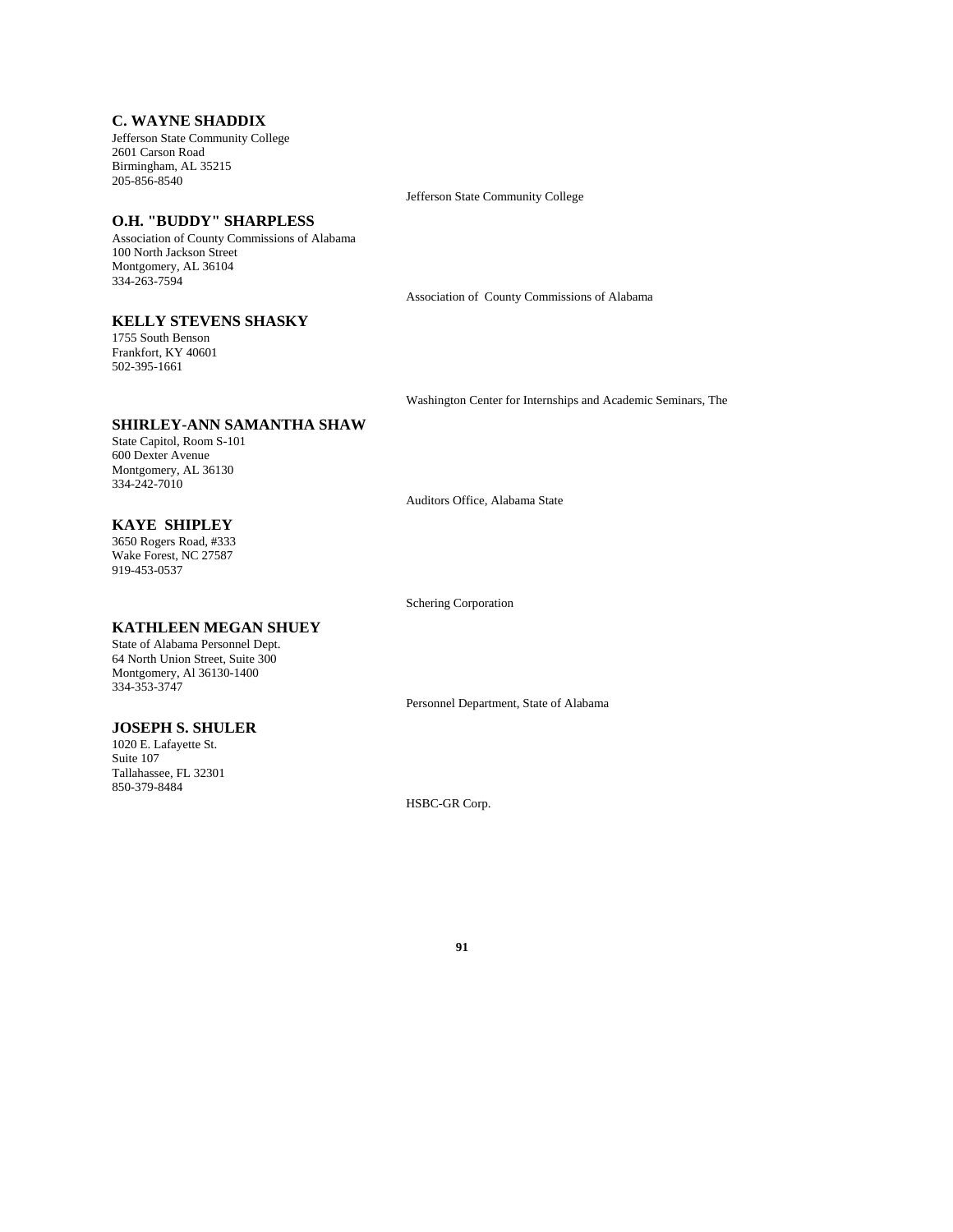## **C. WAYNE SHADDIX**

Jefferson State Community College 2601 Carson Road Birmingham, AL 35215 205-856-8540

#### **O.H. "BUDDY" SHARPLESS**

Association of County Commissions of Alabama 100 North Jackson Street Montgomery, AL 36104 334-263-7594

#### **KELLY STEVENS SHASKY**

1755 South Benson Frankfort, KY 40601 502-395-1661

Jefferson State Community College

Association of County Commissions of Alabama

Washington Center for Internships and Academic Seminars, The

## **SHIRLEY-ANN SAMANTHA SHAW**

State Capitol, Room S-101 600 Dexter Avenue Montgomery, AL 36130 334-242-7010

Auditors Office, Alabama State

## **KAYE SHIPLEY**

3650 Rogers Road, #333 Wake Forest, NC 27587 919-453-0537

Schering Corporation

# **KATHLEEN MEGAN SHUEY**

State of Alabama Personnel Dept. 64 North Union Street, Suite 300 Montgomery, Al 36130-1400 334-353-3747

**JOSEPH S. SHULER** 1020 E. Lafayette St.

Tallahassee, FL 32301 850-379-8484

Suite 107

Personnel Department, State of Alabama

HSBC-GR Corp.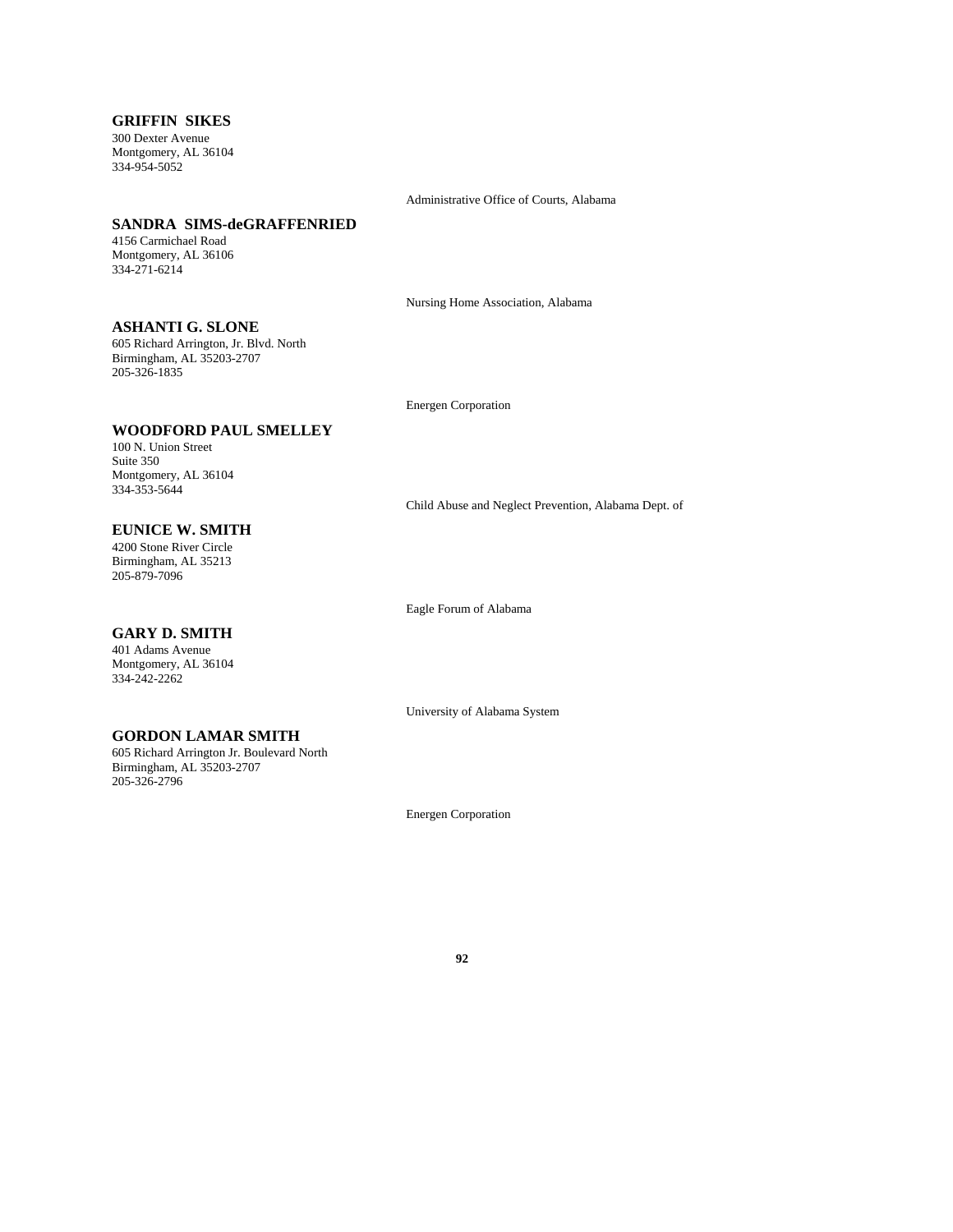## **GRIFFIN SIKES**

300 Dexter Avenue Montgomery, AL 36104 334-954-5052

# Administrative Office of Courts, Alabama

#### **SANDRA SIMS-deGRAFFENRIED**

4156 Carmichael Road Montgomery, AL 36106 334-271-6214

Nursing Home Association, Alabama

#### **ASHANTI G. SLONE**

605 Richard Arrington, Jr. Blvd. North Birmingham, AL 35203-2707 205-326-1835

Energen Corporation

# **WOODFORD PAUL SMELLEY**

100 N. Union Street Suite 350 Montgomery, AL 36104 334-353-5644

**EUNICE W. SMITH** 4200 Stone River Circle Birmingham, AL 35213 205-879-7096

Child Abuse and Neglect Prevention, Alabama Dept. of

#### **GARY D. SMITH**

401 Adams Avenue Montgomery, AL 36104 334-242-2262

University of Alabama System

Eagle Forum of Alabama

# **GORDON LAMAR SMITH**

605 Richard Arrington Jr. Boulevard North Birmingham, AL 35203-2707 205-326-2796

Energen Corporation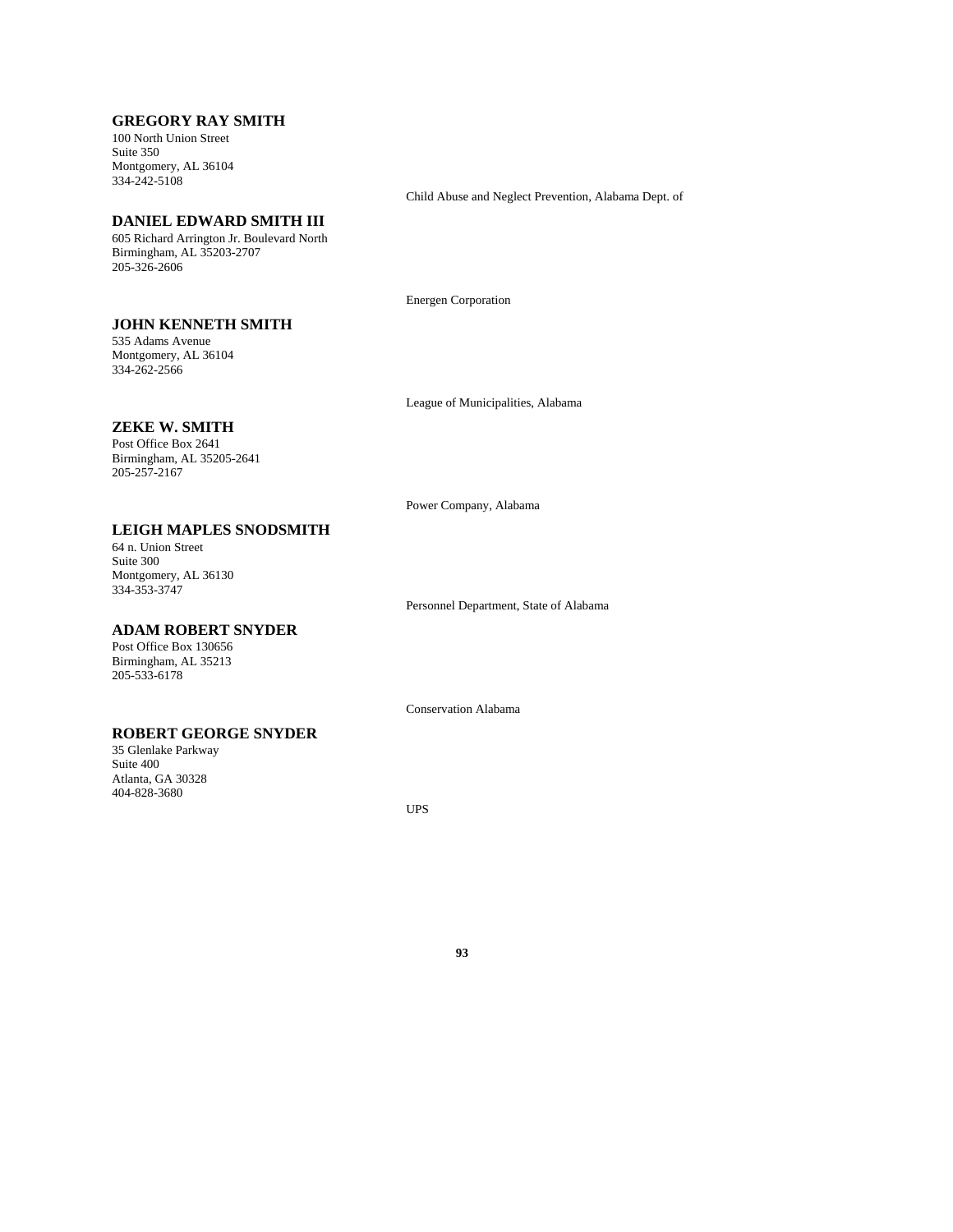## **GREGORY RAY SMITH**

100 North Union Street Suite 350 Montgomery, AL 36104 334-242-5108

#### **DANIEL EDWARD SMITH III**

605 Richard Arrington Jr. Boulevard North Birmingham, AL 35203-2707 205-326-2606

Energen Corporation

## **JOHN KENNETH SMITH**

535 Adams Avenue Montgomery, AL 36104 334-262-2566

League of Municipalities, Alabama

## **ZEKE W. SMITH**

Post Office Box 2641 Birmingham, AL 35205-2641 205-257-2167

Power Company, Alabama

# **LEIGH MAPLES SNODSMITH**

64 n. Union Street Suite 300 Montgomery, AL 36130 334-353-3747

Personnel Department, State of Alabama

## **ADAM ROBERT SNYDER**

**ROBERT GEORGE SNYDER**

Post Office Box 130656 Birmingham, AL 35213 205-533-6178

35 Glenlake Parkway

Suite 400 Atlanta, GA 30328 404-828-3680

Conservation Alabama

UPS

**93**

## Child Abuse and Neglect Prevention, Alabama Dept. of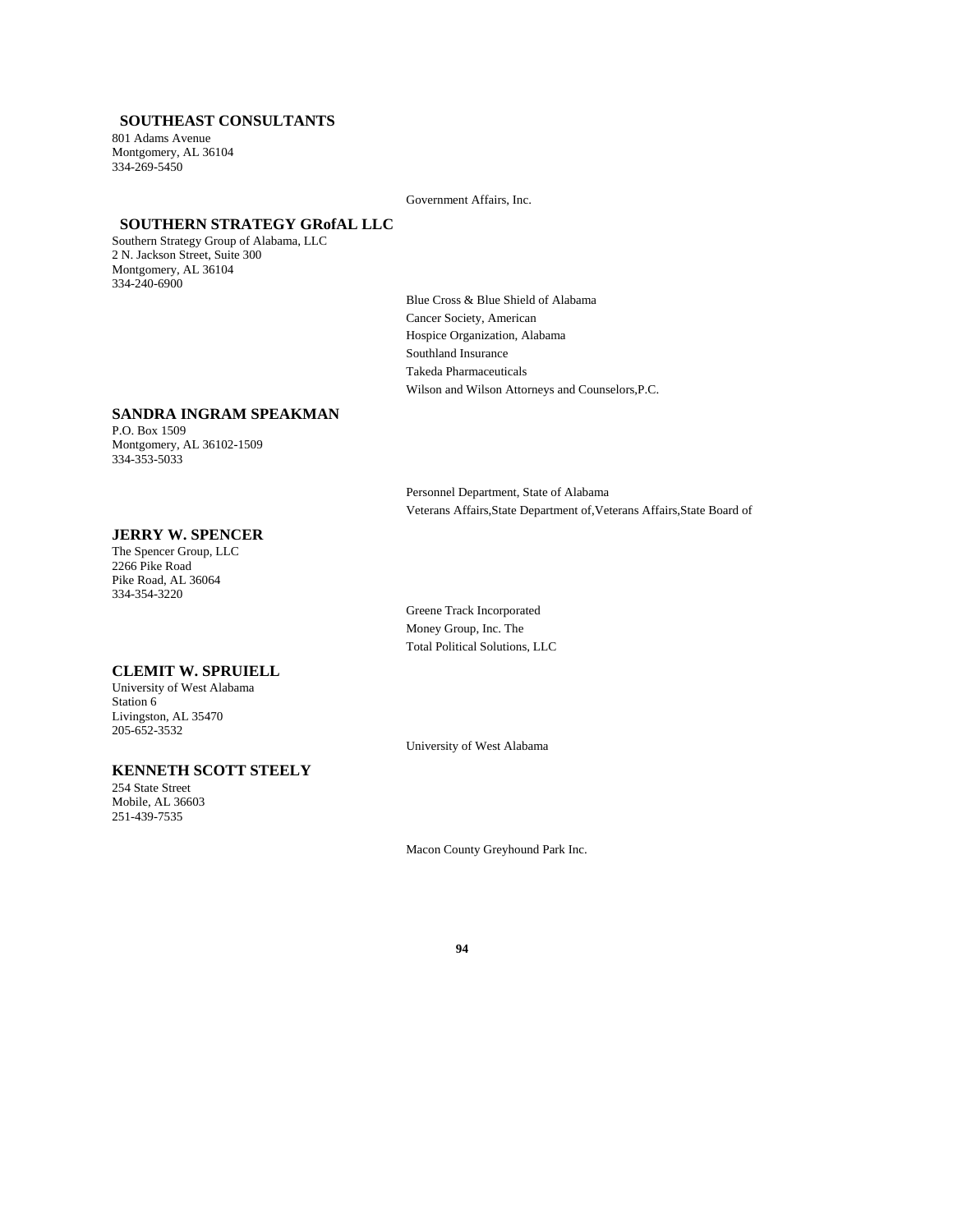# **SOUTHEAST CONSULTANTS**

801 Adams Avenue Montgomery, AL 36104 334-269-5450

Government Affairs, Inc.

#### **SOUTHERN STRATEGY GRofAL LLC**

Southern Strategy Group of Alabama, LLC 2 N. Jackson Street, Suite 300 Montgomery, AL 36104 334-240-6900

Blue Cross & Blue Shield of Alabama Cancer Society, American Hospice Organization, Alabama Southland Insurance Takeda Pharmaceuticals Wilson and Wilson Attorneys and Counselors,P.C.

# **SANDRA INGRAM SPEAKMAN**

P.O. Box 1509 Montgomery, AL 36102-1509 334-353-5033

> Personnel Department, State of Alabama Veterans Affairs,State Department of,Veterans Affairs,State Board of

## **JERRY W. SPENCER**

The Spencer Group, LLC 2266 Pike Road Pike Road, AL 36064 334-354-3220

#### **CLEMIT W. SPRUIELL**

University of West Alabama Station 6 Livingston, AL 35470 205-652-3532

## **KENNETH SCOTT STEELY**

254 State Street Mobile, AL 36603 251-439-7535

Greene Track Incorporated Money Group, Inc. The Total Political Solutions, LLC

University of West Alabama

Macon County Greyhound Park Inc.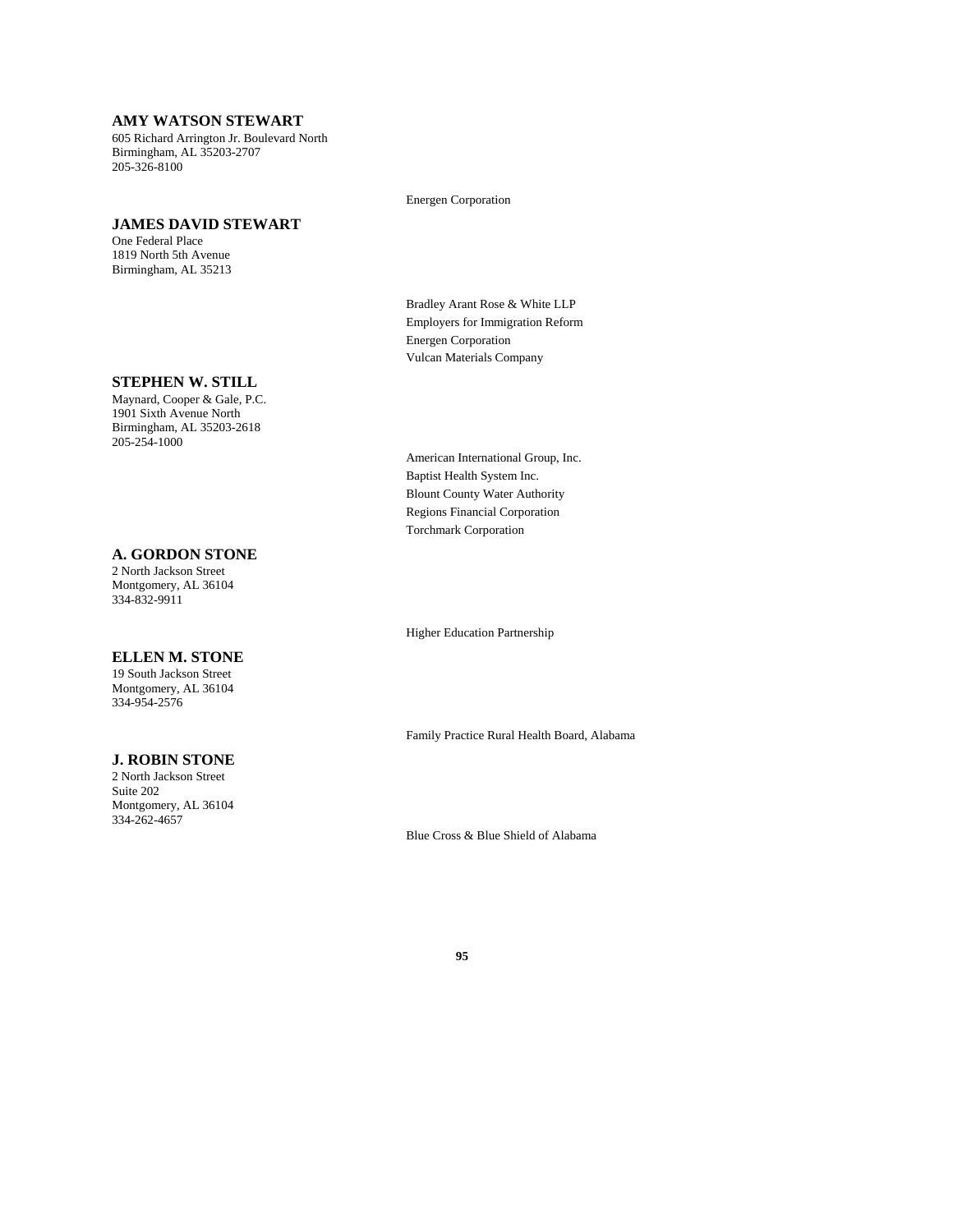## **AMY WATSON STEWART**

605 Richard Arrington Jr. Boulevard North Birmingham, AL 35203-2707 205-326-8100

## **JAMES DAVID STEWART**

One Federal Place 1819 North 5th Avenue Birmingham, AL 35213

**STEPHEN W. STILL**

Maynard, Cooper & Gale, P.C. 1901 Sixth Avenue North Birmingham, AL 35203-2618 205-254-1000

## **A. GORDON STONE**

2 North Jackson Street Montgomery, AL 36104 334-832-9911

#### **ELLEN M. STONE**

19 South Jackson Street Montgomery, AL 36104 334-954-2576

#### **J. ROBIN STONE**

2 North Jackson Street Suite 202 Montgomery, AL 36104 334-262-4657

Energen Corporation

Bradley Arant Rose & White LLP Employers for Immigration Reform Energen Corporation Vulcan Materials Company

American International Group, Inc. Baptist Health System Inc. Blount County Water Authority Regions Financial Corporation Torchmark Corporation

Higher Education Partnership

Family Practice Rural Health Board, Alabama

Blue Cross & Blue Shield of Alabama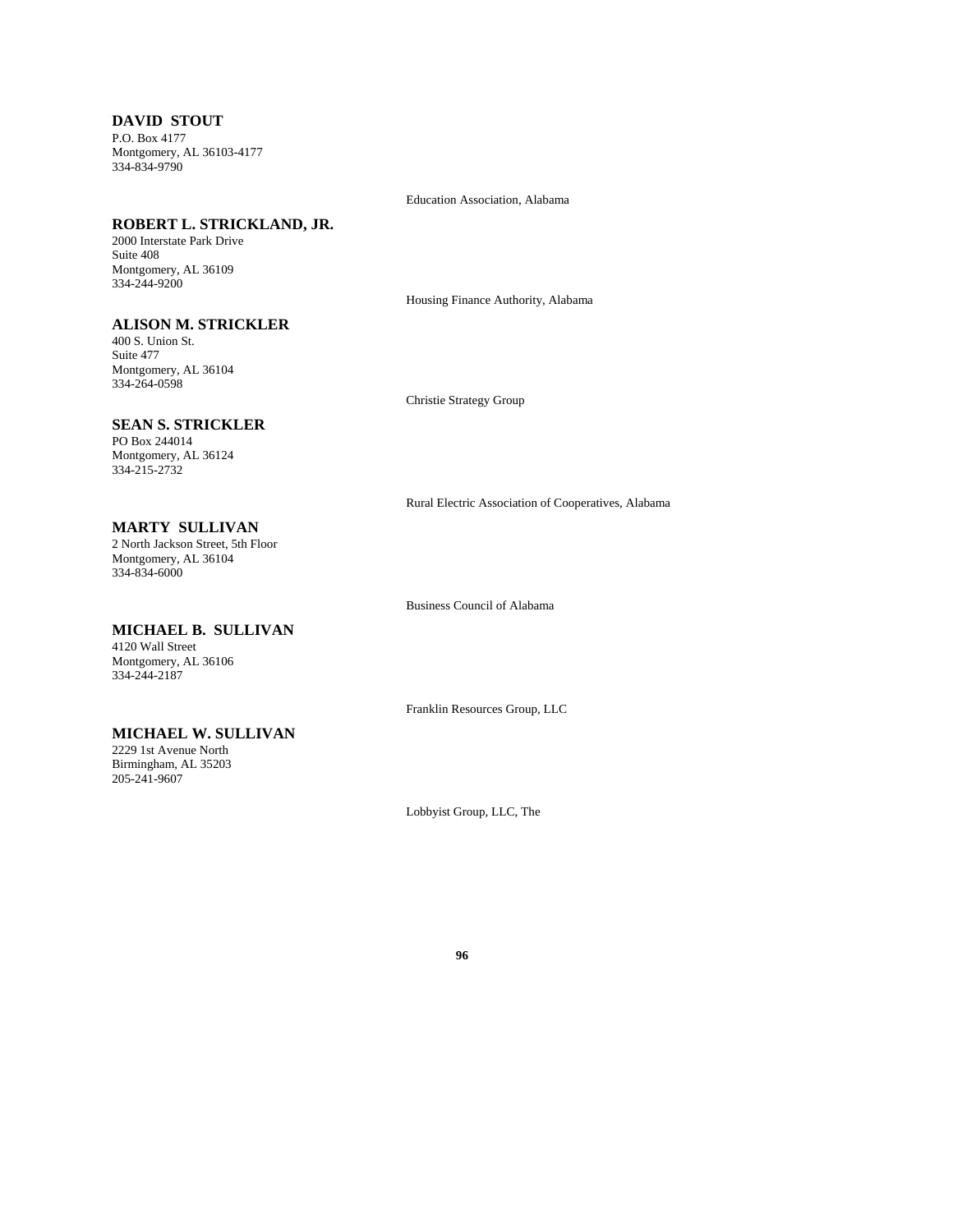## **DAVID STOUT**

P.O. Box 4177 Montgomery, AL 36103-4177 334-834-9790

#### **ROBERT L. STRICKLAND, JR.**

2000 Interstate Park Drive Suite 408 Montgomery, AL 36109 334-244-9200

#### **ALISON M. STRICKLER**

400 S. Union St. Suite 477 Montgomery, AL 36104 334-264-0598

## Christie Strategy Group

# **SEAN S. STRICKLER**

PO Box 244014 Montgomery, AL 36124 334-215-2732

#### **MARTY SULLIVAN**

2 North Jackson Street, 5th Floor Montgomery, AL 36104 334-834-6000

Business Council of Alabama

#### **MICHAEL B. SULLIVAN** 4120 Wall Street

**MICHAEL W. SULLIVAN**

Montgomery, AL 36106 334-244-2187

2229 1st Avenue North Birmingham, AL 35203 205-241-9607

Franklin Resources Group, LLC

Lobbyist Group, LLC, The

**96**

#### Education Association, Alabama

Housing Finance Authority, Alabama

Rural Electric Association of Cooperatives, Alabama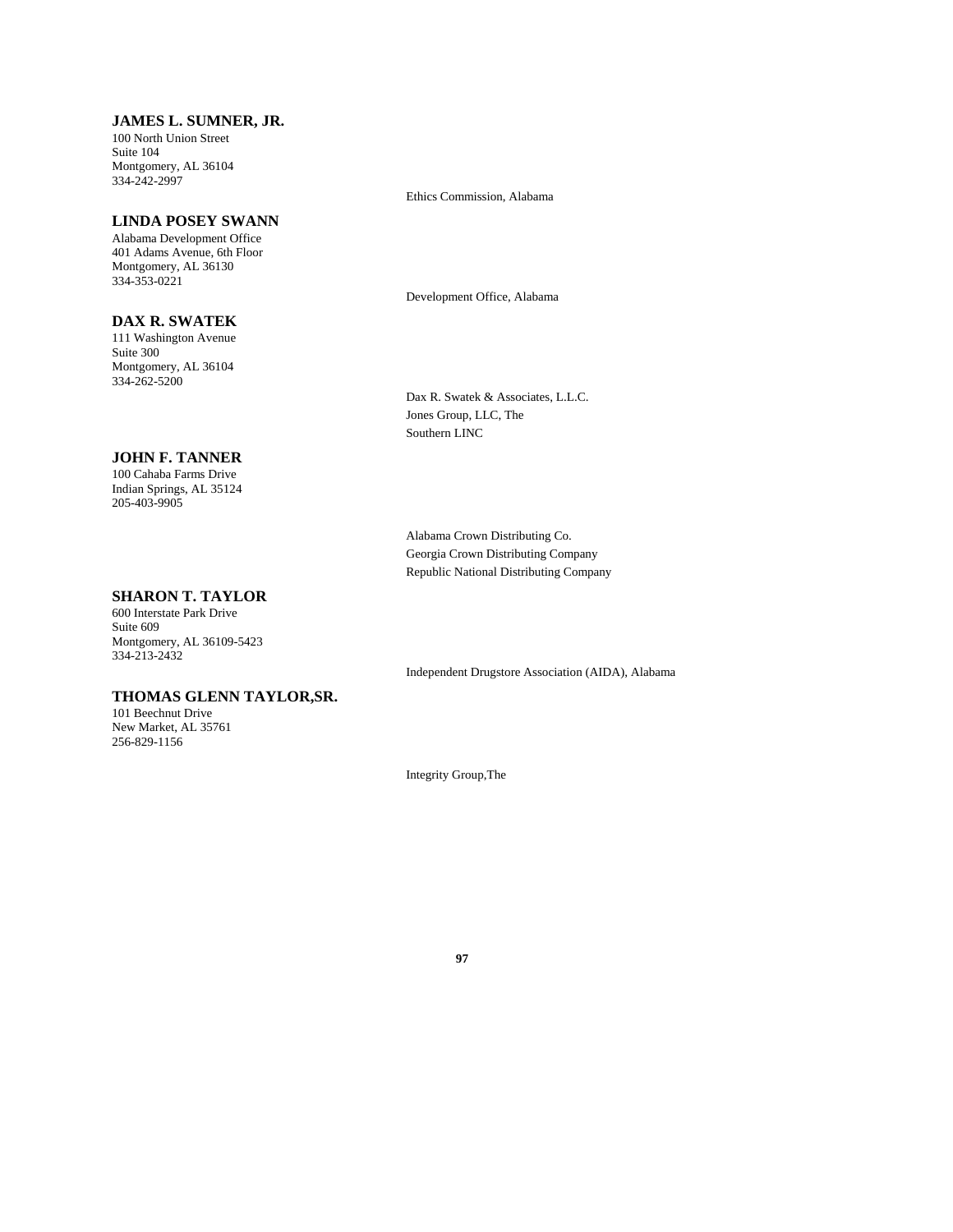#### **JAMES L. SUMNER, JR.**

100 North Union Street Suite 104 Montgomery, AL 36104 334-242-2997

#### **LINDA POSEY SWANN**

Alabama Development Office 401 Adams Avenue, 6th Floor Montgomery, AL 36130 334-353-0221

#### **DAX R. SWATEK**

111 Washington Avenue Suite 300 Montgomery, AL 36104 334-262-5200

#### **JOHN F. TANNER**

100 Cahaba Farms Drive Indian Springs, AL 35124 205-403-9905

#### **SHARON T. TAYLOR**

600 Interstate Park Drive Suite 609 Montgomery, AL 36109-5423 334-213-2432

## **THOMAS GLENN TAYLOR,SR.**

101 Beechnut Drive New Market, AL 35761 256-829-1156

Ethics Commission, Alabama

Development Office, Alabama

Dax R. Swatek & Associates, L.L.C. Jones Group, LLC, The Southern LINC

Alabama Crown Distributing Co. Georgia Crown Distributing Company Republic National Distributing Company

Independent Drugstore Association (AIDA), Alabama

Integrity Group,The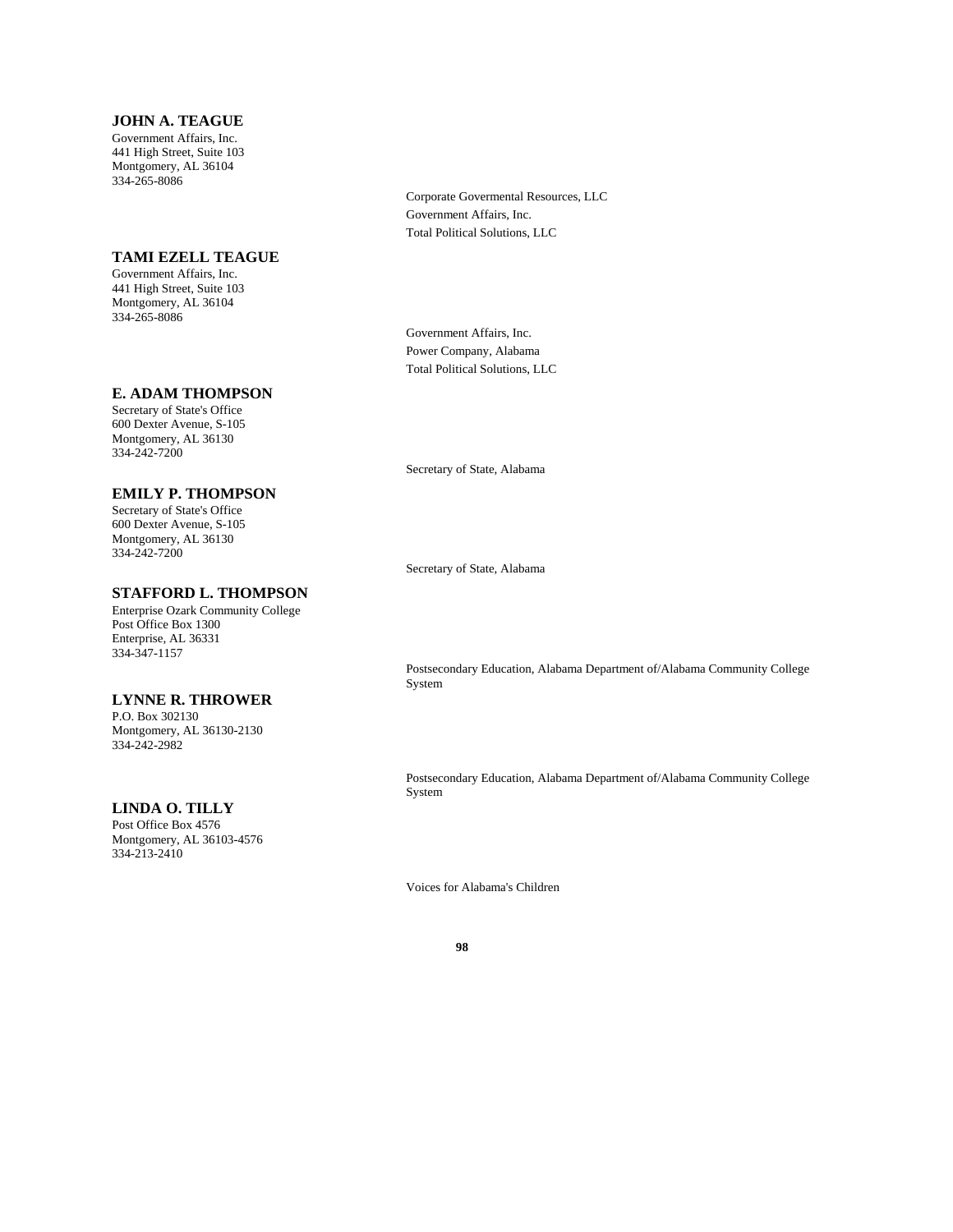## **JOHN A. TEAGUE**

Government Affairs, Inc. 441 High Street, Suite 103 Montgomery, AL 36104 334-265-8086

#### **TAMI EZELL TEAGUE**

Government Affairs, Inc. 441 High Street, Suite 103 Montgomery, AL 36104 334-265-8086

#### **E. ADAM THOMPSON**

Secretary of State's Office 600 Dexter Avenue, S-105 Montgomery, AL 36130 334-242-7200

#### **EMILY P. THOMPSON**

Secretary of State's Office 600 Dexter Avenue, S-105 Montgomery, AL 36130 334-242-7200

#### **STAFFORD L. THOMPSON**

Enterprise Ozark Community College Post Office Box 1300 Enterprise, AL 36331 334-347-1157

#### **LYNNE R. THROWER**

P.O. Box 302130 Montgomery, AL 36130-2130 334-242-2982

#### **LINDA O. TILLY**

Post Office Box 4576 Montgomery, AL 36103-4576 334-213-2410

Corporate Govermental Resources, LLC Government Affairs, Inc. Total Political Solutions, LLC

Government Affairs, Inc. Power Company, Alabama Total Political Solutions, LLC

Secretary of State, Alabama

Secretary of State, Alabama

Postsecondary Education, Alabama Department of/Alabama Community College System

Postsecondary Education, Alabama Department of/Alabama Community College System

Voices for Alabama's Children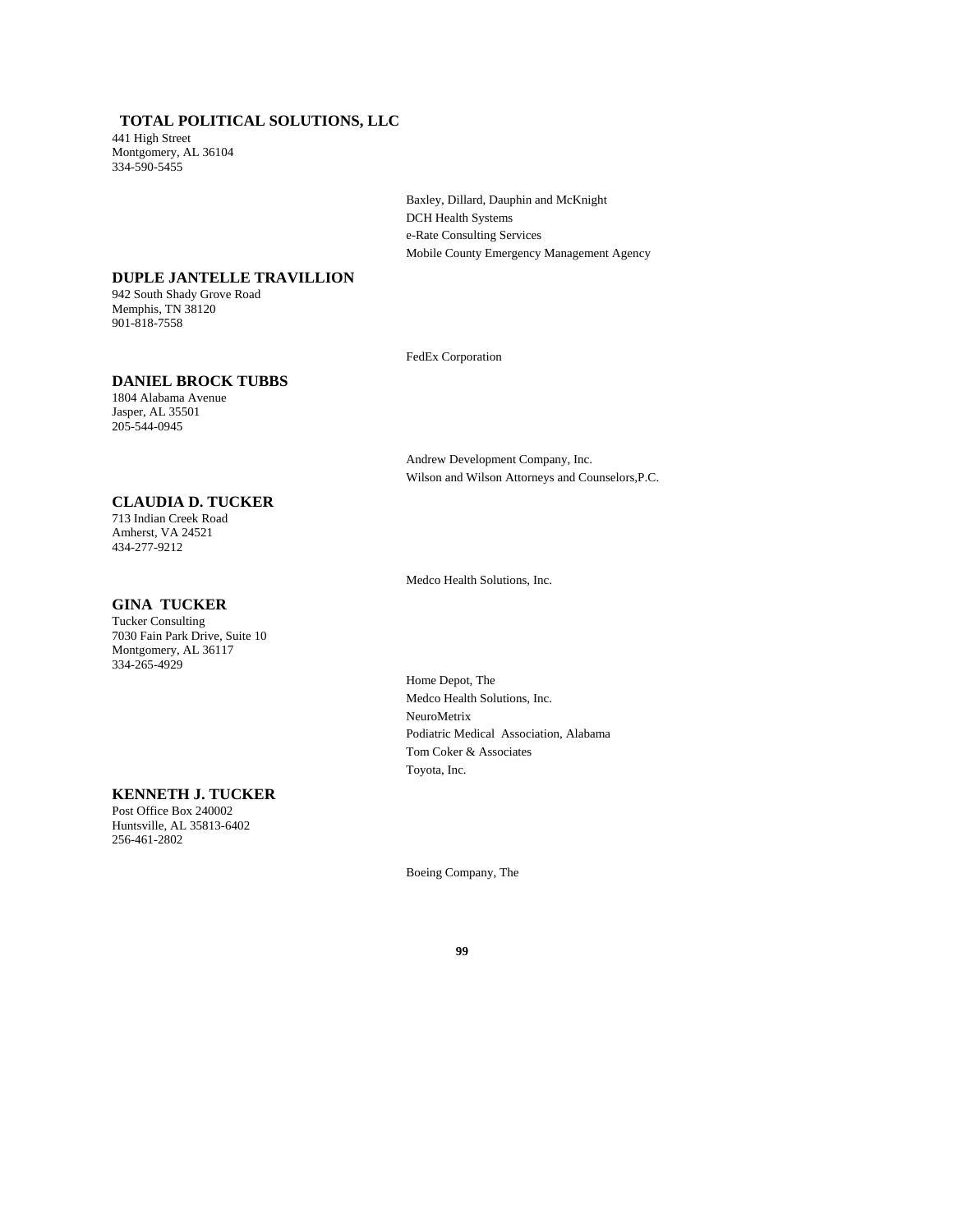## **TOTAL POLITICAL SOLUTIONS, LLC**

441 High Street Montgomery, AL 36104 334-590-5455

> Baxley, Dillard, Dauphin and McKnight DCH Health Systems e-Rate Consulting Services Mobile County Emergency Management Agency

## **DUPLE JANTELLE TRAVILLION**

942 South Shady Grove Road Memphis, TN 38120 901-818-7558

FedEx Corporation

## **DANIEL BROCK TUBBS**

1804 Alabama Avenue Jasper, AL 35501 205-544-0945

**CLAUDIA D. TUCKER**

713 Indian Creek Road Amherst, VA 24521 434-277-9212

#### **GINA TUCKER**

Tucker Consulting 7030 Fain Park Drive, Suite 10 Montgomery, AL 36117 334-265-4929

Medco Health Solutions, Inc.

Andrew Development Company, Inc.

Wilson and Wilson Attorneys and Counselors,P.C.

Home Depot, The Medco Health Solutions, Inc. NeuroMetrix Podiatric Medical Association, Alabama Tom Coker & Associates Toyota, Inc.

## **KENNETH J. TUCKER**

Post Office Box 240002 Huntsville, AL 35813-6402 256-461-2802

Boeing Company, The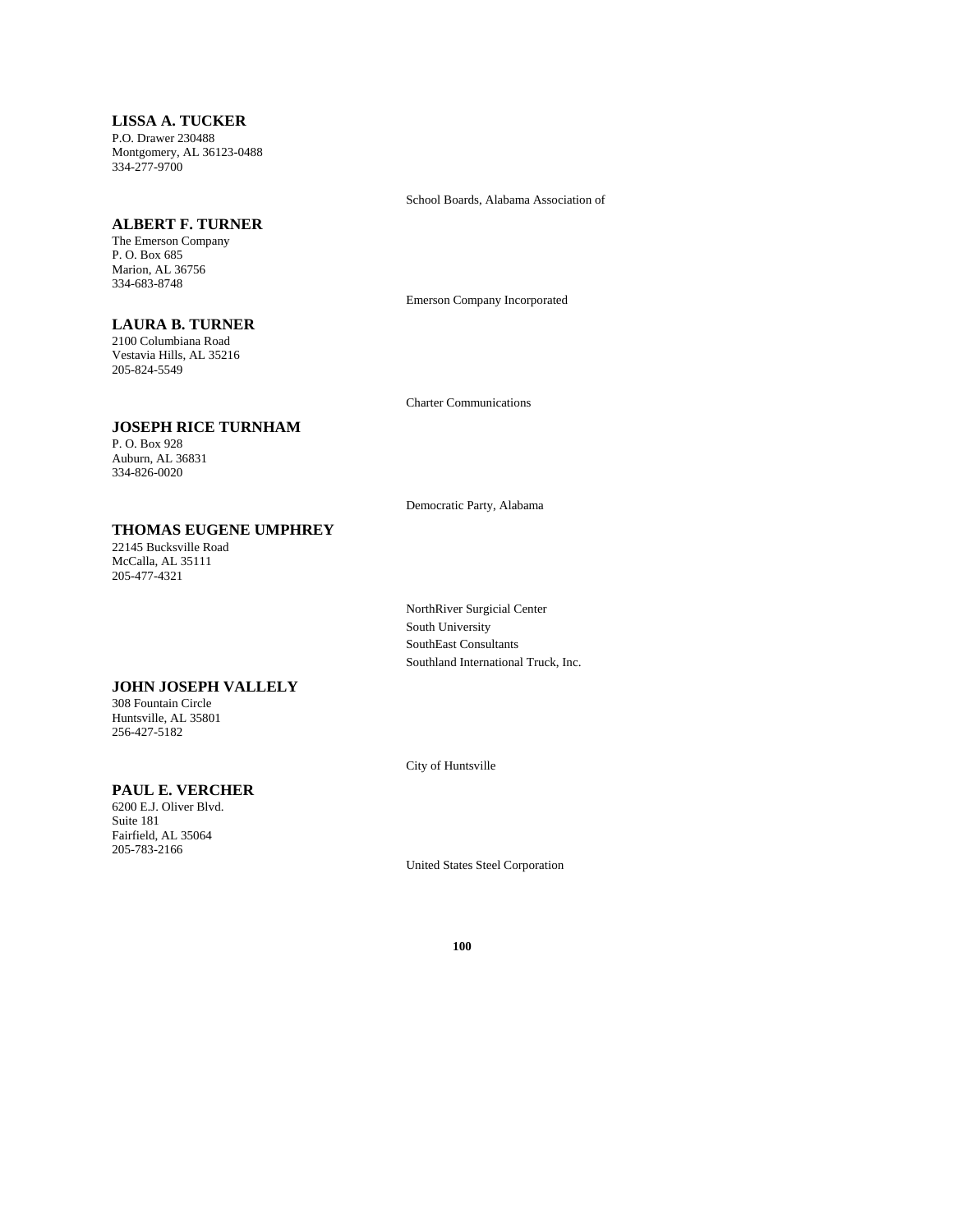## **LISSA A. TUCKER**

P.O. Drawer 230488 Montgomery, AL 36123-0488 334-277-9700

#### **ALBERT F. TURNER**

The Emerson Company P. O. Box 685 Marion, AL 36756 334-683-8748

#### **LAURA B. TURNER**

2100 Columbiana Road Vestavia Hills, AL 35216 205-824-5549

School Boards, Alabama Association of

Emerson Company Incorporated

Charter Communications

## **JOSEPH RICE TURNHAM**

P. O. Box 928 Auburn, AL 36831 334-826-0020

Democratic Party, Alabama

# **THOMAS EUGENE UMPHREY**

22145 Bucksville Road McCalla, AL 35111 205-477-4321

> South University SouthEast Consultants Southland International Truck, Inc.

NorthRiver Surgicial Center

## **JOHN JOSEPH VALLELY**

308 Fountain Circle Huntsville, AL 35801 256-427-5182

## **PAUL E. VERCHER**

6200 E.J. Oliver Blvd. Suite 181 Fairfield, AL 35064 205-783-2166

City of Huntsville

United States Steel Corporation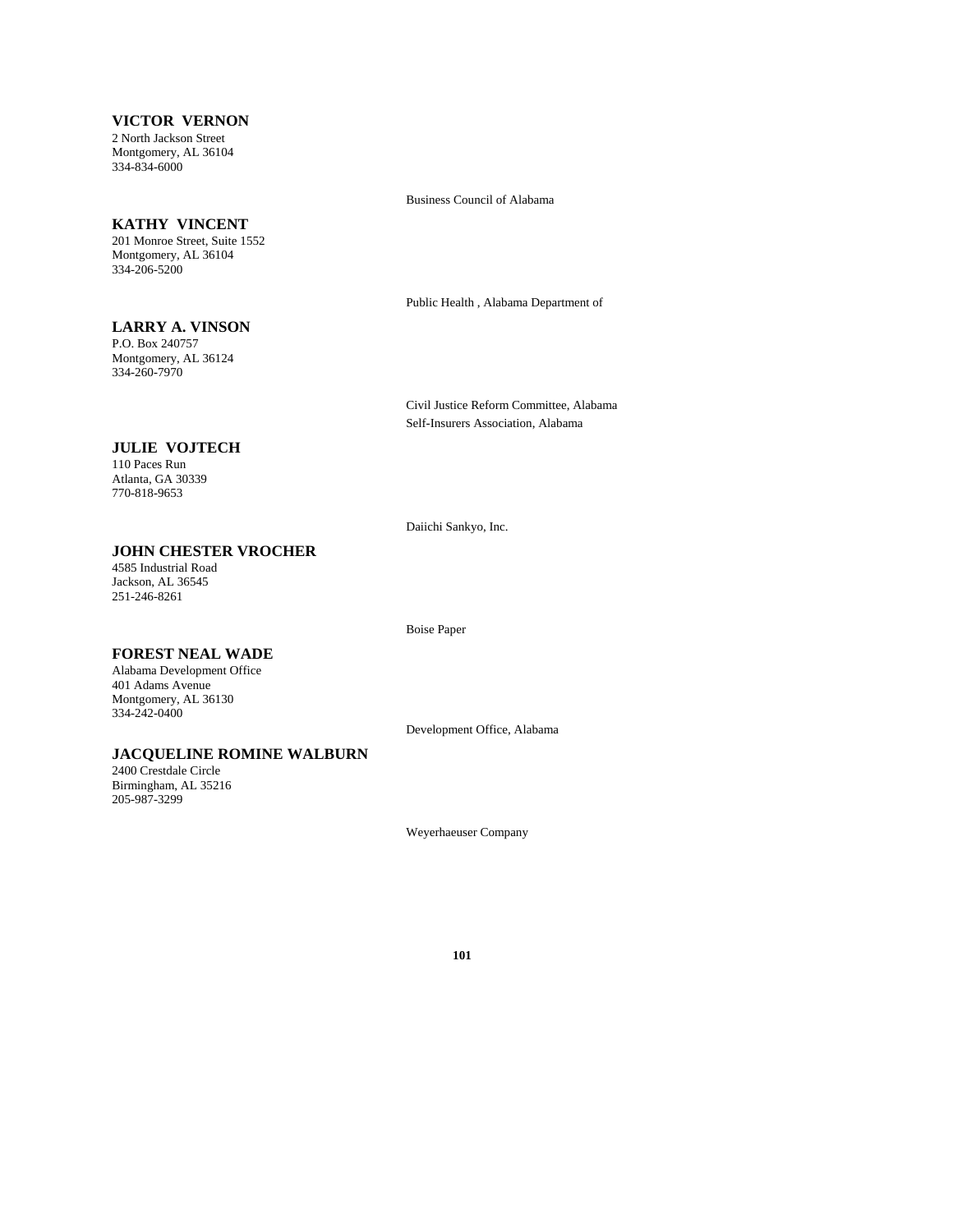## **VICTOR VERNON**

2 North Jackson Street Montgomery, AL 36104 334-834-6000

#### **KATHY VINCENT**

201 Monroe Street, Suite 1552 Montgomery, AL 36104 334-206-5200

# **LARRY A. VINSON**

P.O. Box 240757 Montgomery, AL 36124 334-260-7970

#### Business Council of Alabama

Public Health , Alabama Department of

Civil Justice Reform Committee, Alabama Self-Insurers Association, Alabama

#### **JULIE VOJTECH**

110 Paces Run Atlanta, GA 30339 770-818-9653

Daiichi Sankyo, Inc.

## **JOHN CHESTER VROCHER**

4585 Industrial Road Jackson, AL 36545 251-246-8261

Boise Paper

# **FOREST NEAL WADE**

Alabama Development Office 401 Adams Avenue Montgomery, AL 36130 334-242-0400

Development Office, Alabama

# **JACQUELINE ROMINE WALBURN**

2400 Crestdale Circle Birmingham, AL 35216 205-987-3299

Weyerhaeuser Company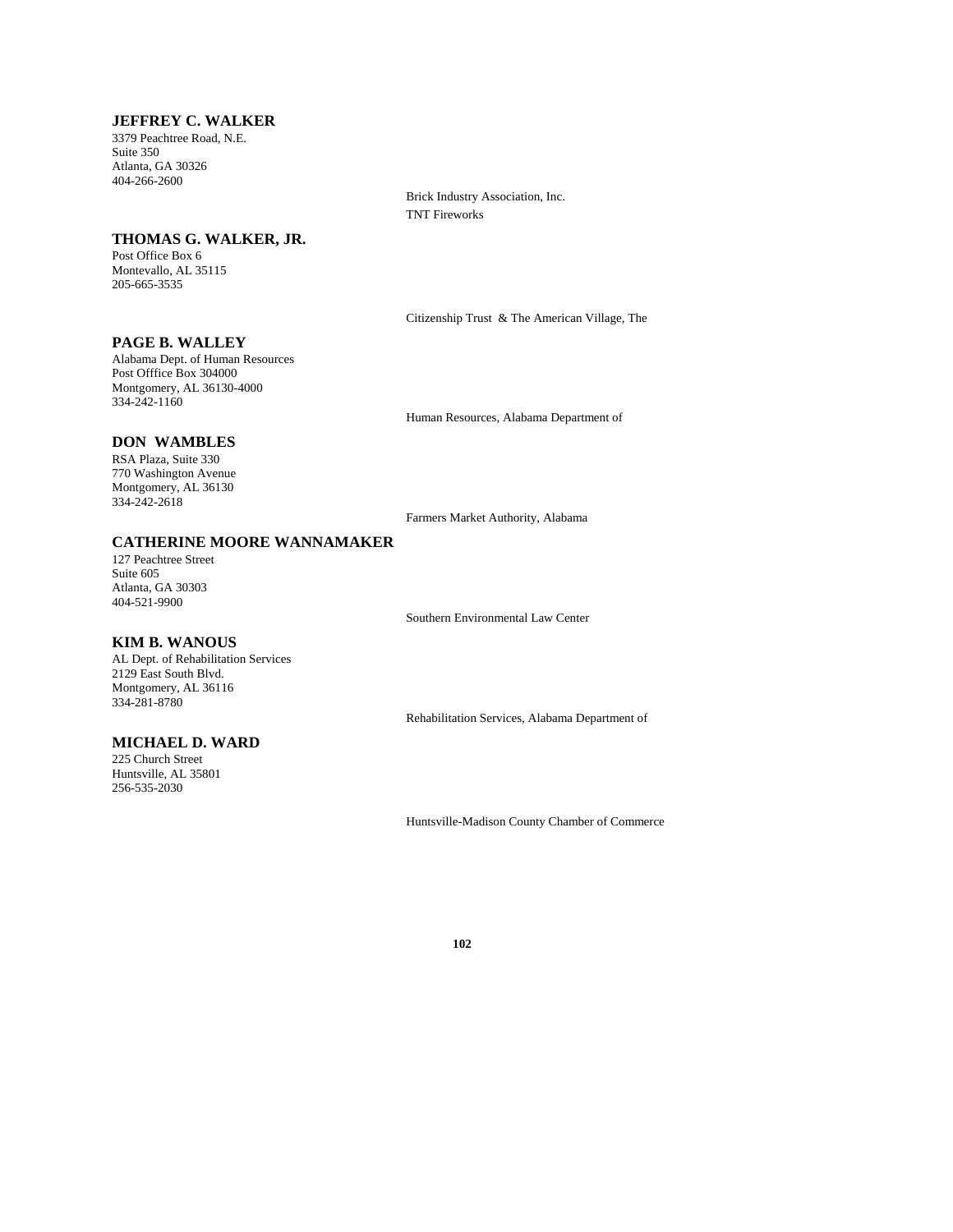## **JEFFREY C. WALKER**

3379 Peachtree Road, N.E. Suite 350 Atlanta, GA 30326 404-266-2600

# **THOMAS G. WALKER, JR.**

Post Office Box 6 Montevallo, AL 35115 205-665-3535

**PAGE B. WALLEY**

Alabama Dept. of Human Resources Post Offfice Box 304000 Montgomery, AL 36130-4000 334-242-1160

**DON WAMBLES**

RSA Plaza, Suite 330 770 Washington Avenue Montgomery, AL 36130 334-242-2618

Farmers Market Authority, Alabama

Human Resources, Alabama Department of

Citizenship Trust & The American Village, The

Brick Industry Association, Inc.

TNT Fireworks

#### **CATHERINE MOORE WANNAMAKER**

127 Peachtree Street Suite 605 Atlanta, GA 30303 404-521-9900

Southern Environmental Law Center

# **KIM B. WANOUS**

AL Dept. of Rehabilitation Services 2129 East South Blvd. Montgomery, AL 36116 334-281-8780

Rehabilitation Services, Alabama Department of

## **MICHAEL D. WARD**

225 Church Street Huntsville, AL 35801 256-535-2030

Huntsville-Madison County Chamber of Commerce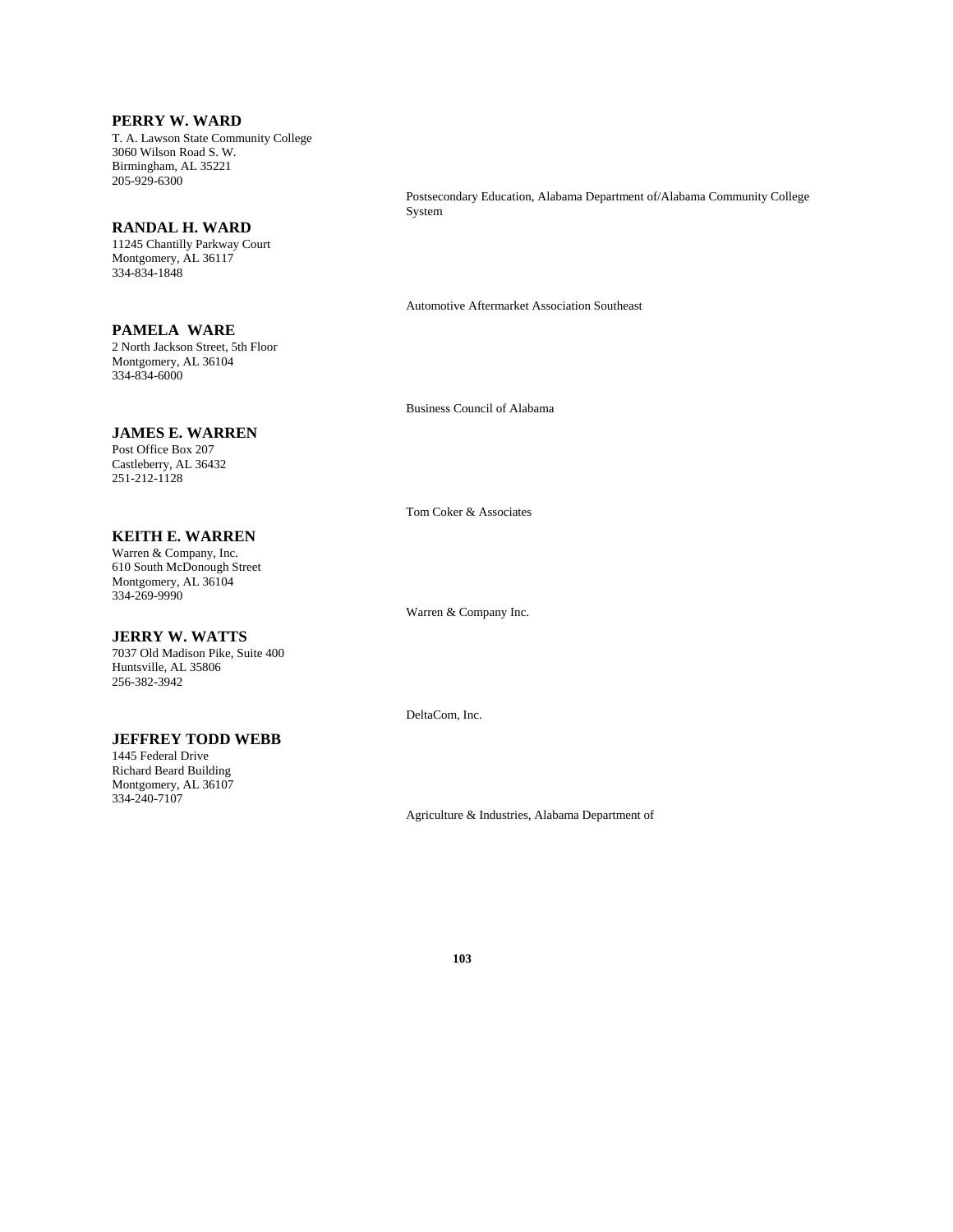**PERRY W. WARD** T. A. Lawson State Community College 3060 Wilson Road S. W. Birmingham, AL 35221 205-929-6300

#### **RANDAL H. WARD**

11245 Chantilly Parkway Court Montgomery, AL 36117 334-834-1848

**PAMELA WARE** 2 North Jackson Street, 5th Floor Montgomery, AL 36104 334-834-6000

# **JAMES E. WARREN**

Post Office Box 207 Castleberry, AL 36432 251-212-1128

## **KEITH E. WARREN**

Warren & Company, Inc. 610 South McDonough Street Montgomery, AL 36104 334-269-9990

**JERRY W. WATTS** 7037 Old Madison Pike, Suite 400 Huntsville, AL 35806 256-382-3942

#### **JEFFREY TODD WEBB**

1445 Federal Drive Richard Beard Building Montgomery, AL 36107 334-240-7107

Postsecondary Education, Alabama Department of/Alabama Community College System

Automotive Aftermarket Association Southeast

Business Council of Alabama

Tom Coker & Associates

Warren & Company Inc.

DeltaCom, Inc.

Agriculture & Industries, Alabama Department of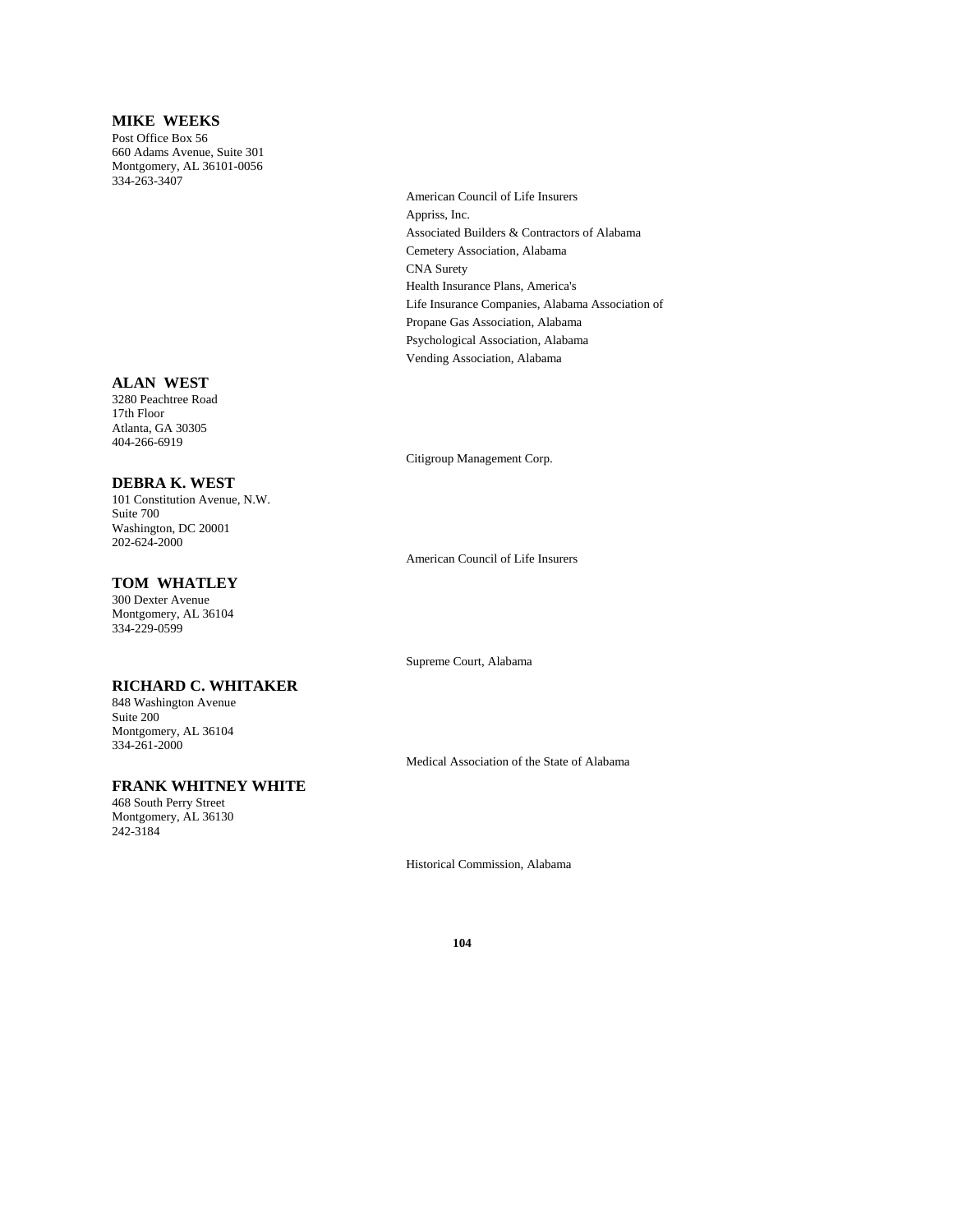## **MIKE WEEKS**

Post Office Box 56 660 Adams Avenue, Suite 301 Montgomery, AL 36101-0056 334-263-3407

> American Council of Life Insurers Appriss, Inc. Associated Builders & Contractors of Alabama Cemetery Association, Alabama CNA Surety Health Insurance Plans, America's Life Insurance Companies, Alabama Association of Propane Gas Association, Alabama Psychological Association, Alabama Vending Association, Alabama

## **ALAN WEST**

3280 Peachtree Road 17th Floor Atlanta, GA 30305 404-266-6919

## **DEBRA K. WEST**

101 Constitution Avenue, N.W. Suite 700 Washington, DC 20001 202-624-2000

## **TOM WHATLEY**

300 Dexter Avenue Montgomery, AL 36104 334-229-0599

#### **RICHARD C. WHITAKER**

848 Washington Avenue Suite 200 Montgomery, AL 36104 334-261-2000

#### **FRANK WHITNEY WHITE**

468 South Perry Street Montgomery, AL 36130 242-3184

Citigroup Management Corp.

American Council of Life Insurers

Supreme Court, Alabama

Medical Association of the State of Alabama

Historical Commission, Alabama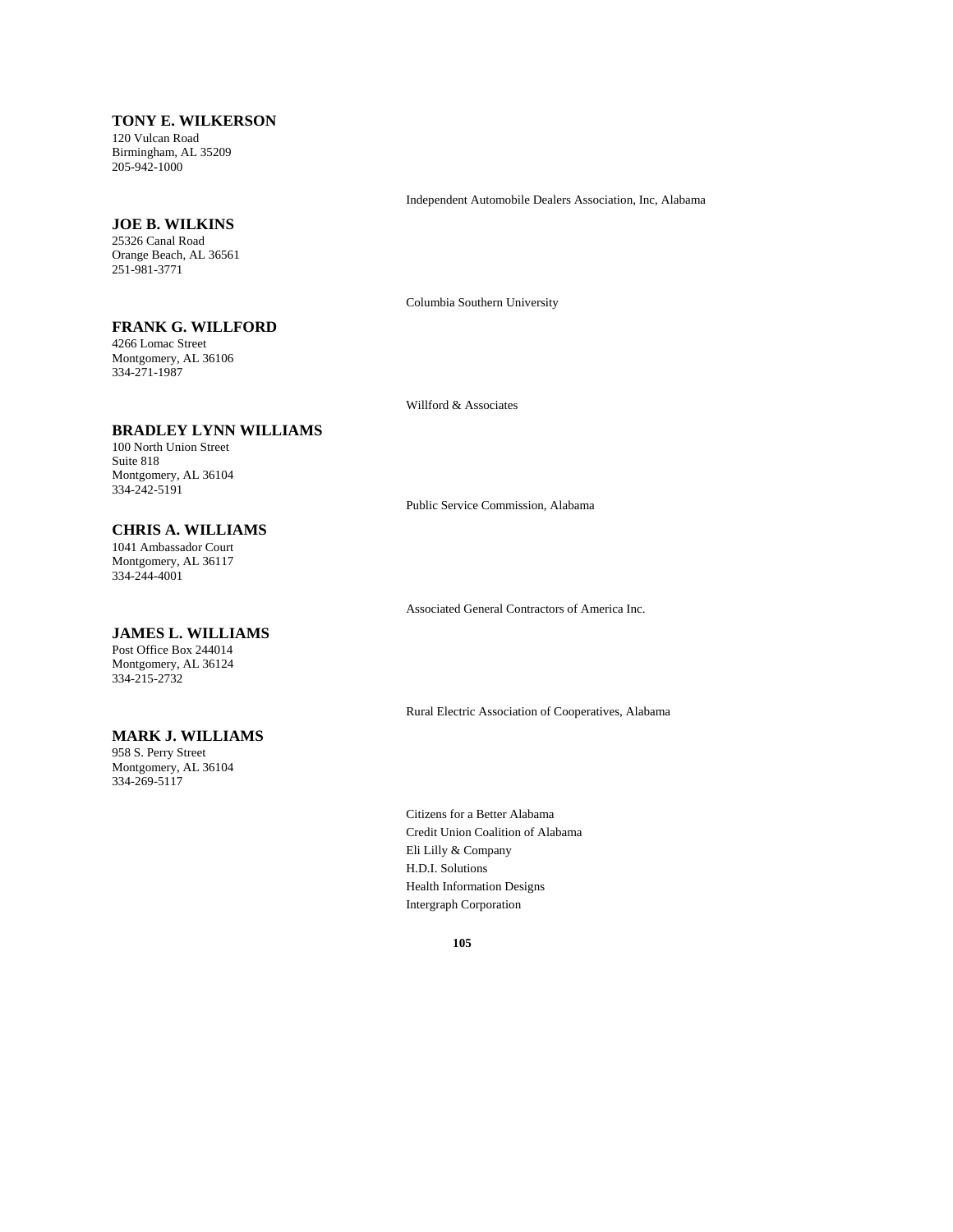#### **TONY E. WILKERSON**

120 Vulcan Road Birmingham, AL 35209 205-942-1000

## **JOE B. WILKINS**

25326 Canal Road Orange Beach, AL 36561 251-981-3771

4266 Lomac Street Montgomery, AL 36106 334-271-1987

**FRANK G. WILLFORD**

Columbia Southern University

Independent Automobile Dealers Association, Inc, Alabama

Willford & Associates

## **BRADLEY LYNN WILLIAMS**

100 North Union Street Suite 818 Montgomery, AL 36104 334-242-5191

Public Service Commission, Alabama

## **JAMES L. WILLIAMS**

**CHRIS A. WILLIAMS** 1041 Ambassador Court Montgomery, AL 36117 334-244-4001

Post Office Box 244014 Montgomery, AL 36124 334-215-2732

#### **MARK J. WILLIAMS**

958 S. Perry Street Montgomery, AL 36104 334-269-5117

Rural Electric Association of Cooperatives, Alabama

Associated General Contractors of America Inc.

Citizens for a Better Alabama Credit Union Coalition of Alabama Eli Lilly & Company H.D.I. Solutions Health Information Designs Intergraph Corporation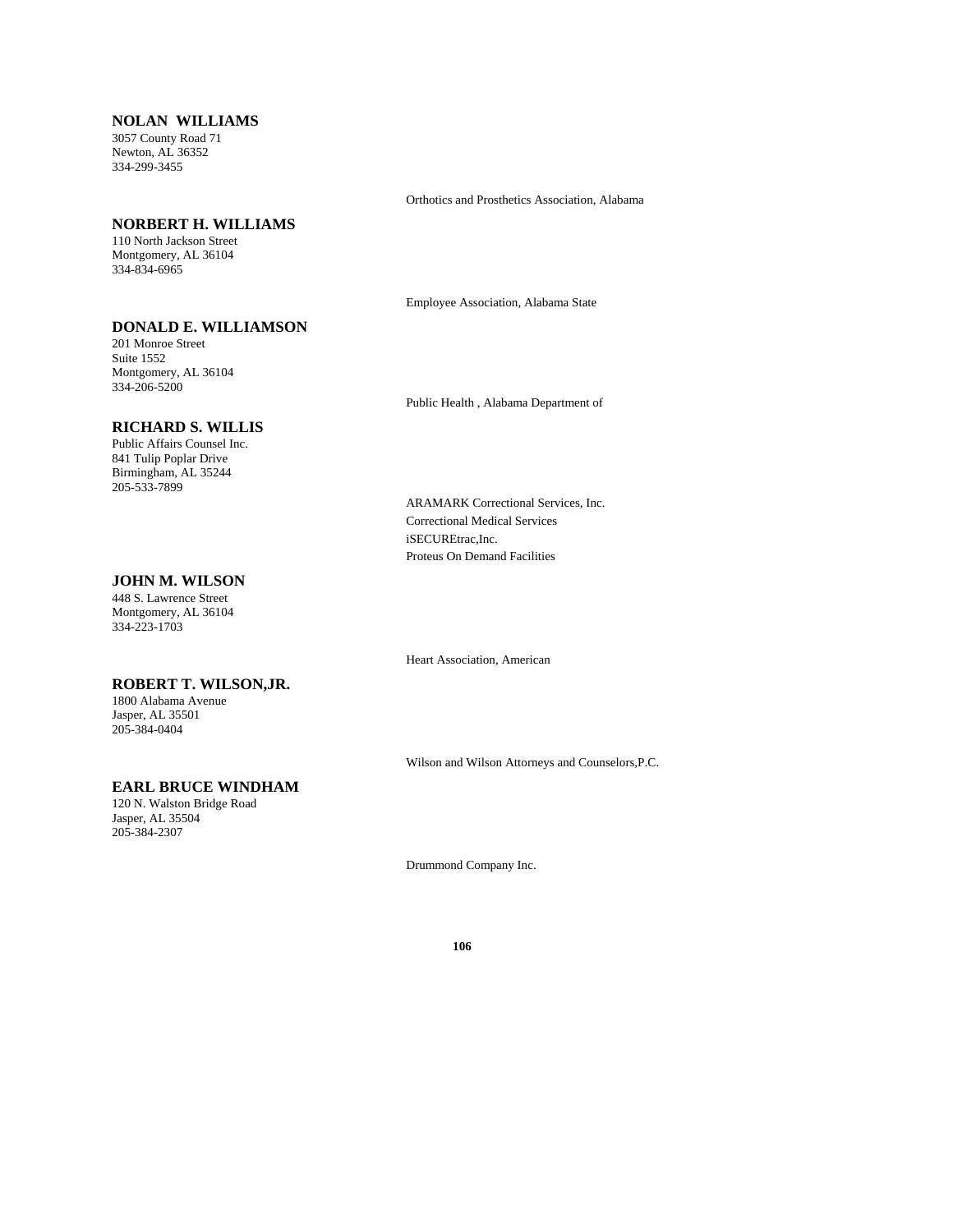## **NOLAN WILLIAMS**

3057 County Road 71 Newton, AL 36352 334-299-3455

#### **NORBERT H. WILLIAMS**

110 North Jackson Street Montgomery, AL 36104 334-834-6965

## **DONALD E. WILLIAMSON**

201 Monroe Street Suite 1552 Montgomery, AL 36104 334-206-5200

#### **RICHARD S. WILLIS**

Public Affairs Counsel Inc. 841 Tulip Poplar Drive Birmingham, AL 35244 205-533-7899

## **JOHN M. WILSON**

448 S. Lawrence Street Montgomery, AL 36104 334-223-1703

#### **ROBERT T. WILSON,JR.**

1800 Alabama Avenue Jasper, AL 35501 205-384-0404

## **EARL BRUCE WINDHAM**

120 N. Walston Bridge Road Jasper, AL 35504 205-384-2307

Orthotics and Prosthetics Association, Alabama

Employee Association, Alabama State

Public Health , Alabama Department of

ARAMARK Correctional Services, Inc. Correctional Medical Services iSECUREtrac,Inc. Proteus On Demand Facilities

Heart Association, American

Wilson and Wilson Attorneys and Counselors,P.C.

Drummond Company Inc.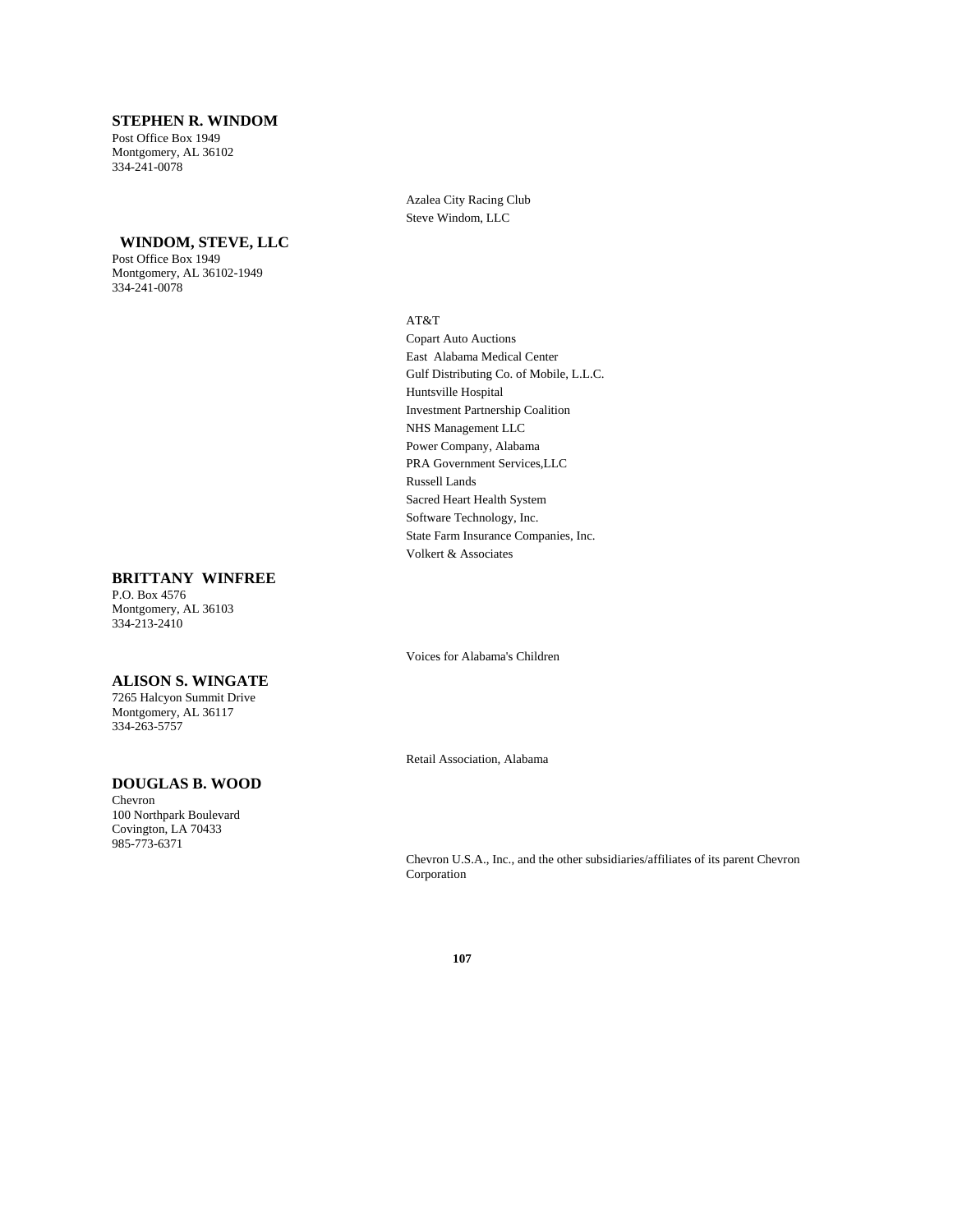## **STEPHEN R. WINDOM**

Post Office Box 1949 Montgomery, AL 36102 334-241-0078

## **WINDOM, STEVE, LLC**

Post Office Box 1949 Montgomery, AL 36102-1949 334-241-0078

Azalea City Racing Club Steve Windom, LLC

#### AT&T

Copart Auto Auctions East Alabama Medical Center Gulf Distributing Co. of Mobile, L.L.C. Huntsville Hospital Investment Partnership Coalition NHS Management LLC Power Company, Alabama PRA Government Services,LLC Russell Lands Sacred Heart Health System Software Technology, Inc. State Farm Insurance Companies, Inc. Volkert & Associates

## **BRITTANY WINFREE**

P.O. Box 4576 Montgomery, AL 36103 334-213-2410

#### **ALISON S. WINGATE**

7265 Halcyon Summit Drive Montgomery, AL 36117 334-263-5757

#### **DOUGLAS B. WOOD**

Chevron 100 Northpark Boulevard Covington, LA 70433 985-773-6371

Voices for Alabama's Children

Retail Association, Alabama

Chevron U.S.A., Inc., and the other subsidiaries/affiliates of its parent Chevron Corporation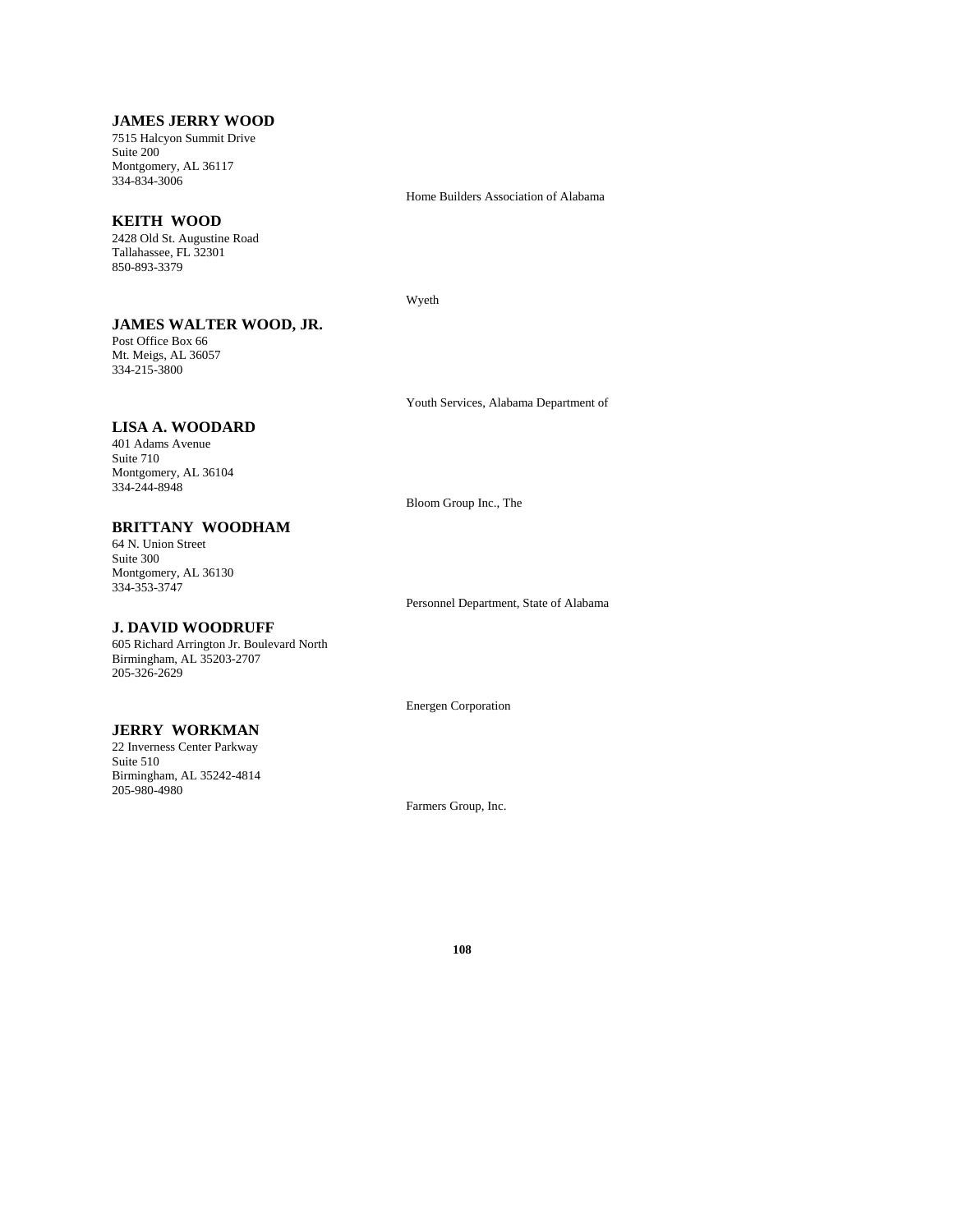## **JAMES JERRY WOOD**

7515 Halcyon Summit Drive Suite 200 Montgomery, AL 36117 334-834-3006

#### **KEITH WOOD**

2428 Old St. Augustine Road Tallahassee, FL 32301 850-893-3379

## **JAMES WALTER WOOD, JR.**

Post Office Box 66 Mt. Meigs, AL 36057 334-215-3800

Home Builders Association of Alabama

Wyeth

Youth Services, Alabama Department of

## **LISA A. WOODARD**

401 Adams Avenue Suite 710 Montgomery, AL 36104 334-244-8948

Bloom Group Inc., The

## **BRITTANY WOODHAM**

64 N. Union Street Suite 300 Montgomery, AL 36130 334-353-3747

Personnel Department, State of Alabama

## **J. DAVID WOODRUFF**

605 Richard Arrington Jr. Boulevard North Birmingham, AL 35203-2707 205-326-2629

## **JERRY WORKMAN**

22 Inverness Center Parkway Suite 510 Birmingham, AL 35242-4814 205-980-4980

Energen Corporation

Farmers Group, Inc.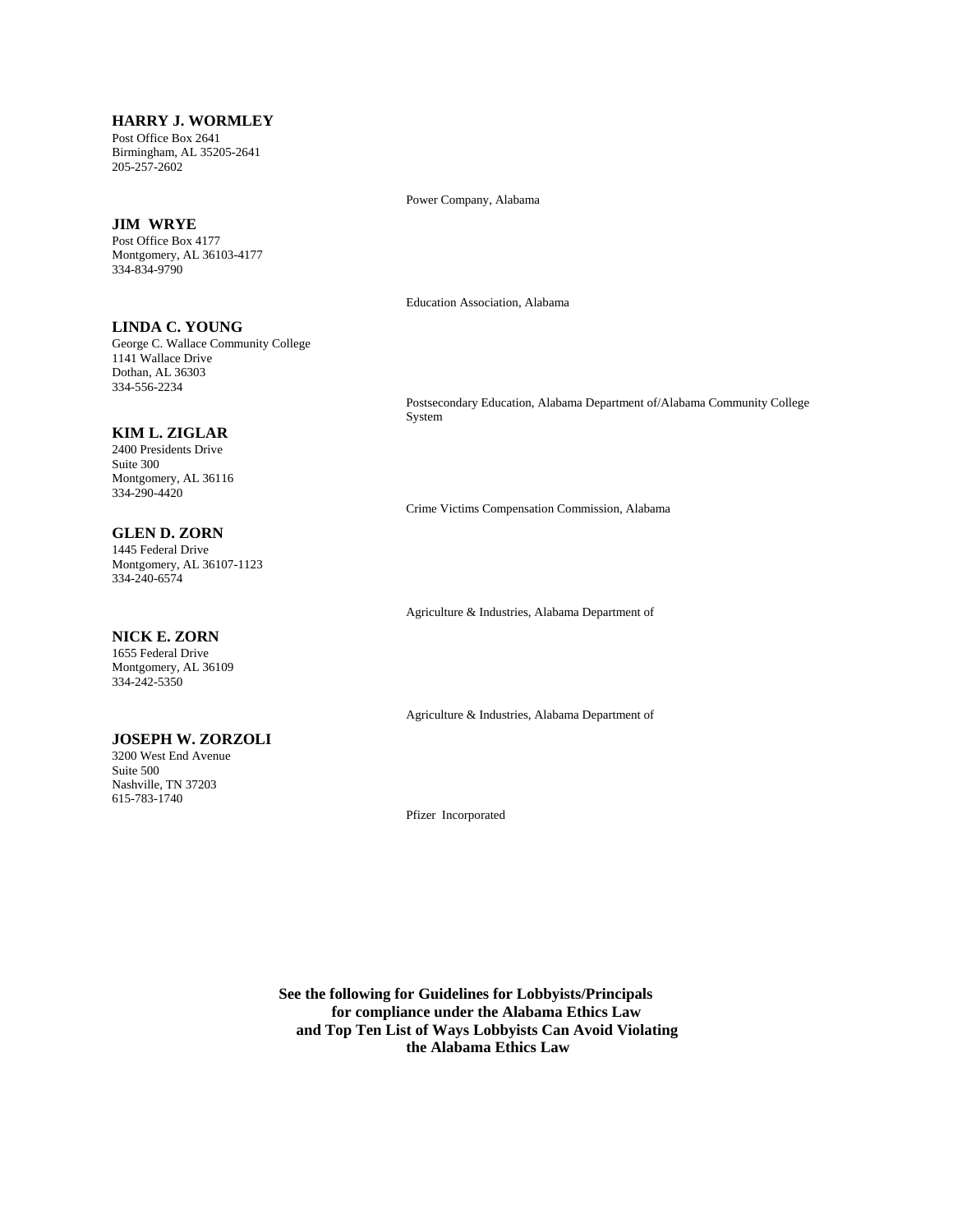## **HARRY J. WORMLEY**

Post Office Box 2641 Birmingham, AL 35205-2641 205-257-2602

#### **JIM WRYE**

Post Office Box 4177 Montgomery, AL 36103-4177 334-834-9790

**LINDA C. YOUNG** George C. Wallace Community College 1141 Wallace Drive Dothan, AL 36303 334-556-2234

#### **KIM L. ZIGLAR**

2400 Presidents Drive Suite 300 Montgomery, AL 36116 334-290-4420

### **GLEN D. ZORN**

1445 Federal Drive Montgomery, AL 36107-1123 334-240-6574

### **NICK E. ZORN**

1655 Federal Drive Montgomery, AL 36109 334-242-5350

### **JOSEPH W. ZORZOLI**

3200 West End Avenue Suite 500 Nashville, TN 37203 615-783-1740

Power Company, Alabama

Education Association, Alabama

Postsecondary Education, Alabama Department of/Alabama Community College System

Crime Victims Compensation Commission, Alabama

Agriculture & Industries, Alabama Department of

Agriculture & Industries, Alabama Department of

Pfizer Incorporated

 **See the following for Guidelines for Lobbyists/Principals for compliance under the Alabama Ethics Law and Top Ten List of Ways Lobbyists Can Avoid Violating the Alabama Ethics Law**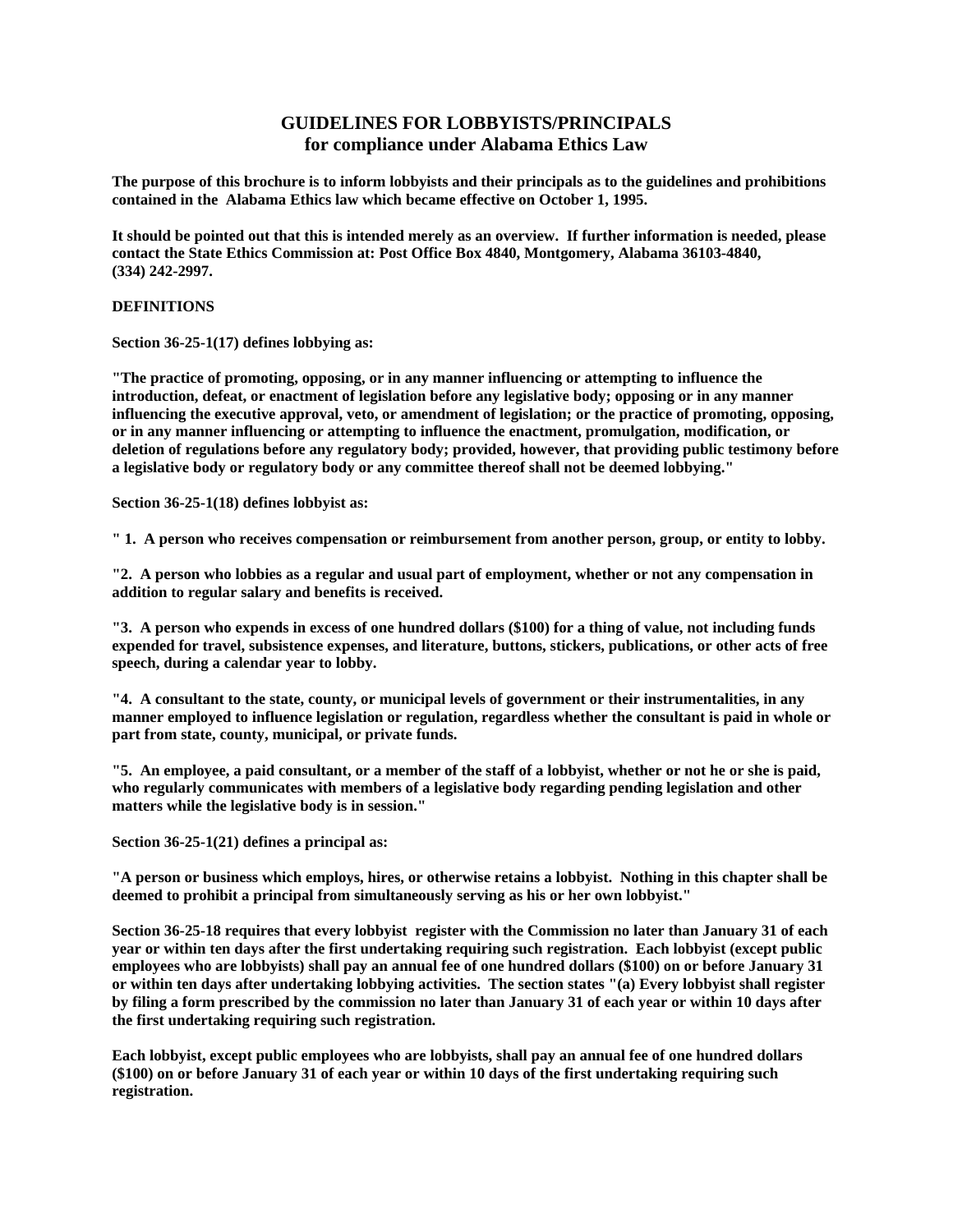# **GUIDELINES FOR LOBBYISTS/PRINCIPALS for compliance under Alabama Ethics Law**

**The purpose of this brochure is to inform lobbyists and their principals as to the guidelines and prohibitions contained in the Alabama Ethics law which became effective on October 1, 1995.**

**It should be pointed out that this is intended merely as an overview. If further information is needed, please contact the State Ethics Commission at: Post Office Box 4840, Montgomery, Alabama 36103-4840, (334) 242-2997.**

### **DEFINITIONS**

**Section 36-25-1(17) defines lobbying as:**

**"The practice of promoting, opposing, or in any manner influencing or attempting to influence the introduction, defeat, or enactment of legislation before any legislative body; opposing or in any manner influencing the executive approval, veto, or amendment of legislation; or the practice of promoting, opposing, or in any manner influencing or attempting to influence the enactment, promulgation, modification, or deletion of regulations before any regulatory body; provided, however, that providing public testimony before a legislative body or regulatory body or any committee thereof shall not be deemed lobbying."**

**Section 36-25-1(18) defines lobbyist as:**

**" 1. A person who receives compensation or reimbursement from another person, group, or entity to lobby.**

**"2. A person who lobbies as a regular and usual part of employment, whether or not any compensation in addition to regular salary and benefits is received.**

**"3. A person who expends in excess of one hundred dollars (\$100) for a thing of value, not including funds expended for travel, subsistence expenses, and literature, buttons, stickers, publications, or other acts of free speech, during a calendar year to lobby.**

**"4. A consultant to the state, county, or municipal levels of government or their instrumentalities, in any manner employed to influence legislation or regulation, regardless whether the consultant is paid in whole or part from state, county, municipal, or private funds.**

**"5. An employee, a paid consultant, or a member of the staff of a lobbyist, whether or not he or she is paid, who regularly communicates with members of a legislative body regarding pending legislation and other matters while the legislative body is in session."**

**Section 36-25-1(21) defines a principal as:**

**"A person or business which employs, hires, or otherwise retains a lobbyist. Nothing in this chapter shall be deemed to prohibit a principal from simultaneously serving as his or her own lobbyist."**

**Section 36-25-18 requires that every lobbyist register with the Commission no later than January 31 of each year or within ten days after the first undertaking requiring such registration. Each lobbyist (except public employees who are lobbyists) shall pay an annual fee of one hundred dollars (\$100) on or before January 31 or within ten days after undertaking lobbying activities. The section states "(a) Every lobbyist shall register by filing a form prescribed by the commission no later than January 31 of each year or within 10 days after the first undertaking requiring such registration.**

**Each lobbyist, except public employees who are lobbyists, shall pay an annual fee of one hundred dollars (\$100) on or before January 31 of each year or within 10 days of the first undertaking requiring such registration.**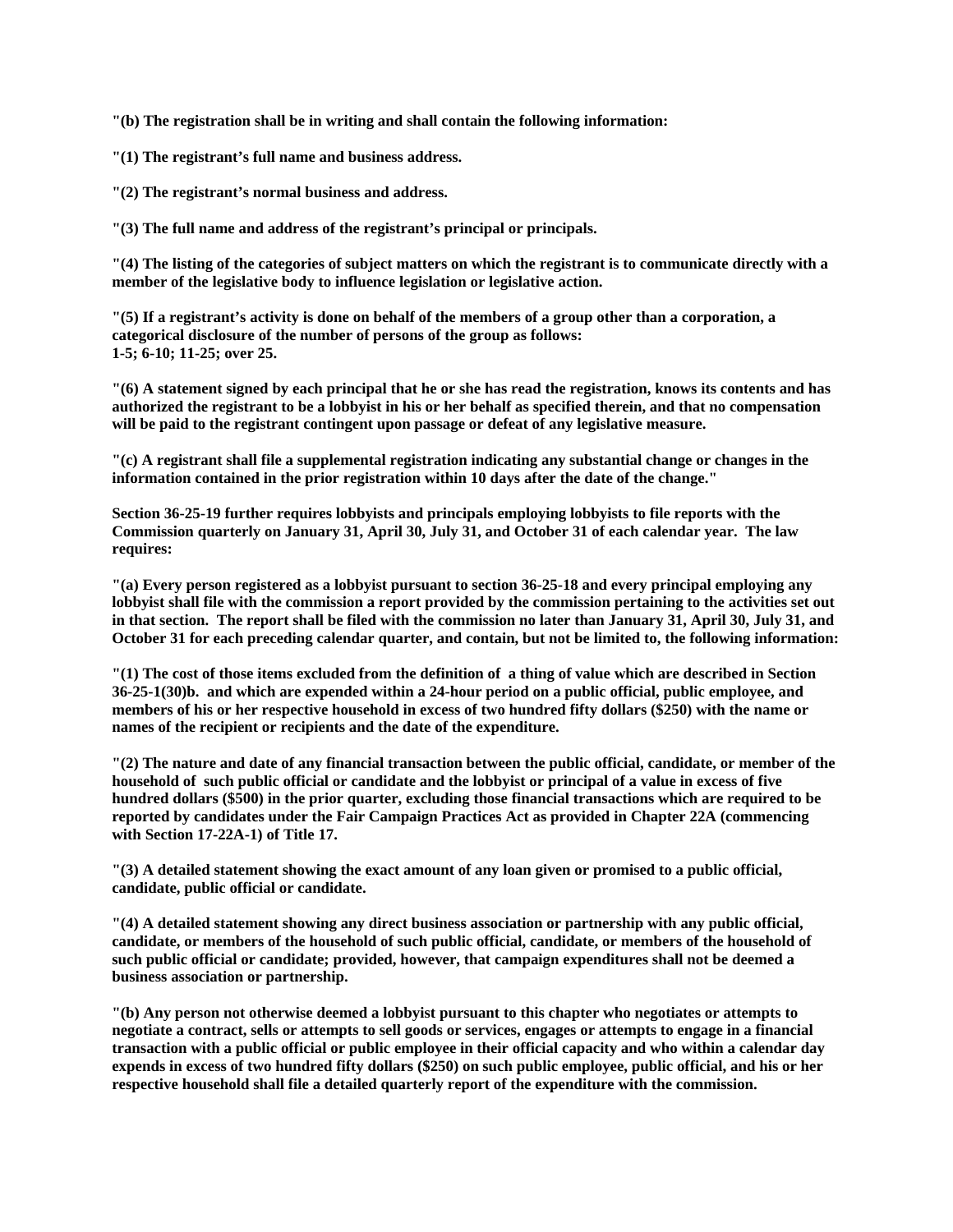**"(b) The registration shall be in writing and shall contain the following information:**

**"(1) The registrant's full name and business address.**

**"(2) The registrant's normal business and address.**

**"(3) The full name and address of the registrant's principal or principals.**

**"(4) The listing of the categories of subject matters on which the registrant is to communicate directly with a member of the legislative body to influence legislation or legislative action.**

**"(5) If a registrant's activity is done on behalf of the members of a group other than a corporation, a categorical disclosure of the number of persons of the group as follows: 1-5; 6-10; 11-25; over 25.**

**"(6) A statement signed by each principal that he or she has read the registration, knows its contents and has authorized the registrant to be a lobbyist in his or her behalf as specified therein, and that no compensation will be paid to the registrant contingent upon passage or defeat of any legislative measure.**

**"(c) A registrant shall file a supplemental registration indicating any substantial change or changes in the information contained in the prior registration within 10 days after the date of the change."**

**Section 36-25-19 further requires lobbyists and principals employing lobbyists to file reports with the Commission quarterly on January 31, April 30, July 31, and October 31 of each calendar year. The law requires:**

**"(a) Every person registered as a lobbyist pursuant to section 36-25-18 and every principal employing any lobbyist shall file with the commission a report provided by the commission pertaining to the activities set out in that section. The report shall be filed with the commission no later than January 31, April 30, July 31, and October 31 for each preceding calendar quarter, and contain, but not be limited to, the following information:**

**"(1) The cost of those items excluded from the definition of a thing of value which are described in Section 36-25-1(30)b. and which are expended within a 24-hour period on a public official, public employee, and members of his or her respective household in excess of two hundred fifty dollars (\$250) with the name or names of the recipient or recipients and the date of the expenditure.**

**"(2) The nature and date of any financial transaction between the public official, candidate, or member of the household of such public official or candidate and the lobbyist or principal of a value in excess of five hundred dollars (\$500) in the prior quarter, excluding those financial transactions which are required to be reported by candidates under the Fair Campaign Practices Act as provided in Chapter 22A (commencing with Section 17-22A-1) of Title 17.**

**"(3) A detailed statement showing the exact amount of any loan given or promised to a public official, candidate, public official or candidate.**

**"(4) A detailed statement showing any direct business association or partnership with any public official, candidate, or members of the household of such public official, candidate, or members of the household of such public official or candidate; provided, however, that campaign expenditures shall not be deemed a business association or partnership.**

**"(b) Any person not otherwise deemed a lobbyist pursuant to this chapter who negotiates or attempts to negotiate a contract, sells or attempts to sell goods or services, engages or attempts to engage in a financial transaction with a public official or public employee in their official capacity and who within a calendar day expends in excess of two hundred fifty dollars (\$250) on such public employee, public official, and his or her respective household shall file a detailed quarterly report of the expenditure with the commission.**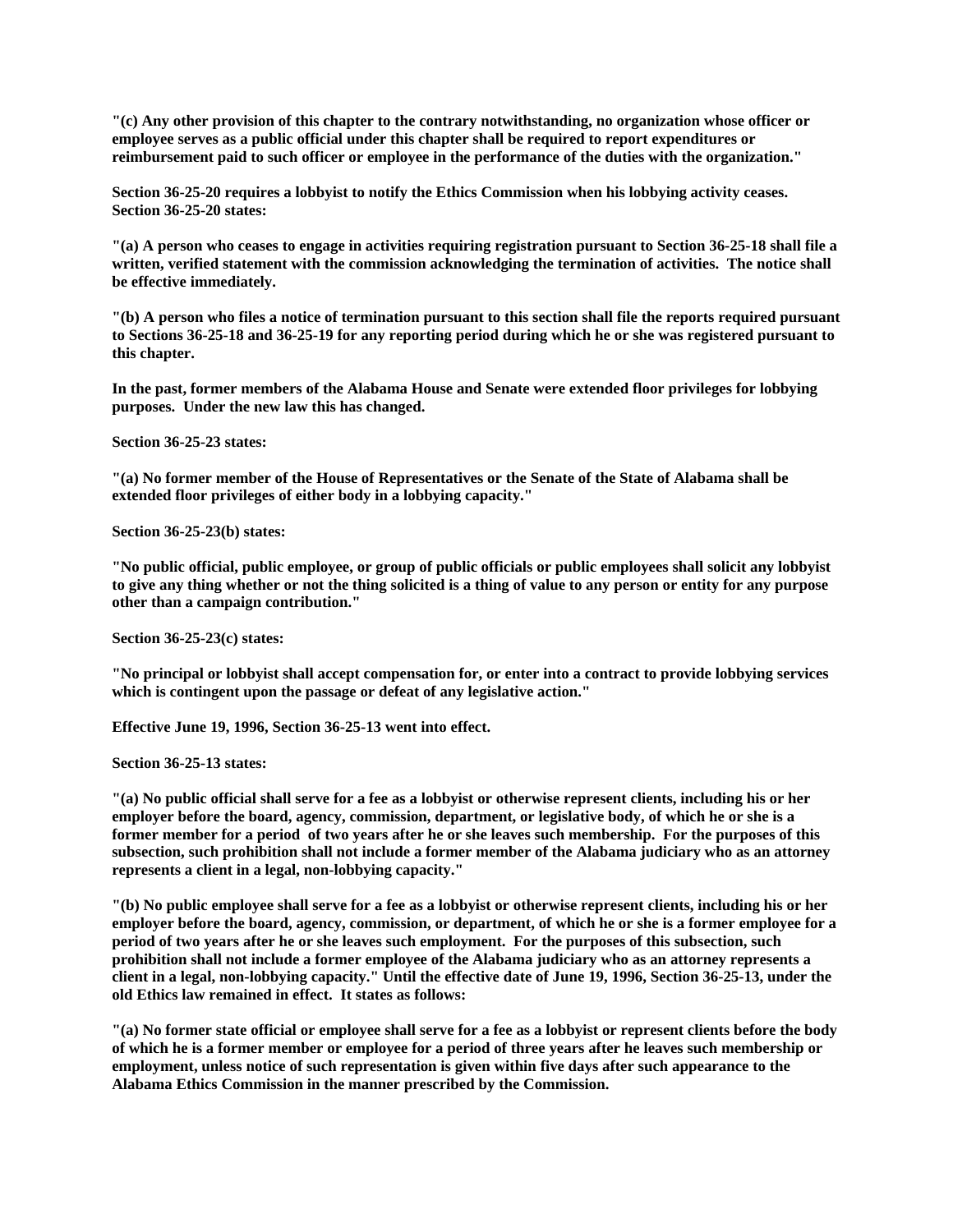**"(c) Any other provision of this chapter to the contrary notwithstanding, no organization whose officer or employee serves as a public official under this chapter shall be required to report expenditures or reimbursement paid to such officer or employee in the performance of the duties with the organization."**

**Section 36-25-20 requires a lobbyist to notify the Ethics Commission when his lobbying activity ceases. Section 36-25-20 states:** 

**"(a) A person who ceases to engage in activities requiring registration pursuant to Section 36-25-18 shall file a written, verified statement with the commission acknowledging the termination of activities. The notice shall be effective immediately.**

**"(b) A person who files a notice of termination pursuant to this section shall file the reports required pursuant to Sections 36-25-18 and 36-25-19 for any reporting period during which he or she was registered pursuant to this chapter.**

**In the past, former members of the Alabama House and Senate were extended floor privileges for lobbying purposes. Under the new law this has changed.**

**Section 36-25-23 states:**

**"(a) No former member of the House of Representatives or the Senate of the State of Alabama shall be extended floor privileges of either body in a lobbying capacity."**

**Section 36-25-23(b) states:**

**"No public official, public employee, or group of public officials or public employees shall solicit any lobbyist to give any thing whether or not the thing solicited is a thing of value to any person or entity for any purpose other than a campaign contribution."**

**Section 36-25-23(c) states:**

**"No principal or lobbyist shall accept compensation for, or enter into a contract to provide lobbying services which is contingent upon the passage or defeat of any legislative action."**

**Effective June 19, 1996, Section 36-25-13 went into effect.**

**Section 36-25-13 states:**

**"(a) No public official shall serve for a fee as a lobbyist or otherwise represent clients, including his or her employer before the board, agency, commission, department, or legislative body, of which he or she is a former member for a period of two years after he or she leaves such membership. For the purposes of this subsection, such prohibition shall not include a former member of the Alabama judiciary who as an attorney represents a client in a legal, non-lobbying capacity."**

**"(b) No public employee shall serve for a fee as a lobbyist or otherwise represent clients, including his or her employer before the board, agency, commission, or department, of which he or she is a former employee for a period of two years after he or she leaves such employment. For the purposes of this subsection, such prohibition shall not include a former employee of the Alabama judiciary who as an attorney represents a client in a legal, non-lobbying capacity." Until the effective date of June 19, 1996, Section 36-25-13, under the old Ethics law remained in effect. It states as follows:**

**"(a) No former state official or employee shall serve for a fee as a lobbyist or represent clients before the body of which he is a former member or employee for a period of three years after he leaves such membership or employment, unless notice of such representation is given within five days after such appearance to the Alabama Ethics Commission in the manner prescribed by the Commission.**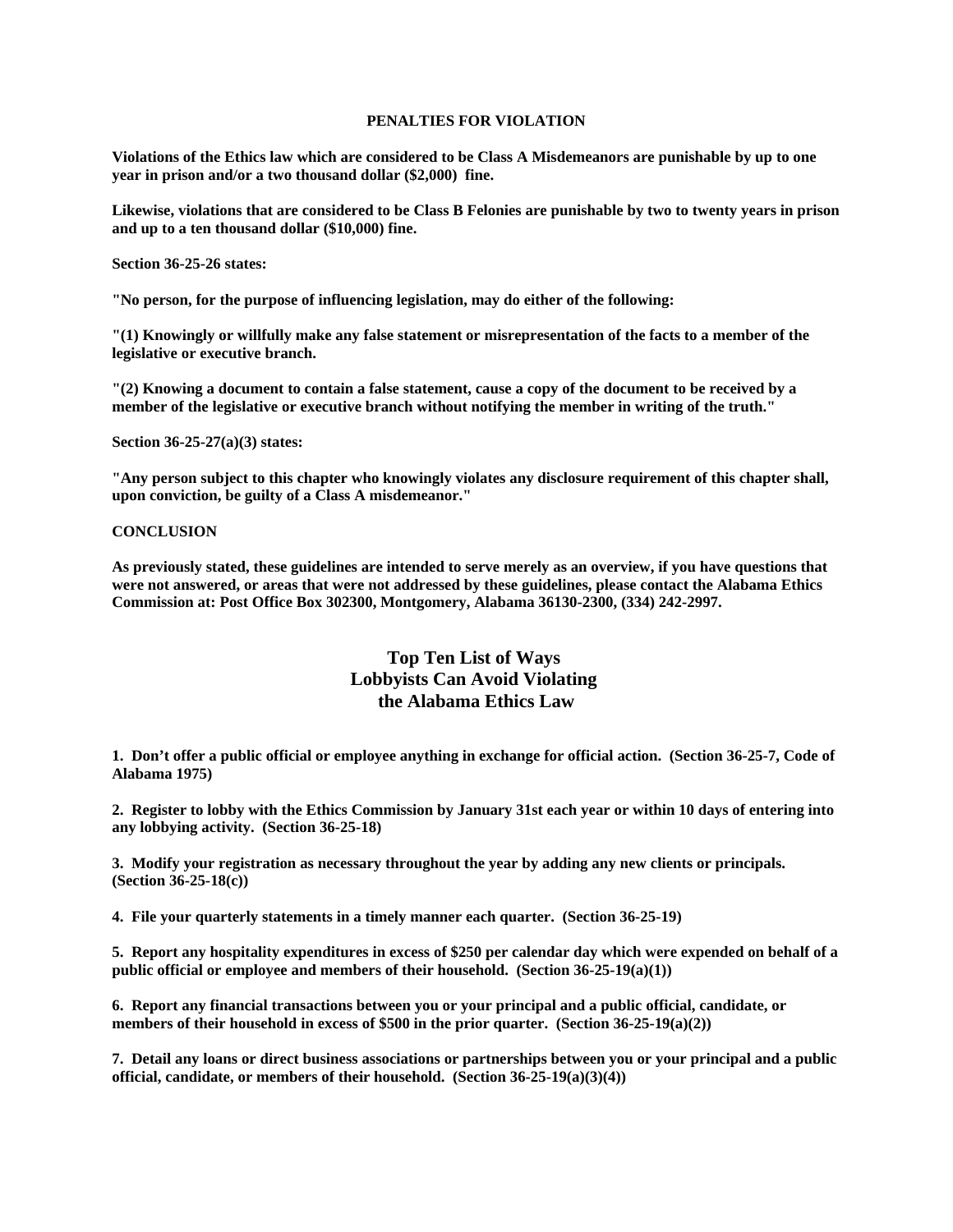### **PENALTIES FOR VIOLATION**

**Violations of the Ethics law which are considered to be Class A Misdemeanors are punishable by up to one year in prison and/or a two thousand dollar (\$2,000) fine.**

**Likewise, violations that are considered to be Class B Felonies are punishable by two to twenty years in prison and up to a ten thousand dollar (\$10,000) fine.**

**Section 36-25-26 states:**

**"No person, for the purpose of influencing legislation, may do either of the following:**

**"(1) Knowingly or willfully make any false statement or misrepresentation of the facts to a member of the legislative or executive branch.**

**"(2) Knowing a document to contain a false statement, cause a copy of the document to be received by a member of the legislative or executive branch without notifying the member in writing of the truth."**

**Section 36-25-27(a)(3) states:**

**"Any person subject to this chapter who knowingly violates any disclosure requirement of this chapter shall, upon conviction, be guilty of a Class A misdemeanor."**

### **CONCLUSION**

**As previously stated, these guidelines are intended to serve merely as an overview, if you have questions that were not answered, or areas that were not addressed by these guidelines, please contact the Alabama Ethics Commission at: Post Office Box 302300, Montgomery, Alabama 36130-2300, (334) 242-2997.**

# **Top Ten List of Ways Lobbyists Can Avoid Violating the Alabama Ethics Law**

**1. Don't offer a public official or employee anything in exchange for official action. (Section 36-25-7, Code of Alabama 1975)**

**2. Register to lobby with the Ethics Commission by January 31st each year or within 10 days of entering into any lobbying activity. (Section 36-25-18)**

**3. Modify your registration as necessary throughout the year by adding any new clients or principals. (Section 36-25-18(c))**

**4. File your quarterly statements in a timely manner each quarter. (Section 36-25-19)**

**5. Report any hospitality expenditures in excess of \$250 per calendar day which were expended on behalf of a public official or employee and members of their household. (Section 36-25-19(a)(1))**

**6. Report any financial transactions between you or your principal and a public official, candidate, or members of their household in excess of \$500 in the prior quarter. (Section 36-25-19(a)(2))**

**7. Detail any loans or direct business associations or partnerships between you or your principal and a public official, candidate, or members of their household. (Section 36-25-19(a)(3)(4))**